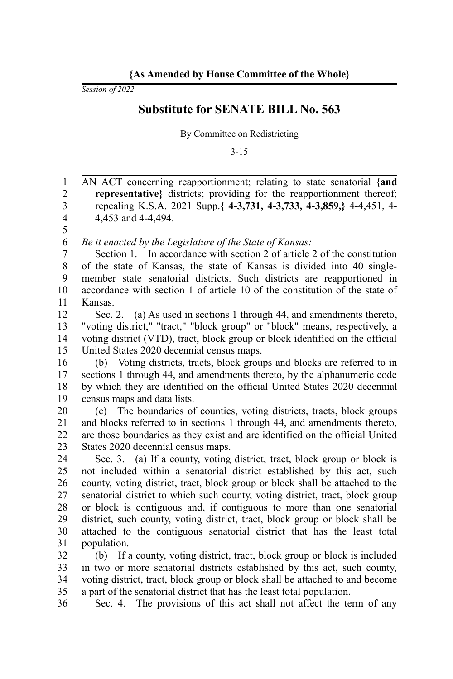*Session of 2022*

## **Substitute for SENATE BILL No. 563**

By Committee on Redistricting

3-15

AN ACT concerning reapportionment; relating to state senatorial **{and representative}** districts; providing for the reapportionment thereof; repealing K.S.A. 2021 Supp.**{ 4-3,731, 4-3,733, 4-3,859,}** 4-4,451, 4- 4,453 and 4-4,494. *Be it enacted by the Legislature of the State of Kansas:* Section 1. In accordance with section 2 of article 2 of the constitution of the state of Kansas, the state of Kansas is divided into 40 singlemember state senatorial districts. Such districts are reapportioned in accordance with section 1 of article 10 of the constitution of the state of Kansas. 1 2 3 4 5 6 7 8 9 10 11

Sec. 2. (a) As used in sections 1 through 44, and amendments thereto, "voting district," "tract," "block group" or "block" means, respectively, a voting district (VTD), tract, block group or block identified on the official United States 2020 decennial census maps. 12 13 14 15

(b) Voting districts, tracts, block groups and blocks are referred to in sections 1 through 44, and amendments thereto, by the alphanumeric code by which they are identified on the official United States 2020 decennial census maps and data lists. 16 17 18 19

(c) The boundaries of counties, voting districts, tracts, block groups and blocks referred to in sections 1 through 44, and amendments thereto, are those boundaries as they exist and are identified on the official United States 2020 decennial census maps. 20 21 22 23

Sec. 3. (a) If a county, voting district, tract, block group or block is not included within a senatorial district established by this act, such county, voting district, tract, block group or block shall be attached to the senatorial district to which such county, voting district, tract, block group or block is contiguous and, if contiguous to more than one senatorial district, such county, voting district, tract, block group or block shall be attached to the contiguous senatorial district that has the least total population. 24 25 26 27 28 29 30 31

(b) If a county, voting district, tract, block group or block is included in two or more senatorial districts established by this act, such county, voting district, tract, block group or block shall be attached to and become a part of the senatorial district that has the least total population. 32 33 34 35

Sec. 4. The provisions of this act shall not affect the term of any 36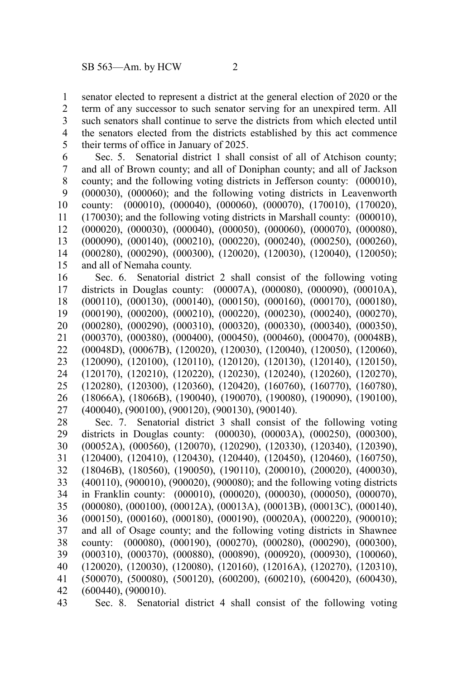senator elected to represent a district at the general election of 2020 or the term of any successor to such senator serving for an unexpired term. All such senators shall continue to serve the districts from which elected until the senators elected from the districts established by this act commence their terms of office in January of 2025. 1 2 3 4 5

Sec. 5. Senatorial district 1 shall consist of all of Atchison county; and all of Brown county; and all of Doniphan county; and all of Jackson county; and the following voting districts in Jefferson county: (000010), (000030), (000060); and the following voting districts in Leavenworth county: (000010), (000040), (000060), (000070), (170010), (170020), (170030); and the following voting districts in Marshall county: (000010), (000020), (000030), (000040), (000050), (000060), (000070), (000080), (000090), (000140), (000210), (000220), (000240), (000250), (000260), (000280), (000290), (000300), (120020), (120030), (120040), (120050); and all of Nemaha county. 6 7 8 9 10 11 12 13 14 15

Sec. 6. Senatorial district 2 shall consist of the following voting districts in Douglas county: (00007A), (000080), (000090), (00010A), (000110), (000130), (000140), (000150), (000160), (000170), (000180), (000190), (000200), (000210), (000220), (000230), (000240), (000270), (000280), (000290), (000310), (000320), (000330), (000340), (000350), (000370), (000380), (000400), (000450), (000460), (000470), (00048B), (00048D), (00067B), (120020), (120030), (120040), (120050), (120060), (120090), (120100), (120110), (120120), (120130), (120140), (120150), (120170), (120210), (120220), (120230), (120240), (120260), (120270), (120280), (120300), (120360), (120420), (160760), (160770), (160780), (18066A), (18066B), (190040), (190070), (190080), (190090), (190100), (400040), (900100), (900120), (900130), (900140). 16 17 18 19 20 21 22 23 24 25 26 27

Sec. 7. Senatorial district 3 shall consist of the following voting districts in Douglas county: (000030), (00003A), (000250), (000300), (00052A), (000560), (120070), (120290), (120330), (120340), (120390), (120400), (120410), (120430), (120440), (120450), (120460), (160750), (18046B), (180560), (190050), (190110), (200010), (200020), (400030), (400110), (900010), (900020), (900080); and the following voting districts in Franklin county: (000010), (000020), (000030), (000050), (000070), (000080), (000100), (00012A), (00013A), (00013B), (00013C), (000140), (000150), (000160), (000180), (000190), (00020A), (000220), (900010); and all of Osage county; and the following voting districts in Shawnee county: (000080), (000190), (000270), (000280), (000290), (000300), (000310), (000370), (000880), (000890), (000920), (000930), (100060), (120020), (120030), (120080), (120160), (12016A), (120270), (120310), (500070), (500080), (500120), (600200), (600210), (600420), (600430), (600440), (900010). 28 29 30 31 32 33 34 35 36 37 38 39 40 41 42

Sec. 8. Senatorial district 4 shall consist of the following voting 43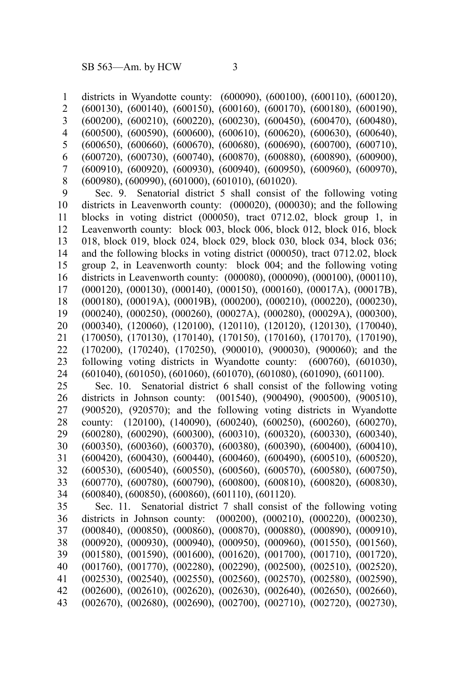districts in Wyandotte county: (600090), (600100), (600110), (600120), (600130), (600140), (600150), (600160), (600170), (600180), (600190), (600200), (600210), (600220), (600230), (600450), (600470), (600480), (600500), (600590), (600600), (600610), (600620), (600630), (600640), (600650), (600660), (600670), (600680), (600690), (600700), (600710), (600720), (600730), (600740), (600870), (600880), (600890), (600900), (600910), (600920), (600930), (600940), (600950), (600960), (600970), (600980), (600990), (601000), (601010), (601020). Sec. 9. Senatorial district 5 shall consist of the following voting districts in Leavenworth county: (000020), (000030); and the following blocks in voting district (000050), tract 0712.02, block group 1, in Leavenworth county: block 003, block 006, block 012, block 016, block 018, block 019, block 024, block 029, block 030, block 034, block 036; and the following blocks in voting district (000050), tract 0712.02, block group 2, in Leavenworth county: block 004; and the following voting districts in Leavenworth county: (000080), (000090), (000100), (000110), (000120), (000130), (000140), (000150), (000160), (00017A), (00017B), (000180), (00019A), (00019B), (000200), (000210), (000220), (000230), (000240), (000250), (000260), (00027A), (000280), (00029A), (000300), (000340), (120060), (120100), (120110), (120120), (120130), (170040), (170050), (170130), (170140), (170150), (170160), (170170), (170190), (170200), (170240), (170250), (900010), (900030), (900060); and the following voting districts in Wyandotte county: (600760), (601030), (601040), (601050), (601060), (601070), (601080), (601090), (601100). Sec. 10. Senatorial district 6 shall consist of the following voting districts in Johnson county: (001540), (900490), (900500), (900510), (900520), (920570); and the following voting districts in Wyandotte county: (120100), (140090), (600240), (600250), (600260), (600270), (600280), (600290), (600300), (600310), (600320), (600330), (600340), (600350), (600360), (600370), (600380), (600390), (600400), (600410), (600420), (600430), (600440), (600460), (600490), (600510), (600520), (600530), (600540), (600550), (600560), (600570), (600580), (600750), (600770), (600780), (600790), (600800), (600810), (600820), (600830), (600840), (600850), (600860), (601110), (601120). Sec. 11. Senatorial district 7 shall consist of the following voting districts in Johnson county: (000200), (000210), (000220), (000230), (000840), (000850), (000860), (000870), (000880), (000890), (000910), (000920), (000930), (000940), (000950), (000960), (001550), (001560), (001580), (001590), (001600), (001620), (001700), (001710), (001720), (001760), (001770), (002280), (002290), (002500), (002510), (002520), (002530), (002540), (002550), (002560), (002570), (002580), (002590), (002600), (002610), (002620), (002630), (002640), (002650), (002660), (002670), (002680), (002690), (002700), (002710), (002720), (002730), 1 2 3 4 5 6 7 8 9 10 11 12 13 14 15 16 17 18 19 20 21 22 23 24 25 26 27 28 29 30 31 32 33 34 35 36 37 38 39 40 41 42 43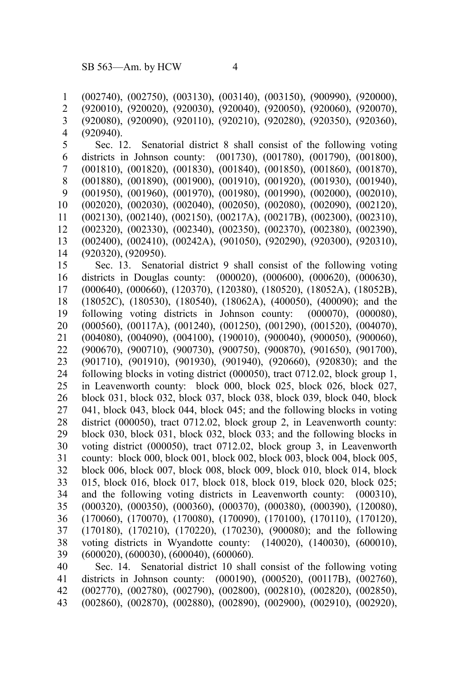(002740), (002750), (003130), (003140), (003150), (900990), (920000), (920010), (920020), (920030), (920040), (920050), (920060), (920070), (920080), (920090), (920110), (920210), (920280), (920350), (920360), (920940). Sec. 12. Senatorial district 8 shall consist of the following voting districts in Johnson county: (001730), (001780), (001790), (001800), (001810), (001820), (001830), (001840), (001850), (001860), (001870), (001880), (001890), (001900), (001910), (001920), (001930), (001940), (001950), (001960), (001970), (001980), (001990), (002000), (002010), (002020), (002030), (002040), (002050), (002080), (002090), (002120), (002130), (002140), (002150), (00217A), (00217B), (002300), (002310), (002320), (002330), (002340), (002350), (002370), (002380), (002390), (002400), (002410), (00242A), (901050), (920290), (920300), (920310), (920320), (920950). Sec. 13. Senatorial district 9 shall consist of the following voting districts in Douglas county: (000020), (000600), (000620), (000630), (000640), (000660), (120370), (120380), (180520), (18052A), (18052B), (18052C), (180530), (180540), (18062A), (400050), (400090); and the following voting districts in Johnson county: (000070), (000080), (000560), (00117A), (001240), (001250), (001290), (001520), (004070), (004080), (004090), (004100), (190010), (900040), (900050), (900060), (900670), (900710), (900730), (900750), (900870), (901650), (901700), (901710), (901910), (901930), (901940), (920660), (920830); and the following blocks in voting district (000050), tract 0712.02, block group 1, in Leavenworth county: block 000, block 025, block 026, block 027, block 031, block 032, block 037, block 038, block 039, block 040, block 041, block 043, block 044, block 045; and the following blocks in voting district (000050), tract 0712.02, block group 2, in Leavenworth county: block 030, block 031, block 032, block 033; and the following blocks in voting district (000050), tract 0712.02, block group 3, in Leavenworth county: block 000, block 001, block 002, block 003, block 004, block 005, block 006, block 007, block 008, block 009, block 010, block 014, block 015, block 016, block 017, block 018, block 019, block 020, block 025; and the following voting districts in Leavenworth county: (000310), (000320), (000350), (000360), (000370), (000380), (000390), (120080), (170060), (170070), (170080), (170090), (170100), (170110), (170120), (170180), (170210), (170220), (170230), (900080); and the following voting districts in Wyandotte county: (140020), (140030), (600010), (600020), (600030), (600040), (600060). Sec. 14. Senatorial district 10 shall consist of the following voting districts in Johnson county: (000190), (000520), (00117B), (002760), (002770), (002780), (002790), (002800), (002810), (002820), (002850), 1 2 3 4 5 6 7 8 9 10 11 12 13 14 15 16 17 18 19 20 21 22 23 24 25 26 27 28 29 30 31 32 33 34 35 36 37 38 39 40 41 42

(002860), (002870), (002880), (002890), (002900), (002910), (002920), 43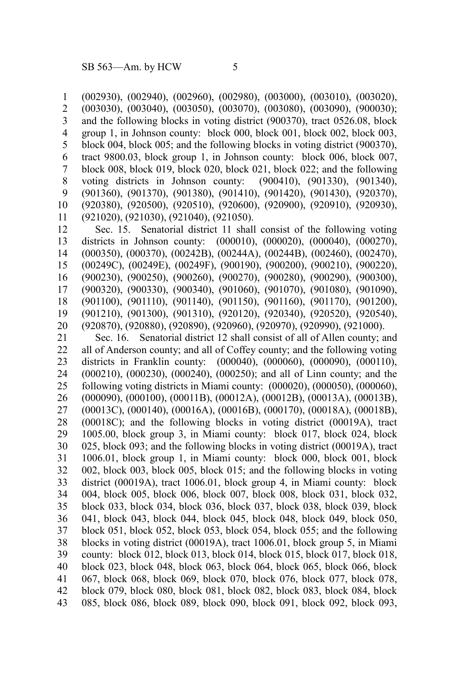(002930), (002940), (002960), (002980), (003000), (003010), (003020), (003030), (003040), (003050), (003070), (003080), (003090), (900030); and the following blocks in voting district (900370), tract 0526.08, block group 1, in Johnson county: block 000, block 001, block 002, block 003, block 004, block 005; and the following blocks in voting district (900370), tract 9800.03, block group 1, in Johnson county: block 006, block 007, block 008, block 019, block 020, block 021, block 022; and the following voting districts in Johnson county: (900410), (901330), (901340), (901360), (901370), (901380), (901410), (901420), (901430), (920370), (920380), (920500), (920510), (920600), (920900), (920910), (920930), (921020), (921030), (921040), (921050). 1 2 3 4 5 6 7 8 9 10 11

Sec. 15. Senatorial district 11 shall consist of the following voting districts in Johnson county: (000010), (000020), (000040), (000270), (000350), (000370), (00242B), (00244A), (00244B), (002460), (002470), (00249C), (00249E), (00249F), (900190), (900200), (900210), (900220), (900230), (900250), (900260), (900270), (900280), (900290), (900300), (900320), (900330), (900340), (901060), (901070), (901080), (901090), (901100), (901110), (901140), (901150), (901160), (901170), (901200), (901210), (901300), (901310), (920120), (920340), (920520), (920540), (920870), (920880), (920890), (920960), (920970), (920990), (921000). 12 13 14 15 16 17 18 19 20

Sec. 16. Senatorial district 12 shall consist of all of Allen county; and all of Anderson county; and all of Coffey county; and the following voting districts in Franklin county: (000040), (000060), (000090), (000110), (000210), (000230), (000240), (000250); and all of Linn county; and the following voting districts in Miami county: (000020), (000050), (000060), (000090), (000100), (00011B), (00012A), (00012B), (00013A), (00013B), (00013C), (000140), (00016A), (00016B), (000170), (00018A), (00018B), (00018C); and the following blocks in voting district (00019A), tract 1005.00, block group 3, in Miami county: block 017, block 024, block 025, block 093; and the following blocks in voting district (00019A), tract 1006.01, block group 1, in Miami county: block 000, block 001, block 002, block 003, block 005, block 015; and the following blocks in voting district (00019A), tract 1006.01, block group 4, in Miami county: block 004, block 005, block 006, block 007, block 008, block 031, block 032, block 033, block 034, block 036, block 037, block 038, block 039, block 041, block 043, block 044, block 045, block 048, block 049, block 050, block 051, block 052, block 053, block 054, block 055; and the following blocks in voting district (00019A), tract 1006.01, block group 5, in Miami county: block 012, block 013, block 014, block 015, block 017, block 018, block 023, block 048, block 063, block 064, block 065, block 066, block 067, block 068, block 069, block 070, block 076, block 077, block 078, block 079, block 080, block 081, block 082, block 083, block 084, block 085, block 086, block 089, block 090, block 091, block 092, block 093, 21 22 23 24 25 26 27 28 29 30 31 32 33 34 35 36 37 38 39 40 41 42 43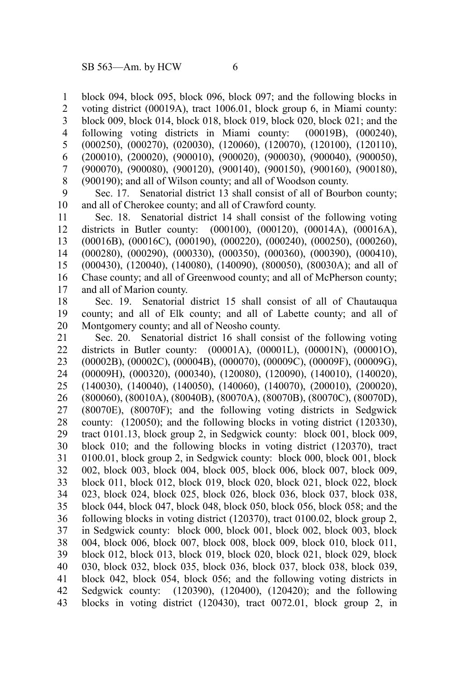block 094, block 095, block 096, block 097; and the following blocks in voting district (00019A), tract 1006.01, block group 6, in Miami county: block 009, block 014, block 018, block 019, block 020, block 021; and the following voting districts in Miami county: (00019B), (000240), (000250), (000270), (020030), (120060), (120070), (120100), (120110), (200010), (200020), (900010), (900020), (900030), (900040), (900050), (900070), (900080), (900120), (900140), (900150), (900160), (900180), (900190); and all of Wilson county; and all of Woodson county. 1 2 3 4 5 6 7 8

Sec. 17. Senatorial district 13 shall consist of all of Bourbon county; and all of Cherokee county; and all of Crawford county. 9 10

Sec. 18. Senatorial district 14 shall consist of the following voting districts in Butler county: (000100), (000120), (00014A), (00016A), (00016B), (00016C), (000190), (000220), (000240), (000250), (000260), (000280), (000290), (000330), (000350), (000360), (000390), (000410), (000430), (120040), (140080), (140090), (800050), (80030A); and all of Chase county; and all of Greenwood county; and all of McPherson county; and all of Marion county. 11 12 13 14 15 16 17

Sec. 19. Senatorial district 15 shall consist of all of Chautauqua county; and all of Elk county; and all of Labette county; and all of Montgomery county; and all of Neosho county. 18 19 20

Sec. 20. Senatorial district 16 shall consist of the following voting districts in Butler county: (00001A), (00001L), (00001N), (00001O), (00002B), (00002C), (00004B), (000070), (00009C), (00009F), (00009G), (00009H), (000320), (000340), (120080), (120090), (140010), (140020), (140030), (140040), (140050), (140060), (140070), (200010), (200020), (800060), (80010A), (80040B), (80070A), (80070B), (80070C), (80070D), (80070E), (80070F); and the following voting districts in Sedgwick county: (120050); and the following blocks in voting district (120330), tract 0101.13, block group 2, in Sedgwick county: block 001, block 009, block 010; and the following blocks in voting district (120370), tract 0100.01, block group 2, in Sedgwick county: block 000, block 001, block 002, block 003, block 004, block 005, block 006, block 007, block 009, block 011, block 012, block 019, block 020, block 021, block 022, block 023, block 024, block 025, block 026, block 036, block 037, block 038, block 044, block 047, block 048, block 050, block 056, block 058; and the following blocks in voting district (120370), tract 0100.02, block group 2, in Sedgwick county: block 000, block 001, block 002, block 003, block 004, block 006, block 007, block 008, block 009, block 010, block 011, block 012, block 013, block 019, block 020, block 021, block 029, block 030, block 032, block 035, block 036, block 037, block 038, block 039, block 042, block 054, block 056; and the following voting districts in Sedgwick county: (120390), (120400), (120420); and the following blocks in voting district (120430), tract 0072.01, block group 2, in 21 22 23 24 25 26 27 28 29 30 31 32 33 34 35 36 37 38 39 40 41 42 43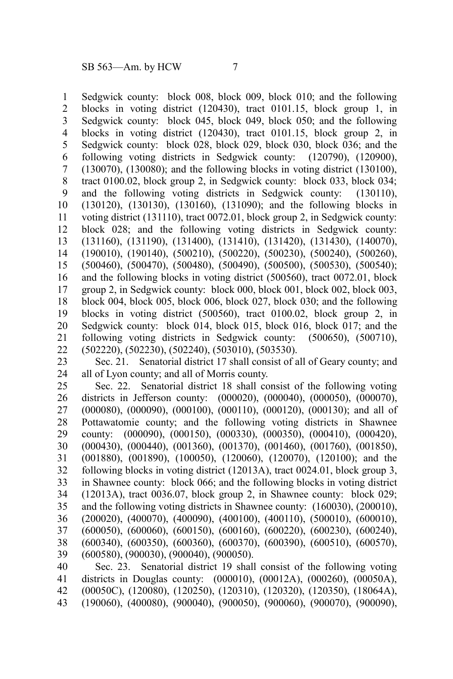Sedgwick county: block 008, block 009, block 010; and the following blocks in voting district (120430), tract 0101.15, block group 1, in Sedgwick county: block 045, block 049, block 050; and the following blocks in voting district (120430), tract 0101.15, block group 2, in Sedgwick county: block 028, block 029, block 030, block 036; and the following voting districts in Sedgwick county: (120790), (120900), (130070), (130080); and the following blocks in voting district (130100), tract 0100.02, block group 2, in Sedgwick county: block 033, block 034; and the following voting districts in Sedgwick county: (130110), (130120), (130130), (130160), (131090); and the following blocks in voting district (131110), tract 0072.01, block group 2, in Sedgwick county: block 028; and the following voting districts in Sedgwick county: (131160), (131190), (131400), (131410), (131420), (131430), (140070), (190010), (190140), (500210), (500220), (500230), (500240), (500260), (500460), (500470), (500480), (500490), (500500), (500530), (500540); and the following blocks in voting district (500560), tract 0072.01, block group 2, in Sedgwick county: block 000, block 001, block 002, block 003, block 004, block 005, block 006, block 027, block 030; and the following blocks in voting district (500560), tract 0100.02, block group 2, in Sedgwick county: block 014, block 015, block 016, block 017; and the following voting districts in Sedgwick county: (500650), (500710), (502220), (502230), (502240), (503010), (503530). 1 2 3 4 5 6 7 8 9 10 11 12 13 14 15 16 17 18 19 20 21 22

Sec. 21. Senatorial district 17 shall consist of all of Geary county; and all of Lyon county; and all of Morris county. 23 24

Sec. 22. Senatorial district 18 shall consist of the following voting districts in Jefferson county: (000020), (000040), (000050), (000070), (000080), (000090), (000100), (000110), (000120), (000130); and all of Pottawatomie county; and the following voting districts in Shawnee county: (000090), (000150), (000330), (000350), (000410), (000420), (000430), (000440), (001360), (001370), (001460), (001760), (001850), (001880), (001890), (100050), (120060), (120070), (120100); and the following blocks in voting district (12013A), tract 0024.01, block group 3, in Shawnee county: block 066; and the following blocks in voting district (12013A), tract 0036.07, block group 2, in Shawnee county: block 029; and the following voting districts in Shawnee county: (160030), (200010), (200020), (400070), (400090), (400100), (400110), (500010), (600010), (600050), (600060), (600150), (600160), (600220), (600230), (600240), (600340), (600350), (600360), (600370), (600390), (600510), (600570), (600580), (900030), (900040), (900050). 25 26 27 28 29 30 31 32 33 34 35 36 37 38 39

Sec. 23. Senatorial district 19 shall consist of the following voting districts in Douglas county: (000010), (00012A), (000260), (00050A), (00050C), (120080), (120250), (120310), (120320), (120350), (18064A), (190060), (400080), (900040), (900050), (900060), (900070), (900090), 40 41 42 43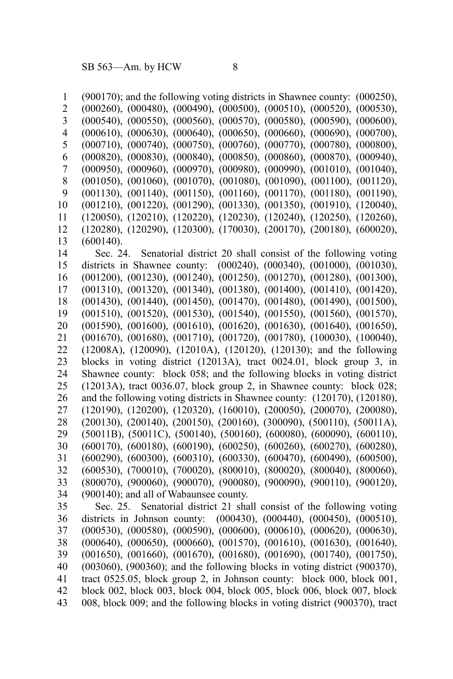(900170); and the following voting districts in Shawnee county: (000250), (000260), (000480), (000490), (000500), (000510), (000520), (000530), (000540), (000550), (000560), (000570), (000580), (000590), (000600), (000610), (000630), (000640), (000650), (000660), (000690), (000700), (000710), (000740), (000750), (000760), (000770), (000780), (000800), (000820), (000830), (000840), (000850), (000860), (000870), (000940), (000950), (000960), (000970), (000980), (000990), (001010), (001040), (001050), (001060), (001070), (001080), (001090), (001100), (001120), (001130), (001140), (001150), (001160), (001170), (001180), (001190), (001210), (001220), (001290), (001330), (001350), (001910), (120040), (120050), (120210), (120220), (120230), (120240), (120250), (120260), (120280), (120290), (120300), (170030), (200170), (200180), (600020), (600140). Sec. 24. Senatorial district 20 shall consist of the following voting districts in Shawnee county: (000240), (000340), (001000), (001030), (001200), (001230), (001240), (001250), (001270), (001280), (001300), (001310), (001320), (001340), (001380), (001400), (001410), (001420), (001430), (001440), (001450), (001470), (001480), (001490), (001500), (001510), (001520), (001530), (001540), (001550), (001560), (001570), (001590), (001600), (001610), (001620), (001630), (001640), (001650), (001670), (001680), (001710), (001720), (001780), (100030), (100040), (12008A), (120090), (12010A), (120120), (120130); and the following blocks in voting district (12013A), tract 0024.01, block group 3, in Shawnee county: block 058; and the following blocks in voting district (12013A), tract 0036.07, block group 2, in Shawnee county: block 028; and the following voting districts in Shawnee county: (120170), (120180), (120190), (120200), (120320), (160010), (200050), (200070), (200080), (200130), (200140), (200150), (200160), (300090), (500110), (50011A), (50011B), (50011C), (500140), (500160), (600080), (600090), (600110), (600170), (600180), (600190), (600250), (600260), (600270), (600280), (600290), (600300), (600310), (600330), (600470), (600490), (600500), (600530), (700010), (700020), (800010), (800020), (800040), (800060), (800070), (900060), (900070), (900080), (900090), (900110), (900120), (900140); and all of Wabaunsee county. Sec. 25. Senatorial district 21 shall consist of the following voting districts in Johnson county: (000430), (000440), (000450), (000510), (000530), (000580), (000590), (000600), (000610), (000620), (000630), (000640), (000650), (000660), (001570), (001610), (001630), (001640), (001650), (001660), (001670), (001680), (001690), (001740), (001750), (003060), (900360); and the following blocks in voting district (900370), tract 0525.05, block group 2, in Johnson county: block 000, block 001, block 002, block 003, block 004, block 005, block 006, block 007, block 008, block 009; and the following blocks in voting district (900370), tract 1 2 3 4 5 6 7 8 9 10 11 12 13 14 15 16 17 18 19 20 21 22 23 24 25 26 27 28 29 30 31 32 33 34 35 36 37 38 39 40 41 42 43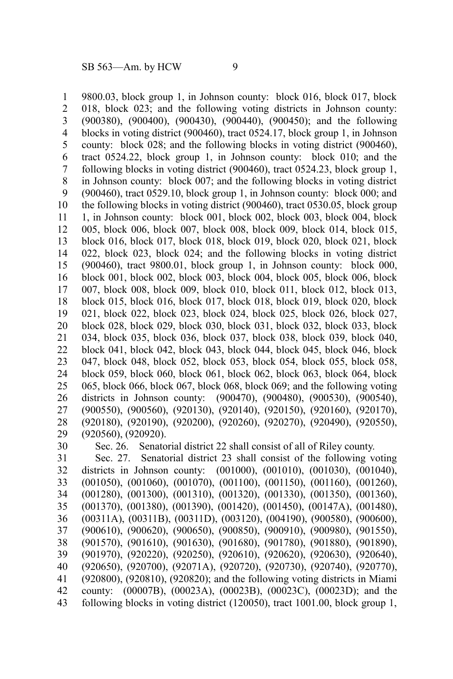9800.03, block group 1, in Johnson county: block 016, block 017, block 018, block 023; and the following voting districts in Johnson county: (900380), (900400), (900430), (900440), (900450); and the following blocks in voting district (900460), tract 0524.17, block group 1, in Johnson county: block 028; and the following blocks in voting district (900460), tract 0524.22, block group 1, in Johnson county: block 010; and the following blocks in voting district (900460), tract 0524.23, block group 1, in Johnson county: block 007; and the following blocks in voting district (900460), tract 0529.10, block group 1, in Johnson county: block 000; and the following blocks in voting district (900460), tract 0530.05, block group 1, in Johnson county: block 001, block 002, block 003, block 004, block 005, block 006, block 007, block 008, block 009, block 014, block 015, block 016, block 017, block 018, block 019, block 020, block 021, block 022, block 023, block 024; and the following blocks in voting district (900460), tract 9800.01, block group 1, in Johnson county: block 000, block 001, block 002, block 003, block 004, block 005, block 006, block 007, block 008, block 009, block 010, block 011, block 012, block 013, block 015, block 016, block 017, block 018, block 019, block 020, block 021, block 022, block 023, block 024, block 025, block 026, block 027, block 028, block 029, block 030, block 031, block 032, block 033, block 034, block 035, block 036, block 037, block 038, block 039, block 040, block 041, block 042, block 043, block 044, block 045, block 046, block 047, block 048, block 052, block 053, block 054, block 055, block 058, block 059, block 060, block 061, block 062, block 063, block 064, block 065, block 066, block 067, block 068, block 069; and the following voting districts in Johnson county: (900470), (900480), (900530), (900540), (900550), (900560), (920130), (920140), (920150), (920160), (920170), (920180), (920190), (920200), (920260), (920270), (920490), (920550), (920560), (920920). Sec. 26. Senatorial district 22 shall consist of all of Riley county. 1 2 3 4 5 6 7 8 9 10 11 12 13 14 15 16 17 18 19 20 21 22 23 24 25 26 27 28 29 30

Sec. 27. Senatorial district 23 shall consist of the following voting districts in Johnson county: (001000), (001010), (001030), (001040), (001050), (001060), (001070), (001100), (001150), (001160), (001260), (001280), (001300), (001310), (001320), (001330), (001350), (001360), (001370), (001380), (001390), (001420), (001450), (00147A), (001480), (00311A), (00311B), (00311D), (003120), (004190), (900580), (900600), (900610), (900620), (900650), (900850), (900910), (900980), (901550), (901570), (901610), (901630), (901680), (901780), (901880), (901890), (901970), (920220), (920250), (920610), (920620), (920630), (920640), (920650), (920700), (92071A), (920720), (920730), (920740), (920770), (920800), (920810), (920820); and the following voting districts in Miami county: (00007B), (00023A), (00023B), (00023C), (00023D); and the following blocks in voting district (120050), tract 1001.00, block group 1, 31 32 33 34 35 36 37 38 39 40 41 42 43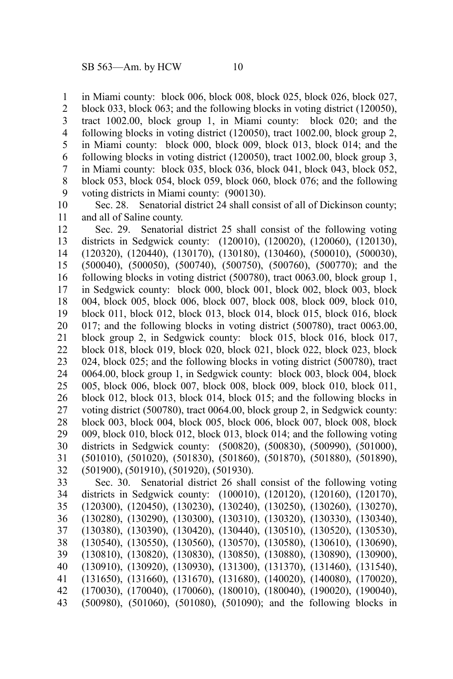in Miami county: block 006, block 008, block 025, block 026, block 027, 1

block 033, block 063; and the following blocks in voting district (120050), tract 1002.00, block group 1, in Miami county: block 020; and the following blocks in voting district (120050), tract 1002.00, block group 2, in Miami county: block 000, block 009, block 013, block 014; and the following blocks in voting district (120050), tract 1002.00, block group 3, in Miami county: block 035, block 036, block 041, block 043, block 052, block 053, block 054, block 059, block 060, block 076; and the following voting districts in Miami county: (900130). 2 3 4 5 6 7 8 9

Sec. 28. Senatorial district 24 shall consist of all of Dickinson county; and all of Saline county. 10 11

Sec. 29. Senatorial district 25 shall consist of the following voting districts in Sedgwick county: (120010), (120020), (120060), (120130), (120320), (120440), (130170), (130180), (130460), (500010), (500030), (500040), (500050), (500740), (500750), (500760), (500770); and the following blocks in voting district (500780), tract 0063.00, block group 1, in Sedgwick county: block 000, block 001, block 002, block 003, block 004, block 005, block 006, block 007, block 008, block 009, block 010, block 011, block 012, block 013, block 014, block 015, block 016, block 017; and the following blocks in voting district (500780), tract 0063.00, block group 2, in Sedgwick county: block 015, block 016, block 017, block 018, block 019, block 020, block 021, block 022, block 023, block 024, block 025; and the following blocks in voting district (500780), tract 0064.00, block group 1, in Sedgwick county: block 003, block 004, block 005, block 006, block 007, block 008, block 009, block 010, block 011, block 012, block 013, block 014, block 015; and the following blocks in voting district (500780), tract 0064.00, block group 2, in Sedgwick county: block 003, block 004, block 005, block 006, block 007, block 008, block 009, block 010, block 012, block 013, block 014; and the following voting districts in Sedgwick county: (500820), (500830), (500990), (501000), (501010), (501020), (501830), (501860), (501870), (501880), (501890), (501900), (501910), (501920), (501930). 12 13 14 15 16 17 18 19 20 21 22 23 24 25 26 27 28 29 30 31 32

Sec. 30. Senatorial district 26 shall consist of the following voting districts in Sedgwick county: (100010), (120120), (120160), (120170), (120300), (120450), (130230), (130240), (130250), (130260), (130270), (130280), (130290), (130300), (130310), (130320), (130330), (130340), (130380), (130390), (130420), (130440), (130510), (130520), (130530), (130540), (130550), (130560), (130570), (130580), (130610), (130690), (130810), (130820), (130830), (130850), (130880), (130890), (130900), (130910), (130920), (130930), (131300), (131370), (131460), (131540), (131650), (131660), (131670), (131680), (140020), (140080), (170020), (170030), (170040), (170060), (180010), (180040), (190020), (190040), (500980), (501060), (501080), (501090); and the following blocks in 33 34 35 36 37 38 39 40 41 42 43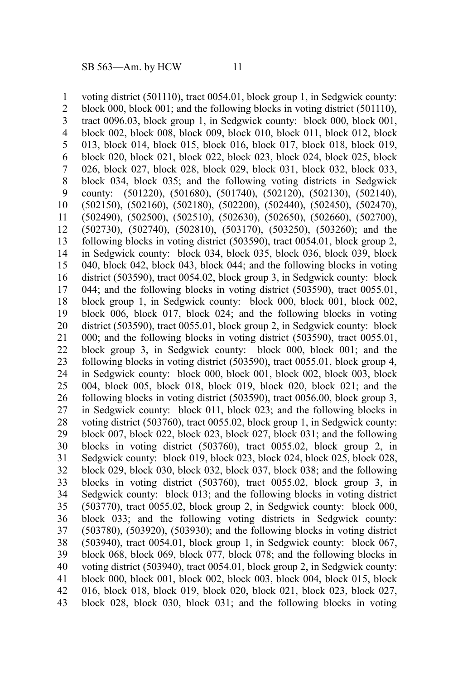voting district (501110), tract 0054.01, block group 1, in Sedgwick county: block 000, block 001; and the following blocks in voting district (501110), tract 0096.03, block group 1, in Sedgwick county: block 000, block 001, block 002, block 008, block 009, block 010, block 011, block 012, block 013, block 014, block 015, block 016, block 017, block 018, block 019, block 020, block 021, block 022, block 023, block 024, block 025, block 026, block 027, block 028, block 029, block 031, block 032, block 033, block 034, block 035; and the following voting districts in Sedgwick county: (501220), (501680), (501740), (502120), (502130), (502140), (502150), (502160), (502180), (502200), (502440), (502450), (502470), (502490), (502500), (502510), (502630), (502650), (502660), (502700), (502730), (502740), (502810), (503170), (503250), (503260); and the following blocks in voting district (503590), tract 0054.01, block group 2, in Sedgwick county: block 034, block 035, block 036, block 039, block 040, block 042, block 043, block 044; and the following blocks in voting district (503590), tract 0054.02, block group 3, in Sedgwick county: block 044; and the following blocks in voting district (503590), tract 0055.01, block group 1, in Sedgwick county: block 000, block 001, block 002, block 006, block 017, block 024; and the following blocks in voting district (503590), tract 0055.01, block group 2, in Sedgwick county: block 000; and the following blocks in voting district (503590), tract 0055.01, block group 3, in Sedgwick county: block 000, block 001; and the following blocks in voting district (503590), tract 0055.01, block group 4, in Sedgwick county: block 000, block 001, block 002, block 003, block 004, block 005, block 018, block 019, block 020, block 021; and the following blocks in voting district (503590), tract 0056.00, block group 3, in Sedgwick county: block 011, block 023; and the following blocks in voting district (503760), tract 0055.02, block group 1, in Sedgwick county: block 007, block 022, block 023, block 027, block 031; and the following blocks in voting district (503760), tract 0055.02, block group 2, in Sedgwick county: block 019, block 023, block 024, block 025, block 028, block 029, block 030, block 032, block 037, block 038; and the following blocks in voting district (503760), tract 0055.02, block group 3, in Sedgwick county: block 013; and the following blocks in voting district (503770), tract 0055.02, block group 2, in Sedgwick county: block 000, block 033; and the following voting districts in Sedgwick county: (503780), (503920), (503930); and the following blocks in voting district (503940), tract 0054.01, block group 1, in Sedgwick county: block 067, block 068, block 069, block 077, block 078; and the following blocks in voting district (503940), tract 0054.01, block group 2, in Sedgwick county: block 000, block 001, block 002, block 003, block 004, block 015, block 016, block 018, block 019, block 020, block 021, block 023, block 027, block 028, block 030, block 031; and the following blocks in voting 1 2 3 4 5 6 7 8 9 10 11 12 13 14 15 16 17 18 19 20 21 22 23 24 25 26 27 28 29 30 31 32 33 34 35 36 37 38 39 40 41 42 43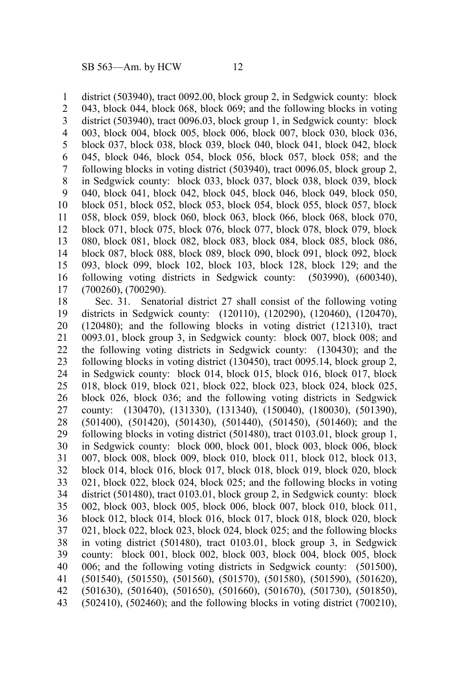district (503940), tract 0092.00, block group 2, in Sedgwick county: block 043, block 044, block 068, block 069; and the following blocks in voting district (503940), tract 0096.03, block group 1, in Sedgwick county: block 003, block 004, block 005, block 006, block 007, block 030, block 036, block 037, block 038, block 039, block 040, block 041, block 042, block 045, block 046, block 054, block 056, block 057, block 058; and the following blocks in voting district (503940), tract 0096.05, block group 2, in Sedgwick county: block 033, block 037, block 038, block 039, block 040, block 041, block 042, block 045, block 046, block 049, block 050, block 051, block 052, block 053, block 054, block 055, block 057, block 058, block 059, block 060, block 063, block 066, block 068, block 070, block 071, block 075, block 076, block 077, block 078, block 079, block 080, block 081, block 082, block 083, block 084, block 085, block 086, block 087, block 088, block 089, block 090, block 091, block 092, block 093, block 099, block 102, block 103, block 128, block 129; and the following voting districts in Sedgwick county: (503990), (600340), (700260), (700290). 1 2 3 4 5 6 7 8 9 10 11 12 13 14 15 16 17

Sec. 31. Senatorial district 27 shall consist of the following voting districts in Sedgwick county: (120110), (120290), (120460), (120470), (120480); and the following blocks in voting district (121310), tract 0093.01, block group 3, in Sedgwick county: block 007, block 008; and the following voting districts in Sedgwick county: (130430); and the following blocks in voting district (130450), tract 0095.14, block group 2, in Sedgwick county: block 014, block 015, block 016, block 017, block 018, block 019, block 021, block 022, block 023, block 024, block 025, block 026, block 036; and the following voting districts in Sedgwick county: (130470), (131330), (131340), (150040), (180030), (501390), (501400), (501420), (501430), (501440), (501450), (501460); and the following blocks in voting district (501480), tract 0103.01, block group 1, in Sedgwick county: block 000, block 001, block 003, block 006, block 007, block 008, block 009, block 010, block 011, block 012, block 013, block 014, block 016, block 017, block 018, block 019, block 020, block 021, block 022, block 024, block 025; and the following blocks in voting district (501480), tract 0103.01, block group 2, in Sedgwick county: block 002, block 003, block 005, block 006, block 007, block 010, block 011, block 012, block 014, block 016, block 017, block 018, block 020, block 021, block 022, block 023, block 024, block 025; and the following blocks in voting district (501480), tract 0103.01, block group 3, in Sedgwick county: block 001, block 002, block 003, block 004, block 005, block 006; and the following voting districts in Sedgwick county: (501500), (501540), (501550), (501560), (501570), (501580), (501590), (501620), (501630), (501640), (501650), (501660), (501670), (501730), (501850), (502410), (502460); and the following blocks in voting district (700210), 18 19 20 21 22 23 24 25 26 27 28 29 30 31 32 33 34 35 36 37 38 39 40 41 42 43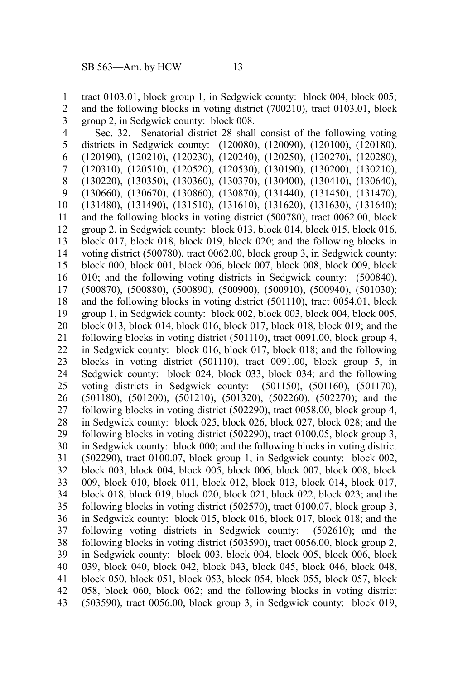tract 0103.01, block group 1, in Sedgwick county: block 004, block 005; and the following blocks in voting district (700210), tract 0103.01, block group 2, in Sedgwick county: block 008. 1 2 3

Sec. 32. Senatorial district 28 shall consist of the following voting districts in Sedgwick county: (120080), (120090), (120100), (120180), (120190), (120210), (120230), (120240), (120250), (120270), (120280), (120310), (120510), (120520), (120530), (130190), (130200), (130210), (130220), (130350), (130360), (130370), (130400), (130410), (130640), (130660), (130670), (130860), (130870), (131440), (131450), (131470), (131480), (131490), (131510), (131610), (131620), (131630), (131640); and the following blocks in voting district (500780), tract 0062.00, block group 2, in Sedgwick county: block 013, block 014, block 015, block 016, block 017, block 018, block 019, block 020; and the following blocks in voting district (500780), tract 0062.00, block group 3, in Sedgwick county: block 000, block 001, block 006, block 007, block 008, block 009, block 010; and the following voting districts in Sedgwick county: (500840), (500870), (500880), (500890), (500900), (500910), (500940), (501030); and the following blocks in voting district (501110), tract 0054.01, block group 1, in Sedgwick county: block 002, block 003, block 004, block 005, block 013, block 014, block 016, block 017, block 018, block 019; and the following blocks in voting district (501110), tract 0091.00, block group 4, in Sedgwick county: block 016, block 017, block 018; and the following blocks in voting district (501110), tract 0091.00, block group 5, in Sedgwick county: block 024, block 033, block 034; and the following voting districts in Sedgwick county: (501150), (501160), (501170), (501180), (501200), (501210), (501320), (502260), (502270); and the following blocks in voting district (502290), tract 0058.00, block group 4, in Sedgwick county: block 025, block 026, block 027, block 028; and the following blocks in voting district (502290), tract 0100.05, block group 3, in Sedgwick county: block 000; and the following blocks in voting district (502290), tract 0100.07, block group 1, in Sedgwick county: block 002, block 003, block 004, block 005, block 006, block 007, block 008, block 009, block 010, block 011, block 012, block 013, block 014, block 017, block 018, block 019, block 020, block 021, block 022, block 023; and the following blocks in voting district (502570), tract 0100.07, block group 3, in Sedgwick county: block 015, block 016, block 017, block 018; and the following voting districts in Sedgwick county: (502610); and the following blocks in voting district (503590), tract 0056.00, block group 2, in Sedgwick county: block 003, block 004, block 005, block 006, block 039, block 040, block 042, block 043, block 045, block 046, block 048, block 050, block 051, block 053, block 054, block 055, block 057, block 058, block 060, block 062; and the following blocks in voting district (503590), tract 0056.00, block group 3, in Sedgwick county: block 019, 4 5 6 7 8 9 10 11 12 13 14 15 16 17 18 19 20 21 22 23 24 25 26 27 28 29 30 31 32 33 34 35 36 37 38 39 40 41 42 43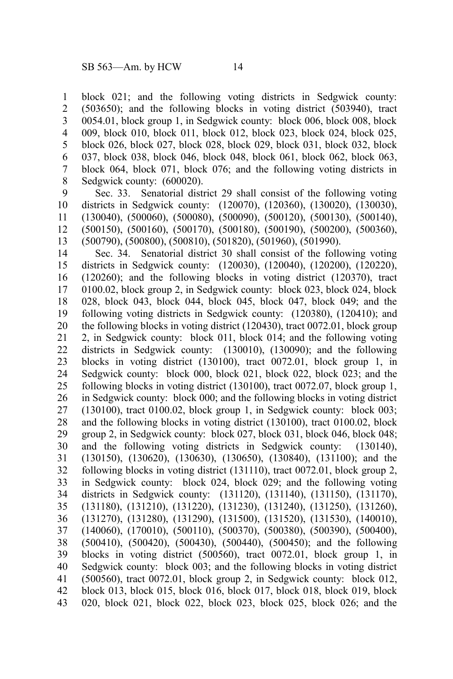block 021; and the following voting districts in Sedgwick county: (503650); and the following blocks in voting district (503940), tract 0054.01, block group 1, in Sedgwick county: block 006, block 008, block 009, block 010, block 011, block 012, block 023, block 024, block 025, block 026, block 027, block 028, block 029, block 031, block 032, block 037, block 038, block 046, block 048, block 061, block 062, block 063, block 064, block 071, block 076; and the following voting districts in Sedgwick county:  $(600020)$ . 1 2 3 4 5 6 7 8

Sec. 33. Senatorial district 29 shall consist of the following voting districts in Sedgwick county: (120070), (120360), (130020), (130030), (130040), (500060), (500080), (500090), (500120), (500130), (500140), (500150), (500160), (500170), (500180), (500190), (500200), (500360), (500790), (500800), (500810), (501820), (501960), (501990). 9 10 11 12 13

Sec. 34. Senatorial district 30 shall consist of the following voting districts in Sedgwick county: (120030), (120040), (120200), (120220), (120260); and the following blocks in voting district (120370), tract 0100.02, block group 2, in Sedgwick county: block 023, block 024, block 028, block 043, block 044, block 045, block 047, block 049; and the following voting districts in Sedgwick county: (120380), (120410); and the following blocks in voting district (120430), tract 0072.01, block group 2, in Sedgwick county: block 011, block 014; and the following voting districts in Sedgwick county: (130010), (130090); and the following blocks in voting district (130100), tract 0072.01, block group 1, in Sedgwick county: block 000, block 021, block 022, block 023; and the following blocks in voting district (130100), tract 0072.07, block group 1, in Sedgwick county: block 000; and the following blocks in voting district  $(130100)$ , tract 0100.02, block group 1, in Sedgwick county: block 003; and the following blocks in voting district (130100), tract 0100.02, block group 2, in Sedgwick county: block 027, block 031, block 046, block 048; and the following voting districts in Sedgwick county: (130140), (130150), (130620), (130630), (130650), (130840), (131100); and the following blocks in voting district (131110), tract 0072.01, block group 2, in Sedgwick county: block 024, block 029; and the following voting districts in Sedgwick county: (131120), (131140), (131150), (131170), (131180), (131210), (131220), (131230), (131240), (131250), (131260), (131270), (131280), (131290), (131500), (131520), (131530), (140010), (140060), (170010), (500110), (500370), (500380), (500390), (500400), (500410), (500420), (500430), (500440), (500450); and the following blocks in voting district (500560), tract 0072.01, block group 1, in Sedgwick county: block 003; and the following blocks in voting district (500560), tract 0072.01, block group 2, in Sedgwick county: block 012, block 013, block 015, block 016, block 017, block 018, block 019, block 020, block 021, block 022, block 023, block 025, block 026; and the 14 15 16 17 18 19 20 21 22 23 24 25 26 27 28 29 30 31 32 33 34 35 36 37 38 39 40 41 42 43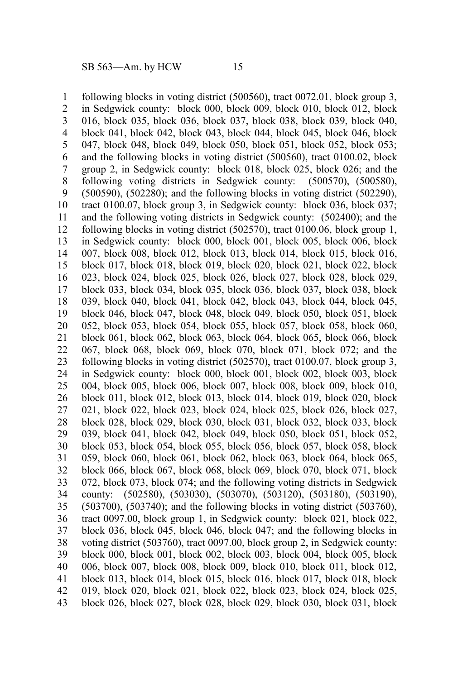following blocks in voting district (500560), tract 0072.01, block group 3, in Sedgwick county: block 000, block 009, block 010, block 012, block 016, block 035, block 036, block 037, block 038, block 039, block 040, block 041, block 042, block 043, block 044, block 045, block 046, block 047, block 048, block 049, block 050, block 051, block 052, block 053; and the following blocks in voting district (500560), tract 0100.02, block group 2, in Sedgwick county: block 018, block 025, block 026; and the following voting districts in Sedgwick county: (500570), (500580), (500590), (502280); and the following blocks in voting district (502290), tract 0100.07, block group 3, in Sedgwick county: block 036, block 037; and the following voting districts in Sedgwick county: (502400); and the following blocks in voting district (502570), tract 0100.06, block group 1, in Sedgwick county: block 000, block 001, block 005, block 006, block 007, block 008, block 012, block 013, block 014, block 015, block 016, block 017, block 018, block 019, block 020, block 021, block 022, block 023, block 024, block 025, block 026, block 027, block 028, block 029, block 033, block 034, block 035, block 036, block 037, block 038, block 039, block 040, block 041, block 042, block 043, block 044, block 045, block 046, block 047, block 048, block 049, block 050, block 051, block 052, block 053, block 054, block 055, block 057, block 058, block 060, block 061, block 062, block 063, block 064, block 065, block 066, block 067, block 068, block 069, block 070, block 071, block 072; and the following blocks in voting district (502570), tract 0100.07, block group 3, in Sedgwick county: block 000, block 001, block 002, block 003, block 004, block 005, block 006, block 007, block 008, block 009, block 010, block 011, block 012, block 013, block 014, block 019, block 020, block 021, block 022, block 023, block 024, block 025, block 026, block 027, block 028, block 029, block 030, block 031, block 032, block 033, block 039, block 041, block 042, block 049, block 050, block 051, block 052, block 053, block 054, block 055, block 056, block 057, block 058, block 059, block 060, block 061, block 062, block 063, block 064, block 065, block 066, block 067, block 068, block 069, block 070, block 071, block 072, block 073, block 074; and the following voting districts in Sedgwick county: (502580), (503030), (503070), (503120), (503180), (503190), (503700), (503740); and the following blocks in voting district (503760), tract 0097.00, block group 1, in Sedgwick county: block 021, block 022, block 036, block 045, block 046, block 047; and the following blocks in voting district (503760), tract 0097.00, block group 2, in Sedgwick county: block 000, block 001, block 002, block 003, block 004, block 005, block 006, block 007, block 008, block 009, block 010, block 011, block 012, block 013, block 014, block 015, block 016, block 017, block 018, block 019, block 020, block 021, block 022, block 023, block 024, block 025, block 026, block 027, block 028, block 029, block 030, block 031, block 1 2 3 4 5 6 7 8 9 10 11 12 13 14 15 16 17 18 19 20 21 22 23 24 25 26 27 28 29 30 31 32 33 34 35 36 37 38 39 40 41 42 43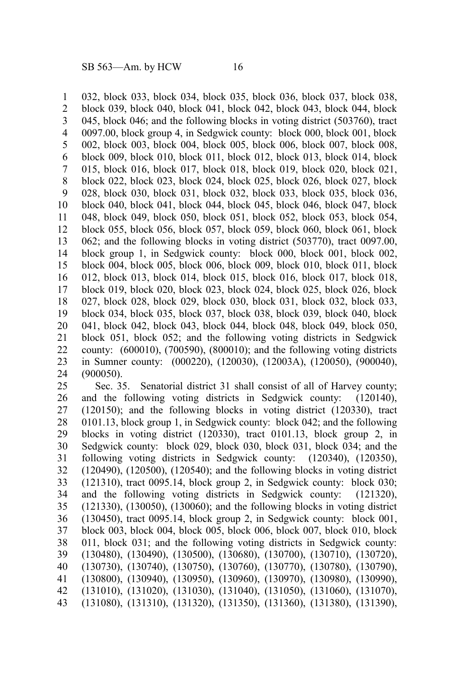032, block 033, block 034, block 035, block 036, block 037, block 038, block 039, block 040, block 041, block 042, block 043, block 044, block 045, block 046; and the following blocks in voting district (503760), tract 0097.00, block group 4, in Sedgwick county: block 000, block 001, block 002, block 003, block 004, block 005, block 006, block 007, block 008, block 009, block 010, block 011, block 012, block 013, block 014, block 015, block 016, block 017, block 018, block 019, block 020, block 021, block 022, block 023, block 024, block 025, block 026, block 027, block 028, block 030, block 031, block 032, block 033, block 035, block 036, block 040, block 041, block 044, block 045, block 046, block 047, block 048, block 049, block 050, block 051, block 052, block 053, block 054, block 055, block 056, block 057, block 059, block 060, block 061, block 062; and the following blocks in voting district (503770), tract 0097.00, block group 1, in Sedgwick county: block 000, block 001, block 002, block 004, block 005, block 006, block 009, block 010, block 011, block 012, block 013, block 014, block 015, block 016, block 017, block 018, block 019, block 020, block 023, block 024, block 025, block 026, block 027, block 028, block 029, block 030, block 031, block 032, block 033, block 034, block 035, block 037, block 038, block 039, block 040, block 041, block 042, block 043, block 044, block 048, block 049, block 050, block 051, block 052; and the following voting districts in Sedgwick county: (600010), (700590), (800010); and the following voting districts in Sumner county: (000220), (120030), (12003A), (120050), (900040), (900050). 1 2 3 4 5 6 7 8 9 10 11 12 13 14 15 16 17 18 19 20 21 22 23 24

Sec. 35. Senatorial district 31 shall consist of all of Harvey county; and the following voting districts in Sedgwick county: (120140), (120150); and the following blocks in voting district (120330), tract 0101.13, block group 1, in Sedgwick county: block 042; and the following blocks in voting district (120330), tract 0101.13, block group 2, in Sedgwick county: block 029, block 030, block 031, block 034; and the following voting districts in Sedgwick county: (120340), (120350), (120490), (120500), (120540); and the following blocks in voting district (121310), tract 0095.14, block group 2, in Sedgwick county: block 030; and the following voting districts in Sedgwick county: (121320), (121330), (130050), (130060); and the following blocks in voting district (130450), tract 0095.14, block group 2, in Sedgwick county: block 001, block 003, block 004, block 005, block 006, block 007, block 010, block 011, block 031; and the following voting districts in Sedgwick county: (130480), (130490), (130500), (130680), (130700), (130710), (130720), (130730), (130740), (130750), (130760), (130770), (130780), (130790), (130800), (130940), (130950), (130960), (130970), (130980), (130990), (131010), (131020), (131030), (131040), (131050), (131060), (131070), (131080), (131310), (131320), (131350), (131360), (131380), (131390), 25 26 27 28 29 30 31 32 33 34 35 36 37 38 39 40 41 42 43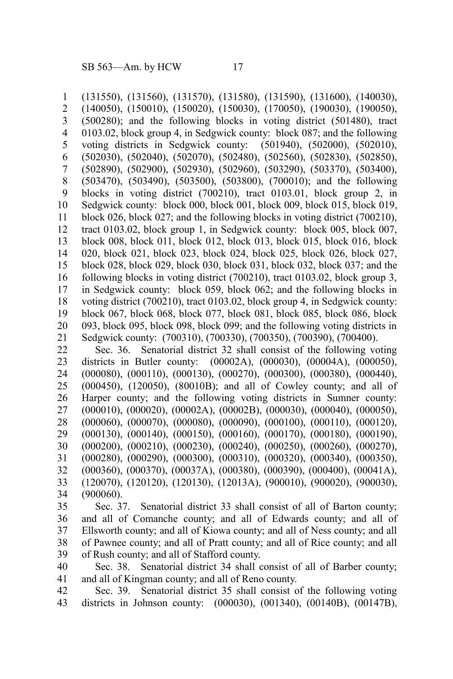(131550), (131560), (131570), (131580), (131590), (131600), (140030), (140050), (150010), (150020), (150030), (170050), (190030), (190050), (500280); and the following blocks in voting district (501480), tract 0103.02, block group 4, in Sedgwick county: block 087; and the following voting districts in Sedgwick county: (501940), (502000), (502010), (502030), (502040), (502070), (502480), (502560), (502830), (502850), (502890), (502900), (502930), (502960), (503290), (503370), (503400), (503470), (503490), (503500), (503800), (700010); and the following blocks in voting district (700210), tract 0103.01, block group 2, in Sedgwick county: block 000, block 001, block 009, block 015, block 019, block 026, block 027; and the following blocks in voting district (700210), tract 0103.02, block group 1, in Sedgwick county: block 005, block 007, block 008, block 011, block 012, block 013, block 015, block 016, block 020, block 021, block 023, block 024, block 025, block 026, block 027, block 028, block 029, block 030, block 031, block 032, block 037; and the following blocks in voting district (700210), tract 0103.02, block group 3, in Sedgwick county: block 059, block 062; and the following blocks in voting district (700210), tract 0103.02, block group 4, in Sedgwick county: block 067, block 068, block 077, block 081, block 085, block 086, block 093, block 095, block 098, block 099; and the following voting districts in Sedgwick county: (700310), (700330), (700350), (700390), (700400). Sec. 36. Senatorial district 32 shall consist of the following voting districts in Butler county: (00002A), (000030), (00004A), (000050), 1 2 3 4 5 6 7 8 9 10 11 12 13 14 15 16 17 18 19 20 21 22 23

(000080), (000110), (000130), (000270), (000300), (000380), (000440), (000450), (120050), (80010B); and all of Cowley county; and all of Harper county; and the following voting districts in Sumner county: (000010), (000020), (00002A), (00002B), (000030), (000040), (000050), (000060), (000070), (000080), (000090), (000100), (000110), (000120), (000130), (000140), (000150), (000160), (000170), (000180), (000190), (000200), (000210), (000230), (000240), (000250), (000260), (000270), (000280), (000290), (000300), (000310), (000320), (000340), (000350), (000360), (000370), (00037A), (000380), (000390), (000400), (00041A), (120070), (120120), (120130), (12013A), (900010), (900020), (900030), (900060). 24 25 26 27 28 29 30 31 32 33 34

Sec. 37. Senatorial district 33 shall consist of all of Barton county; and all of Comanche county; and all of Edwards county; and all of Ellsworth county; and all of Kiowa county; and all of Ness county; and all of Pawnee county; and all of Pratt county; and all of Rice county; and all of Rush county; and all of Stafford county. 35 36 37 38 39

Sec. 38. Senatorial district 34 shall consist of all of Barber county; and all of Kingman county; and all of Reno county. 40 41

Sec. 39. Senatorial district 35 shall consist of the following voting districts in Johnson county: (000030), (001340), (00140B), (00147B), 42 43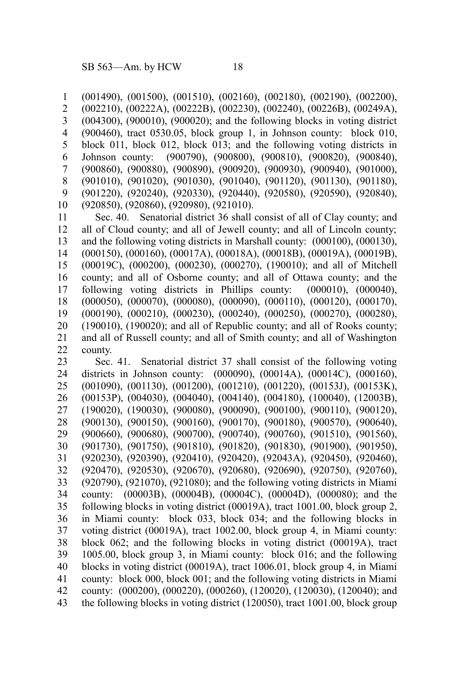(001490), (001500), (001510), (002160), (002180), (002190), (002200), (002210), (00222A), (00222B), (002230), (002240), (00226B), (00249A), (004300), (900010), (900020); and the following blocks in voting district (900460), tract 0530.05, block group 1, in Johnson county: block 010, block 011, block 012, block 013; and the following voting districts in Johnson county: (900790), (900800), (900810), (900820), (900840), (900860), (900880), (900890), (900920), (900930), (900940), (901000), (901010), (901020), (901030), (901040), (901120), (901130), (901180), (901220), (920240), (920330), (920440), (920580), (920590), (920840), (920850), (920860), (920980), (921010). 1 2 3 4 5 6 7 8 9 10

Sec. 40. Senatorial district 36 shall consist of all of Clay county; and all of Cloud county; and all of Jewell county; and all of Lincoln county; and the following voting districts in Marshall county: (000100), (000130), (000150), (000160), (00017A), (00018A), (00018B), (00019A), (00019B), (00019C), (000200), (000230), (000270), (190010); and all of Mitchell county; and all of Osborne county; and all of Ottawa county; and the following voting districts in Phillips county: (000010), (000040), (000050), (000070), (000080), (000090), (000110), (000120), (000170), (000190), (000210), (000230), (000240), (000250), (000270), (000280), (190010), (190020); and all of Republic county; and all of Rooks county; and all of Russell county; and all of Smith county; and all of Washington county. 11 12 13 14 15 16 17 18 19 20 21 22

Sec. 41. Senatorial district 37 shall consist of the following voting districts in Johnson county: (000090), (00014A), (00014C), (000160), (001090), (001130), (001200), (001210), (001220), (00153J), (00153K), (00153P), (004030), (004040), (004140), (004180), (100040), (12003B), (190020), (190030), (900080), (900090), (900100), (900110), (900120), (900130), (900150), (900160), (900170), (900180), (900570), (900640), (900660), (900680), (900700), (900740), (900760), (901510), (901560), (901730), (901750), (901810), (901820), (901830), (901900), (901950), (920230), (920390), (920410), (920420), (92043A), (920450), (920460), (920470), (920530), (920670), (920680), (920690), (920750), (920760), (920790), (921070), (921080); and the following voting districts in Miami county: (00003B), (00004B), (00004C), (00004D), (000080); and the following blocks in voting district (00019A), tract 1001.00, block group 2, in Miami county: block 033, block 034; and the following blocks in voting district (00019A), tract 1002.00, block group 4, in Miami county: block 062; and the following blocks in voting district (00019A), tract 1005.00, block group 3, in Miami county: block 016; and the following blocks in voting district (00019A), tract 1006.01, block group 4, in Miami county: block 000, block 001; and the following voting districts in Miami county: (000200), (000220), (000260), (120020), (120030), (120040); and the following blocks in voting district (120050), tract 1001.00, block group 23 24 25 26 27 28 29 30 31 32 33 34 35 36 37 38 39 40 41 42 43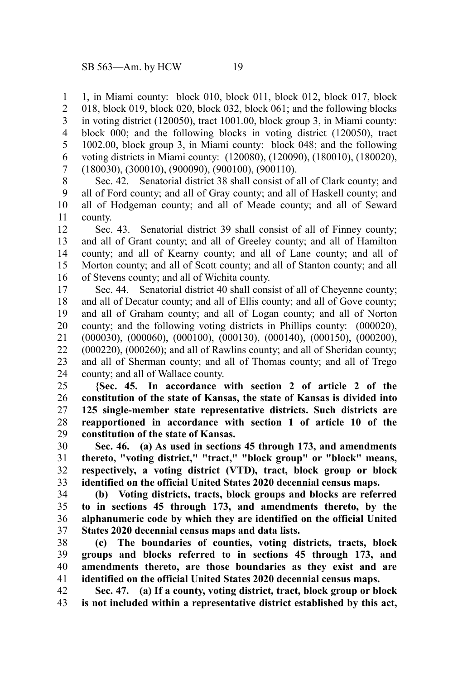1, in Miami county: block 010, block 011, block 012, block 017, block 018, block 019, block 020, block 032, block 061; and the following blocks in voting district (120050), tract 1001.00, block group 3, in Miami county: block 000; and the following blocks in voting district (120050), tract 1002.00, block group 3, in Miami county: block 048; and the following voting districts in Miami county: (120080), (120090), (180010), (180020), (180030), (300010), (900090), (900100), (900110). 1 2 3 4 5 6 7

Sec. 42. Senatorial district 38 shall consist of all of Clark county; and all of Ford county; and all of Gray county; and all of Haskell county; and all of Hodgeman county; and all of Meade county; and all of Seward county. 8 9 10 11

Sec. 43. Senatorial district 39 shall consist of all of Finney county; and all of Grant county; and all of Greeley county; and all of Hamilton county; and all of Kearny county; and all of Lane county; and all of Morton county; and all of Scott county; and all of Stanton county; and all of Stevens county; and all of Wichita county. 12 13 14 15 16

Sec. 44. Senatorial district 40 shall consist of all of Cheyenne county; and all of Decatur county; and all of Ellis county; and all of Gove county; and all of Graham county; and all of Logan county; and all of Norton county; and the following voting districts in Phillips county: (000020), (000030), (000060), (000100), (000130), (000140), (000150), (000200), (000220), (000260); and all of Rawlins county; and all of Sheridan county; and all of Sherman county; and all of Thomas county; and all of Trego county; and all of Wallace county. 17 18 19 20 21 22 23 24

**{Sec. 45. In accordance with section 2 of article 2 of the constitution of the state of Kansas, the state of Kansas is divided into 125 single-member state representative districts. Such districts are reapportioned in accordance with section 1 of article 10 of the constitution of the state of Kansas.** 25 26 27 28 29

**Sec. 46. (a) As used in sections 45 through 173, and amendments thereto, "voting district," "tract," "block group" or "block" means, respectively, a voting district (VTD), tract, block group or block identified on the official United States 2020 decennial census maps.** 30 31 32 33

**(b) Voting districts, tracts, block groups and blocks are referred to in sections 45 through 173, and amendments thereto, by the alphanumeric code by which they are identified on the official United States 2020 decennial census maps and data lists.** 34 35 36 37

**(c) The boundaries of counties, voting districts, tracts, block groups and blocks referred to in sections 45 through 173, and amendments thereto, are those boundaries as they exist and are identified on the official United States 2020 decennial census maps.** 38 39 40 41

**Sec. 47. (a) If a county, voting district, tract, block group or block is not included within a representative district established by this act,** 42 43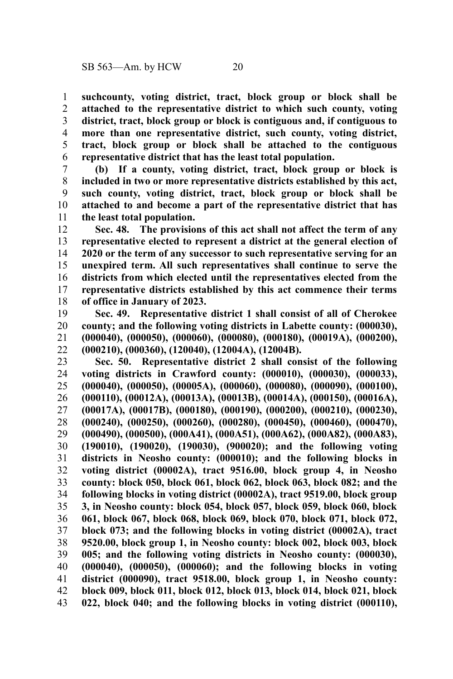**suchcounty, voting district, tract, block group or block shall be attached to the representative district to which such county, voting district, tract, block group or block is contiguous and, if contiguous to more than one representative district, such county, voting district, tract, block group or block shall be attached to the contiguous representative district that has the least total population.** 1 2 3 4 5 6

**(b) If a county, voting district, tract, block group or block is included in two or more representative districts established by this act, such county, voting district, tract, block group or block shall be attached to and become a part of the representative district that has the least total population.** 7 8 9 10 11

**Sec. 48. The provisions of this act shall not affect the term of any representative elected to represent a district at the general election of 2020 or the term of any successor to such representative serving for an unexpired term. All such representatives shall continue to serve the districts from which elected until the representatives elected from the representative districts established by this act commence their terms of office in January of 2023.** 12 13 14 15 16 17 18

**Sec. 49. Representative district 1 shall consist of all of Cherokee county; and the following voting districts in Labette county: (000030), (000040), (000050), (000060), (000080), (000180), (00019A), (000200), (000210), (000360), (120040), (12004A), (12004B).** 19 20 21 22

**Sec. 50. Representative district 2 shall consist of the following voting districts in Crawford county: (000010), (000030), (000033), (000040), (000050), (00005A), (000060), (000080), (000090), (000100), (000110), (00012A), (00013A), (00013B), (00014A), (000150), (00016A), (00017A), (00017B), (000180), (000190), (000200), (000210), (000230), (000240), (000250), (000260), (000280), (000450), (000460), (000470), (000490), (000500), (000A41), (000A51), (000A62), (000A82), (000A83), (190010), (190020), (190030), (900020); and the following voting districts in Neosho county: (000010); and the following blocks in voting district (00002A), tract 9516.00, block group 4, in Neosho county: block 050, block 061, block 062, block 063, block 082; and the following blocks in voting district (00002A), tract 9519.00, block group 3, in Neosho county: block 054, block 057, block 059, block 060, block 061, block 067, block 068, block 069, block 070, block 071, block 072, block 073; and the following blocks in voting district (00002A), tract 9520.00, block group 1, in Neosho county: block 002, block 003, block 005; and the following voting districts in Neosho county: (000030), (000040), (000050), (000060); and the following blocks in voting district (000090), tract 9518.00, block group 1, in Neosho county: block 009, block 011, block 012, block 013, block 014, block 021, block 022, block 040; and the following blocks in voting district (000110),** 23 24 25 26 27 28 29 30 31 32 33 34 35 36 37 38 39 40 41 42 43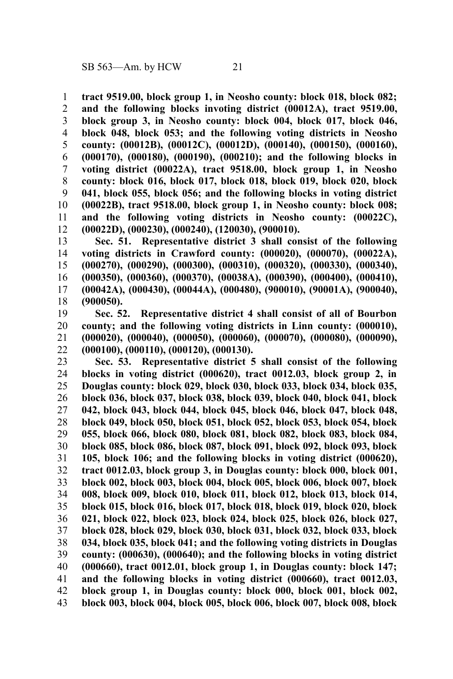**tract 9519.00, block group 1, in Neosho county: block 018, block 082; and the following blocks invoting district (00012A), tract 9519.00, block group 3, in Neosho county: block 004, block 017, block 046, block 048, block 053; and the following voting districts in Neosho county: (00012B), (00012C), (00012D), (000140), (000150), (000160), (000170), (000180), (000190), (000210); and the following blocks in voting district (00022A), tract 9518.00, block group 1, in Neosho county: block 016, block 017, block 018, block 019, block 020, block 041, block 055, block 056; and the following blocks in voting district (00022B), tract 9518.00, block group 1, in Neosho county: block 008; and the following voting districts in Neosho county: (00022C), (00022D), (000230), (000240), (120030), (900010).** 1 2 3 4 5 6 7 8 9 10 11 12

**Sec. 51. Representative district 3 shall consist of the following voting districts in Crawford county: (000020), (000070), (00022A), (000270), (000290), (000300), (000310), (000320), (000330), (000340), (000350), (000360), (000370), (00038A), (000390), (000400), (000410), (00042A), (000430), (00044A), (000480), (900010), (90001A), (900040), (900050).** 13 14 15 16 17 18

**Sec. 52. Representative district 4 shall consist of all of Bourbon county; and the following voting districts in Linn county: (000010), (000020), (000040), (000050), (000060), (000070), (000080), (000090), (000100), (000110), (000120), (000130).** 19 20 21 22

**Sec. 53. Representative district 5 shall consist of the following blocks in voting district (000620), tract 0012.03, block group 2, in Douglas county: block 029, block 030, block 033, block 034, block 035, block 036, block 037, block 038, block 039, block 040, block 041, block 042, block 043, block 044, block 045, block 046, block 047, block 048, block 049, block 050, block 051, block 052, block 053, block 054, block 055, block 066, block 080, block 081, block 082, block 083, block 084, block 085, block 086, block 087, block 091, block 092, block 093, block 105, block 106; and the following blocks in voting district (000620), tract 0012.03, block group 3, in Douglas county: block 000, block 001, block 002, block 003, block 004, block 005, block 006, block 007, block 008, block 009, block 010, block 011, block 012, block 013, block 014, block 015, block 016, block 017, block 018, block 019, block 020, block 021, block 022, block 023, block 024, block 025, block 026, block 027, block 028, block 029, block 030, block 031, block 032, block 033, block 034, block 035, block 041; and the following voting districts in Douglas county: (000630), (000640); and the following blocks in voting district (000660), tract 0012.01, block group 1, in Douglas county: block 147; and the following blocks in voting district (000660), tract 0012.03, block group 1, in Douglas county: block 000, block 001, block 002, block 003, block 004, block 005, block 006, block 007, block 008, block** 23 24 25 26 27 28 29 30 31 32 33 34 35 36 37 38 39 40 41 42 43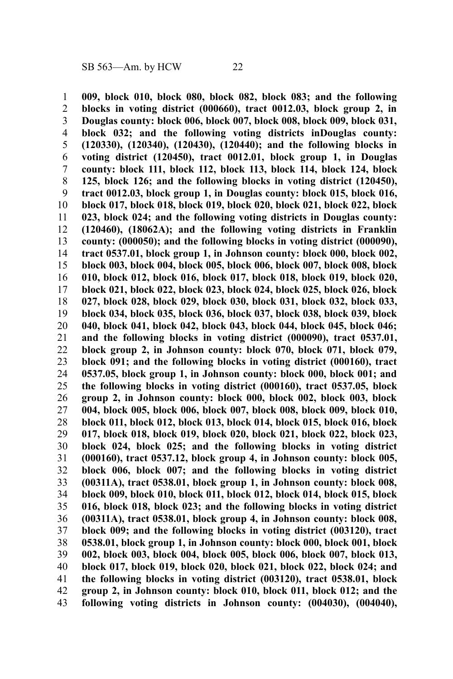**009, block 010, block 080, block 082, block 083; and the following blocks in voting district (000660), tract 0012.03, block group 2, in Douglas county: block 006, block 007, block 008, block 009, block 031, block 032; and the following voting districts inDouglas county: (120330), (120340), (120430), (120440); and the following blocks in voting district (120450), tract 0012.01, block group 1, in Douglas county: block 111, block 112, block 113, block 114, block 124, block 125, block 126; and the following blocks in voting district (120450), tract 0012.03, block group 1, in Douglas county: block 015, block 016, block 017, block 018, block 019, block 020, block 021, block 022, block 023, block 024; and the following voting districts in Douglas county: (120460), (18062A); and the following voting districts in Franklin county: (000050); and the following blocks in voting district (000090), tract 0537.01, block group 1, in Johnson county: block 000, block 002, block 003, block 004, block 005, block 006, block 007, block 008, block 010, block 012, block 016, block 017, block 018, block 019, block 020, block 021, block 022, block 023, block 024, block 025, block 026, block 027, block 028, block 029, block 030, block 031, block 032, block 033, block 034, block 035, block 036, block 037, block 038, block 039, block 040, block 041, block 042, block 043, block 044, block 045, block 046; and the following blocks in voting district (000090), tract 0537.01, block group 2, in Johnson county: block 070, block 071, block 079, block 091; and the following blocks in voting district (000160), tract 0537.05, block group 1, in Johnson county: block 000, block 001; and the following blocks in voting district (000160), tract 0537.05, block group 2, in Johnson county: block 000, block 002, block 003, block 004, block 005, block 006, block 007, block 008, block 009, block 010, block 011, block 012, block 013, block 014, block 015, block 016, block 017, block 018, block 019, block 020, block 021, block 022, block 023, block 024, block 025; and the following blocks in voting district (000160), tract 0537.12, block group 4, in Johnson county: block 005, block 006, block 007; and the following blocks in voting district (00311A), tract 0538.01, block group 1, in Johnson county: block 008, block 009, block 010, block 011, block 012, block 014, block 015, block 016, block 018, block 023; and the following blocks in voting district (00311A), tract 0538.01, block group 4, in Johnson county: block 008, block 009; and the following blocks in voting district (003120), tract 0538.01, block group 1, in Johnson county: block 000, block 001, block 002, block 003, block 004, block 005, block 006, block 007, block 013, block 017, block 019, block 020, block 021, block 022, block 024; and the following blocks in voting district (003120), tract 0538.01, block group 2, in Johnson county: block 010, block 011, block 012; and the following voting districts in Johnson county: (004030), (004040),** 1 2 3 4 5 6 7 8 9 10 11 12 13 14 15 16 17 18 19 20 21 22 23 24 25 26 27 28 29 30 31 32 33 34 35 36 37 38 39 40 41 42 43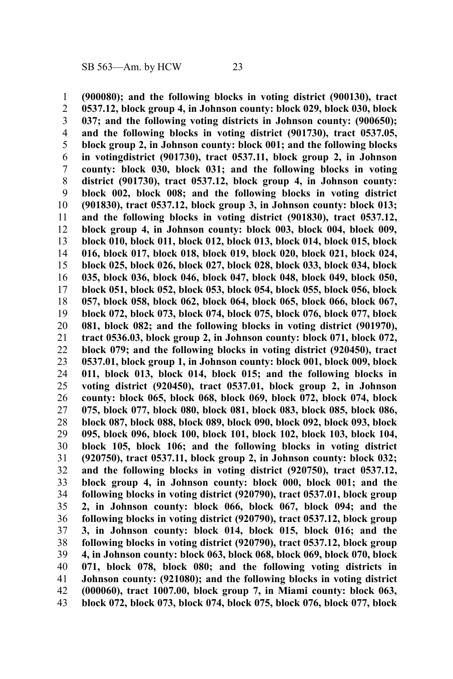**(900080); and the following blocks in voting district (900130), tract 0537.12, block group 4, in Johnson county: block 029, block 030, block 037; and the following voting districts in Johnson county: (900650); and the following blocks in voting district (901730), tract 0537.05, block group 2, in Johnson county: block 001; and the following blocks in votingdistrict (901730), tract 0537.11, block group 2, in Johnson county: block 030, block 031; and the following blocks in voting district (901730), tract 0537.12, block group 4, in Johnson county: block 002, block 008; and the following blocks in voting district (901830), tract 0537.12, block group 3, in Johnson county: block 013; and the following blocks in voting district (901830), tract 0537.12, block group 4, in Johnson county: block 003, block 004, block 009, block 010, block 011, block 012, block 013, block 014, block 015, block 016, block 017, block 018, block 019, block 020, block 021, block 024, block 025, block 026, block 027, block 028, block 033, block 034, block 035, block 036, block 046, block 047, block 048, block 049, block 050, block 051, block 052, block 053, block 054, block 055, block 056, block 057, block 058, block 062, block 064, block 065, block 066, block 067, block 072, block 073, block 074, block 075, block 076, block 077, block 081, block 082; and the following blocks in voting district (901970), tract 0536.03, block group 2, in Johnson county: block 071, block 072, block 079; and the following blocks in voting district (920450), tract 0537.01, block group 1, in Johnson county: block 001, block 009, block 011, block 013, block 014, block 015; and the following blocks in voting district (920450), tract 0537.01, block group 2, in Johnson county: block 065, block 068, block 069, block 072, block 074, block 075, block 077, block 080, block 081, block 083, block 085, block 086, block 087, block 088, block 089, block 090, block 092, block 093, block 095, block 096, block 100, block 101, block 102, block 103, block 104, block 105, block 106; and the following blocks in voting district (920750), tract 0537.11, block group 2, in Johnson county: block 032; and the following blocks in voting district (920750), tract 0537.12, block group 4, in Johnson county: block 000, block 001; and the following blocks in voting district (920790), tract 0537.01, block group 2, in Johnson county: block 066, block 067, block 094; and the following blocks in voting district (920790), tract 0537.12, block group 3, in Johnson county: block 014, block 015, block 016; and the following blocks in voting district (920790), tract 0537.12, block group 4, in Johnson county: block 063, block 068, block 069, block 070, block 071, block 078, block 080; and the following voting districts in Johnson county: (921080); and the following blocks in voting district (000060), tract 1007.00, block group 7, in Miami county: block 063, block 072, block 073, block 074, block 075, block 076, block 077, block** 1 2 3 4 5 6 7 8 9 10 11 12 13 14 15 16 17 18 19 20 21 22 23 24 25 26 27 28 29 30 31 32 33 34 35 36 37 38 39 40 41 42 43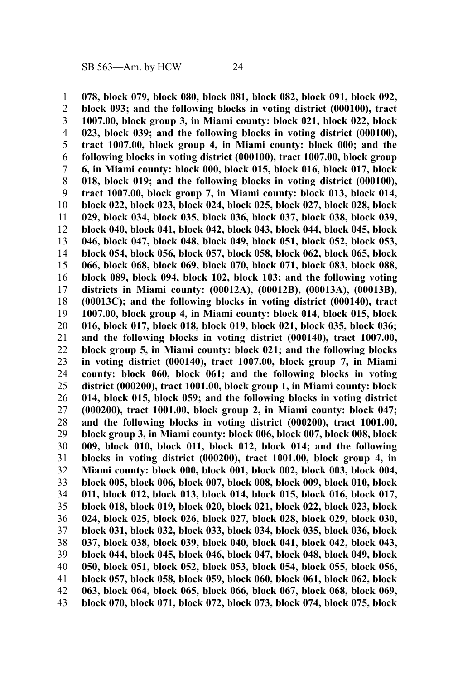**078, block 079, block 080, block 081, block 082, block 091, block 092, block 093; and the following blocks in voting district (000100), tract 1007.00, block group 3, in Miami county: block 021, block 022, block 023, block 039; and the following blocks in voting district (000100), tract 1007.00, block group 4, in Miami county: block 000; and the following blocks in voting district (000100), tract 1007.00, block group 6, in Miami county: block 000, block 015, block 016, block 017, block 018, block 019; and the following blocks in voting district (000100), tract 1007.00, block group 7, in Miami county: block 013, block 014, block 022, block 023, block 024, block 025, block 027, block 028, block 029, block 034, block 035, block 036, block 037, block 038, block 039, block 040, block 041, block 042, block 043, block 044, block 045, block 046, block 047, block 048, block 049, block 051, block 052, block 053, block 054, block 056, block 057, block 058, block 062, block 065, block 066, block 068, block 069, block 070, block 071, block 083, block 088, block 089, block 094, block 102, block 103; and the following voting districts in Miami county: (00012A), (00012B), (00013A), (00013B), (00013C); and the following blocks in voting district (000140), tract 1007.00, block group 4, in Miami county: block 014, block 015, block 016, block 017, block 018, block 019, block 021, block 035, block 036; and the following blocks in voting district (000140), tract 1007.00, block group 5, in Miami county: block 021; and the following blocks in voting district (000140), tract 1007.00, block group 7, in Miami county: block 060, block 061; and the following blocks in voting district (000200), tract 1001.00, block group 1, in Miami county: block 014, block 015, block 059; and the following blocks in voting district (000200), tract 1001.00, block group 2, in Miami county: block 047; and the following blocks in voting district (000200), tract 1001.00, block group 3, in Miami county: block 006, block 007, block 008, block 009, block 010, block 011, block 012, block 014; and the following blocks in voting district (000200), tract 1001.00, block group 4, in Miami county: block 000, block 001, block 002, block 003, block 004, block 005, block 006, block 007, block 008, block 009, block 010, block 011, block 012, block 013, block 014, block 015, block 016, block 017, block 018, block 019, block 020, block 021, block 022, block 023, block 024, block 025, block 026, block 027, block 028, block 029, block 030, block 031, block 032, block 033, block 034, block 035, block 036, block 037, block 038, block 039, block 040, block 041, block 042, block 043, block 044, block 045, block 046, block 047, block 048, block 049, block 050, block 051, block 052, block 053, block 054, block 055, block 056, block 057, block 058, block 059, block 060, block 061, block 062, block 063, block 064, block 065, block 066, block 067, block 068, block 069, block 070, block 071, block 072, block 073, block 074, block 075, block** 1 2 3 4 5 6 7 8 9 10 11 12 13 14 15 16 17 18 19 20 21 22 23 24 25 26 27 28 29 30 31 32 33 34 35 36 37 38 39 40 41 42 43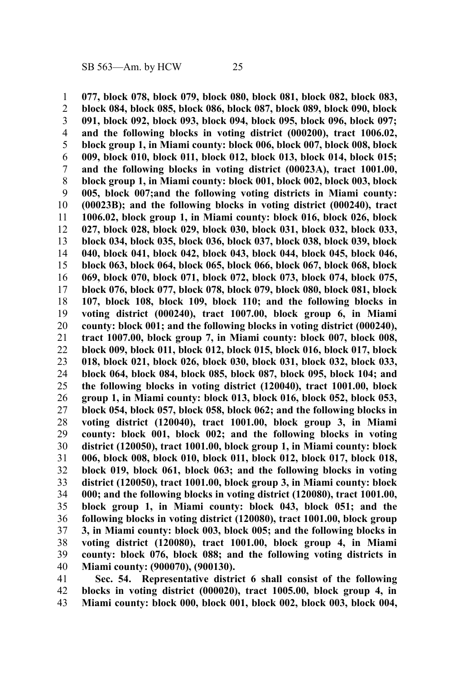**077, block 078, block 079, block 080, block 081, block 082, block 083, block 084, block 085, block 086, block 087, block 089, block 090, block 091, block 092, block 093, block 094, block 095, block 096, block 097; and the following blocks in voting district (000200), tract 1006.02, block group 1, in Miami county: block 006, block 007, block 008, block 009, block 010, block 011, block 012, block 013, block 014, block 015; and the following blocks in voting district (00023A), tract 1001.00, block group 1, in Miami county: block 001, block 002, block 003, block 005, block 007;and the following voting districts in Miami county: (00023B); and the following blocks in voting district (000240), tract 1006.02, block group 1, in Miami county: block 016, block 026, block 027, block 028, block 029, block 030, block 031, block 032, block 033, block 034, block 035, block 036, block 037, block 038, block 039, block 040, block 041, block 042, block 043, block 044, block 045, block 046, block 063, block 064, block 065, block 066, block 067, block 068, block 069, block 070, block 071, block 072, block 073, block 074, block 075, block 076, block 077, block 078, block 079, block 080, block 081, block 107, block 108, block 109, block 110; and the following blocks in voting district (000240), tract 1007.00, block group 6, in Miami county: block 001; and the following blocks in voting district (000240), tract 1007.00, block group 7, in Miami county: block 007, block 008, block 009, block 011, block 012, block 015, block 016, block 017, block 018, block 021, block 026, block 030, block 031, block 032, block 033, block 064, block 084, block 085, block 087, block 095, block 104; and the following blocks in voting district (120040), tract 1001.00, block group 1, in Miami county: block 013, block 016, block 052, block 053, block 054, block 057, block 058, block 062; and the following blocks in voting district (120040), tract 1001.00, block group 3, in Miami county: block 001, block 002; and the following blocks in voting district (120050), tract 1001.00, block group 1, in Miami county: block 006, block 008, block 010, block 011, block 012, block 017, block 018, block 019, block 061, block 063; and the following blocks in voting district (120050), tract 1001.00, block group 3, in Miami county: block 000; and the following blocks in voting district (120080), tract 1001.00, block group 1, in Miami county: block 043, block 051; and the following blocks in voting district (120080), tract 1001.00, block group 3, in Miami county: block 003, block 005; and the following blocks in voting district (120080), tract 1001.00, block group 4, in Miami county: block 076, block 088; and the following voting districts in Miami county: (900070), (900130).** 1 2 3 4 5 6 7 8 9 10 11 12 13 14 15 16 17 18 19 20 21 22 23 24 25 26 27 28 29 30 31 32 33 34 35 36 37 38 39 40

**Sec. 54. Representative district 6 shall consist of the following blocks in voting district (000020), tract 1005.00, block group 4, in Miami county: block 000, block 001, block 002, block 003, block 004,** 41 42 43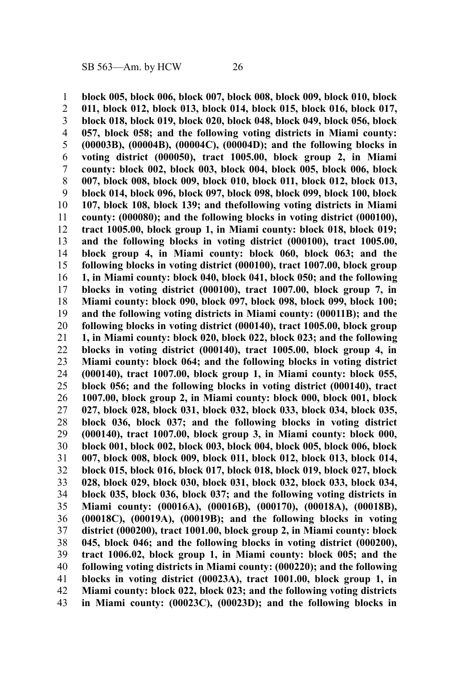**block 005, block 006, block 007, block 008, block 009, block 010, block 011, block 012, block 013, block 014, block 015, block 016, block 017, block 018, block 019, block 020, block 048, block 049, block 056, block 057, block 058; and the following voting districts in Miami county: (00003B), (00004B), (00004C), (00004D); and the following blocks in voting district (000050), tract 1005.00, block group 2, in Miami county: block 002, block 003, block 004, block 005, block 006, block 007, block 008, block 009, block 010, block 011, block 012, block 013, block 014, block 096, block 097, block 098, block 099, block 100, block 107, block 108, block 139; and thefollowing voting districts in Miami county: (000080); and the following blocks in voting district (000100), tract 1005.00, block group 1, in Miami county: block 018, block 019; and the following blocks in voting district (000100), tract 1005.00, block group 4, in Miami county: block 060, block 063; and the following blocks in voting district (000100), tract 1007.00, block group 1, in Miami county: block 040, block 041, block 050; and the following blocks in voting district (000100), tract 1007.00, block group 7, in Miami county: block 090, block 097, block 098, block 099, block 100; and the following voting districts in Miami county: (00011B); and the following blocks in voting district (000140), tract 1005.00, block group 1, in Miami county: block 020, block 022, block 023; and the following blocks in voting district (000140), tract 1005.00, block group 4, in Miami county: block 064; and the following blocks in voting district (000140), tract 1007.00, block group 1, in Miami county: block 055, block 056; and the following blocks in voting district (000140), tract 1007.00, block group 2, in Miami county: block 000, block 001, block 027, block 028, block 031, block 032, block 033, block 034, block 035, block 036, block 037; and the following blocks in voting district (000140), tract 1007.00, block group 3, in Miami county: block 000, block 001, block 002, block 003, block 004, block 005, block 006, block 007, block 008, block 009, block 011, block 012, block 013, block 014, block 015, block 016, block 017, block 018, block 019, block 027, block 028, block 029, block 030, block 031, block 032, block 033, block 034, block 035, block 036, block 037; and the following voting districts in Miami county: (00016A), (00016B), (000170), (00018A), (00018B), (00018C), (00019A), (00019B); and the following blocks in voting district (000200), tract 1001.00, block group 2, in Miami county: block 045, block 046; and the following blocks in voting district (000200), tract 1006.02, block group 1, in Miami county: block 005; and the following voting districts in Miami county: (000220); and the following blocks in voting district (00023A), tract 1001.00, block group 1, in Miami county: block 022, block 023; and the following voting districts in Miami county: (00023C), (00023D); and the following blocks in** 1 2 3 4 5 6 7 8 9 10 11 12 13 14 15 16 17 18 19 20 21 22 23 24 25 26 27 28 29 30 31 32 33 34 35 36 37 38 39 40 41 42 43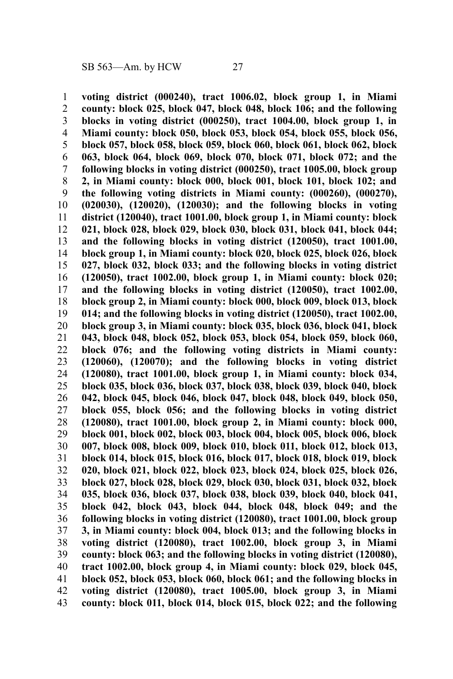**voting district (000240), tract 1006.02, block group 1, in Miami county: block 025, block 047, block 048, block 106; and the following blocks in voting district (000250), tract 1004.00, block group 1, in Miami county: block 050, block 053, block 054, block 055, block 056, block 057, block 058, block 059, block 060, block 061, block 062, block 063, block 064, block 069, block 070, block 071, block 072; and the following blocks in voting district (000250), tract 1005.00, block group 2, in Miami county: block 000, block 001, block 101, block 102; and the following voting districts in Miami county: (000260), (000270), (020030), (120020), (120030); and the following blocks in voting district (120040), tract 1001.00, block group 1, in Miami county: block 021, block 028, block 029, block 030, block 031, block 041, block 044; and the following blocks in voting district (120050), tract 1001.00, block group 1, in Miami county: block 020, block 025, block 026, block 027, block 032, block 033; and the following blocks in voting district (120050), tract 1002.00, block group 1, in Miami county: block 020; and the following blocks in voting district (120050), tract 1002.00, block group 2, in Miami county: block 000, block 009, block 013, block 014; and the following blocks in voting district (120050), tract 1002.00, block group 3, in Miami county: block 035, block 036, block 041, block 043, block 048, block 052, block 053, block 054, block 059, block 060, block 076; and the following voting districts in Miami county: (120060), (120070); and the following blocks in voting district (120080), tract 1001.00, block group 1, in Miami county: block 034, block 035, block 036, block 037, block 038, block 039, block 040, block 042, block 045, block 046, block 047, block 048, block 049, block 050, block 055, block 056; and the following blocks in voting district (120080), tract 1001.00, block group 2, in Miami county: block 000, block 001, block 002, block 003, block 004, block 005, block 006, block 007, block 008, block 009, block 010, block 011, block 012, block 013, block 014, block 015, block 016, block 017, block 018, block 019, block 020, block 021, block 022, block 023, block 024, block 025, block 026, block 027, block 028, block 029, block 030, block 031, block 032, block 035, block 036, block 037, block 038, block 039, block 040, block 041, block 042, block 043, block 044, block 048, block 049; and the following blocks in voting district (120080), tract 1001.00, block group 3, in Miami county: block 004, block 013; and the following blocks in voting district (120080), tract 1002.00, block group 3, in Miami county: block 063; and the following blocks in voting district (120080), tract 1002.00, block group 4, in Miami county: block 029, block 045, block 052, block 053, block 060, block 061; and the following blocks in voting district (120080), tract 1005.00, block group 3, in Miami county: block 011, block 014, block 015, block 022; and the following** 1 2 3 4 5 6 7 8 9 10 11 12 13 14 15 16 17 18 19 20 21 22 23 24 25 26 27 28 29 30 31 32 33 34 35 36 37 38 39 40 41 42 43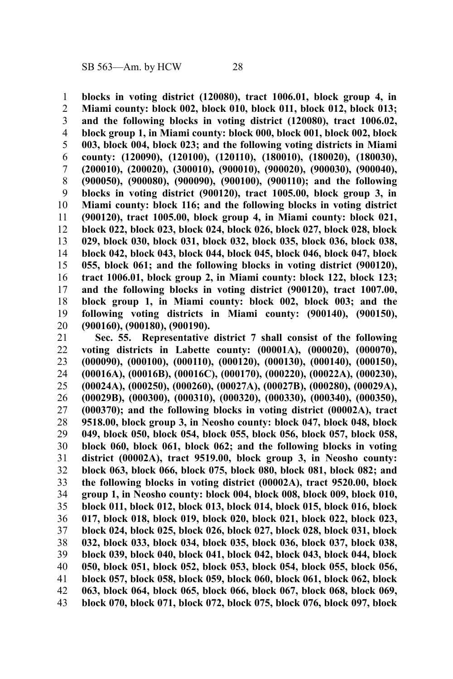**blocks in voting district (120080), tract 1006.01, block group 4, in Miami county: block 002, block 010, block 011, block 012, block 013; and the following blocks in voting district (120080), tract 1006.02, block group 1, in Miami county: block 000, block 001, block 002, block 003, block 004, block 023; and the following voting districts in Miami county: (120090), (120100), (120110), (180010), (180020), (180030), (200010), (200020), (300010), (900010), (900020), (900030), (900040), (900050), (900080), (900090), (900100), (900110); and the following blocks in voting district (900120), tract 1005.00, block group 3, in Miami county: block 116; and the following blocks in voting district (900120), tract 1005.00, block group 4, in Miami county: block 021, block 022, block 023, block 024, block 026, block 027, block 028, block 029, block 030, block 031, block 032, block 035, block 036, block 038, block 042, block 043, block 044, block 045, block 046, block 047, block 055, block 061; and the following blocks in voting district (900120), tract 1006.01, block group 2, in Miami county: block 122, block 123; and the following blocks in voting district (900120), tract 1007.00, block group 1, in Miami county: block 002, block 003; and the following voting districts in Miami county: (900140), (900150), (900160), (900180), (900190).** 1 2 3 4 5 6 7 8 9 10 11 12 13 14 15 16 17 18 19 20

**Sec. 55. Representative district 7 shall consist of the following voting districts in Labette county: (00001A), (000020), (000070), (000090), (000100), (000110), (000120), (000130), (000140), (000150), (00016A), (00016B), (00016C), (000170), (000220), (00022A), (000230), (00024A), (000250), (000260), (00027A), (00027B), (000280), (00029A), (00029B), (000300), (000310), (000320), (000330), (000340), (000350), (000370); and the following blocks in voting district (00002A), tract 9518.00, block group 3, in Neosho county: block 047, block 048, block 049, block 050, block 054, block 055, block 056, block 057, block 058, block 060, block 061, block 062; and the following blocks in voting district (00002A), tract 9519.00, block group 3, in Neosho county: block 063, block 066, block 075, block 080, block 081, block 082; and the following blocks in voting district (00002A), tract 9520.00, block group 1, in Neosho county: block 004, block 008, block 009, block 010, block 011, block 012, block 013, block 014, block 015, block 016, block 017, block 018, block 019, block 020, block 021, block 022, block 023, block 024, block 025, block 026, block 027, block 028, block 031, block 032, block 033, block 034, block 035, block 036, block 037, block 038, block 039, block 040, block 041, block 042, block 043, block 044, block 050, block 051, block 052, block 053, block 054, block 055, block 056, block 057, block 058, block 059, block 060, block 061, block 062, block 063, block 064, block 065, block 066, block 067, block 068, block 069, block 070, block 071, block 072, block 075, block 076, block 097, block** 21 22 23 24 25 26 27 28 29 30 31 32 33 34 35 36 37 38 39 40 41 42 43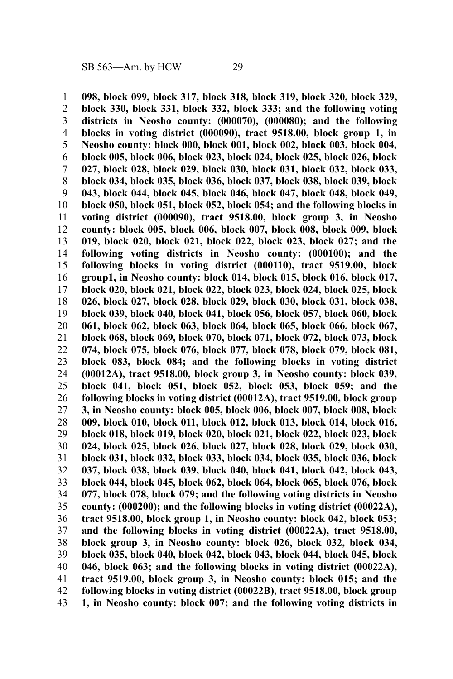**098, block 099, block 317, block 318, block 319, block 320, block 329, block 330, block 331, block 332, block 333; and the following voting districts in Neosho county: (000070), (000080); and the following blocks in voting district (000090), tract 9518.00, block group 1, in Neosho county: block 000, block 001, block 002, block 003, block 004, block 005, block 006, block 023, block 024, block 025, block 026, block 027, block 028, block 029, block 030, block 031, block 032, block 033, block 034, block 035, block 036, block 037, block 038, block 039, block 043, block 044, block 045, block 046, block 047, block 048, block 049, block 050, block 051, block 052, block 054; and the following blocks in voting district (000090), tract 9518.00, block group 3, in Neosho county: block 005, block 006, block 007, block 008, block 009, block 019, block 020, block 021, block 022, block 023, block 027; and the following voting districts in Neosho county: (000100); and the following blocks in voting district (000110), tract 9519.00, block group1, in Neosho county: block 014, block 015, block 016, block 017, block 020, block 021, block 022, block 023, block 024, block 025, block 026, block 027, block 028, block 029, block 030, block 031, block 038, block 039, block 040, block 041, block 056, block 057, block 060, block 061, block 062, block 063, block 064, block 065, block 066, block 067, block 068, block 069, block 070, block 071, block 072, block 073, block 074, block 075, block 076, block 077, block 078, block 079, block 081, block 083, block 084; and the following blocks in voting district (00012A), tract 9518.00, block group 3, in Neosho county: block 039, block 041, block 051, block 052, block 053, block 059; and the following blocks in voting district (00012A), tract 9519.00, block group 3, in Neosho county: block 005, block 006, block 007, block 008, block 009, block 010, block 011, block 012, block 013, block 014, block 016, block 018, block 019, block 020, block 021, block 022, block 023, block 024, block 025, block 026, block 027, block 028, block 029, block 030, block 031, block 032, block 033, block 034, block 035, block 036, block 037, block 038, block 039, block 040, block 041, block 042, block 043, block 044, block 045, block 062, block 064, block 065, block 076, block 077, block 078, block 079; and the following voting districts in Neosho county: (000200); and the following blocks in voting district (00022A), tract 9518.00, block group 1, in Neosho county: block 042, block 053; and the following blocks in voting district (00022A), tract 9518.00, block group 3, in Neosho county: block 026, block 032, block 034, block 035, block 040, block 042, block 043, block 044, block 045, block 046, block 063; and the following blocks in voting district (00022A), tract 9519.00, block group 3, in Neosho county: block 015; and the following blocks in voting district (00022B), tract 9518.00, block group 1, in Neosho county: block 007; and the following voting districts in** 1 2 3 4 5 6 7 8 9 10 11 12 13 14 15 16 17 18 19 20 21 22 23 24 25 26 27 28 29 30 31 32 33 34 35 36 37 38 39 40 41 42 43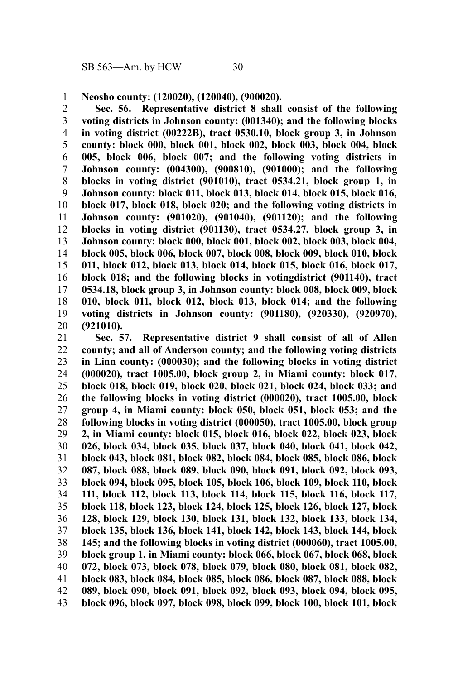**Neosho county: (120020), (120040), (900020).** 1

**Sec. 56. Representative district 8 shall consist of the following voting districts in Johnson county: (001340); and the following blocks in voting district (00222B), tract 0530.10, block group 3, in Johnson county: block 000, block 001, block 002, block 003, block 004, block 005, block 006, block 007; and the following voting districts in Johnson county: (004300), (900810), (901000); and the following blocks in voting district (901010), tract 0534.21, block group 1, in Johnson county: block 011, block 013, block 014, block 015, block 016, block 017, block 018, block 020; and the following voting districts in Johnson county: (901020), (901040), (901120); and the following blocks in voting district (901130), tract 0534.27, block group 3, in Johnson county: block 000, block 001, block 002, block 003, block 004, block 005, block 006, block 007, block 008, block 009, block 010, block 011, block 012, block 013, block 014, block 015, block 016, block 017, block 018; and the following blocks in votingdistrict (901140), tract 0534.18, block group 3, in Johnson county: block 008, block 009, block 010, block 011, block 012, block 013, block 014; and the following voting districts in Johnson county: (901180), (920330), (920970), (921010).** 2 3 4 5 6 7 8 9 10 11 12 13 14 15 16 17 18 19 20

**Sec. 57. Representative district 9 shall consist of all of Allen county; and all of Anderson county; and the following voting districts in Linn county: (000030); and the following blocks in voting district (000020), tract 1005.00, block group 2, in Miami county: block 017, block 018, block 019, block 020, block 021, block 024, block 033; and the following blocks in voting district (000020), tract 1005.00, block group 4, in Miami county: block 050, block 051, block 053; and the following blocks in voting district (000050), tract 1005.00, block group 2, in Miami county: block 015, block 016, block 022, block 023, block 026, block 034, block 035, block 037, block 040, block 041, block 042, block 043, block 081, block 082, block 084, block 085, block 086, block 087, block 088, block 089, block 090, block 091, block 092, block 093, block 094, block 095, block 105, block 106, block 109, block 110, block 111, block 112, block 113, block 114, block 115, block 116, block 117, block 118, block 123, block 124, block 125, block 126, block 127, block 128, block 129, block 130, block 131, block 132, block 133, block 134, block 135, block 136, block 141, block 142, block 143, block 144, block 145; and the following blocks in voting district (000060), tract 1005.00, block group 1, in Miami county: block 066, block 067, block 068, block 072, block 073, block 078, block 079, block 080, block 081, block 082, block 083, block 084, block 085, block 086, block 087, block 088, block 089, block 090, block 091, block 092, block 093, block 094, block 095, block 096, block 097, block 098, block 099, block 100, block 101, block** 21 22 23 24 25 26 27 28 29 30 31 32 33 34 35 36 37 38 39 40 41 42 43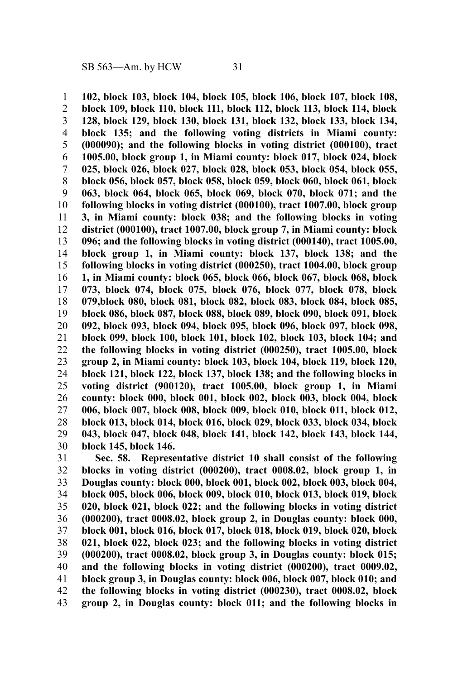**102, block 103, block 104, block 105, block 106, block 107, block 108, block 109, block 110, block 111, block 112, block 113, block 114, block 128, block 129, block 130, block 131, block 132, block 133, block 134, block 135; and the following voting districts in Miami county: (000090); and the following blocks in voting district (000100), tract 1005.00, block group 1, in Miami county: block 017, block 024, block 025, block 026, block 027, block 028, block 053, block 054, block 055, block 056, block 057, block 058, block 059, block 060, block 061, block 063, block 064, block 065, block 069, block 070, block 071; and the following blocks in voting district (000100), tract 1007.00, block group 3, in Miami county: block 038; and the following blocks in voting district (000100), tract 1007.00, block group 7, in Miami county: block 096; and the following blocks in voting district (000140), tract 1005.00, block group 1, in Miami county: block 137, block 138; and the following blocks in voting district (000250), tract 1004.00, block group 1, in Miami county: block 065, block 066, block 067, block 068, block 073, block 074, block 075, block 076, block 077, block 078, block 079,block 080, block 081, block 082, block 083, block 084, block 085, block 086, block 087, block 088, block 089, block 090, block 091, block 092, block 093, block 094, block 095, block 096, block 097, block 098, block 099, block 100, block 101, block 102, block 103, block 104; and the following blocks in voting district (000250), tract 1005.00, block group 2, in Miami county: block 103, block 104, block 119, block 120, block 121, block 122, block 137, block 138; and the following blocks in voting district (900120), tract 1005.00, block group 1, in Miami county: block 000, block 001, block 002, block 003, block 004, block 006, block 007, block 008, block 009, block 010, block 011, block 012, block 013, block 014, block 016, block 029, block 033, block 034, block 043, block 047, block 048, block 141, block 142, block 143, block 144, block 145, block 146.** 1 2 3 4 5 6 7 8 9 10 11 12 13 14 15 16 17 18 19 20 21 22 23 24 25 26 27 28 29 30

**Sec. 58. Representative district 10 shall consist of the following blocks in voting district (000200), tract 0008.02, block group 1, in Douglas county: block 000, block 001, block 002, block 003, block 004, block 005, block 006, block 009, block 010, block 013, block 019, block 020, block 021, block 022; and the following blocks in voting district (000200), tract 0008.02, block group 2, in Douglas county: block 000, block 001, block 016, block 017, block 018, block 019, block 020, block 021, block 022, block 023; and the following blocks in voting district (000200), tract 0008.02, block group 3, in Douglas county: block 015; and the following blocks in voting district (000200), tract 0009.02, block group 3, in Douglas county: block 006, block 007, block 010; and the following blocks in voting district (000230), tract 0008.02, block group 2, in Douglas county: block 011; and the following blocks in** 31 32 33 34 35 36 37 38 39 40 41 42 43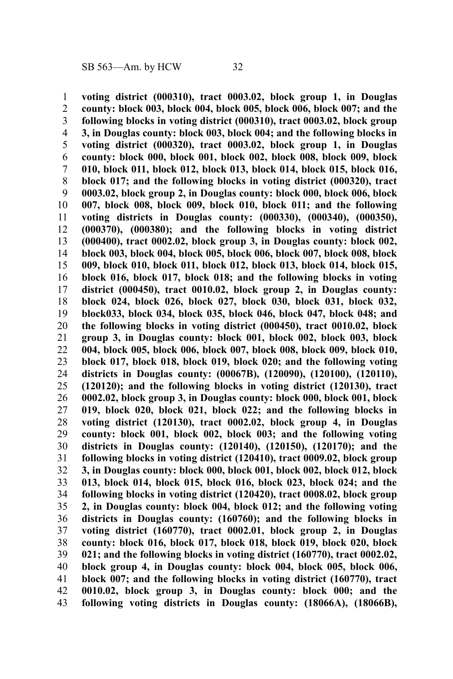**voting district (000310), tract 0003.02, block group 1, in Douglas county: block 003, block 004, block 005, block 006, block 007; and the following blocks in voting district (000310), tract 0003.02, block group 3, in Douglas county: block 003, block 004; and the following blocks in voting district (000320), tract 0003.02, block group 1, in Douglas county: block 000, block 001, block 002, block 008, block 009, block 010, block 011, block 012, block 013, block 014, block 015, block 016, block 017; and the following blocks in voting district (000320), tract 0003.02, block group 2, in Douglas county: block 000, block 006, block 007, block 008, block 009, block 010, block 011; and the following voting districts in Douglas county: (000330), (000340), (000350), (000370), (000380); and the following blocks in voting district (000400), tract 0002.02, block group 3, in Douglas county: block 002, block 003, block 004, block 005, block 006, block 007, block 008, block 009, block 010, block 011, block 012, block 013, block 014, block 015, block 016, block 017, block 018; and the following blocks in voting district (000450), tract 0010.02, block group 2, in Douglas county: block 024, block 026, block 027, block 030, block 031, block 032, block033, block 034, block 035, block 046, block 047, block 048; and the following blocks in voting district (000450), tract 0010.02, block group 3, in Douglas county: block 001, block 002, block 003, block 004, block 005, block 006, block 007, block 008, block 009, block 010, block 017, block 018, block 019, block 020; and the following voting districts in Douglas county: (00067B), (120090), (120100), (120110), (120120); and the following blocks in voting district (120130), tract 0002.02, block group 3, in Douglas county: block 000, block 001, block 019, block 020, block 021, block 022; and the following blocks in voting district (120130), tract 0002.02, block group 4, in Douglas county: block 001, block 002, block 003; and the following voting districts in Douglas county: (120140), (120150), (120170); and the following blocks in voting district (120410), tract 0009.02, block group 3, in Douglas county: block 000, block 001, block 002, block 012, block 013, block 014, block 015, block 016, block 023, block 024; and the following blocks in voting district (120420), tract 0008.02, block group 2, in Douglas county: block 004, block 012; and the following voting districts in Douglas county: (160760); and the following blocks in voting district (160770), tract 0002.01, block group 2, in Douglas county: block 016, block 017, block 018, block 019, block 020, block 021; and the following blocks in voting district (160770), tract 0002.02, block group 4, in Douglas county: block 004, block 005, block 006, block 007; and the following blocks in voting district (160770), tract 0010.02, block group 3, in Douglas county: block 000; and the following voting districts in Douglas county: (18066A), (18066B),** 1 2 3 4 5 6 7 8 9 10 11 12 13 14 15 16 17 18 19 20 21 22 23 24 25 26 27 28 29 30 31 32 33 34 35 36 37 38 39 40 41 42 43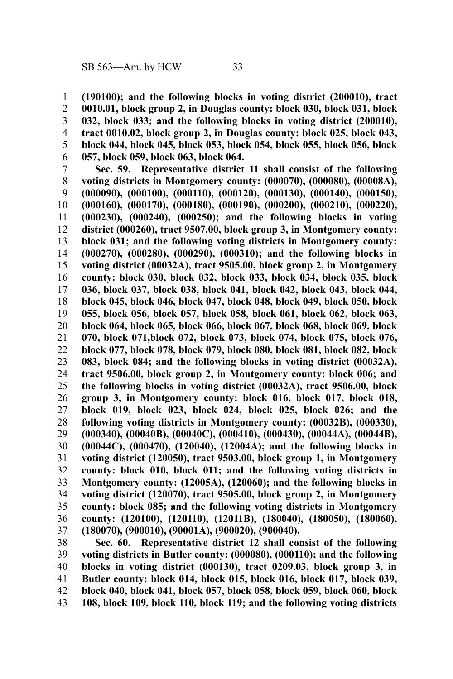**(190100); and the following blocks in voting district (200010), tract 0010.01, block group 2, in Douglas county: block 030, block 031, block 032, block 033; and the following blocks in voting district (200010), tract 0010.02, block group 2, in Douglas county: block 025, block 043, block 044, block 045, block 053, block 054, block 055, block 056, block 057, block 059, block 063, block 064.** 1 2 3 4 5 6

**Sec. 59. Representative district 11 shall consist of the following voting districts in Montgomery county: (000070), (000080), (00008A), (000090), (000100), (000110), (000120), (000130), (000140), (000150), (000160), (000170), (000180), (000190), (000200), (000210), (000220), (000230), (000240), (000250); and the following blocks in voting district (000260), tract 9507.00, block group 3, in Montgomery county: block 031; and the following voting districts in Montgomery county: (000270), (000280), (000290), (000310); and the following blocks in voting district (00032A), tract 9505.00, block group 2, in Montgomery county: block 030, block 032, block 033, block 034, block 035, block 036, block 037, block 038, block 041, block 042, block 043, block 044, block 045, block 046, block 047, block 048, block 049, block 050, block 055, block 056, block 057, block 058, block 061, block 062, block 063, block 064, block 065, block 066, block 067, block 068, block 069, block 070, block 071,block 072, block 073, block 074, block 075, block 076, block 077, block 078, block 079, block 080, block 081, block 082, block 083, block 084; and the following blocks in voting district (00032A), tract 9506.00, block group 2, in Montgomery county: block 006; and the following blocks in voting district (00032A), tract 9506.00, block group 3, in Montgomery county: block 016, block 017, block 018, block 019, block 023, block 024, block 025, block 026; and the following voting districts in Montgomery county: (00032B), (000330), (000340), (00040B), (00040C), (000410), (000430), (00044A), (00044B), (00044C), (000470), (120040), (12004A); and the following blocks in voting district (120050), tract 9503.00, block group 1, in Montgomery county: block 010, block 011; and the following voting districts in Montgomery county: (12005A), (120060); and the following blocks in voting district (120070), tract 9505.00, block group 2, in Montgomery county: block 085; and the following voting districts in Montgomery county: (120100), (120110), (12011B), (180040), (180050), (180060), (180070), (900010), (90001A), (900020), (900040).** 7 8 9 10 11 12 13 14 15 16 17 18 19 20 21 22 23 24 25 26 27 28 29 30 31 32 33 34 35 36 37

**Sec. 60. Representative district 12 shall consist of the following voting districts in Butler county: (000080), (000110); and the following blocks in voting district (000130), tract 0209.03, block group 3, in Butler county: block 014, block 015, block 016, block 017, block 039, block 040, block 041, block 057, block 058, block 059, block 060, block 108, block 109, block 110, block 119; and the following voting districts** 38 39 40 41 42 43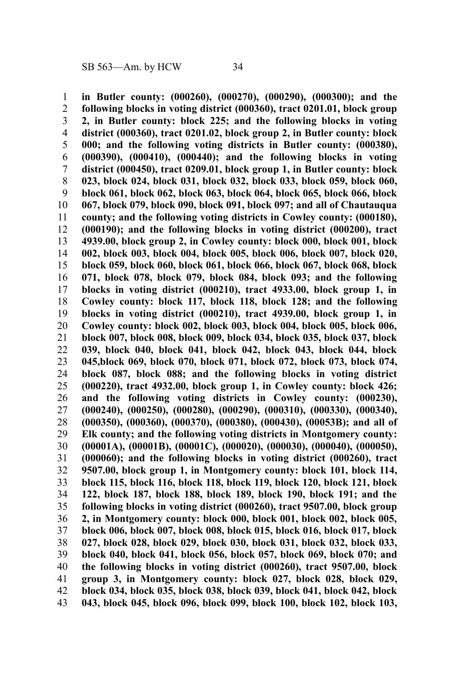**in Butler county: (000260), (000270), (000290), (000300); and the following blocks in voting district (000360), tract 0201.01, block group 2, in Butler county: block 225; and the following blocks in voting district (000360), tract 0201.02, block group 2, in Butler county: block 000; and the following voting districts in Butler county: (000380), (000390), (000410), (000440); and the following blocks in voting district (000450), tract 0209.01, block group 1, in Butler county: block 023, block 024, block 031, block 032, block 033, block 059, block 060, block 061, block 062, block 063, block 064, block 065, block 066, block 067, block 079, block 090, block 091, block 097; and all of Chautauqua county; and the following voting districts in Cowley county: (000180), (000190); and the following blocks in voting district (000200), tract 4939.00, block group 2, in Cowley county: block 000, block 001, block 002, block 003, block 004, block 005, block 006, block 007, block 020, block 059, block 060, block 061, block 066, block 067, block 068, block 071, block 078, block 079, block 084, block 093; and the following blocks in voting district (000210), tract 4933.00, block group 1, in Cowley county: block 117, block 118, block 128; and the following blocks in voting district (000210), tract 4939.00, block group 1, in Cowley county: block 002, block 003, block 004, block 005, block 006, block 007, block 008, block 009, block 034, block 035, block 037, block 039, block 040, block 041, block 042, block 043, block 044, block 045,block 069, block 070, block 071, block 072, block 073, block 074, block 087, block 088; and the following blocks in voting district (000220), tract 4932.00, block group 1, in Cowley county: block 426; and the following voting districts in Cowley county: (000230), (000240), (000250), (000280), (000290), (000310), (000330), (000340), (000350), (000360), (000370), (000380), (000430), (00053B); and all of Elk county; and the following voting districts in Montgomery county: (00001A), (00001B), (00001C), (000020), (000030), (000040), (000050), (000060); and the following blocks in voting district (000260), tract 9507.00, block group 1, in Montgomery county: block 101, block 114, block 115, block 116, block 118, block 119, block 120, block 121, block 122, block 187, block 188, block 189, block 190, block 191; and the following blocks in voting district (000260), tract 9507.00, block group 2, in Montgomery county: block 000, block 001, block 002, block 005, block 006, block 007, block 008, block 015, block 016, block 017, block 027, block 028, block 029, block 030, block 031, block 032, block 033, block 040, block 041, block 056, block 057, block 069, block 070; and the following blocks in voting district (000260), tract 9507.00, block group 3, in Montgomery county: block 027, block 028, block 029, block 034, block 035, block 038, block 039, block 041, block 042, block 043, block 045, block 096, block 099, block 100, block 102, block 103,** 1 2 3 4 5 6 7 8 9 10 11 12 13 14 15 16 17 18 19 20 21 22 23 24 25 26 27 28 29 30 31 32 33 34 35 36 37 38 39 40 41 42 43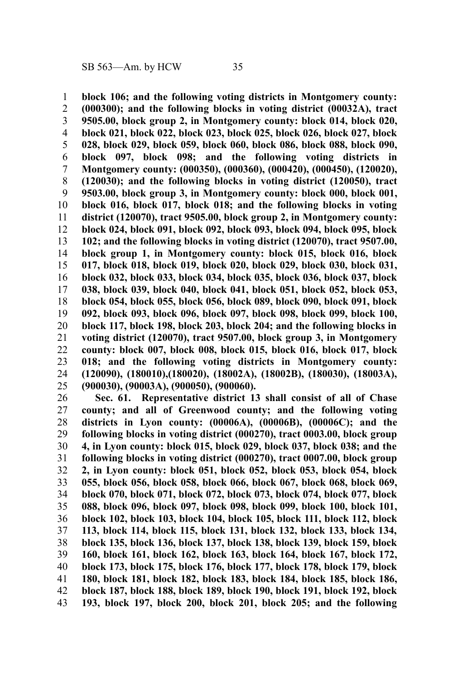**block 106; and the following voting districts in Montgomery county: (000300); and the following blocks in voting district (00032A), tract 9505.00, block group 2, in Montgomery county: block 014, block 020, block 021, block 022, block 023, block 025, block 026, block 027, block 028, block 029, block 059, block 060, block 086, block 088, block 090, block 097, block 098; and the following voting districts in Montgomery county: (000350), (000360), (000420), (000450), (120020), (120030); and the following blocks in voting district (120050), tract 9503.00, block group 3, in Montgomery county: block 000, block 001, block 016, block 017, block 018; and the following blocks in voting district (120070), tract 9505.00, block group 2, in Montgomery county: block 024, block 091, block 092, block 093, block 094, block 095, block 102; and the following blocks in voting district (120070), tract 9507.00, block group 1, in Montgomery county: block 015, block 016, block 017, block 018, block 019, block 020, block 029, block 030, block 031, block 032, block 033, block 034, block 035, block 036, block 037, block 038, block 039, block 040, block 041, block 051, block 052, block 053, block 054, block 055, block 056, block 089, block 090, block 091, block 092, block 093, block 096, block 097, block 098, block 099, block 100, block 117, block 198, block 203, block 204; and the following blocks in voting district (120070), tract 9507.00, block group 3, in Montgomery county: block 007, block 008, block 015, block 016, block 017, block 018; and the following voting districts in Montgomery county: (120090), (180010),(180020), (18002A), (18002B), (180030), (18003A), (900030), (90003A), (900050), (900060).** 1 2 3 4 5 6 7 8 9 10 11 12 13 14 15 16 17 18 19 20 21 22 23 24 25

**Sec. 61. Representative district 13 shall consist of all of Chase county; and all of Greenwood county; and the following voting districts in Lyon county: (00006A), (00006B), (00006C); and the following blocks in voting district (000270), tract 0003.00, block group 4, in Lyon county: block 015, block 029, block 037, block 038; and the following blocks in voting district (000270), tract 0007.00, block group 2, in Lyon county: block 051, block 052, block 053, block 054, block 055, block 056, block 058, block 066, block 067, block 068, block 069, block 070, block 071, block 072, block 073, block 074, block 077, block 088, block 096, block 097, block 098, block 099, block 100, block 101, block 102, block 103, block 104, block 105, block 111, block 112, block 113, block 114, block 115, block 131, block 132, block 133, block 134, block 135, block 136, block 137, block 138, block 139, block 159, block 160, block 161, block 162, block 163, block 164, block 167, block 172, block 173, block 175, block 176, block 177, block 178, block 179, block 180, block 181, block 182, block 183, block 184, block 185, block 186, block 187, block 188, block 189, block 190, block 191, block 192, block 193, block 197, block 200, block 201, block 205; and the following** 26 27 28 29 30 31 32 33 34 35 36 37 38 39 40 41 42 43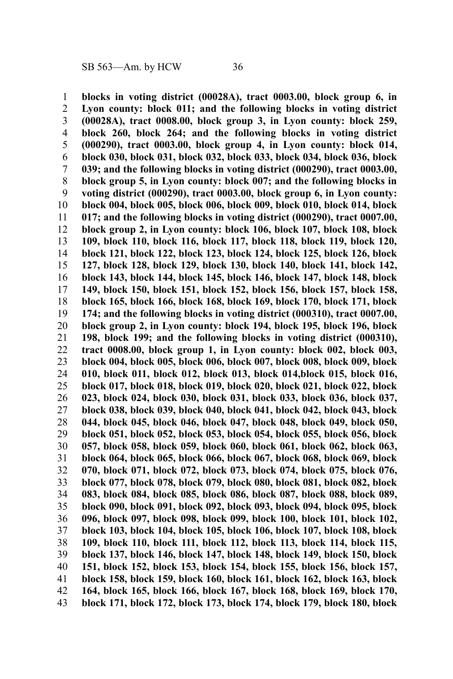**blocks in voting district (00028A), tract 0003.00, block group 6, in Lyon county: block 011; and the following blocks in voting district (00028A), tract 0008.00, block group 3, in Lyon county: block 259, block 260, block 264; and the following blocks in voting district (000290), tract 0003.00, block group 4, in Lyon county: block 014, block 030, block 031, block 032, block 033, block 034, block 036, block 039; and the following blocks in voting district (000290), tract 0003.00, block group 5, in Lyon county: block 007; and the following blocks in voting district (000290), tract 0003.00, block group 6, in Lyon county: block 004, block 005, block 006, block 009, block 010, block 014, block 017; and the following blocks in voting district (000290), tract 0007.00, block group 2, in Lyon county: block 106, block 107, block 108, block 109, block 110, block 116, block 117, block 118, block 119, block 120, block 121, block 122, block 123, block 124, block 125, block 126, block 127, block 128, block 129, block 130, block 140, block 141, block 142, block 143, block 144, block 145, block 146, block 147, block 148, block 149, block 150, block 151, block 152, block 156, block 157, block 158, block 165, block 166, block 168, block 169, block 170, block 171, block 174; and the following blocks in voting district (000310), tract 0007.00, block group 2, in Lyon county: block 194, block 195, block 196, block 198, block 199; and the following blocks in voting district (000310), tract 0008.00, block group 1, in Lyon county: block 002, block 003, block 004, block 005, block 006, block 007, block 008, block 009, block 010, block 011, block 012, block 013, block 014,block 015, block 016, block 017, block 018, block 019, block 020, block 021, block 022, block 023, block 024, block 030, block 031, block 033, block 036, block 037, block 038, block 039, block 040, block 041, block 042, block 043, block 044, block 045, block 046, block 047, block 048, block 049, block 050, block 051, block 052, block 053, block 054, block 055, block 056, block 057, block 058, block 059, block 060, block 061, block 062, block 063, block 064, block 065, block 066, block 067, block 068, block 069, block 070, block 071, block 072, block 073, block 074, block 075, block 076, block 077, block 078, block 079, block 080, block 081, block 082, block 083, block 084, block 085, block 086, block 087, block 088, block 089, block 090, block 091, block 092, block 093, block 094, block 095, block 096, block 097, block 098, block 099, block 100, block 101, block 102, block 103, block 104, block 105, block 106, block 107, block 108, block 109, block 110, block 111, block 112, block 113, block 114, block 115, block 137, block 146, block 147, block 148, block 149, block 150, block 151, block 152, block 153, block 154, block 155, block 156, block 157, block 158, block 159, block 160, block 161, block 162, block 163, block 164, block 165, block 166, block 167, block 168, block 169, block 170, block 171, block 172, block 173, block 174, block 179, block 180, block** 1 2 3 4 5 6 7 8 9 10 11 12 13 14 15 16 17 18 19 20 21 22 23 24 25 26 27 28 29 30 31 32 33 34 35 36 37 38 39 40 41 42 43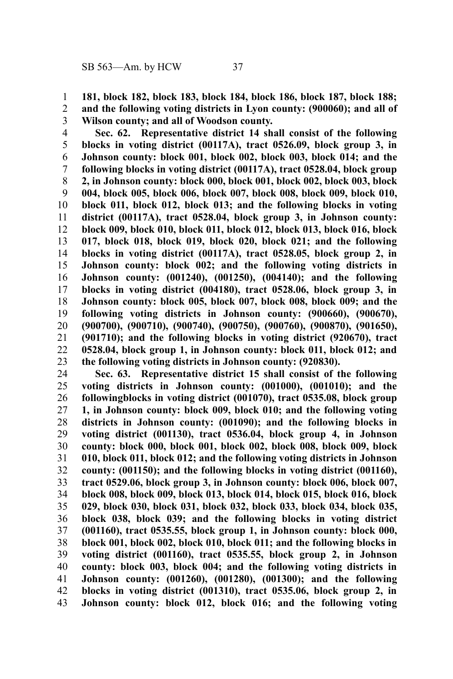**181, block 182, block 183, block 184, block 186, block 187, block 188; and the following voting districts in Lyon county: (900060); and all of Wilson county; and all of Woodson county.** 1 2 3

**Sec. 62. Representative district 14 shall consist of the following blocks in voting district (00117A), tract 0526.09, block group 3, in Johnson county: block 001, block 002, block 003, block 014; and the following blocks in voting district (00117A), tract 0528.04, block group 2, in Johnson county: block 000, block 001, block 002, block 003, block 004, block 005, block 006, block 007, block 008, block 009, block 010, block 011, block 012, block 013; and the following blocks in voting district (00117A), tract 0528.04, block group 3, in Johnson county: block 009, block 010, block 011, block 012, block 013, block 016, block 017, block 018, block 019, block 020, block 021; and the following blocks in voting district (00117A), tract 0528.05, block group 2, in Johnson county: block 002; and the following voting districts in Johnson county: (001240), (001250), (004140); and the following blocks in voting district (004180), tract 0528.06, block group 3, in Johnson county: block 005, block 007, block 008, block 009; and the following voting districts in Johnson county: (900660), (900670), (900700), (900710), (900740), (900750), (900760), (900870), (901650), (901710); and the following blocks in voting district (920670), tract 0528.04, block group 1, in Johnson county: block 011, block 012; and the following voting districts in Johnson county: (920830).** 4 5 6 7 8 9 10 11 12 13 14 15 16 17 18 19 20 21 22 23

**Sec. 63. Representative district 15 shall consist of the following voting districts in Johnson county: (001000), (001010); and the followingblocks in voting district (001070), tract 0535.08, block group 1, in Johnson county: block 009, block 010; and the following voting districts in Johnson county: (001090); and the following blocks in voting district (001130), tract 0536.04, block group 4, in Johnson county: block 000, block 001, block 002, block 008, block 009, block 010, block 011, block 012; and the following voting districts in Johnson county: (001150); and the following blocks in voting district (001160), tract 0529.06, block group 3, in Johnson county: block 006, block 007, block 008, block 009, block 013, block 014, block 015, block 016, block 029, block 030, block 031, block 032, block 033, block 034, block 035, block 038, block 039; and the following blocks in voting district (001160), tract 0535.55, block group 1, in Johnson county: block 000, block 001, block 002, block 010, block 011; and the following blocks in voting district (001160), tract 0535.55, block group 2, in Johnson county: block 003, block 004; and the following voting districts in Johnson county: (001260), (001280), (001300); and the following blocks in voting district (001310), tract 0535.06, block group 2, in Johnson county: block 012, block 016; and the following voting** 24 25 26 27 28 29 30 31 32 33 34 35 36 37 38 39 40 41 42 43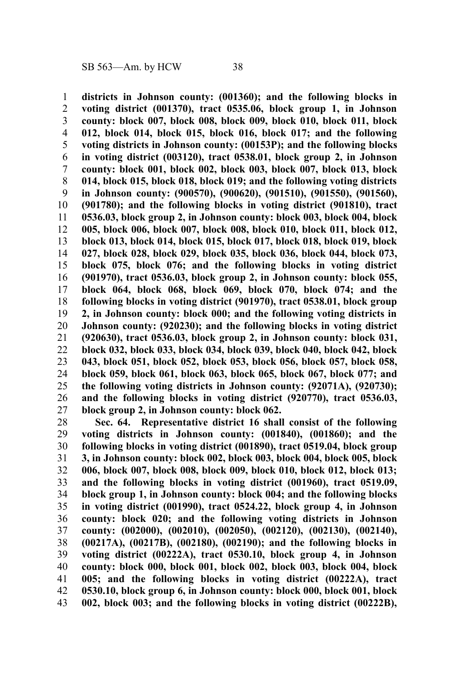**districts in Johnson county: (001360); and the following blocks in voting district (001370), tract 0535.06, block group 1, in Johnson county: block 007, block 008, block 009, block 010, block 011, block 012, block 014, block 015, block 016, block 017; and the following voting districts in Johnson county: (00153P); and the following blocks in voting district (003120), tract 0538.01, block group 2, in Johnson county: block 001, block 002, block 003, block 007, block 013, block 014, block 015, block 018, block 019; and the following voting districts in Johnson county: (900570), (900620), (901510), (901550), (901560), (901780); and the following blocks in voting district (901810), tract 0536.03, block group 2, in Johnson county: block 003, block 004, block 005, block 006, block 007, block 008, block 010, block 011, block 012, block 013, block 014, block 015, block 017, block 018, block 019, block 027, block 028, block 029, block 035, block 036, block 044, block 073, block 075, block 076; and the following blocks in voting district (901970), tract 0536.03, block group 2, in Johnson county: block 055, block 064, block 068, block 069, block 070, block 074; and the following blocks in voting district (901970), tract 0538.01, block group 2, in Johnson county: block 000; and the following voting districts in Johnson county: (920230); and the following blocks in voting district (920630), tract 0536.03, block group 2, in Johnson county: block 031, block 032, block 033, block 034, block 039, block 040, block 042, block 043, block 051, block 052, block 053, block 056, block 057, block 058, block 059, block 061, block 063, block 065, block 067, block 077; and the following voting districts in Johnson county: (92071A), (920730); and the following blocks in voting district (920770), tract 0536.03, block group 2, in Johnson county: block 062.** 1 2 3 4 5 6 7 8 9 10 11 12 13 14 15 16 17 18 19 20 21 22 23 24 25 26 27

**Sec. 64. Representative district 16 shall consist of the following voting districts in Johnson county: (001840), (001860); and the following blocks in voting district (001890), tract 0519.04, block group 3, in Johnson county: block 002, block 003, block 004, block 005, block 006, block 007, block 008, block 009, block 010, block 012, block 013; and the following blocks in voting district (001960), tract 0519.09, block group 1, in Johnson county: block 004; and the following blocks in voting district (001990), tract 0524.22, block group 4, in Johnson county: block 020; and the following voting districts in Johnson county: (002000), (002010), (002050), (002120), (002130), (002140), (00217A), (00217B), (002180), (002190); and the following blocks in voting district (00222A), tract 0530.10, block group 4, in Johnson county: block 000, block 001, block 002, block 003, block 004, block 005; and the following blocks in voting district (00222A), tract 0530.10, block group 6, in Johnson county: block 000, block 001, block 002, block 003; and the following blocks in voting district (00222B),** 28 29 30 31 32 33 34 35 36 37 38 39 40 41 42 43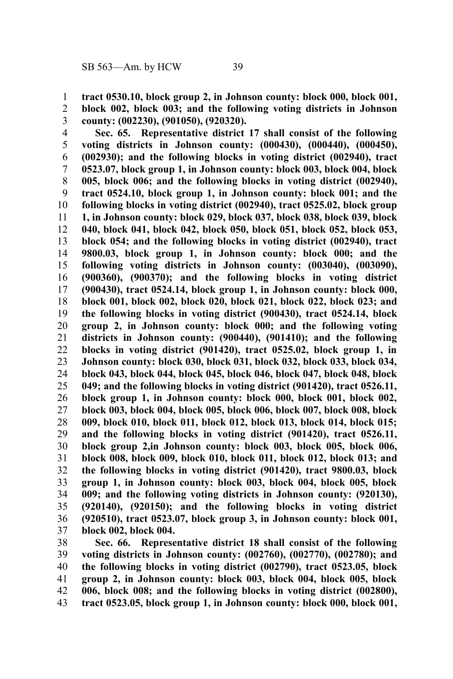**tract 0530.10, block group 2, in Johnson county: block 000, block 001,** 1

2

**block 002, block 003; and the following voting districts in Johnson county: (002230), (901050), (920320).** 3

**Sec. 65. Representative district 17 shall consist of the following voting districts in Johnson county: (000430), (000440), (000450), (002930); and the following blocks in voting district (002940), tract 0523.07, block group 1, in Johnson county: block 003, block 004, block 005, block 006; and the following blocks in voting district (002940), tract 0524.10, block group 1, in Johnson county: block 001; and the following blocks in voting district (002940), tract 0525.02, block group 1, in Johnson county: block 029, block 037, block 038, block 039, block 040, block 041, block 042, block 050, block 051, block 052, block 053, block 054; and the following blocks in voting district (002940), tract 9800.03, block group 1, in Johnson county: block 000; and the following voting districts in Johnson county: (003040), (003090), (900360), (900370); and the following blocks in voting district (900430), tract 0524.14, block group 1, in Johnson county: block 000, block 001, block 002, block 020, block 021, block 022, block 023; and the following blocks in voting district (900430), tract 0524.14, block group 2, in Johnson county: block 000; and the following voting districts in Johnson county: (900440), (901410); and the following blocks in voting district (901420), tract 0525.02, block group 1, in Johnson county: block 030, block 031, block 032, block 033, block 034, block 043, block 044, block 045, block 046, block 047, block 048, block 049; and the following blocks in voting district (901420), tract 0526.11, block group 1, in Johnson county: block 000, block 001, block 002, block 003, block 004, block 005, block 006, block 007, block 008, block 009, block 010, block 011, block 012, block 013, block 014, block 015; and the following blocks in voting district (901420), tract 0526.11, block group 2,in Johnson county: block 003, block 005, block 006, block 008, block 009, block 010, block 011, block 012, block 013; and the following blocks in voting district (901420), tract 9800.03, block group 1, in Johnson county: block 003, block 004, block 005, block 009; and the following voting districts in Johnson county: (920130), (920140), (920150); and the following blocks in voting district (920510), tract 0523.07, block group 3, in Johnson county: block 001, block 002, block 004.** 4 5 6 7 8 9 10 11 12 13 14 15 16 17 18 19 20 21 22 23 24 25 26 27 28 29 30 31 32 33 34 35 36 37

**Sec. 66. Representative district 18 shall consist of the following voting districts in Johnson county: (002760), (002770), (002780); and the following blocks in voting district (002790), tract 0523.05, block group 2, in Johnson county: block 003, block 004, block 005, block 006, block 008; and the following blocks in voting district (002800), tract 0523.05, block group 1, in Johnson county: block 000, block 001,** 38 39 40 41 42 43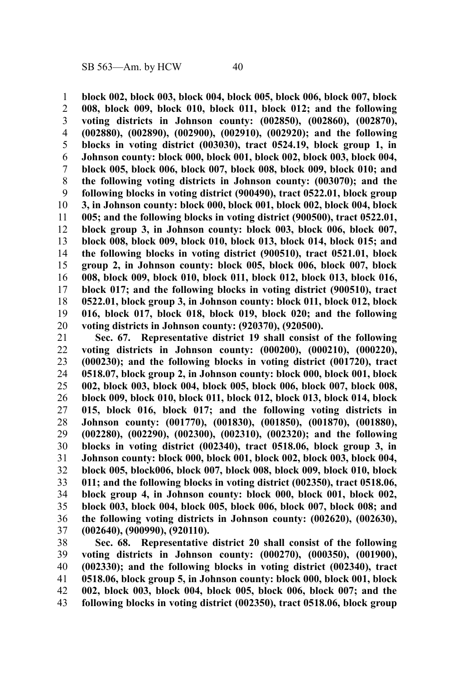**block 002, block 003, block 004, block 005, block 006, block 007, block 008, block 009, block 010, block 011, block 012; and the following voting districts in Johnson county: (002850), (002860), (002870), (002880), (002890), (002900), (002910), (002920); and the following blocks in voting district (003030), tract 0524.19, block group 1, in Johnson county: block 000, block 001, block 002, block 003, block 004, block 005, block 006, block 007, block 008, block 009, block 010; and the following voting districts in Johnson county: (003070); and the following blocks in voting district (900490), tract 0522.01, block group 3, in Johnson county: block 000, block 001, block 002, block 004, block 005; and the following blocks in voting district (900500), tract 0522.01, block group 3, in Johnson county: block 003, block 006, block 007, block 008, block 009, block 010, block 013, block 014, block 015; and the following blocks in voting district (900510), tract 0521.01, block group 2, in Johnson county: block 005, block 006, block 007, block 008, block 009, block 010, block 011, block 012, block 013, block 016, block 017; and the following blocks in voting district (900510), tract 0522.01, block group 3, in Johnson county: block 011, block 012, block 016, block 017, block 018, block 019, block 020; and the following voting districts in Johnson county: (920370), (920500).** 1 2 3 4 5 6 7 8 9 10 11 12 13 14 15 16 17 18 19 20

**Sec. 67. Representative district 19 shall consist of the following voting districts in Johnson county: (000200), (000210), (000220), (000230); and the following blocks in voting district (001720), tract 0518.07, block group 2, in Johnson county: block 000, block 001, block 002, block 003, block 004, block 005, block 006, block 007, block 008, block 009, block 010, block 011, block 012, block 013, block 014, block 015, block 016, block 017; and the following voting districts in Johnson county: (001770), (001830), (001850), (001870), (001880), (002280), (002290), (002300), (002310), (002320); and the following blocks in voting district (002340), tract 0518.06, block group 3, in Johnson county: block 000, block 001, block 002, block 003, block 004, block 005, block006, block 007, block 008, block 009, block 010, block 011; and the following blocks in voting district (002350), tract 0518.06, block group 4, in Johnson county: block 000, block 001, block 002, block 003, block 004, block 005, block 006, block 007, block 008; and the following voting districts in Johnson county: (002620), (002630), (002640), (900990), (920110).** 21 22 23 24 25 26 27 28 29 30 31 32 33 34 35 36 37

**Sec. 68. Representative district 20 shall consist of the following voting districts in Johnson county: (000270), (000350), (001900), (002330); and the following blocks in voting district (002340), tract 0518.06, block group 5, in Johnson county: block 000, block 001, block 002, block 003, block 004, block 005, block 006, block 007; and the following blocks in voting district (002350), tract 0518.06, block group** 38 39 40 41 42 43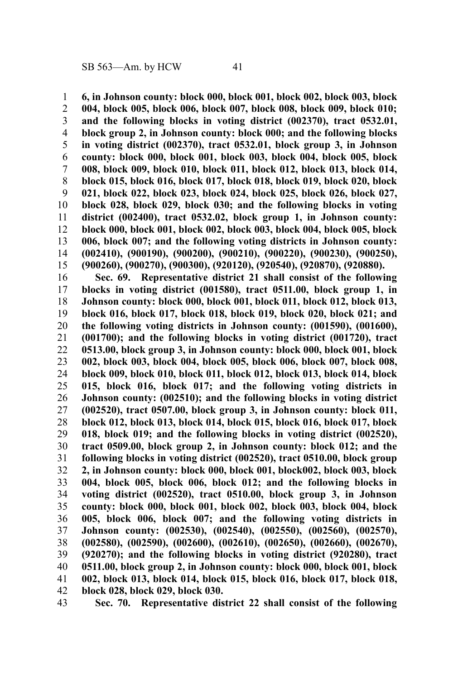**6, in Johnson county: block 000, block 001, block 002, block 003, block 004, block 005, block 006, block 007, block 008, block 009, block 010; and the following blocks in voting district (002370), tract 0532.01, block group 2, in Johnson county: block 000; and the following blocks in voting district (002370), tract 0532.01, block group 3, in Johnson county: block 000, block 001, block 003, block 004, block 005, block 008, block 009, block 010, block 011, block 012, block 013, block 014, block 015, block 016, block 017, block 018, block 019, block 020, block 021, block 022, block 023, block 024, block 025, block 026, block 027, block 028, block 029, block 030; and the following blocks in voting district (002400), tract 0532.02, block group 1, in Johnson county: block 000, block 001, block 002, block 003, block 004, block 005, block 006, block 007; and the following voting districts in Johnson county: (002410), (900190), (900200), (900210), (900220), (900230), (900250), (900260), (900270), (900300), (920120), (920540), (920870), (920880).** 1 2 3 4 5 6 7 8 9 10 11 12 13 14 15

**Sec. 69. Representative district 21 shall consist of the following blocks in voting district (001580), tract 0511.00, block group 1, in Johnson county: block 000, block 001, block 011, block 012, block 013, block 016, block 017, block 018, block 019, block 020, block 021; and the following voting districts in Johnson county: (001590), (001600), (001700); and the following blocks in voting district (001720), tract 0513.00, block group 3, in Johnson county: block 000, block 001, block 002, block 003, block 004, block 005, block 006, block 007, block 008, block 009, block 010, block 011, block 012, block 013, block 014, block 015, block 016, block 017; and the following voting districts in Johnson county: (002510); and the following blocks in voting district (002520), tract 0507.00, block group 3, in Johnson county: block 011, block 012, block 013, block 014, block 015, block 016, block 017, block 018, block 019; and the following blocks in voting district (002520), tract 0509.00, block group 2, in Johnson county: block 012; and the following blocks in voting district (002520), tract 0510.00, block group 2, in Johnson county: block 000, block 001, block002, block 003, block 004, block 005, block 006, block 012; and the following blocks in voting district (002520), tract 0510.00, block group 3, in Johnson county: block 000, block 001, block 002, block 003, block 004, block 005, block 006, block 007; and the following voting districts in Johnson county: (002530), (002540), (002550), (002560), (002570), (002580), (002590), (002600), (002610), (002650), (002660), (002670), (920270); and the following blocks in voting district (920280), tract 0511.00, block group 2, in Johnson county: block 000, block 001, block 002, block 013, block 014, block 015, block 016, block 017, block 018, block 028, block 029, block 030.** 16 17 18 19 20 21 22 23 24 25 26 27 28 29 30 31 32 33 34 35 36 37 38 39 40 41 42

**Sec. 70. Representative district 22 shall consist of the following** 43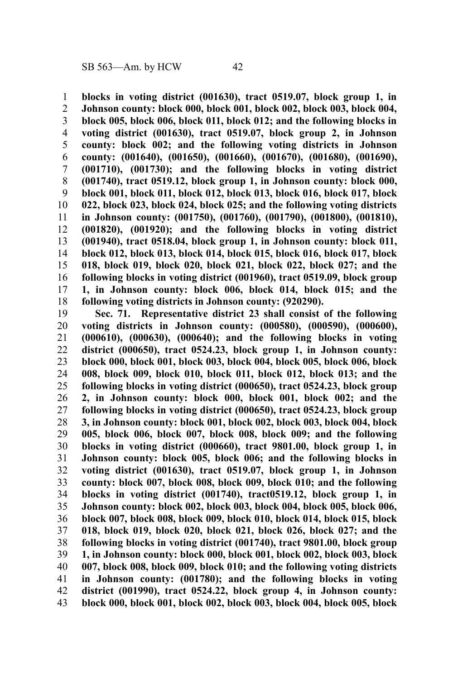**blocks in voting district (001630), tract 0519.07, block group 1, in Johnson county: block 000, block 001, block 002, block 003, block 004, block 005, block 006, block 011, block 012; and the following blocks in voting district (001630), tract 0519.07, block group 2, in Johnson county: block 002; and the following voting districts in Johnson county: (001640), (001650), (001660), (001670), (001680), (001690), (001710), (001730); and the following blocks in voting district (001740), tract 0519.12, block group 1, in Johnson county: block 000, block 001, block 011, block 012, block 013, block 016, block 017, block 022, block 023, block 024, block 025; and the following voting districts in Johnson county: (001750), (001760), (001790), (001800), (001810), (001820), (001920); and the following blocks in voting district (001940), tract 0518.04, block group 1, in Johnson county: block 011, block 012, block 013, block 014, block 015, block 016, block 017, block 018, block 019, block 020, block 021, block 022, block 027; and the following blocks in voting district (001960), tract 0519.09, block group 1, in Johnson county: block 006, block 014, block 015; and the following voting districts in Johnson county: (920290).** 1 2 3 4 5 6 7 8 9 10 11 12 13 14 15 16 17 18

**Sec. 71. Representative district 23 shall consist of the following voting districts in Johnson county: (000580), (000590), (000600), (000610), (000630), (000640); and the following blocks in voting district (000650), tract 0524.23, block group 1, in Johnson county: block 000, block 001, block 003, block 004, block 005, block 006, block 008, block 009, block 010, block 011, block 012, block 013; and the following blocks in voting district (000650), tract 0524.23, block group 2, in Johnson county: block 000, block 001, block 002; and the following blocks in voting district (000650), tract 0524.23, block group 3, in Johnson county: block 001, block 002, block 003, block 004, block 005, block 006, block 007, block 008, block 009; and the following blocks in voting district (000660), tract 9801.00, block group 1, in Johnson county: block 005, block 006; and the following blocks in voting district (001630), tract 0519.07, block group 1, in Johnson county: block 007, block 008, block 009, block 010; and the following blocks in voting district (001740), tract0519.12, block group 1, in Johnson county: block 002, block 003, block 004, block 005, block 006, block 007, block 008, block 009, block 010, block 014, block 015, block 018, block 019, block 020, block 021, block 026, block 027; and the following blocks in voting district (001740), tract 9801.00, block group 1, in Johnson county: block 000, block 001, block 002, block 003, block 007, block 008, block 009, block 010; and the following voting districts in Johnson county: (001780); and the following blocks in voting district (001990), tract 0524.22, block group 4, in Johnson county: block 000, block 001, block 002, block 003, block 004, block 005, block** 19 20 21 22 23 24 25 26 27 28 29 30 31 32 33 34 35 36 37 38 39 40 41 42 43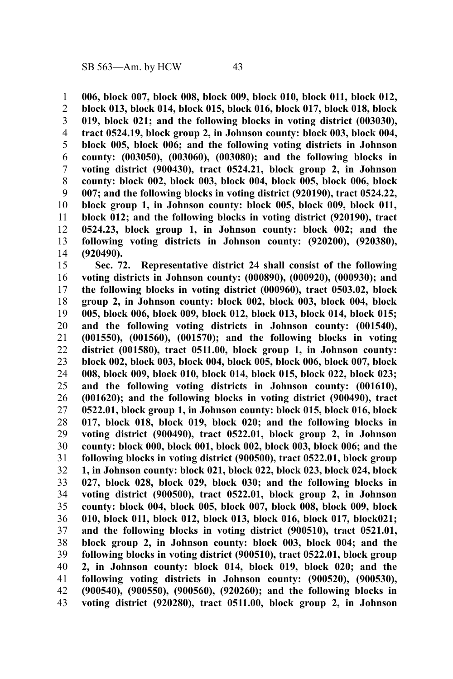**006, block 007, block 008, block 009, block 010, block 011, block 012, block 013, block 014, block 015, block 016, block 017, block 018, block 019, block 021; and the following blocks in voting district (003030), tract 0524.19, block group 2, in Johnson county: block 003, block 004, block 005, block 006; and the following voting districts in Johnson county: (003050), (003060), (003080); and the following blocks in voting district (900430), tract 0524.21, block group 2, in Johnson county: block 002, block 003, block 004, block 005, block 006, block 007; and the following blocks in voting district (920190), tract 0524.22, block group 1, in Johnson county: block 005, block 009, block 011, block 012; and the following blocks in voting district (920190), tract 0524.23, block group 1, in Johnson county: block 002; and the following voting districts in Johnson county: (920200), (920380), (920490).** 1 2 3 4 5 6 7 8 9 10 11 12 13 14

**Sec. 72. Representative district 24 shall consist of the following voting districts in Johnson county: (000890), (000920), (000930); and the following blocks in voting district (000960), tract 0503.02, block group 2, in Johnson county: block 002, block 003, block 004, block 005, block 006, block 009, block 012, block 013, block 014, block 015; and the following voting districts in Johnson county: (001540), (001550), (001560), (001570); and the following blocks in voting district (001580), tract 0511.00, block group 1, in Johnson county: block 002, block 003, block 004, block 005, block 006, block 007, block 008, block 009, block 010, block 014, block 015, block 022, block 023; and the following voting districts in Johnson county: (001610), (001620); and the following blocks in voting district (900490), tract 0522.01, block group 1, in Johnson county: block 015, block 016, block 017, block 018, block 019, block 020; and the following blocks in voting district (900490), tract 0522.01, block group 2, in Johnson county: block 000, block 001, block 002, block 003, block 006; and the following blocks in voting district (900500), tract 0522.01, block group 1, in Johnson county: block 021, block 022, block 023, block 024, block 027, block 028, block 029, block 030; and the following blocks in voting district (900500), tract 0522.01, block group 2, in Johnson county: block 004, block 005, block 007, block 008, block 009, block 010, block 011, block 012, block 013, block 016, block 017, block021; and the following blocks in voting district (900510), tract 0521.01, block group 2, in Johnson county: block 003, block 004; and the following blocks in voting district (900510), tract 0522.01, block group 2, in Johnson county: block 014, block 019, block 020; and the following voting districts in Johnson county: (900520), (900530), (900540), (900550), (900560), (920260); and the following blocks in voting district (920280), tract 0511.00, block group 2, in Johnson** 15 16 17 18 19 20 21 22 23 24 25 26 27 28 29 30 31 32 33 34 35 36 37 38 39 40 41 42 43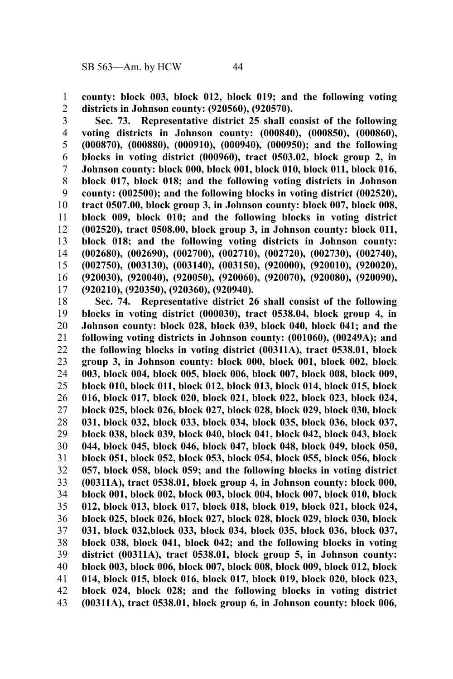**county: block 003, block 012, block 019; and the following voting districts in Johnson county: (920560), (920570).** 1 2

**Sec. 73. Representative district 25 shall consist of the following voting districts in Johnson county: (000840), (000850), (000860), (000870), (000880), (000910), (000940), (000950); and the following blocks in voting district (000960), tract 0503.02, block group 2, in Johnson county: block 000, block 001, block 010, block 011, block 016, block 017, block 018; and the following voting districts in Johnson county: (002500); and the following blocks in voting district (002520), tract 0507.00, block group 3, in Johnson county: block 007, block 008, block 009, block 010; and the following blocks in voting district (002520), tract 0508.00, block group 3, in Johnson county: block 011, block 018; and the following voting districts in Johnson county: (002680), (002690), (002700), (002710), (002720), (002730), (002740), (002750), (003130), (003140), (003150), (920000), (920010), (920020), (920030), (920040), (920050), (920060), (920070), (920080), (920090), (920210), (920350), (920360), (920940).** 3 4 5 6 7 8 9 10 11 12 13 14 15 16 17

**Sec. 74. Representative district 26 shall consist of the following blocks in voting district (000030), tract 0538.04, block group 4, in Johnson county: block 028, block 039, block 040, block 041; and the following voting districts in Johnson county: (001060), (00249A); and the following blocks in voting district (00311A), tract 0538.01, block group 3, in Johnson county: block 000, block 001, block 002, block 003, block 004, block 005, block 006, block 007, block 008, block 009, block 010, block 011, block 012, block 013, block 014, block 015, block 016, block 017, block 020, block 021, block 022, block 023, block 024, block 025, block 026, block 027, block 028, block 029, block 030, block 031, block 032, block 033, block 034, block 035, block 036, block 037, block 038, block 039, block 040, block 041, block 042, block 043, block 044, block 045, block 046, block 047, block 048, block 049, block 050, block 051, block 052, block 053, block 054, block 055, block 056, block 057, block 058, block 059; and the following blocks in voting district (00311A), tract 0538.01, block group 4, in Johnson county: block 000, block 001, block 002, block 003, block 004, block 007, block 010, block 012, block 013, block 017, block 018, block 019, block 021, block 024, block 025, block 026, block 027, block 028, block 029, block 030, block 031, block 032,block 033, block 034, block 035, block 036, block 037, block 038, block 041, block 042; and the following blocks in voting district (00311A), tract 0538.01, block group 5, in Johnson county: block 003, block 006, block 007, block 008, block 009, block 012, block 014, block 015, block 016, block 017, block 019, block 020, block 023, block 024, block 028; and the following blocks in voting district (00311A), tract 0538.01, block group 6, in Johnson county: block 006,** 18 19 20 21 22 23 24 25 26 27 28 29 30 31 32 33 34 35 36 37 38 39 40 41 42 43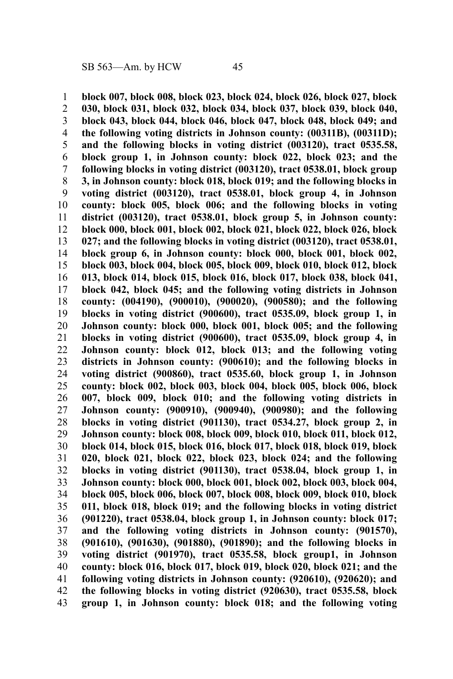**block 007, block 008, block 023, block 024, block 026, block 027, block 030, block 031, block 032, block 034, block 037, block 039, block 040, block 043, block 044, block 046, block 047, block 048, block 049; and the following voting districts in Johnson county: (00311B), (00311D); and the following blocks in voting district (003120), tract 0535.58, block group 1, in Johnson county: block 022, block 023; and the following blocks in voting district (003120), tract 0538.01, block group 3, in Johnson county: block 018, block 019; and the following blocks in voting district (003120), tract 0538.01, block group 4, in Johnson county: block 005, block 006; and the following blocks in voting district (003120), tract 0538.01, block group 5, in Johnson county: block 000, block 001, block 002, block 021, block 022, block 026, block 027; and the following blocks in voting district (003120), tract 0538.01, block group 6, in Johnson county: block 000, block 001, block 002, block 003, block 004, block 005, block 009, block 010, block 012, block 013, block 014, block 015, block 016, block 017, block 038, block 041, block 042, block 045; and the following voting districts in Johnson county: (004190), (900010), (900020), (900580); and the following blocks in voting district (900600), tract 0535.09, block group 1, in Johnson county: block 000, block 001, block 005; and the following blocks in voting district (900600), tract 0535.09, block group 4, in Johnson county: block 012, block 013; and the following voting districts in Johnson county: (900610); and the following blocks in voting district (900860), tract 0535.60, block group 1, in Johnson county: block 002, block 003, block 004, block 005, block 006, block 007, block 009, block 010; and the following voting districts in Johnson county: (900910), (900940), (900980); and the following blocks in voting district (901130), tract 0534.27, block group 2, in Johnson county: block 008, block 009, block 010, block 011, block 012, block 014, block 015, block 016, block 017, block 018, block 019, block 020, block 021, block 022, block 023, block 024; and the following blocks in voting district (901130), tract 0538.04, block group 1, in Johnson county: block 000, block 001, block 002, block 003, block 004, block 005, block 006, block 007, block 008, block 009, block 010, block 011, block 018, block 019; and the following blocks in voting district (901220), tract 0538.04, block group 1, in Johnson county: block 017; and the following voting districts in Johnson county: (901570), (901610), (901630), (901880), (901890); and the following blocks in voting district (901970), tract 0535.58, block group1, in Johnson county: block 016, block 017, block 019, block 020, block 021; and the following voting districts in Johnson county: (920610), (920620); and the following blocks in voting district (920630), tract 0535.58, block group 1, in Johnson county: block 018; and the following voting** 1 2 3 4 5 6 7 8 9 10 11 12 13 14 15 16 17 18 19 20 21 22 23 24 25 26 27 28 29 30 31 32 33 34 35 36 37 38 39 40 41 42 43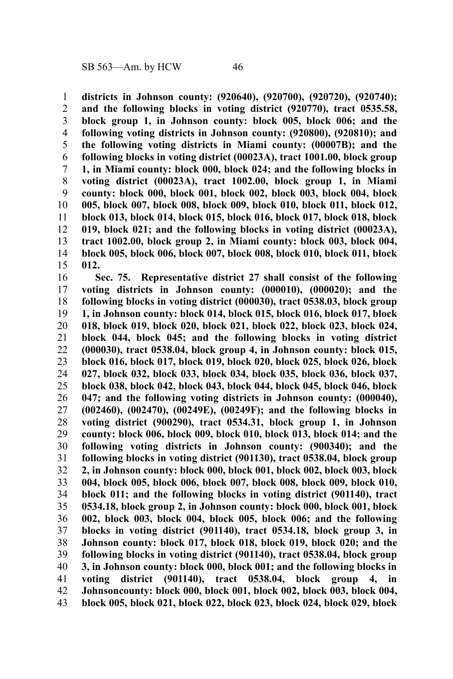**districts in Johnson county: (920640), (920700), (920720), (920740); and the following blocks in voting district (920770), tract 0535.58, block group 1, in Johnson county: block 005, block 006; and the following voting districts in Johnson county: (920800), (920810); and the following voting districts in Miami county: (00007B); and the following blocks in voting district (00023A), tract 1001.00, block group 1, in Miami county: block 000, block 024; and the following blocks in voting district (00023A), tract 1002.00, block group 1, in Miami county: block 000, block 001, block 002, block 003, block 004, block 005, block 007, block 008, block 009, block 010, block 011, block 012, block 013, block 014, block 015, block 016, block 017, block 018, block 019, block 021; and the following blocks in voting district (00023A), tract 1002.00, block group 2, in Miami county: block 003, block 004, block 005, block 006, block 007, block 008, block 010, block 011, block 012.** 1 2 3 4 5 6 7 8 9 10 11 12 13 14 15

**Sec. 75. Representative district 27 shall consist of the following voting districts in Johnson county: (000010), (000020); and the following blocks in voting district (000030), tract 0538.03, block group 1, in Johnson county: block 014, block 015, block 016, block 017, block 018, block 019, block 020, block 021, block 022, block 023, block 024, block 044, block 045; and the following blocks in voting district (000030), tract 0538.04, block group 4, in Johnson county: block 015, block 016, block 017, block 019, block 020, block 025, block 026, block 027, block 032, block 033, block 034, block 035, block 036, block 037, block 038, block 042, block 043, block 044, block 045, block 046, block 047; and the following voting districts in Johnson county: (000040), (002460), (002470), (00249E), (00249F); and the following blocks in voting district (900290), tract 0534.31, block group 1, in Johnson county: block 006, block 009, block 010, block 013, block 014; and the following voting districts in Johnson county: (900340); and the following blocks in voting district (901130), tract 0538.04, block group 2, in Johnson county: block 000, block 001, block 002, block 003, block 004, block 005, block 006, block 007, block 008, block 009, block 010, block 011; and the following blocks in voting district (901140), tract 0534.18, block group 2, in Johnson county: block 000, block 001, block 002, block 003, block 004, block 005, block 006; and the following blocks in voting district (901140), tract 0534.18, block group 3, in Johnson county: block 017, block 018, block 019, block 020; and the following blocks in voting district (901140), tract 0538.04, block group 3, in Johnson county: block 000, block 001; and the following blocks in voting district (901140), tract 0538.04, block group 4, in Johnsoncounty: block 000, block 001, block 002, block 003, block 004, block 005, block 021, block 022, block 023, block 024, block 029, block** 16 17 18 19 20 21 22 23 24 25 26 27 28 29 30 31 32 33 34 35 36 37 38 39 40 41 42 43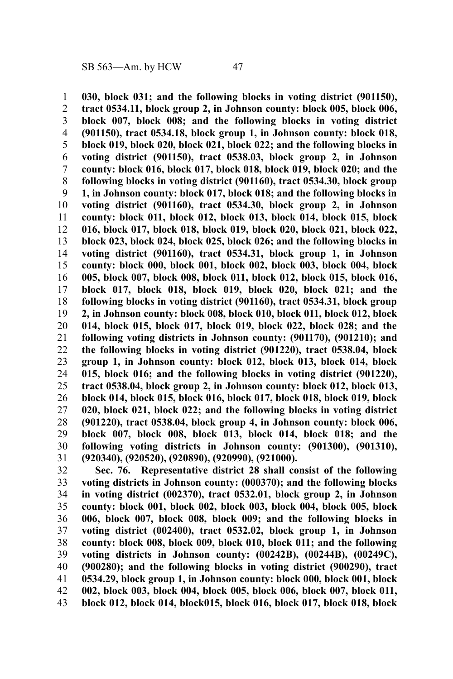**030, block 031; and the following blocks in voting district (901150), tract 0534.11, block group 2, in Johnson county: block 005, block 006, block 007, block 008; and the following blocks in voting district (901150), tract 0534.18, block group 1, in Johnson county: block 018, block 019, block 020, block 021, block 022; and the following blocks in voting district (901150), tract 0538.03, block group 2, in Johnson county: block 016, block 017, block 018, block 019, block 020; and the following blocks in voting district (901160), tract 0534.30, block group 1, in Johnson county: block 017, block 018; and the following blocks in voting district (901160), tract 0534.30, block group 2, in Johnson county: block 011, block 012, block 013, block 014, block 015, block 016, block 017, block 018, block 019, block 020, block 021, block 022, block 023, block 024, block 025, block 026; and the following blocks in voting district (901160), tract 0534.31, block group 1, in Johnson county: block 000, block 001, block 002, block 003, block 004, block 005, block 007, block 008, block 011, block 012, block 015, block 016, block 017, block 018, block 019, block 020, block 021; and the following blocks in voting district (901160), tract 0534.31, block group 2, in Johnson county: block 008, block 010, block 011, block 012, block 014, block 015, block 017, block 019, block 022, block 028; and the following voting districts in Johnson county: (901170), (901210); and the following blocks in voting district (901220), tract 0538.04, block group 1, in Johnson county: block 012, block 013, block 014, block 015, block 016; and the following blocks in voting district (901220), tract 0538.04, block group 2, in Johnson county: block 012, block 013, block 014, block 015, block 016, block 017, block 018, block 019, block 020, block 021, block 022; and the following blocks in voting district (901220), tract 0538.04, block group 4, in Johnson county: block 006, block 007, block 008, block 013, block 014, block 018; and the following voting districts in Johnson county: (901300), (901310), (920340), (920520), (920890), (920990), (921000).** 1 2 3 4 5 6 7 8 9 10 11 12 13 14 15 16 17 18 19 20 21 22 23 24 25 26 27 28 29 30 31

**Sec. 76. Representative district 28 shall consist of the following voting districts in Johnson county: (000370); and the following blocks in voting district (002370), tract 0532.01, block group 2, in Johnson county: block 001, block 002, block 003, block 004, block 005, block 006, block 007, block 008, block 009; and the following blocks in voting district (002400), tract 0532.02, block group 1, in Johnson county: block 008, block 009, block 010, block 011; and the following voting districts in Johnson county: (00242B), (00244B), (00249C), (900280); and the following blocks in voting district (900290), tract 0534.29, block group 1, in Johnson county: block 000, block 001, block 002, block 003, block 004, block 005, block 006, block 007, block 011, block 012, block 014, block015, block 016, block 017, block 018, block** 32 33 34 35 36 37 38 39 40 41 42 43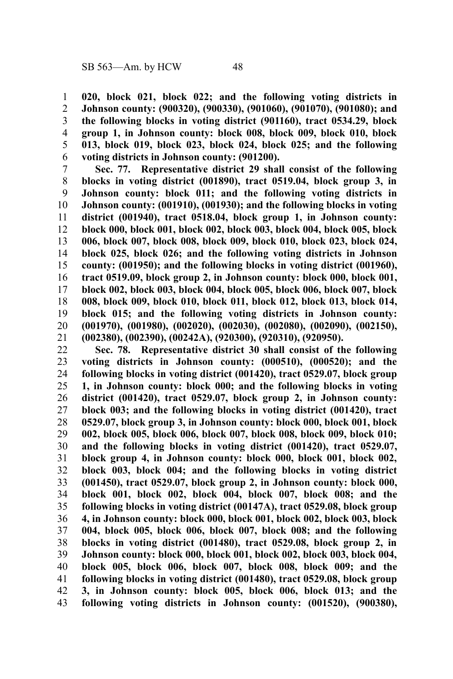**020, block 021, block 022; and the following voting districts in Johnson county: (900320), (900330), (901060), (901070), (901080); and the following blocks in voting district (901160), tract 0534.29, block group 1, in Johnson county: block 008, block 009, block 010, block 013, block 019, block 023, block 024, block 025; and the following voting districts in Johnson county: (901200).** 1 2 3 4 5 6

**Sec. 77. Representative district 29 shall consist of the following blocks in voting district (001890), tract 0519.04, block group 3, in Johnson county: block 011; and the following voting districts in Johnson county: (001910), (001930); and the following blocks in voting district (001940), tract 0518.04, block group 1, in Johnson county: block 000, block 001, block 002, block 003, block 004, block 005, block 006, block 007, block 008, block 009, block 010, block 023, block 024, block 025, block 026; and the following voting districts in Johnson county: (001950); and the following blocks in voting district (001960), tract 0519.09, block group 2, in Johnson county: block 000, block 001, block 002, block 003, block 004, block 005, block 006, block 007, block 008, block 009, block 010, block 011, block 012, block 013, block 014, block 015; and the following voting districts in Johnson county: (001970), (001980), (002020), (002030), (002080), (002090), (002150), (002380), (002390), (00242A), (920300), (920310), (920950).** 7 8 9 10 11 12 13 14 15 16 17 18 19 20 21

**Sec. 78. Representative district 30 shall consist of the following voting districts in Johnson county: (000510), (000520); and the following blocks in voting district (001420), tract 0529.07, block group 1, in Johnson county: block 000; and the following blocks in voting district (001420), tract 0529.07, block group 2, in Johnson county: block 003; and the following blocks in voting district (001420), tract 0529.07, block group 3, in Johnson county: block 000, block 001, block 002, block 005, block 006, block 007, block 008, block 009, block 010; and the following blocks in voting district (001420), tract 0529.07, block group 4, in Johnson county: block 000, block 001, block 002, block 003, block 004; and the following blocks in voting district (001450), tract 0529.07, block group 2, in Johnson county: block 000, block 001, block 002, block 004, block 007, block 008; and the following blocks in voting district (00147A), tract 0529.08, block group 4, in Johnson county: block 000, block 001, block 002, block 003, block 004, block 005, block 006, block 007, block 008; and the following blocks in voting district (001480), tract 0529.08, block group 2, in Johnson county: block 000, block 001, block 002, block 003, block 004, block 005, block 006, block 007, block 008, block 009; and the following blocks in voting district (001480), tract 0529.08, block group 3, in Johnson county: block 005, block 006, block 013; and the following voting districts in Johnson county: (001520), (900380),** 22 23 24 25 26 27 28 29 30 31 32 33 34 35 36 37 38 39 40 41 42 43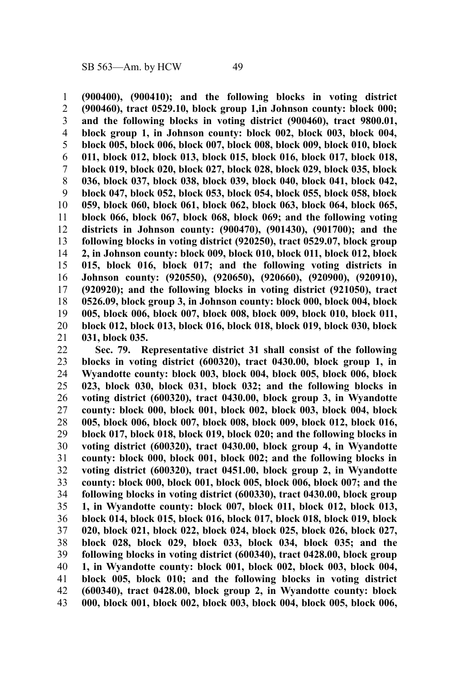**(900400), (900410); and the following blocks in voting district (900460), tract 0529.10, block group 1,in Johnson county: block 000; and the following blocks in voting district (900460), tract 9800.01, block group 1, in Johnson county: block 002, block 003, block 004, block 005, block 006, block 007, block 008, block 009, block 010, block 011, block 012, block 013, block 015, block 016, block 017, block 018, block 019, block 020, block 027, block 028, block 029, block 035, block 036, block 037, block 038, block 039, block 040, block 041, block 042, block 047, block 052, block 053, block 054, block 055, block 058, block 059, block 060, block 061, block 062, block 063, block 064, block 065, block 066, block 067, block 068, block 069; and the following voting districts in Johnson county: (900470), (901430), (901700); and the following blocks in voting district (920250), tract 0529.07, block group 2, in Johnson county: block 009, block 010, block 011, block 012, block 015, block 016, block 017; and the following voting districts in Johnson county: (920550), (920650), (920660), (920900), (920910), (920920); and the following blocks in voting district (921050), tract 0526.09, block group 3, in Johnson county: block 000, block 004, block 005, block 006, block 007, block 008, block 009, block 010, block 011, block 012, block 013, block 016, block 018, block 019, block 030, block 031, block 035.** 1 2 3 4 5 6 7 8 9 10 11 12 13 14 15 16 17 18 19 20 21

**Sec. 79. Representative district 31 shall consist of the following blocks in voting district (600320), tract 0430.00, block group 1, in Wyandotte county: block 003, block 004, block 005, block 006, block 023, block 030, block 031, block 032; and the following blocks in voting district (600320), tract 0430.00, block group 3, in Wyandotte county: block 000, block 001, block 002, block 003, block 004, block 005, block 006, block 007, block 008, block 009, block 012, block 016, block 017, block 018, block 019, block 020; and the following blocks in voting district (600320), tract 0430.00, block group 4, in Wyandotte county: block 000, block 001, block 002; and the following blocks in voting district (600320), tract 0451.00, block group 2, in Wyandotte county: block 000, block 001, block 005, block 006, block 007; and the following blocks in voting district (600330), tract 0430.00, block group 1, in Wyandotte county: block 007, block 011, block 012, block 013, block 014, block 015, block 016, block 017, block 018, block 019, block 020, block 021, block 022, block 024, block 025, block 026, block 027, block 028, block 029, block 033, block 034, block 035; and the following blocks in voting district (600340), tract 0428.00, block group 1, in Wyandotte county: block 001, block 002, block 003, block 004, block 005, block 010; and the following blocks in voting district (600340), tract 0428.00, block group 2, in Wyandotte county: block 000, block 001, block 002, block 003, block 004, block 005, block 006,** 22 23 24 25 26 27 28 29 30 31 32 33 34 35 36 37 38 39 40 41 42 43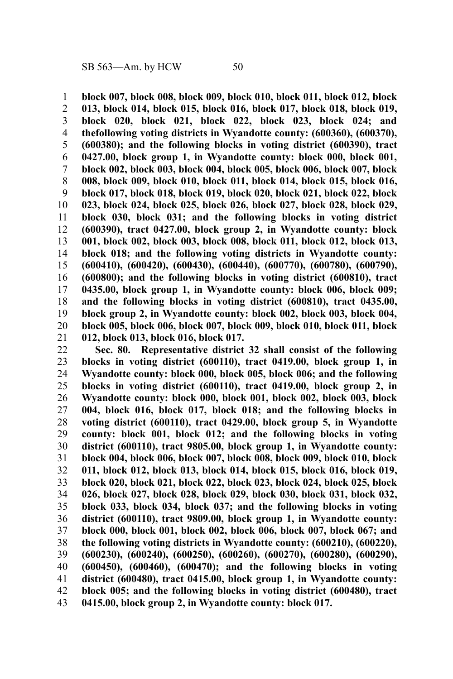**block 007, block 008, block 009, block 010, block 011, block 012, block 013, block 014, block 015, block 016, block 017, block 018, block 019, block 020, block 021, block 022, block 023, block 024; and thefollowing voting districts in Wyandotte county: (600360), (600370), (600380); and the following blocks in voting district (600390), tract 0427.00, block group 1, in Wyandotte county: block 000, block 001, block 002, block 003, block 004, block 005, block 006, block 007, block 008, block 009, block 010, block 011, block 014, block 015, block 016, block 017, block 018, block 019, block 020, block 021, block 022, block 023, block 024, block 025, block 026, block 027, block 028, block 029, block 030, block 031; and the following blocks in voting district (600390), tract 0427.00, block group 2, in Wyandotte county: block 001, block 002, block 003, block 008, block 011, block 012, block 013, block 018; and the following voting districts in Wyandotte county: (600410), (600420), (600430), (600440), (600770), (600780), (600790), (600800); and the following blocks in voting district (600810), tract 0435.00, block group 1, in Wyandotte county: block 006, block 009; and the following blocks in voting district (600810), tract 0435.00, block group 2, in Wyandotte county: block 002, block 003, block 004, block 005, block 006, block 007, block 009, block 010, block 011, block 012, block 013, block 016, block 017.** 1 2 3 4 5 6 7 8 9 10 11 12 13 14 15 16 17 18 19 20 21

**Sec. 80. Representative district 32 shall consist of the following blocks in voting district (600110), tract 0419.00, block group 1, in Wyandotte county: block 000, block 005, block 006; and the following blocks in voting district (600110), tract 0419.00, block group 2, in Wyandotte county: block 000, block 001, block 002, block 003, block 004, block 016, block 017, block 018; and the following blocks in voting district (600110), tract 0429.00, block group 5, in Wyandotte county: block 001, block 012; and the following blocks in voting district (600110), tract 9805.00, block group 1, in Wyandotte county: block 004, block 006, block 007, block 008, block 009, block 010, block 011, block 012, block 013, block 014, block 015, block 016, block 019, block 020, block 021, block 022, block 023, block 024, block 025, block 026, block 027, block 028, block 029, block 030, block 031, block 032, block 033, block 034, block 037; and the following blocks in voting district (600110), tract 9809.00, block group 1, in Wyandotte county: block 000, block 001, block 002, block 006, block 007, block 067; and the following voting districts in Wyandotte county: (600210), (600220), (600230), (600240), (600250), (600260), (600270), (600280), (600290), (600450), (600460), (600470); and the following blocks in voting district (600480), tract 0415.00, block group 1, in Wyandotte county: block 005; and the following blocks in voting district (600480), tract 0415.00, block group 2, in Wyandotte county: block 017.** 22 23 24 25 26 27 28 29 30 31 32 33 34 35 36 37 38 39 40 41 42 43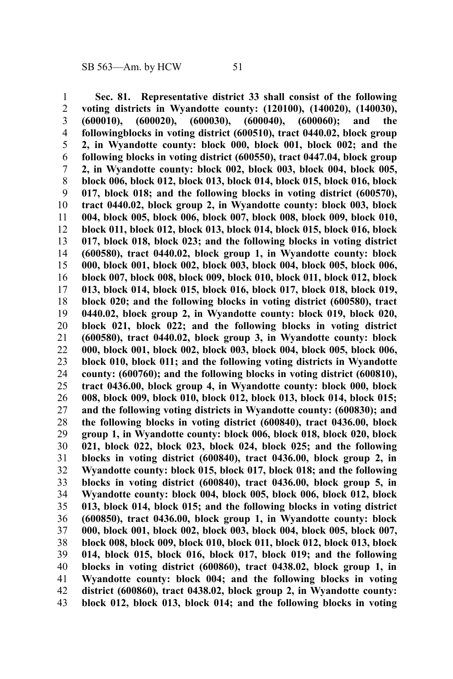**Sec. 81. Representative district 33 shall consist of the following voting districts in Wyandotte county: (120100), (140020), (140030), (600010), (600020), (600030), (600040), (600060); and the followingblocks in voting district (600510), tract 0440.02, block group 2, in Wyandotte county: block 000, block 001, block 002; and the following blocks in voting district (600550), tract 0447.04, block group 2, in Wyandotte county: block 002, block 003, block 004, block 005, block 006, block 012, block 013, block 014, block 015, block 016, block 017, block 018; and the following blocks in voting district (600570), tract 0440.02, block group 2, in Wyandotte county: block 003, block 004, block 005, block 006, block 007, block 008, block 009, block 010, block 011, block 012, block 013, block 014, block 015, block 016, block 017, block 018, block 023; and the following blocks in voting district (600580), tract 0440.02, block group 1, in Wyandotte county: block 000, block 001, block 002, block 003, block 004, block 005, block 006, block 007, block 008, block 009, block 010, block 011, block 012, block 013, block 014, block 015, block 016, block 017, block 018, block 019, block 020; and the following blocks in voting district (600580), tract 0440.02, block group 2, in Wyandotte county: block 019, block 020, block 021, block 022; and the following blocks in voting district (600580), tract 0440.02, block group 3, in Wyandotte county: block 000, block 001, block 002, block 003, block 004, block 005, block 006, block 010, block 011; and the following voting districts in Wyandotte county: (600760); and the following blocks in voting district (600810), tract 0436.00, block group 4, in Wyandotte county: block 000, block 008, block 009, block 010, block 012, block 013, block 014, block 015; and the following voting districts in Wyandotte county: (600830); and the following blocks in voting district (600840), tract 0436.00, block group 1, in Wyandotte county: block 006, block 018, block 020, block 021, block 022, block 023, block 024, block 025; and the following blocks in voting district (600840), tract 0436.00, block group 2, in Wyandotte county: block 015, block 017, block 018; and the following blocks in voting district (600840), tract 0436.00, block group 5, in Wyandotte county: block 004, block 005, block 006, block 012, block 013, block 014, block 015; and the following blocks in voting district (600850), tract 0436.00, block group 1, in Wyandotte county: block 000, block 001, block 002, block 003, block 004, block 005, block 007, block 008, block 009, block 010, block 011, block 012, block 013, block 014, block 015, block 016, block 017, block 019; and the following blocks in voting district (600860), tract 0438.02, block group 1, in Wyandotte county: block 004; and the following blocks in voting district (600860), tract 0438.02, block group 2, in Wyandotte county: block 012, block 013, block 014; and the following blocks in voting** 1 2 3 4 5 6 7 8 9 10 11 12 13 14 15 16 17 18 19 20 21 22 23 24 25 26 27 28 29 30 31 32 33 34 35 36 37 38 39 40 41 42 43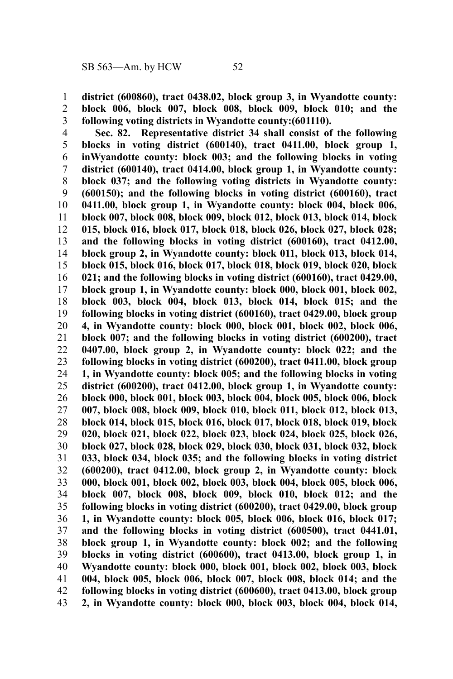**district (600860), tract 0438.02, block group 3, in Wyandotte county: block 006, block 007, block 008, block 009, block 010; and the following voting districts in Wyandotte county:(601110).** 1 2 3

**Sec. 82. Representative district 34 shall consist of the following blocks in voting district (600140), tract 0411.00, block group 1, inWyandotte county: block 003; and the following blocks in voting district (600140), tract 0414.00, block group 1, in Wyandotte county: block 037; and the following voting districts in Wyandotte county: (600150); and the following blocks in voting district (600160), tract 0411.00, block group 1, in Wyandotte county: block 004, block 006, block 007, block 008, block 009, block 012, block 013, block 014, block 015, block 016, block 017, block 018, block 026, block 027, block 028; and the following blocks in voting district (600160), tract 0412.00, block group 2, in Wyandotte county: block 011, block 013, block 014, block 015, block 016, block 017, block 018, block 019, block 020, block 021; and the following blocks in voting district (600160), tract 0429.00, block group 1, in Wyandotte county: block 000, block 001, block 002, block 003, block 004, block 013, block 014, block 015; and the following blocks in voting district (600160), tract 0429.00, block group 4, in Wyandotte county: block 000, block 001, block 002, block 006, block 007; and the following blocks in voting district (600200), tract 0407.00, block group 2, in Wyandotte county: block 022; and the following blocks in voting district (600200), tract 0411.00, block group 1, in Wyandotte county: block 005; and the following blocks in voting district (600200), tract 0412.00, block group 1, in Wyandotte county: block 000, block 001, block 003, block 004, block 005, block 006, block 007, block 008, block 009, block 010, block 011, block 012, block 013, block 014, block 015, block 016, block 017, block 018, block 019, block 020, block 021, block 022, block 023, block 024, block 025, block 026, block 027, block 028, block 029, block 030, block 031, block 032, block 033, block 034, block 035; and the following blocks in voting district (600200), tract 0412.00, block group 2, in Wyandotte county: block 000, block 001, block 002, block 003, block 004, block 005, block 006, block 007, block 008, block 009, block 010, block 012; and the following blocks in voting district (600200), tract 0429.00, block group 1, in Wyandotte county: block 005, block 006, block 016, block 017; and the following blocks in voting district (600500), tract 0441.01, block group 1, in Wyandotte county: block 002; and the following blocks in voting district (600600), tract 0413.00, block group 1, in Wyandotte county: block 000, block 001, block 002, block 003, block 004, block 005, block 006, block 007, block 008, block 014; and the following blocks in voting district (600600), tract 0413.00, block group 2, in Wyandotte county: block 000, block 003, block 004, block 014,** 4 5 6 7 8 9 10 11 12 13 14 15 16 17 18 19 20 21 22 23 24 25 26 27 28 29 30 31 32 33 34 35 36 37 38 39 40 41 42 43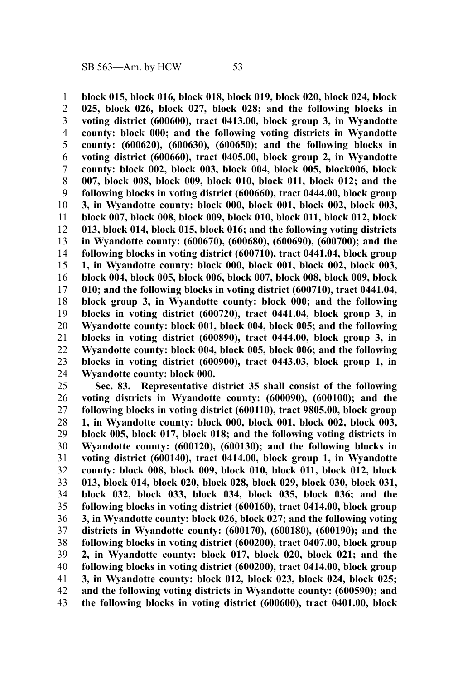**block 015, block 016, block 018, block 019, block 020, block 024, block 025, block 026, block 027, block 028; and the following blocks in voting district (600600), tract 0413.00, block group 3, in Wyandotte county: block 000; and the following voting districts in Wyandotte county: (600620), (600630), (600650); and the following blocks in voting district (600660), tract 0405.00, block group 2, in Wyandotte county: block 002, block 003, block 004, block 005, block006, block 007, block 008, block 009, block 010, block 011, block 012; and the following blocks in voting district (600660), tract 0444.00, block group 3, in Wyandotte county: block 000, block 001, block 002, block 003, block 007, block 008, block 009, block 010, block 011, block 012, block 013, block 014, block 015, block 016; and the following voting districts in Wyandotte county: (600670), (600680), (600690), (600700); and the following blocks in voting district (600710), tract 0441.04, block group 1, in Wyandotte county: block 000, block 001, block 002, block 003, block 004, block 005, block 006, block 007, block 008, block 009, block 010; and the following blocks in voting district (600710), tract 0441.04, block group 3, in Wyandotte county: block 000; and the following blocks in voting district (600720), tract 0441.04, block group 3, in Wyandotte county: block 001, block 004, block 005; and the following blocks in voting district (600890), tract 0444.00, block group 3, in Wyandotte county: block 004, block 005, block 006; and the following blocks in voting district (600900), tract 0443.03, block group 1, in Wyandotte county: block 000.** 1 2 3 4 5 6 7 8 9 10 11 12 13 14 15 16 17 18 19 20 21 22 23 24

**Sec. 83. Representative district 35 shall consist of the following voting districts in Wyandotte county: (600090), (600100); and the following blocks in voting district (600110), tract 9805.00, block group 1, in Wyandotte county: block 000, block 001, block 002, block 003, block 005, block 017, block 018; and the following voting districts in Wyandotte county: (600120), (600130); and the following blocks in voting district (600140), tract 0414.00, block group 1, in Wyandotte county: block 008, block 009, block 010, block 011, block 012, block 013, block 014, block 020, block 028, block 029, block 030, block 031, block 032, block 033, block 034, block 035, block 036; and the following blocks in voting district (600160), tract 0414.00, block group 3, in Wyandotte county: block 026, block 027; and the following voting districts in Wyandotte county: (600170), (600180), (600190); and the following blocks in voting district (600200), tract 0407.00, block group 2, in Wyandotte county: block 017, block 020, block 021; and the following blocks in voting district (600200), tract 0414.00, block group 3, in Wyandotte county: block 012, block 023, block 024, block 025; and the following voting districts in Wyandotte county: (600590); and the following blocks in voting district (600600), tract 0401.00, block** 25 26 27 28 29 30 31 32 33 34 35 36 37 38 39 40 41 42 43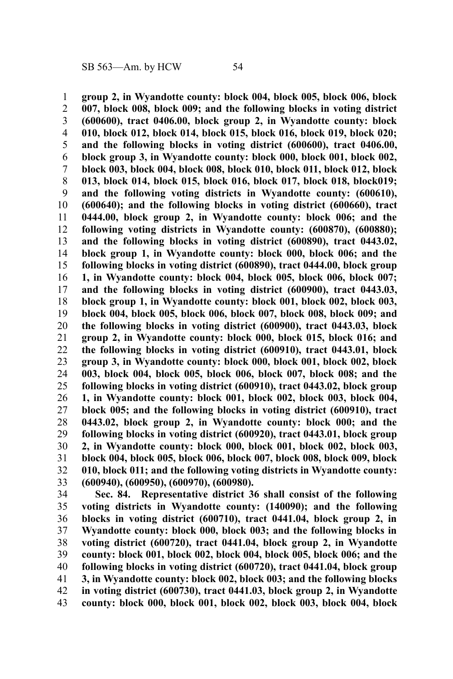**group 2, in Wyandotte county: block 004, block 005, block 006, block 007, block 008, block 009; and the following blocks in voting district (600600), tract 0406.00, block group 2, in Wyandotte county: block 010, block 012, block 014, block 015, block 016, block 019, block 020; and the following blocks in voting district (600600), tract 0406.00, block group 3, in Wyandotte county: block 000, block 001, block 002, block 003, block 004, block 008, block 010, block 011, block 012, block 013, block 014, block 015, block 016, block 017, block 018, block019; and the following voting districts in Wyandotte county: (600610), (600640); and the following blocks in voting district (600660), tract 0444.00, block group 2, in Wyandotte county: block 006; and the following voting districts in Wyandotte county: (600870), (600880); and the following blocks in voting district (600890), tract 0443.02, block group 1, in Wyandotte county: block 000, block 006; and the following blocks in voting district (600890), tract 0444.00, block group 1, in Wyandotte county: block 004, block 005, block 006, block 007; and the following blocks in voting district (600900), tract 0443.03, block group 1, in Wyandotte county: block 001, block 002, block 003, block 004, block 005, block 006, block 007, block 008, block 009; and the following blocks in voting district (600900), tract 0443.03, block group 2, in Wyandotte county: block 000, block 015, block 016; and the following blocks in voting district (600910), tract 0443.01, block group 3, in Wyandotte county: block 000, block 001, block 002, block 003, block 004, block 005, block 006, block 007, block 008; and the following blocks in voting district (600910), tract 0443.02, block group 1, in Wyandotte county: block 001, block 002, block 003, block 004, block 005; and the following blocks in voting district (600910), tract 0443.02, block group 2, in Wyandotte county: block 000; and the following blocks in voting district (600920), tract 0443.01, block group 2, in Wyandotte county: block 000, block 001, block 002, block 003, block 004, block 005, block 006, block 007, block 008, block 009, block 010, block 011; and the following voting districts in Wyandotte county: (600940), (600950), (600970), (600980).** 1 2 3 4 5 6 7 8 9 10 11 12 13 14 15 16 17 18 19 20 21 22 23 24 25 26 27 28 29 30 31 32 33

**Sec. 84. Representative district 36 shall consist of the following voting districts in Wyandotte county: (140090); and the following blocks in voting district (600710), tract 0441.04, block group 2, in Wyandotte county: block 000, block 003; and the following blocks in voting district (600720), tract 0441.04, block group 2, in Wyandotte county: block 001, block 002, block 004, block 005, block 006; and the following blocks in voting district (600720), tract 0441.04, block group 3, in Wyandotte county: block 002, block 003; and the following blocks in voting district (600730), tract 0441.03, block group 2, in Wyandotte county: block 000, block 001, block 002, block 003, block 004, block** 34 35 36 37 38 39 40 41 42 43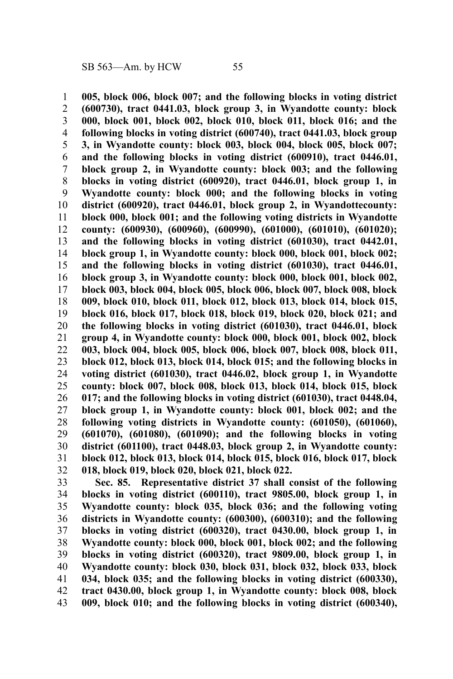**005, block 006, block 007; and the following blocks in voting district (600730), tract 0441.03, block group 3, in Wyandotte county: block 000, block 001, block 002, block 010, block 011, block 016; and the following blocks in voting district (600740), tract 0441.03, block group 3, in Wyandotte county: block 003, block 004, block 005, block 007; and the following blocks in voting district (600910), tract 0446.01, block group 2, in Wyandotte county: block 003; and the following blocks in voting district (600920), tract 0446.01, block group 1, in Wyandotte county: block 000; and the following blocks in voting district (600920), tract 0446.01, block group 2, in Wyandottecounty: block 000, block 001; and the following voting districts in Wyandotte county: (600930), (600960), (600990), (601000), (601010), (601020); and the following blocks in voting district (601030), tract 0442.01, block group 1, in Wyandotte county: block 000, block 001, block 002; and the following blocks in voting district (601030), tract 0446.01, block group 3, in Wyandotte county: block 000, block 001, block 002, block 003, block 004, block 005, block 006, block 007, block 008, block 009, block 010, block 011, block 012, block 013, block 014, block 015, block 016, block 017, block 018, block 019, block 020, block 021; and the following blocks in voting district (601030), tract 0446.01, block group 4, in Wyandotte county: block 000, block 001, block 002, block 003, block 004, block 005, block 006, block 007, block 008, block 011, block 012, block 013, block 014, block 015; and the following blocks in voting district (601030), tract 0446.02, block group 1, in Wyandotte county: block 007, block 008, block 013, block 014, block 015, block 017; and the following blocks in voting district (601030), tract 0448.04, block group 1, in Wyandotte county: block 001, block 002; and the following voting districts in Wyandotte county: (601050), (601060), (601070), (601080), (601090); and the following blocks in voting district (601100), tract 0448.03, block group 2, in Wyandotte county: block 012, block 013, block 014, block 015, block 016, block 017, block 018, block 019, block 020, block 021, block 022.** 1 2 3 4 5 6 7 8 9 10 11 12 13 14 15 16 17 18 19 20 21 22 23 24 25 26 27 28 29 30 31 32

**Sec. 85. Representative district 37 shall consist of the following blocks in voting district (600110), tract 9805.00, block group 1, in Wyandotte county: block 035, block 036; and the following voting districts in Wyandotte county: (600300), (600310); and the following blocks in voting district (600320), tract 0430.00, block group 1, in Wyandotte county: block 000, block 001, block 002; and the following blocks in voting district (600320), tract 9809.00, block group 1, in Wyandotte county: block 030, block 031, block 032, block 033, block 034, block 035; and the following blocks in voting district (600330), tract 0430.00, block group 1, in Wyandotte county: block 008, block 009, block 010; and the following blocks in voting district (600340),** 33 34 35 36 37 38 39 40 41 42 43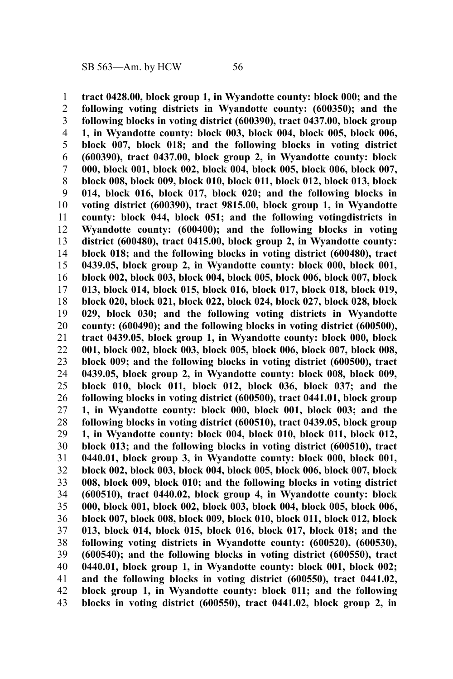**tract 0428.00, block group 1, in Wyandotte county: block 000; and the following voting districts in Wyandotte county: (600350); and the following blocks in voting district (600390), tract 0437.00, block group 1, in Wyandotte county: block 003, block 004, block 005, block 006, block 007, block 018; and the following blocks in voting district (600390), tract 0437.00, block group 2, in Wyandotte county: block 000, block 001, block 002, block 004, block 005, block 006, block 007, block 008, block 009, block 010, block 011, block 012, block 013, block 014, block 016, block 017, block 020; and the following blocks in voting district (600390), tract 9815.00, block group 1, in Wyandotte county: block 044, block 051; and the following votingdistricts in Wyandotte county: (600400); and the following blocks in voting district (600480), tract 0415.00, block group 2, in Wyandotte county: block 018; and the following blocks in voting district (600480), tract 0439.05, block group 2, in Wyandotte county: block 000, block 001, block 002, block 003, block 004, block 005, block 006, block 007, block 013, block 014, block 015, block 016, block 017, block 018, block 019, block 020, block 021, block 022, block 024, block 027, block 028, block 029, block 030; and the following voting districts in Wyandotte county: (600490); and the following blocks in voting district (600500), tract 0439.05, block group 1, in Wyandotte county: block 000, block 001, block 002, block 003, block 005, block 006, block 007, block 008, block 009; and the following blocks in voting district (600500), tract 0439.05, block group 2, in Wyandotte county: block 008, block 009, block 010, block 011, block 012, block 036, block 037; and the following blocks in voting district (600500), tract 0441.01, block group 1, in Wyandotte county: block 000, block 001, block 003; and the following blocks in voting district (600510), tract 0439.05, block group 1, in Wyandotte county: block 004, block 010, block 011, block 012, block 013; and the following blocks in voting district (600510), tract 0440.01, block group 3, in Wyandotte county: block 000, block 001, block 002, block 003, block 004, block 005, block 006, block 007, block 008, block 009, block 010; and the following blocks in voting district (600510), tract 0440.02, block group 4, in Wyandotte county: block 000, block 001, block 002, block 003, block 004, block 005, block 006, block 007, block 008, block 009, block 010, block 011, block 012, block 013, block 014, block 015, block 016, block 017, block 018; and the following voting districts in Wyandotte county: (600520), (600530), (600540); and the following blocks in voting district (600550), tract 0440.01, block group 1, in Wyandotte county: block 001, block 002; and the following blocks in voting district (600550), tract 0441.02, block group 1, in Wyandotte county: block 011; and the following blocks in voting district (600550), tract 0441.02, block group 2, in** 1 2 3 4 5 6 7 8 9 10 11 12 13 14 15 16 17 18 19 20 21 22 23 24 25 26 27 28 29 30 31 32 33 34 35 36 37 38 39 40 41 42 43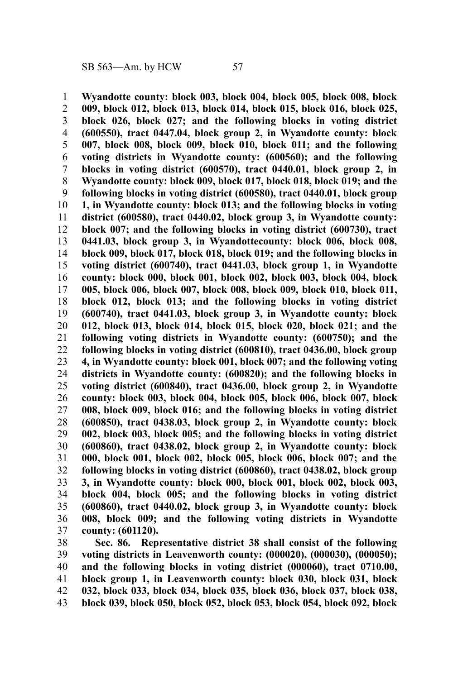**Wyandotte county: block 003, block 004, block 005, block 008, block 009, block 012, block 013, block 014, block 015, block 016, block 025, block 026, block 027; and the following blocks in voting district (600550), tract 0447.04, block group 2, in Wyandotte county: block 007, block 008, block 009, block 010, block 011; and the following voting districts in Wyandotte county: (600560); and the following blocks in voting district (600570), tract 0440.01, block group 2, in Wyandotte county: block 009, block 017, block 018, block 019; and the following blocks in voting district (600580), tract 0440.01, block group 1, in Wyandotte county: block 013; and the following blocks in voting district (600580), tract 0440.02, block group 3, in Wyandotte county: block 007; and the following blocks in voting district (600730), tract 0441.03, block group 3, in Wyandottecounty: block 006, block 008, block 009, block 017, block 018, block 019; and the following blocks in voting district (600740), tract 0441.03, block group 1, in Wyandotte county: block 000, block 001, block 002, block 003, block 004, block 005, block 006, block 007, block 008, block 009, block 010, block 011, block 012, block 013; and the following blocks in voting district (600740), tract 0441.03, block group 3, in Wyandotte county: block 012, block 013, block 014, block 015, block 020, block 021; and the following voting districts in Wyandotte county: (600750); and the following blocks in voting district (600810), tract 0436.00, block group 4, in Wyandotte county: block 001, block 007; and the following voting districts in Wyandotte county: (600820); and the following blocks in voting district (600840), tract 0436.00, block group 2, in Wyandotte county: block 003, block 004, block 005, block 006, block 007, block 008, block 009, block 016; and the following blocks in voting district (600850), tract 0438.03, block group 2, in Wyandotte county: block 002, block 003, block 005; and the following blocks in voting district (600860), tract 0438.02, block group 2, in Wyandotte county: block 000, block 001, block 002, block 005, block 006, block 007; and the following blocks in voting district (600860), tract 0438.02, block group 3, in Wyandotte county: block 000, block 001, block 002, block 003, block 004, block 005; and the following blocks in voting district (600860), tract 0440.02, block group 3, in Wyandotte county: block 008, block 009; and the following voting districts in Wyandotte county: (601120).** 1 2 3 4 5 6 7 8 9 10 11 12 13 14 15 16 17 18 19 20 21 22 23 24 25 26 27 28 29 30 31 32 33 34 35 36 37

**Sec. 86. Representative district 38 shall consist of the following voting districts in Leavenworth county: (000020), (000030), (000050); and the following blocks in voting district (000060), tract 0710.00, block group 1, in Leavenworth county: block 030, block 031, block 032, block 033, block 034, block 035, block 036, block 037, block 038, block 039, block 050, block 052, block 053, block 054, block 092, block** 38 39 40 41 42 43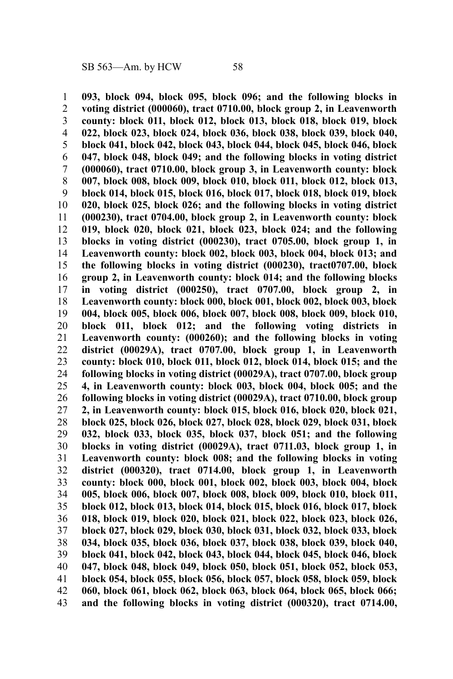**093, block 094, block 095, block 096; and the following blocks in voting district (000060), tract 0710.00, block group 2, in Leavenworth county: block 011, block 012, block 013, block 018, block 019, block 022, block 023, block 024, block 036, block 038, block 039, block 040, block 041, block 042, block 043, block 044, block 045, block 046, block 047, block 048, block 049; and the following blocks in voting district (000060), tract 0710.00, block group 3, in Leavenworth county: block 007, block 008, block 009, block 010, block 011, block 012, block 013, block 014, block 015, block 016, block 017, block 018, block 019, block 020, block 025, block 026; and the following blocks in voting district (000230), tract 0704.00, block group 2, in Leavenworth county: block 019, block 020, block 021, block 023, block 024; and the following blocks in voting district (000230), tract 0705.00, block group 1, in Leavenworth county: block 002, block 003, block 004, block 013; and the following blocks in voting district (000230), tract0707.00, block group 2, in Leavenworth county: block 014; and the following blocks in voting district (000250), tract 0707.00, block group 2, in Leavenworth county: block 000, block 001, block 002, block 003, block 004, block 005, block 006, block 007, block 008, block 009, block 010, block 011, block 012; and the following voting districts in Leavenworth county: (000260); and the following blocks in voting district (00029A), tract 0707.00, block group 1, in Leavenworth county: block 010, block 011, block 012, block 014, block 015; and the following blocks in voting district (00029A), tract 0707.00, block group 4, in Leavenworth county: block 003, block 004, block 005; and the following blocks in voting district (00029A), tract 0710.00, block group 2, in Leavenworth county: block 015, block 016, block 020, block 021, block 025, block 026, block 027, block 028, block 029, block 031, block 032, block 033, block 035, block 037, block 051; and the following blocks in voting district (00029A), tract 0711.03, block group 1, in Leavenworth county: block 008; and the following blocks in voting district (000320), tract 0714.00, block group 1, in Leavenworth county: block 000, block 001, block 002, block 003, block 004, block 005, block 006, block 007, block 008, block 009, block 010, block 011, block 012, block 013, block 014, block 015, block 016, block 017, block 018, block 019, block 020, block 021, block 022, block 023, block 026, block 027, block 029, block 030, block 031, block 032, block 033, block 034, block 035, block 036, block 037, block 038, block 039, block 040, block 041, block 042, block 043, block 044, block 045, block 046, block 047, block 048, block 049, block 050, block 051, block 052, block 053, block 054, block 055, block 056, block 057, block 058, block 059, block 060, block 061, block 062, block 063, block 064, block 065, block 066; and the following blocks in voting district (000320), tract 0714.00,** 1 2 3 4 5 6 7 8 9 10 11 12 13 14 15 16 17 18 19 20 21 22 23 24 25 26 27 28 29 30 31 32 33 34 35 36 37 38 39 40 41 42 43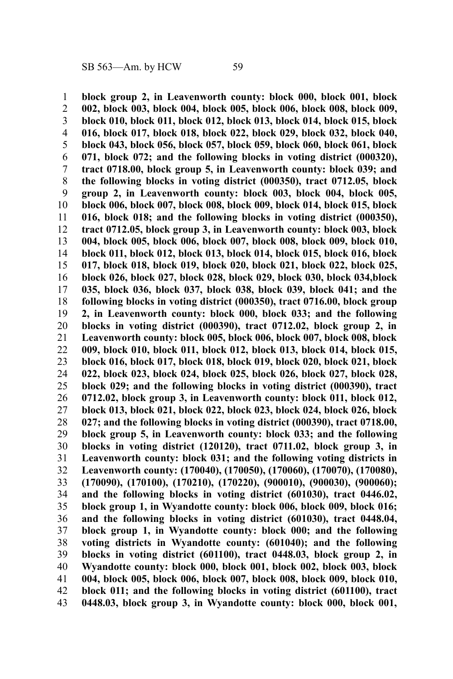**block group 2, in Leavenworth county: block 000, block 001, block 002, block 003, block 004, block 005, block 006, block 008, block 009, block 010, block 011, block 012, block 013, block 014, block 015, block 016, block 017, block 018, block 022, block 029, block 032, block 040, block 043, block 056, block 057, block 059, block 060, block 061, block 071, block 072; and the following blocks in voting district (000320), tract 0718.00, block group 5, in Leavenworth county: block 039; and the following blocks in voting district (000350), tract 0712.05, block group 2, in Leavenworth county: block 003, block 004, block 005, block 006, block 007, block 008, block 009, block 014, block 015, block 016, block 018; and the following blocks in voting district (000350), tract 0712.05, block group 3, in Leavenworth county: block 003, block 004, block 005, block 006, block 007, block 008, block 009, block 010, block 011, block 012, block 013, block 014, block 015, block 016, block 017, block 018, block 019, block 020, block 021, block 022, block 025, block 026, block 027, block 028, block 029, block 030, block 034,block 035, block 036, block 037, block 038, block 039, block 041; and the following blocks in voting district (000350), tract 0716.00, block group 2, in Leavenworth county: block 000, block 033; and the following blocks in voting district (000390), tract 0712.02, block group 2, in Leavenworth county: block 005, block 006, block 007, block 008, block 009, block 010, block 011, block 012, block 013, block 014, block 015, block 016, block 017, block 018, block 019, block 020, block 021, block 022, block 023, block 024, block 025, block 026, block 027, block 028, block 029; and the following blocks in voting district (000390), tract 0712.02, block group 3, in Leavenworth county: block 011, block 012, block 013, block 021, block 022, block 023, block 024, block 026, block 027; and the following blocks in voting district (000390), tract 0718.00, block group 5, in Leavenworth county: block 033; and the following blocks in voting district (120120), tract 0711.02, block group 3, in Leavenworth county: block 031; and the following voting districts in Leavenworth county: (170040), (170050), (170060), (170070), (170080), (170090), (170100), (170210), (170220), (900010), (900030), (900060); and the following blocks in voting district (601030), tract 0446.02, block group 1, in Wyandotte county: block 006, block 009, block 016; and the following blocks in voting district (601030), tract 0448.04, block group 1, in Wyandotte county: block 000; and the following voting districts in Wyandotte county: (601040); and the following blocks in voting district (601100), tract 0448.03, block group 2, in Wyandotte county: block 000, block 001, block 002, block 003, block 004, block 005, block 006, block 007, block 008, block 009, block 010, block 011; and the following blocks in voting district (601100), tract 0448.03, block group 3, in Wyandotte county: block 000, block 001,** 1 2 3 4 5 6 7 8 9 10 11 12 13 14 15 16 17 18 19 20 21 22 23 24 25 26 27 28 29 30 31 32 33 34 35 36 37 38 39 40 41 42 43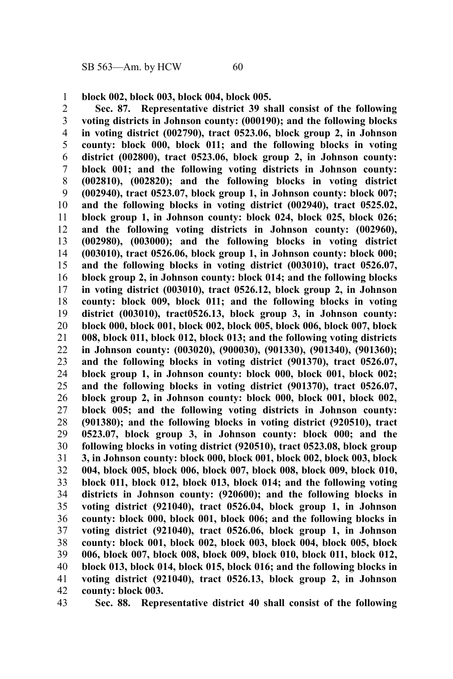**block 002, block 003, block 004, block 005.** 1

**Sec. 87. Representative district 39 shall consist of the following voting districts in Johnson county: (000190); and the following blocks in voting district (002790), tract 0523.06, block group 2, in Johnson county: block 000, block 011; and the following blocks in voting district (002800), tract 0523.06, block group 2, in Johnson county: block 001; and the following voting districts in Johnson county: (002810), (002820); and the following blocks in voting district (002940), tract 0523.07, block group 1, in Johnson county: block 007; and the following blocks in voting district (002940), tract 0525.02, block group 1, in Johnson county: block 024, block 025, block 026; and the following voting districts in Johnson county: (002960), (002980), (003000); and the following blocks in voting district (003010), tract 0526.06, block group 1, in Johnson county: block 000; and the following blocks in voting district (003010), tract 0526.07, block group 2, in Johnson county: block 014; and the following blocks in voting district (003010), tract 0526.12, block group 2, in Johnson county: block 009, block 011; and the following blocks in voting district (003010), tract0526.13, block group 3, in Johnson county: block 000, block 001, block 002, block 005, block 006, block 007, block 008, block 011, block 012, block 013; and the following voting districts in Johnson county: (003020), (900030), (901330), (901340), (901360); and the following blocks in voting district (901370), tract 0526.07, block group 1, in Johnson county: block 000, block 001, block 002; and the following blocks in voting district (901370), tract 0526.07, block group 2, in Johnson county: block 000, block 001, block 002, block 005; and the following voting districts in Johnson county: (901380); and the following blocks in voting district (920510), tract 0523.07, block group 3, in Johnson county: block 000; and the following blocks in voting district (920510), tract 0523.08, block group 3, in Johnson county: block 000, block 001, block 002, block 003, block 004, block 005, block 006, block 007, block 008, block 009, block 010, block 011, block 012, block 013, block 014; and the following voting districts in Johnson county: (920600); and the following blocks in voting district (921040), tract 0526.04, block group 1, in Johnson county: block 000, block 001, block 006; and the following blocks in voting district (921040), tract 0526.06, block group 1, in Johnson county: block 001, block 002, block 003, block 004, block 005, block 006, block 007, block 008, block 009, block 010, block 011, block 012, block 013, block 014, block 015, block 016; and the following blocks in voting district (921040), tract 0526.13, block group 2, in Johnson county: block 003.** 2 3 4 5 6 7 8 9 10 11 12 13 14 15 16 17 18 19 20 21 22 23 24 25 26 27 28 29 30 31 32 33 34 35 36 37 38 39 40 41 42

**Sec. 88. Representative district 40 shall consist of the following** 43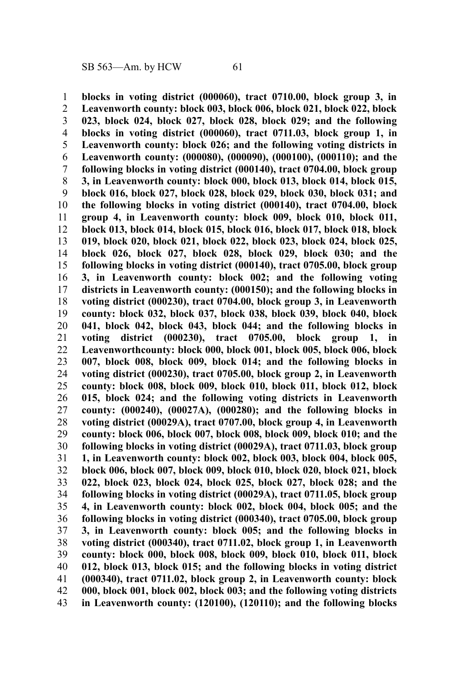**blocks in voting district (000060), tract 0710.00, block group 3, in Leavenworth county: block 003, block 006, block 021, block 022, block 023, block 024, block 027, block 028, block 029; and the following blocks in voting district (000060), tract 0711.03, block group 1, in Leavenworth county: block 026; and the following voting districts in Leavenworth county: (000080), (000090), (000100), (000110); and the following blocks in voting district (000140), tract 0704.00, block group 3, in Leavenworth county: block 000, block 013, block 014, block 015, block 016, block 027, block 028, block 029, block 030, block 031; and the following blocks in voting district (000140), tract 0704.00, block group 4, in Leavenworth county: block 009, block 010, block 011, block 013, block 014, block 015, block 016, block 017, block 018, block 019, block 020, block 021, block 022, block 023, block 024, block 025, block 026, block 027, block 028, block 029, block 030; and the following blocks in voting district (000140), tract 0705.00, block group 3, in Leavenworth county: block 002; and the following voting districts in Leavenworth county: (000150); and the following blocks in voting district (000230), tract 0704.00, block group 3, in Leavenworth county: block 032, block 037, block 038, block 039, block 040, block 041, block 042, block 043, block 044; and the following blocks in voting district (000230), tract 0705.00, block group 1, in Leavenworthcounty: block 000, block 001, block 005, block 006, block 007, block 008, block 009, block 014; and the following blocks in voting district (000230), tract 0705.00, block group 2, in Leavenworth county: block 008, block 009, block 010, block 011, block 012, block 015, block 024; and the following voting districts in Leavenworth county: (000240), (00027A), (000280); and the following blocks in voting district (00029A), tract 0707.00, block group 4, in Leavenworth county: block 006, block 007, block 008, block 009, block 010; and the following blocks in voting district (00029A), tract 0711.03, block group 1, in Leavenworth county: block 002, block 003, block 004, block 005, block 006, block 007, block 009, block 010, block 020, block 021, block 022, block 023, block 024, block 025, block 027, block 028; and the following blocks in voting district (00029A), tract 0711.05, block group 4, in Leavenworth county: block 002, block 004, block 005; and the following blocks in voting district (000340), tract 0705.00, block group 3, in Leavenworth county: block 005; and the following blocks in voting district (000340), tract 0711.02, block group 1, in Leavenworth county: block 000, block 008, block 009, block 010, block 011, block 012, block 013, block 015; and the following blocks in voting district (000340), tract 0711.02, block group 2, in Leavenworth county: block 000, block 001, block 002, block 003; and the following voting districts in Leavenworth county: (120100), (120110); and the following blocks** 1 2 3 4 5 6 7 8 9 10 11 12 13 14 15 16 17 18 19 20 21 22 23 24 25 26 27 28 29 30 31 32 33 34 35 36 37 38 39 40 41 42 43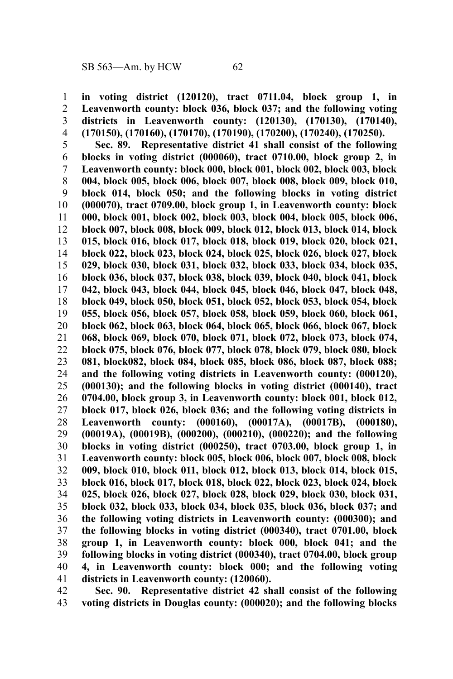**in voting district (120120), tract 0711.04, block group 1, in Leavenworth county: block 036, block 037; and the following voting districts in Leavenworth county: (120130), (170130), (170140), (170150), (170160), (170170), (170190), (170200), (170240), (170250).** 1 2 3 4

**Sec. 89. Representative district 41 shall consist of the following blocks in voting district (000060), tract 0710.00, block group 2, in Leavenworth county: block 000, block 001, block 002, block 003, block 004, block 005, block 006, block 007, block 008, block 009, block 010, block 014, block 050; and the following blocks in voting district (000070), tract 0709.00, block group 1, in Leavenworth county: block 000, block 001, block 002, block 003, block 004, block 005, block 006, block 007, block 008, block 009, block 012, block 013, block 014, block 015, block 016, block 017, block 018, block 019, block 020, block 021, block 022, block 023, block 024, block 025, block 026, block 027, block 029, block 030, block 031, block 032, block 033, block 034, block 035, block 036, block 037, block 038, block 039, block 040, block 041, block 042, block 043, block 044, block 045, block 046, block 047, block 048, block 049, block 050, block 051, block 052, block 053, block 054, block 055, block 056, block 057, block 058, block 059, block 060, block 061, block 062, block 063, block 064, block 065, block 066, block 067, block 068, block 069, block 070, block 071, block 072, block 073, block 074, block 075, block 076, block 077, block 078, block 079, block 080, block 081, block082, block 084, block 085, block 086, block 087, block 088; and the following voting districts in Leavenworth county: (000120), (000130); and the following blocks in voting district (000140), tract 0704.00, block group 3, in Leavenworth county: block 001, block 012, block 017, block 026, block 036; and the following voting districts in Leavenworth county: (000160), (00017A), (00017B), (000180), (00019A), (00019B), (000200), (000210), (000220); and the following blocks in voting district (000250), tract 0703.00, block group 1, in Leavenworth county: block 005, block 006, block 007, block 008, block 009, block 010, block 011, block 012, block 013, block 014, block 015, block 016, block 017, block 018, block 022, block 023, block 024, block 025, block 026, block 027, block 028, block 029, block 030, block 031, block 032, block 033, block 034, block 035, block 036, block 037; and the following voting districts in Leavenworth county: (000300); and the following blocks in voting district (000340), tract 0701.00, block group 1, in Leavenworth county: block 000, block 041; and the following blocks in voting district (000340), tract 0704.00, block group 4, in Leavenworth county: block 000; and the following voting districts in Leavenworth county: (120060).** 5 6 7 8 9 10 11 12 13 14 15 16 17 18 19 20 21 22 23 24 25 26 27 28 29 30 31 32 33 34 35 36 37 38 39 40 41

**Sec. 90. Representative district 42 shall consist of the following voting districts in Douglas county: (000020); and the following blocks** 42 43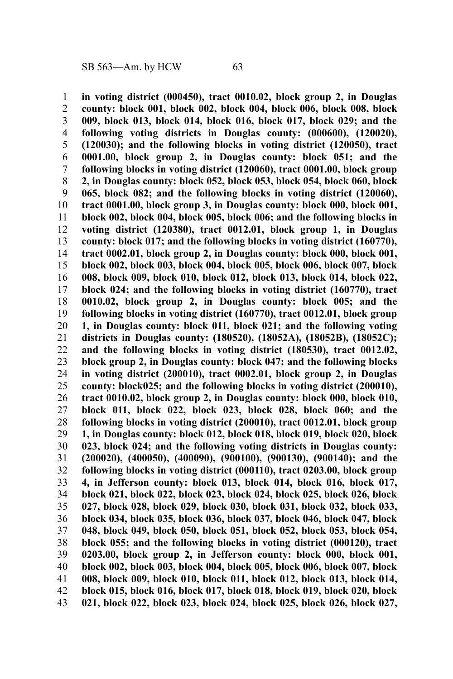**in voting district (000450), tract 0010.02, block group 2, in Douglas county: block 001, block 002, block 004, block 006, block 008, block 009, block 013, block 014, block 016, block 017, block 029; and the following voting districts in Douglas county: (000600), (120020), (120030); and the following blocks in voting district (120050), tract 0001.00, block group 2, in Douglas county: block 051; and the following blocks in voting district (120060), tract 0001.00, block group 2, in Douglas county: block 052, block 053, block 054, block 060, block 065, block 082; and the following blocks in voting district (120060), tract 0001.00, block group 3, in Douglas county: block 000, block 001, block 002, block 004, block 005, block 006; and the following blocks in voting district (120380), tract 0012.01, block group 1, in Douglas county: block 017; and the following blocks in voting district (160770), tract 0002.01, block group 2, in Douglas county: block 000, block 001, block 002, block 003, block 004, block 005, block 006, block 007, block 008, block 009, block 010, block 012, block 013, block 014, block 022, block 024; and the following blocks in voting district (160770), tract 0010.02, block group 2, in Douglas county: block 005; and the following blocks in voting district (160770), tract 0012.01, block group 1, in Douglas county: block 011, block 021; and the following voting districts in Douglas county: (180520), (18052A), (18052B), (18052C); and the following blocks in voting district (180530), tract 0012.02, block group 2, in Douglas county: block 047; and the following blocks in voting district (200010), tract 0002.01, block group 2, in Douglas county: block025; and the following blocks in voting district (200010), tract 0010.02, block group 2, in Douglas county: block 000, block 010, block 011, block 022, block 023, block 028, block 060; and the following blocks in voting district (200010), tract 0012.01, block group 1, in Douglas county: block 012, block 018, block 019, block 020, block 023, block 024; and the following voting districts in Douglas county: (200020), (400050), (400090), (900100), (900130), (900140); and the following blocks in voting district (000110), tract 0203.00, block group 4, in Jefferson county: block 013, block 014, block 016, block 017, block 021, block 022, block 023, block 024, block 025, block 026, block 027, block 028, block 029, block 030, block 031, block 032, block 033, block 034, block 035, block 036, block 037, block 046, block 047, block 048, block 049, block 050, block 051, block 052, block 053, block 054, block 055; and the following blocks in voting district (000120), tract 0203.00, block group 2, in Jefferson county: block 000, block 001, block 002, block 003, block 004, block 005, block 006, block 007, block 008, block 009, block 010, block 011, block 012, block 013, block 014, block 015, block 016, block 017, block 018, block 019, block 020, block 021, block 022, block 023, block 024, block 025, block 026, block 027,** 1 2 3 4 5 6 7 8 9 10 11 12 13 14 15 16 17 18 19 20 21 22 23 24 25 26 27 28 29 30 31 32 33 34 35 36 37 38 39 40 41 42 43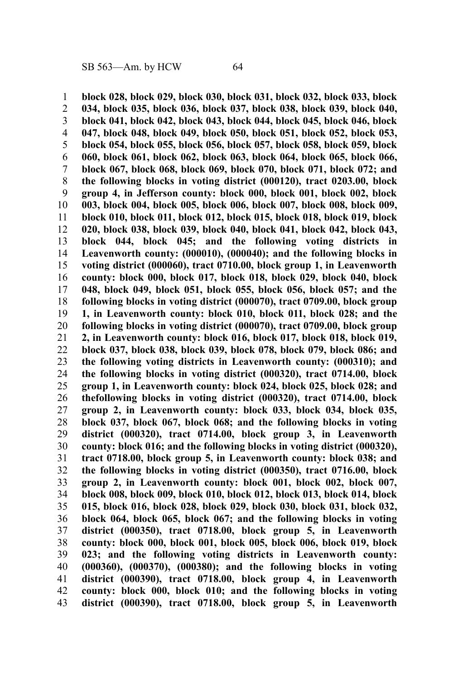**block 028, block 029, block 030, block 031, block 032, block 033, block 034, block 035, block 036, block 037, block 038, block 039, block 040, block 041, block 042, block 043, block 044, block 045, block 046, block 047, block 048, block 049, block 050, block 051, block 052, block 053, block 054, block 055, block 056, block 057, block 058, block 059, block 060, block 061, block 062, block 063, block 064, block 065, block 066, block 067, block 068, block 069, block 070, block 071, block 072; and the following blocks in voting district (000120), tract 0203.00, block group 4, in Jefferson county: block 000, block 001, block 002, block 003, block 004, block 005, block 006, block 007, block 008, block 009, block 010, block 011, block 012, block 015, block 018, block 019, block 020, block 038, block 039, block 040, block 041, block 042, block 043, block 044, block 045; and the following voting districts in Leavenworth county: (000010), (000040); and the following blocks in voting district (000060), tract 0710.00, block group 1, in Leavenworth county: block 000, block 017, block 018, block 029, block 040, block 048, block 049, block 051, block 055, block 056, block 057; and the following blocks in voting district (000070), tract 0709.00, block group 1, in Leavenworth county: block 010, block 011, block 028; and the following blocks in voting district (000070), tract 0709.00, block group 2, in Leavenworth county: block 016, block 017, block 018, block 019, block 037, block 038, block 039, block 078, block 079, block 086; and the following voting districts in Leavenworth county: (000310); and the following blocks in voting district (000320), tract 0714.00, block group 1, in Leavenworth county: block 024, block 025, block 028; and thefollowing blocks in voting district (000320), tract 0714.00, block group 2, in Leavenworth county: block 033, block 034, block 035, block 037, block 067, block 068; and the following blocks in voting district (000320), tract 0714.00, block group 3, in Leavenworth county: block 016; and the following blocks in voting district (000320), tract 0718.00, block group 5, in Leavenworth county: block 038; and the following blocks in voting district (000350), tract 0716.00, block group 2, in Leavenworth county: block 001, block 002, block 007, block 008, block 009, block 010, block 012, block 013, block 014, block 015, block 016, block 028, block 029, block 030, block 031, block 032, block 064, block 065, block 067; and the following blocks in voting district (000350), tract 0718.00, block group 5, in Leavenworth county: block 000, block 001, block 005, block 006, block 019, block 023; and the following voting districts in Leavenworth county: (000360), (000370), (000380); and the following blocks in voting district (000390), tract 0718.00, block group 4, in Leavenworth county: block 000, block 010; and the following blocks in voting district (000390), tract 0718.00, block group 5, in Leavenworth** 1 2 3 4 5 6 7 8 9 10 11 12 13 14 15 16 17 18 19 20 21 22 23 24 25 26 27 28 29 30 31 32 33 34 35 36 37 38 39 40 41 42 43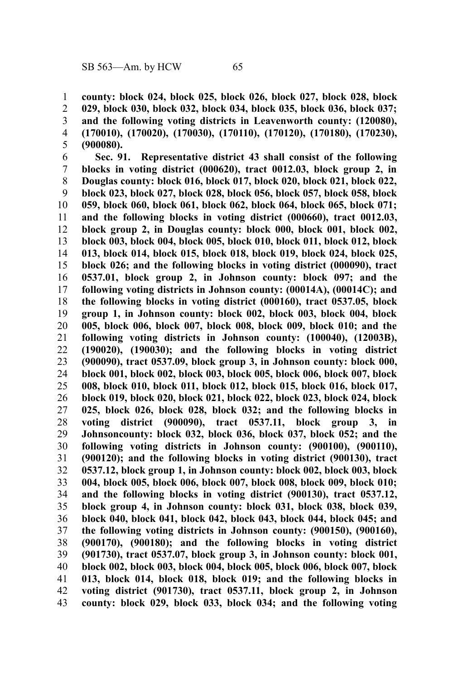**county: block 024, block 025, block 026, block 027, block 028, block 029, block 030, block 032, block 034, block 035, block 036, block 037;** 1 2

**and the following voting districts in Leavenworth county: (120080), (170010), (170020), (170030), (170110), (170120), (170180), (170230), (900080).** 3 4 5

**Sec. 91. Representative district 43 shall consist of the following blocks in voting district (000620), tract 0012.03, block group 2, in Douglas county: block 016, block 017, block 020, block 021, block 022, block 023, block 027, block 028, block 056, block 057, block 058, block 059, block 060, block 061, block 062, block 064, block 065, block 071; and the following blocks in voting district (000660), tract 0012.03, block group 2, in Douglas county: block 000, block 001, block 002, block 003, block 004, block 005, block 010, block 011, block 012, block 013, block 014, block 015, block 018, block 019, block 024, block 025, block 026; and the following blocks in voting district (000090), tract 0537.01, block group 2, in Johnson county: block 097; and the following voting districts in Johnson county: (00014A), (00014C); and the following blocks in voting district (000160), tract 0537.05, block group 1, in Johnson county: block 002, block 003, block 004, block 005, block 006, block 007, block 008, block 009, block 010; and the following voting districts in Johnson county: (100040), (12003B), (190020), (190030); and the following blocks in voting district (900090), tract 0537.09, block group 3, in Johnson county: block 000, block 001, block 002, block 003, block 005, block 006, block 007, block 008, block 010, block 011, block 012, block 015, block 016, block 017, block 019, block 020, block 021, block 022, block 023, block 024, block 025, block 026, block 028, block 032; and the following blocks in voting district (900090), tract 0537.11, block group 3, in Johnsoncounty: block 032, block 036, block 037, block 052; and the following voting districts in Johnson county: (900100), (900110), (900120); and the following blocks in voting district (900130), tract 0537.12, block group 1, in Johnson county: block 002, block 003, block 004, block 005, block 006, block 007, block 008, block 009, block 010; and the following blocks in voting district (900130), tract 0537.12, block group 4, in Johnson county: block 031, block 038, block 039, block 040, block 041, block 042, block 043, block 044, block 045; and the following voting districts in Johnson county: (900150), (900160), (900170), (900180); and the following blocks in voting district (901730), tract 0537.07, block group 3, in Johnson county: block 001, block 002, block 003, block 004, block 005, block 006, block 007, block 013, block 014, block 018, block 019; and the following blocks in voting district (901730), tract 0537.11, block group 2, in Johnson county: block 029, block 033, block 034; and the following voting** 6 7 8 9 10 11 12 13 14 15 16 17 18 19 20 21 22 23 24 25 26 27 28 29 30 31 32 33 34 35 36 37 38 39 40 41 42 43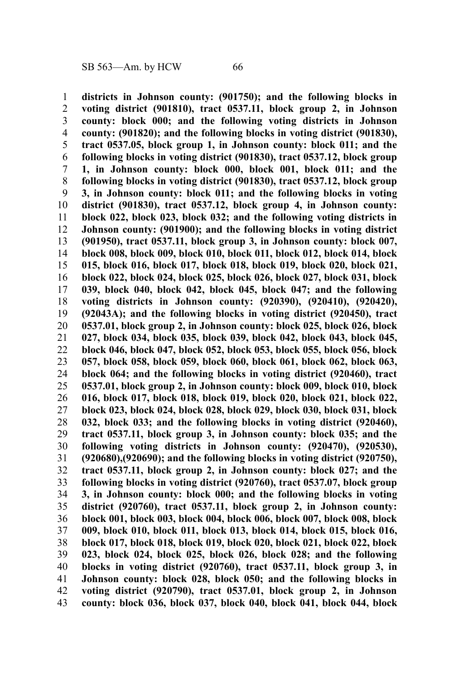**districts in Johnson county: (901750); and the following blocks in voting district (901810), tract 0537.11, block group 2, in Johnson county: block 000; and the following voting districts in Johnson county: (901820); and the following blocks in voting district (901830), tract 0537.05, block group 1, in Johnson county: block 011; and the following blocks in voting district (901830), tract 0537.12, block group 1, in Johnson county: block 000, block 001, block 011; and the following blocks in voting district (901830), tract 0537.12, block group 3, in Johnson county: block 011; and the following blocks in voting district (901830), tract 0537.12, block group 4, in Johnson county: block 022, block 023, block 032; and the following voting districts in Johnson county: (901900); and the following blocks in voting district (901950), tract 0537.11, block group 3, in Johnson county: block 007, block 008, block 009, block 010, block 011, block 012, block 014, block 015, block 016, block 017, block 018, block 019, block 020, block 021, block 022, block 024, block 025, block 026, block 027, block 031, block 039, block 040, block 042, block 045, block 047; and the following voting districts in Johnson county: (920390), (920410), (920420), (92043A); and the following blocks in voting district (920450), tract 0537.01, block group 2, in Johnson county: block 025, block 026, block 027, block 034, block 035, block 039, block 042, block 043, block 045, block 046, block 047, block 052, block 053, block 055, block 056, block 057, block 058, block 059, block 060, block 061, block 062, block 063, block 064; and the following blocks in voting district (920460), tract 0537.01, block group 2, in Johnson county: block 009, block 010, block 016, block 017, block 018, block 019, block 020, block 021, block 022, block 023, block 024, block 028, block 029, block 030, block 031, block 032, block 033; and the following blocks in voting district (920460), tract 0537.11, block group 3, in Johnson county: block 035; and the following voting districts in Johnson county: (920470), (920530), (920680),(920690); and the following blocks in voting district (920750), tract 0537.11, block group 2, in Johnson county: block 027; and the following blocks in voting district (920760), tract 0537.07, block group 3, in Johnson county: block 000; and the following blocks in voting district (920760), tract 0537.11, block group 2, in Johnson county: block 001, block 003, block 004, block 006, block 007, block 008, block 009, block 010, block 011, block 013, block 014, block 015, block 016, block 017, block 018, block 019, block 020, block 021, block 022, block 023, block 024, block 025, block 026, block 028; and the following blocks in voting district (920760), tract 0537.11, block group 3, in Johnson county: block 028, block 050; and the following blocks in voting district (920790), tract 0537.01, block group 2, in Johnson county: block 036, block 037, block 040, block 041, block 044, block** 1 2 3 4 5 6 7 8 9 10 11 12 13 14 15 16 17 18 19 20 21 22 23 24 25 26 27 28 29 30 31 32 33 34 35 36 37 38 39 40 41 42 43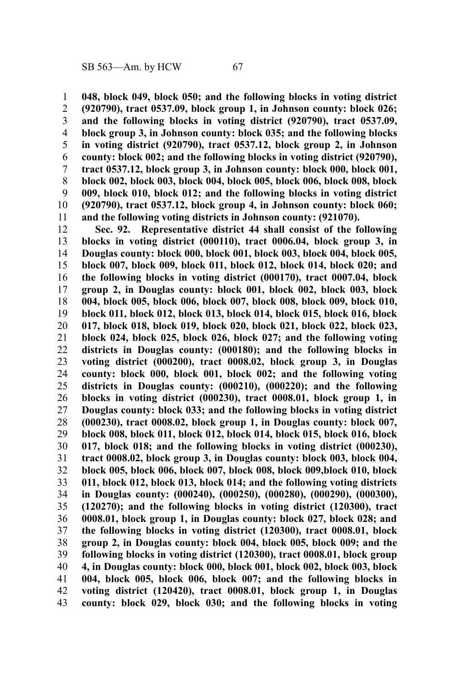**048, block 049, block 050; and the following blocks in voting district (920790), tract 0537.09, block group 1, in Johnson county: block 026; and the following blocks in voting district (920790), tract 0537.09, block group 3, in Johnson county: block 035; and the following blocks in voting district (920790), tract 0537.12, block group 2, in Johnson county: block 002; and the following blocks in voting district (920790), tract 0537.12, block group 3, in Johnson county: block 000, block 001, block 002, block 003, block 004, block 005, block 006, block 008, block 009, block 010, block 012; and the following blocks in voting district (920790), tract 0537.12, block group 4, in Johnson county: block 060; and the following voting districts in Johnson county: (921070).** 1 2 3 4 5 6 7 8 9 10 11

**Sec. 92. Representative district 44 shall consist of the following blocks in voting district (000110), tract 0006.04, block group 3, in Douglas county: block 000, block 001, block 003, block 004, block 005, block 007, block 009, block 011, block 012, block 014, block 020; and the following blocks in voting district (000170), tract 0007.04, block group 2, in Douglas county: block 001, block 002, block 003, block 004, block 005, block 006, block 007, block 008, block 009, block 010, block 011, block 012, block 013, block 014, block 015, block 016, block 017, block 018, block 019, block 020, block 021, block 022, block 023, block 024, block 025, block 026, block 027; and the following voting districts in Douglas county: (000180); and the following blocks in voting district (000200), tract 0008.02, block group 3, in Douglas county: block 000, block 001, block 002; and the following voting districts in Douglas county: (000210), (000220); and the following blocks in voting district (000230), tract 0008.01, block group 1, in Douglas county: block 033; and the following blocks in voting district (000230), tract 0008.02, block group 1, in Douglas county: block 007, block 008, block 011, block 012, block 014, block 015, block 016, block 017, block 018; and the following blocks in voting district (000230), tract 0008.02, block group 3, in Douglas county: block 003, block 004, block 005, block 006, block 007, block 008, block 009,block 010, block 011, block 012, block 013, block 014; and the following voting districts in Douglas county: (000240), (000250), (000280), (000290), (000300), (120270); and the following blocks in voting district (120300), tract 0008.01, block group 1, in Douglas county: block 027, block 028; and the following blocks in voting district (120300), tract 0008.01, block group 2, in Douglas county: block 004, block 005, block 009; and the following blocks in voting district (120300), tract 0008.01, block group 4, in Douglas county: block 000, block 001, block 002, block 003, block 004, block 005, block 006, block 007; and the following blocks in voting district (120420), tract 0008.01, block group 1, in Douglas county: block 029, block 030; and the following blocks in voting** 12 13 14 15 16 17 18 19 20 21 22 23 24 25 26 27 28 29 30 31 32 33 34 35 36 37 38 39 40 41 42 43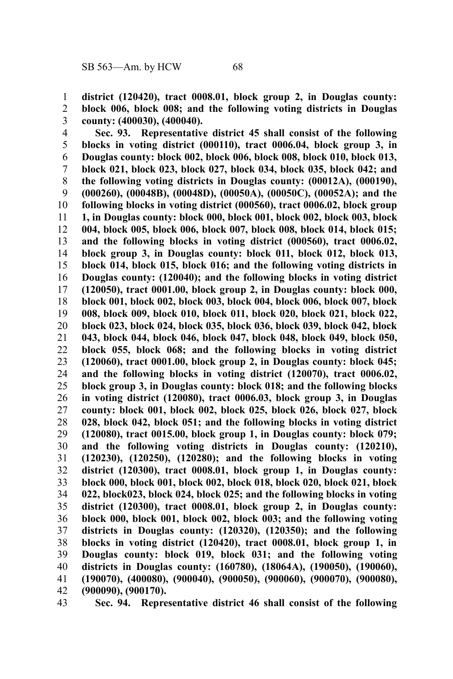**district (120420), tract 0008.01, block group 2, in Douglas county: block 006, block 008; and the following voting districts in Douglas county: (400030), (400040).** 1 2 3

**Sec. 93. Representative district 45 shall consist of the following blocks in voting district (000110), tract 0006.04, block group 3, in Douglas county: block 002, block 006, block 008, block 010, block 013, block 021, block 023, block 027, block 034, block 035, block 042; and the following voting districts in Douglas county: (00012A), (000190), (000260), (00048B), (00048D), (00050A), (00050C), (00052A); and the following blocks in voting district (000560), tract 0006.02, block group 1, in Douglas county: block 000, block 001, block 002, block 003, block 004, block 005, block 006, block 007, block 008, block 014, block 015; and the following blocks in voting district (000560), tract 0006.02, block group 3, in Douglas county: block 011, block 012, block 013, block 014, block 015, block 016; and the following voting districts in Douglas county: (120040); and the following blocks in voting district (120050), tract 0001.00, block group 2, in Douglas county: block 000, block 001, block 002, block 003, block 004, block 006, block 007, block 008, block 009, block 010, block 011, block 020, block 021, block 022, block 023, block 024, block 035, block 036, block 039, block 042, block 043, block 044, block 046, block 047, block 048, block 049, block 050, block 055, block 068; and the following blocks in voting district (120060), tract 0001.00, block group 2, in Douglas county: block 045; and the following blocks in voting district (120070), tract 0006.02, block group 3, in Douglas county: block 018; and the following blocks in voting district (120080), tract 0006.03, block group 3, in Douglas county: block 001, block 002, block 025, block 026, block 027, block 028, block 042, block 051; and the following blocks in voting district (120080), tract 0015.00, block group 1, in Douglas county: block 079; and the following voting districts in Douglas county: (120210), (120230), (120250), (120280); and the following blocks in voting district (120300), tract 0008.01, block group 1, in Douglas county: block 000, block 001, block 002, block 018, block 020, block 021, block 022, block023, block 024, block 025; and the following blocks in voting district (120300), tract 0008.01, block group 2, in Douglas county: block 000, block 001, block 002, block 003; and the following voting districts in Douglas county: (120320), (120350); and the following blocks in voting district (120420), tract 0008.01, block group 1, in Douglas county: block 019, block 031; and the following voting districts in Douglas county: (160780), (18064A), (190050), (190060), (190070), (400080), (900040), (900050), (900060), (900070), (900080), (900090), (900170).** 4 5 6 7 8 9 10 11 12 13 14 15 16 17 18 19 20 21 22 23 24 25 26 27 28 29 30 31 32 33 34 35 36 37 38 39 40 41 42

**Sec. 94. Representative district 46 shall consist of the following** 43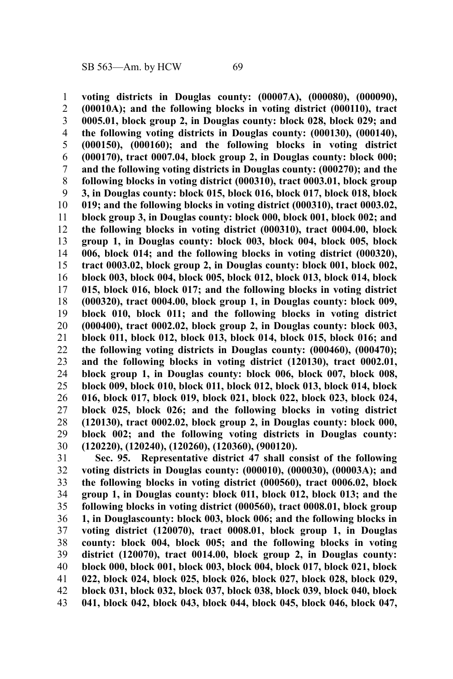**voting districts in Douglas county: (00007A), (000080), (000090), (00010A); and the following blocks in voting district (000110), tract 0005.01, block group 2, in Douglas county: block 028, block 029; and the following voting districts in Douglas county: (000130), (000140), (000150), (000160); and the following blocks in voting district (000170), tract 0007.04, block group 2, in Douglas county: block 000; and the following voting districts in Douglas county: (000270); and the following blocks in voting district (000310), tract 0003.01, block group 3, in Douglas county: block 015, block 016, block 017, block 018, block 019; and the following blocks in voting district (000310), tract 0003.02, block group 3, in Douglas county: block 000, block 001, block 002; and the following blocks in voting district (000310), tract 0004.00, block group 1, in Douglas county: block 003, block 004, block 005, block 006, block 014; and the following blocks in voting district (000320), tract 0003.02, block group 2, in Douglas county: block 001, block 002, block 003, block 004, block 005, block 012, block 013, block 014, block 015, block 016, block 017; and the following blocks in voting district (000320), tract 0004.00, block group 1, in Douglas county: block 009, block 010, block 011; and the following blocks in voting district (000400), tract 0002.02, block group 2, in Douglas county: block 003, block 011, block 012, block 013, block 014, block 015, block 016; and the following voting districts in Douglas county: (000460), (000470); and the following blocks in voting district (120130), tract 0002.01, block group 1, in Douglas county: block 006, block 007, block 008, block 009, block 010, block 011, block 012, block 013, block 014, block 016, block 017, block 019, block 021, block 022, block 023, block 024, block 025, block 026; and the following blocks in voting district (120130), tract 0002.02, block group 2, in Douglas county: block 000, block 002; and the following voting districts in Douglas county: (120220), (120240), (120260), (120360), (900120).** 1 2 3 4 5 6 7 8 9 10 11 12 13 14 15 16 17 18 19 20 21 22 23 24 25 26 27 28 29 30

**Sec. 95. Representative district 47 shall consist of the following voting districts in Douglas county: (000010), (000030), (00003A); and the following blocks in voting district (000560), tract 0006.02, block group 1, in Douglas county: block 011, block 012, block 013; and the following blocks in voting district (000560), tract 0008.01, block group 1, in Douglascounty: block 003, block 006; and the following blocks in voting district (120070), tract 0008.01, block group 1, in Douglas county: block 004, block 005; and the following blocks in voting district (120070), tract 0014.00, block group 2, in Douglas county: block 000, block 001, block 003, block 004, block 017, block 021, block 022, block 024, block 025, block 026, block 027, block 028, block 029, block 031, block 032, block 037, block 038, block 039, block 040, block 041, block 042, block 043, block 044, block 045, block 046, block 047,** 31 32 33 34 35 36 37 38 39 40 41 42 43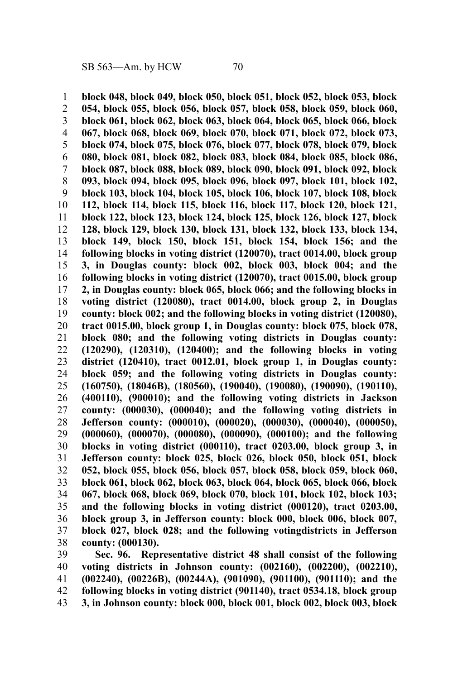**block 048, block 049, block 050, block 051, block 052, block 053, block 054, block 055, block 056, block 057, block 058, block 059, block 060, block 061, block 062, block 063, block 064, block 065, block 066, block 067, block 068, block 069, block 070, block 071, block 072, block 073, block 074, block 075, block 076, block 077, block 078, block 079, block 080, block 081, block 082, block 083, block 084, block 085, block 086, block 087, block 088, block 089, block 090, block 091, block 092, block 093, block 094, block 095, block 096, block 097, block 101, block 102, block 103, block 104, block 105, block 106, block 107, block 108, block 112, block 114, block 115, block 116, block 117, block 120, block 121, block 122, block 123, block 124, block 125, block 126, block 127, block 128, block 129, block 130, block 131, block 132, block 133, block 134, block 149, block 150, block 151, block 154, block 156; and the following blocks in voting district (120070), tract 0014.00, block group 3, in Douglas county: block 002, block 003, block 004; and the following blocks in voting district (120070), tract 0015.00, block group 2, in Douglas county: block 065, block 066; and the following blocks in voting district (120080), tract 0014.00, block group 2, in Douglas county: block 002; and the following blocks in voting district (120080), tract 0015.00, block group 1, in Douglas county: block 075, block 078, block 080; and the following voting districts in Douglas county: (120290), (120310), (120400); and the following blocks in voting district (120410), tract 0012.01, block group 1, in Douglas county: block 059; and the following voting districts in Douglas county: (160750), (18046B), (180560), (190040), (190080), (190090), (190110), (400110), (900010); and the following voting districts in Jackson county: (000030), (000040); and the following voting districts in Jefferson county: (000010), (000020), (000030), (000040), (000050), (000060), (000070), (000080), (000090), (000100); and the following blocks in voting district (000110), tract 0203.00, block group 3, in Jefferson county: block 025, block 026, block 050, block 051, block 052, block 055, block 056, block 057, block 058, block 059, block 060, block 061, block 062, block 063, block 064, block 065, block 066, block 067, block 068, block 069, block 070, block 101, block 102, block 103; and the following blocks in voting district (000120), tract 0203.00, block group 3, in Jefferson county: block 000, block 006, block 007, block 027, block 028; and the following votingdistricts in Jefferson county: (000130).** 1 2 3 4 5 6 7 8 9 10 11 12 13 14 15 16 17 18 19 20 21 22 23 24 25 26 27 28 29 30 31 32 33 34 35 36 37 38

**Sec. 96. Representative district 48 shall consist of the following voting districts in Johnson county: (002160), (002200), (002210), (002240), (00226B), (00244A), (901090), (901100), (901110); and the following blocks in voting district (901140), tract 0534.18, block group 3, in Johnson county: block 000, block 001, block 002, block 003, block** 39 40 41 42 43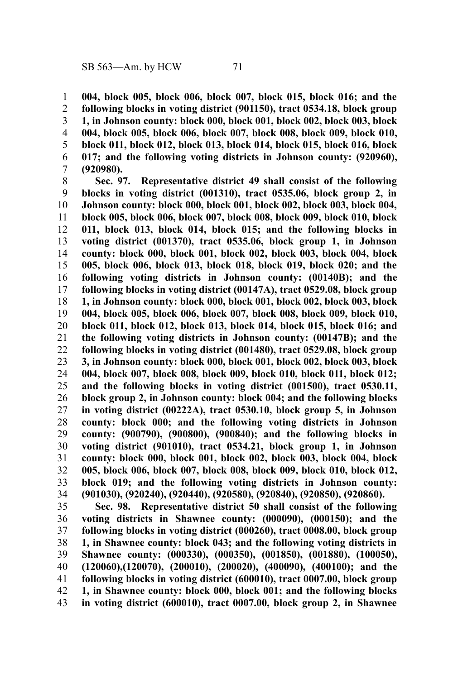**004, block 005, block 006, block 007, block 015, block 016; and the following blocks in voting district (901150), tract 0534.18, block group 1, in Johnson county: block 000, block 001, block 002, block 003, block 004, block 005, block 006, block 007, block 008, block 009, block 010, block 011, block 012, block 013, block 014, block 015, block 016, block 017; and the following voting districts in Johnson county: (920960), (920980).** 1 2 3 4 5 6 7

**Sec. 97. Representative district 49 shall consist of the following blocks in voting district (001310), tract 0535.06, block group 2, in Johnson county: block 000, block 001, block 002, block 003, block 004, block 005, block 006, block 007, block 008, block 009, block 010, block 011, block 013, block 014, block 015; and the following blocks in voting district (001370), tract 0535.06, block group 1, in Johnson county: block 000, block 001, block 002, block 003, block 004, block 005, block 006, block 013, block 018, block 019, block 020; and the following voting districts in Johnson county: (00140B); and the following blocks in voting district (00147A), tract 0529.08, block group 1, in Johnson county: block 000, block 001, block 002, block 003, block 004, block 005, block 006, block 007, block 008, block 009, block 010, block 011, block 012, block 013, block 014, block 015, block 016; and the following voting districts in Johnson county: (00147B); and the following blocks in voting district (001480), tract 0529.08, block group 3, in Johnson county: block 000, block 001, block 002, block 003, block 004, block 007, block 008, block 009, block 010, block 011, block 012; and the following blocks in voting district (001500), tract 0530.11, block group 2, in Johnson county: block 004; and the following blocks in voting district (00222A), tract 0530.10, block group 5, in Johnson county: block 000; and the following voting districts in Johnson county: (900790), (900800), (900840); and the following blocks in voting district (901010), tract 0534.21, block group 1, in Johnson county: block 000, block 001, block 002, block 003, block 004, block 005, block 006, block 007, block 008, block 009, block 010, block 012, block 019; and the following voting districts in Johnson county: (901030), (920240), (920440), (920580), (920840), (920850), (920860).** 8 9 10 11 12 13 14 15 16 17 18 19 20 21 22 23 24 25 26 27 28 29 30 31 32 33 34

**Sec. 98. Representative district 50 shall consist of the following voting districts in Shawnee county: (000090), (000150); and the following blocks in voting district (000260), tract 0008.00, block group 1, in Shawnee county: block 043; and the following voting districts in Shawnee county: (000330), (000350), (001850), (001880), (100050), (120060),(120070), (200010), (200020), (400090), (400100); and the following blocks in voting district (600010), tract 0007.00, block group 1, in Shawnee county: block 000, block 001; and the following blocks in voting district (600010), tract 0007.00, block group 2, in Shawnee** 35 36 37 38 39 40 41 42 43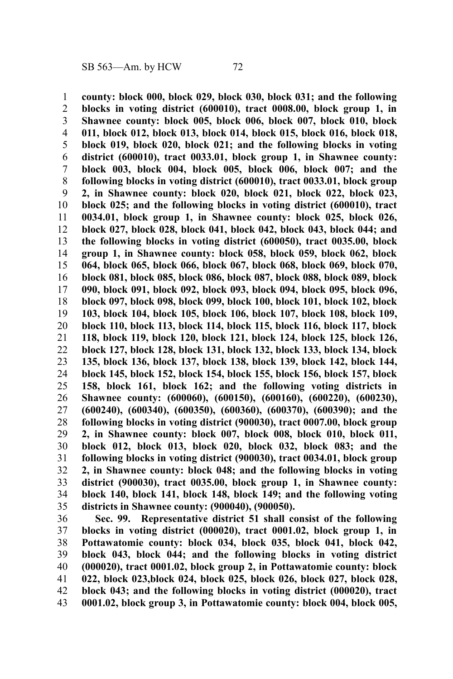**county: block 000, block 029, block 030, block 031; and the following blocks in voting district (600010), tract 0008.00, block group 1, in Shawnee county: block 005, block 006, block 007, block 010, block 011, block 012, block 013, block 014, block 015, block 016, block 018, block 019, block 020, block 021; and the following blocks in voting district (600010), tract 0033.01, block group 1, in Shawnee county: block 003, block 004, block 005, block 006, block 007; and the following blocks in voting district (600010), tract 0033.01, block group 2, in Shawnee county: block 020, block 021, block 022, block 023, block 025; and the following blocks in voting district (600010), tract 0034.01, block group 1, in Shawnee county: block 025, block 026, block 027, block 028, block 041, block 042, block 043, block 044; and the following blocks in voting district (600050), tract 0035.00, block group 1, in Shawnee county: block 058, block 059, block 062, block 064, block 065, block 066, block 067, block 068, block 069, block 070, block 081, block 085, block 086, block 087, block 088, block 089, block 090, block 091, block 092, block 093, block 094, block 095, block 096, block 097, block 098, block 099, block 100, block 101, block 102, block 103, block 104, block 105, block 106, block 107, block 108, block 109, block 110, block 113, block 114, block 115, block 116, block 117, block 118, block 119, block 120, block 121, block 124, block 125, block 126, block 127, block 128, block 131, block 132, block 133, block 134, block 135, block 136, block 137, block 138, block 139, block 142, block 144, block 145, block 152, block 154, block 155, block 156, block 157, block 158, block 161, block 162; and the following voting districts in Shawnee county: (600060), (600150), (600160), (600220), (600230), (600240), (600340), (600350), (600360), (600370), (600390); and the following blocks in voting district (900030), tract 0007.00, block group 2, in Shawnee county: block 007, block 008, block 010, block 011, block 012, block 013, block 020, block 032, block 083; and the following blocks in voting district (900030), tract 0034.01, block group 2, in Shawnee county: block 048; and the following blocks in voting district (900030), tract 0035.00, block group 1, in Shawnee county: block 140, block 141, block 148, block 149; and the following voting districts in Shawnee county: (900040), (900050).** 1 2 3 4 5 6 7 8 9 10 11 12 13 14 15 16 17 18 19 20 21 22 23 24 25 26 27 28 29 30 31 32 33 34 35

**Sec. 99. Representative district 51 shall consist of the following blocks in voting district (000020), tract 0001.02, block group 1, in Pottawatomie county: block 034, block 035, block 041, block 042, block 043, block 044; and the following blocks in voting district (000020), tract 0001.02, block group 2, in Pottawatomie county: block 022, block 023,block 024, block 025, block 026, block 027, block 028, block 043; and the following blocks in voting district (000020), tract 0001.02, block group 3, in Pottawatomie county: block 004, block 005,** 36 37 38 39 40 41 42 43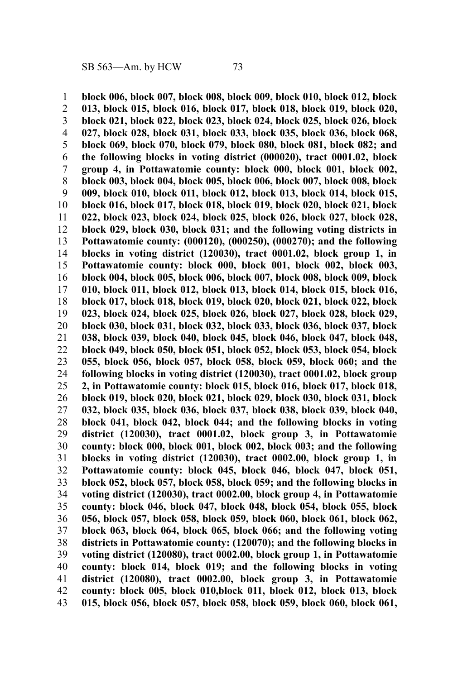**block 006, block 007, block 008, block 009, block 010, block 012, block 013, block 015, block 016, block 017, block 018, block 019, block 020, block 021, block 022, block 023, block 024, block 025, block 026, block 027, block 028, block 031, block 033, block 035, block 036, block 068, block 069, block 070, block 079, block 080, block 081, block 082; and the following blocks in voting district (000020), tract 0001.02, block group 4, in Pottawatomie county: block 000, block 001, block 002, block 003, block 004, block 005, block 006, block 007, block 008, block 009, block 010, block 011, block 012, block 013, block 014, block 015, block 016, block 017, block 018, block 019, block 020, block 021, block 022, block 023, block 024, block 025, block 026, block 027, block 028, block 029, block 030, block 031; and the following voting districts in Pottawatomie county: (000120), (000250), (000270); and the following blocks in voting district (120030), tract 0001.02, block group 1, in Pottawatomie county: block 000, block 001, block 002, block 003, block 004, block 005, block 006, block 007, block 008, block 009, block 010, block 011, block 012, block 013, block 014, block 015, block 016, block 017, block 018, block 019, block 020, block 021, block 022, block 023, block 024, block 025, block 026, block 027, block 028, block 029, block 030, block 031, block 032, block 033, block 036, block 037, block 038, block 039, block 040, block 045, block 046, block 047, block 048, block 049, block 050, block 051, block 052, block 053, block 054, block 055, block 056, block 057, block 058, block 059, block 060; and the following blocks in voting district (120030), tract 0001.02, block group 2, in Pottawatomie county: block 015, block 016, block 017, block 018, block 019, block 020, block 021, block 029, block 030, block 031, block 032, block 035, block 036, block 037, block 038, block 039, block 040, block 041, block 042, block 044; and the following blocks in voting district (120030), tract 0001.02, block group 3, in Pottawatomie county: block 000, block 001, block 002, block 003; and the following blocks in voting district (120030), tract 0002.00, block group 1, in Pottawatomie county: block 045, block 046, block 047, block 051, block 052, block 057, block 058, block 059; and the following blocks in voting district (120030), tract 0002.00, block group 4, in Pottawatomie county: block 046, block 047, block 048, block 054, block 055, block 056, block 057, block 058, block 059, block 060, block 061, block 062, block 063, block 064, block 065, block 066; and the following voting districts in Pottawatomie county: (120070); and the following blocks in voting district (120080), tract 0002.00, block group 1, in Pottawatomie county: block 014, block 019; and the following blocks in voting district (120080), tract 0002.00, block group 3, in Pottawatomie county: block 005, block 010,block 011, block 012, block 013, block 015, block 056, block 057, block 058, block 059, block 060, block 061,** 1 2 3 4 5 6 7 8 9 10 11 12 13 14 15 16 17 18 19 20 21 22 23 24 25 26 27 28 29 30 31 32 33 34 35 36 37 38 39 40 41 42 43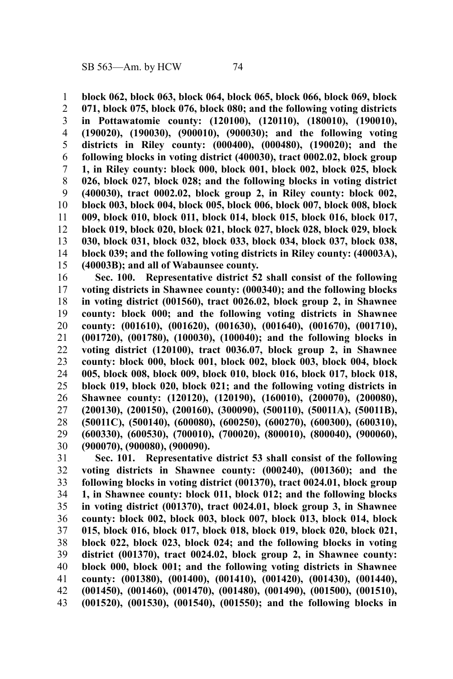**block 062, block 063, block 064, block 065, block 066, block 069, block 071, block 075, block 076, block 080; and the following voting districts in Pottawatomie county: (120100), (120110), (180010), (190010), (190020), (190030), (900010), (900030); and the following voting districts in Riley county: (000400), (000480), (190020); and the following blocks in voting district (400030), tract 0002.02, block group 1, in Riley county: block 000, block 001, block 002, block 025, block 026, block 027, block 028; and the following blocks in voting district (400030), tract 0002.02, block group 2, in Riley county: block 002, block 003, block 004, block 005, block 006, block 007, block 008, block 009, block 010, block 011, block 014, block 015, block 016, block 017, block 019, block 020, block 021, block 027, block 028, block 029, block 030, block 031, block 032, block 033, block 034, block 037, block 038, block 039; and the following voting districts in Riley county: (40003A), (40003B); and all of Wabaunsee county.** 1 2 3 4 5 6 7 8 9 10 11 12 13 14 15

**Sec. 100. Representative district 52 shall consist of the following voting districts in Shawnee county: (000340); and the following blocks in voting district (001560), tract 0026.02, block group 2, in Shawnee county: block 000; and the following voting districts in Shawnee county: (001610), (001620), (001630), (001640), (001670), (001710), (001720), (001780), (100030), (100040); and the following blocks in voting district (120100), tract 0036.07, block group 2, in Shawnee county: block 000, block 001, block 002, block 003, block 004, block 005, block 008, block 009, block 010, block 016, block 017, block 018, block 019, block 020, block 021; and the following voting districts in Shawnee county: (120120), (120190), (160010), (200070), (200080), (200130), (200150), (200160), (300090), (500110), (50011A), (50011B), (50011C), (500140), (600080), (600250), (600270), (600300), (600310), (600330), (600530), (700010), (700020), (800010), (800040), (900060), (900070), (900080), (900090).** 16 17 18 19 20 21 22 23 24 25 26 27 28 29 30

**Sec. 101. Representative district 53 shall consist of the following voting districts in Shawnee county: (000240), (001360); and the following blocks in voting district (001370), tract 0024.01, block group 1, in Shawnee county: block 011, block 012; and the following blocks in voting district (001370), tract 0024.01, block group 3, in Shawnee county: block 002, block 003, block 007, block 013, block 014, block 015, block 016, block 017, block 018, block 019, block 020, block 021, block 022, block 023, block 024; and the following blocks in voting district (001370), tract 0024.02, block group 2, in Shawnee county: block 000, block 001; and the following voting districts in Shawnee county: (001380), (001400), (001410), (001420), (001430), (001440), (001450), (001460), (001470), (001480), (001490), (001500), (001510), (001520), (001530), (001540), (001550); and the following blocks in** 31 32 33 34 35 36 37 38 39 40 41 42 43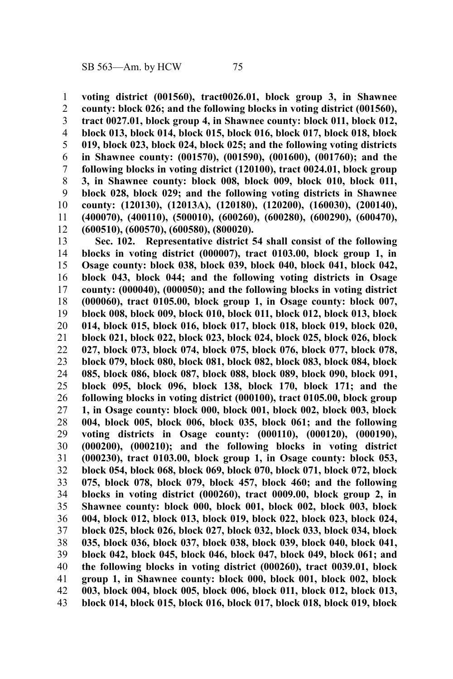**voting district (001560), tract0026.01, block group 3, in Shawnee county: block 026; and the following blocks in voting district (001560), tract 0027.01, block group 4, in Shawnee county: block 011, block 012, block 013, block 014, block 015, block 016, block 017, block 018, block 019, block 023, block 024, block 025; and the following voting districts in Shawnee county: (001570), (001590), (001600), (001760); and the following blocks in voting district (120100), tract 0024.01, block group 3, in Shawnee county: block 008, block 009, block 010, block 011, block 028, block 029; and the following voting districts in Shawnee county: (120130), (12013A), (120180), (120200), (160030), (200140), (400070), (400110), (500010), (600260), (600280), (600290), (600470), (600510), (600570), (600580), (800020).** 1 2 3 4 5 6 7 8 9 10 11 12

**Sec. 102. Representative district 54 shall consist of the following blocks in voting district (000007), tract 0103.00, block group 1, in Osage county: block 038, block 039, block 040, block 041, block 042, block 043, block 044; and the following voting districts in Osage county: (000040), (000050); and the following blocks in voting district (000060), tract 0105.00, block group 1, in Osage county: block 007, block 008, block 009, block 010, block 011, block 012, block 013, block 014, block 015, block 016, block 017, block 018, block 019, block 020, block 021, block 022, block 023, block 024, block 025, block 026, block 027, block 073, block 074, block 075, block 076, block 077, block 078, block 079, block 080, block 081, block 082, block 083, block 084, block 085, block 086, block 087, block 088, block 089, block 090, block 091, block 095, block 096, block 138, block 170, block 171; and the following blocks in voting district (000100), tract 0105.00, block group 1, in Osage county: block 000, block 001, block 002, block 003, block 004, block 005, block 006, block 035, block 061; and the following voting districts in Osage county: (000110), (000120), (000190), (000200), (000210); and the following blocks in voting district (000230), tract 0103.00, block group 1, in Osage county: block 053, block 054, block 068, block 069, block 070, block 071, block 072, block 075, block 078, block 079, block 457, block 460; and the following blocks in voting district (000260), tract 0009.00, block group 2, in Shawnee county: block 000, block 001, block 002, block 003, block 004, block 012, block 013, block 019, block 022, block 023, block 024, block 025, block 026, block 027, block 032, block 033, block 034, block 035, block 036, block 037, block 038, block 039, block 040, block 041, block 042, block 045, block 046, block 047, block 049, block 061; and the following blocks in voting district (000260), tract 0039.01, block group 1, in Shawnee county: block 000, block 001, block 002, block 003, block 004, block 005, block 006, block 011, block 012, block 013, block 014, block 015, block 016, block 017, block 018, block 019, block** 13 14 15 16 17 18 19 20 21 22 23 24 25 26 27 28 29 30 31 32 33 34 35 36 37 38 39 40 41 42 43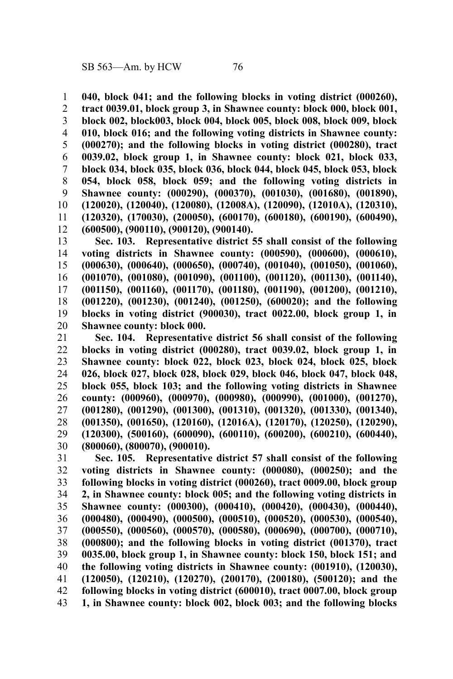**040, block 041; and the following blocks in voting district (000260), tract 0039.01, block group 3, in Shawnee county: block 000, block 001, block 002, block003, block 004, block 005, block 008, block 009, block 010, block 016; and the following voting districts in Shawnee county: (000270); and the following blocks in voting district (000280), tract 0039.02, block group 1, in Shawnee county: block 021, block 033, block 034, block 035, block 036, block 044, block 045, block 053, block 054, block 058, block 059; and the following voting districts in Shawnee county: (000290), (000370), (001030), (001680), (001890), (120020), (120040), (120080), (12008A), (120090), (12010A), (120310), (120320), (170030), (200050), (600170), (600180), (600190), (600490), (600500), (900110), (900120), (900140).** 1 2 3 4 5 6 7 8 9 10 11 12

**Sec. 103. Representative district 55 shall consist of the following voting districts in Shawnee county: (000590), (000600), (000610), (000630), (000640), (000650), (000740), (001040), (001050), (001060), (001070), (001080), (001090), (001100), (001120), (001130), (001140), (001150), (001160), (001170), (001180), (001190), (001200), (001210), (001220), (001230), (001240), (001250), (600020); and the following blocks in voting district (900030), tract 0022.00, block group 1, in Shawnee county: block 000.** 13 14 15 16 17 18 19 20

**Sec. 104. Representative district 56 shall consist of the following blocks in voting district (000280), tract 0039.02, block group 1, in Shawnee county: block 022, block 023, block 024, block 025, block 026, block 027, block 028, block 029, block 046, block 047, block 048, block 055, block 103; and the following voting districts in Shawnee county: (000960), (000970), (000980), (000990), (001000), (001270), (001280), (001290), (001300), (001310), (001320), (001330), (001340), (001350), (001650), (120160), (12016A), (120170), (120250), (120290), (120300), (500160), (600090), (600110), (600200), (600210), (600440), (800060), (800070), (900010).** 21 22 23 24 25 26 27 28 29 30

**Sec. 105. Representative district 57 shall consist of the following voting districts in Shawnee county: (000080), (000250); and the following blocks in voting district (000260), tract 0009.00, block group 2, in Shawnee county: block 005; and the following voting districts in Shawnee county: (000300), (000410), (000420), (000430), (000440), (000480), (000490), (000500), (000510), (000520), (000530), (000540), (000550), (000560), (000570), (000580), (000690), (000700), (000710), (000800); and the following blocks in voting district (001370), tract 0035.00, block group 1, in Shawnee county: block 150, block 151; and the following voting districts in Shawnee county: (001910), (120030), (120050), (120210), (120270), (200170), (200180), (500120); and the following blocks in voting district (600010), tract 0007.00, block group 1, in Shawnee county: block 002, block 003; and the following blocks** 31 32 33 34 35 36 37 38 39 40 41 42 43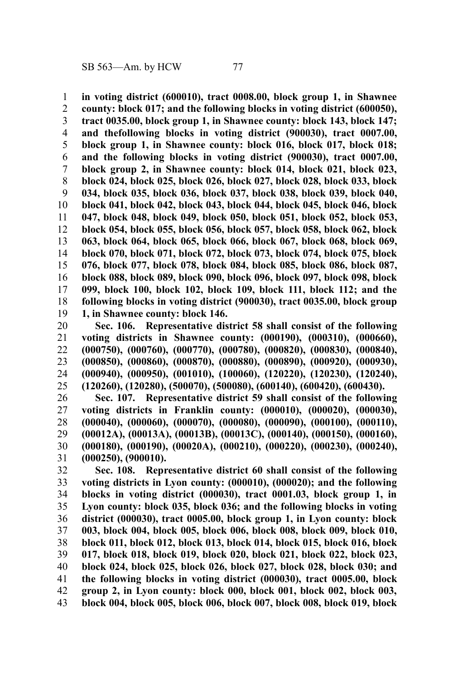**in voting district (600010), tract 0008.00, block group 1, in Shawnee county: block 017; and the following blocks in voting district (600050), tract 0035.00, block group 1, in Shawnee county: block 143, block 147; and thefollowing blocks in voting district (900030), tract 0007.00, block group 1, in Shawnee county: block 016, block 017, block 018; and the following blocks in voting district (900030), tract 0007.00, block group 2, in Shawnee county: block 014, block 021, block 023, block 024, block 025, block 026, block 027, block 028, block 033, block 034, block 035, block 036, block 037, block 038, block 039, block 040, block 041, block 042, block 043, block 044, block 045, block 046, block 047, block 048, block 049, block 050, block 051, block 052, block 053, block 054, block 055, block 056, block 057, block 058, block 062, block 063, block 064, block 065, block 066, block 067, block 068, block 069, block 070, block 071, block 072, block 073, block 074, block 075, block 076, block 077, block 078, block 084, block 085, block 086, block 087, block 088, block 089, block 090, block 096, block 097, block 098, block 099, block 100, block 102, block 109, block 111, block 112; and the following blocks in voting district (900030), tract 0035.00, block group 1, in Shawnee county: block 146.** 1 2 3 4 5 6 7 8 9 10 11 12 13 14 15 16 17 18 19

**Sec. 106. Representative district 58 shall consist of the following voting districts in Shawnee county: (000190), (000310), (000660), (000750), (000760), (000770), (000780), (000820), (000830), (000840), (000850), (000860), (000870), (000880), (000890), (000920), (000930), (000940), (000950), (001010), (100060), (120220), (120230), (120240), (120260), (120280), (500070), (500080), (600140), (600420), (600430).** 20 21 22 23 24 25

**Sec. 107. Representative district 59 shall consist of the following voting districts in Franklin county: (000010), (000020), (000030), (000040), (000060), (000070), (000080), (000090), (000100), (000110), (00012A), (00013A), (00013B), (00013C), (000140), (000150), (000160), (000180), (000190), (00020A), (000210), (000220), (000230), (000240), (000250), (900010).** 26 27 28 29 30 31

**Sec. 108. Representative district 60 shall consist of the following voting districts in Lyon county: (000010), (000020); and the following blocks in voting district (000030), tract 0001.03, block group 1, in Lyon county: block 035, block 036; and the following blocks in voting district (000030), tract 0005.00, block group 1, in Lyon county: block 003, block 004, block 005, block 006, block 008, block 009, block 010, block 011, block 012, block 013, block 014, block 015, block 016, block 017, block 018, block 019, block 020, block 021, block 022, block 023, block 024, block 025, block 026, block 027, block 028, block 030; and the following blocks in voting district (000030), tract 0005.00, block group 2, in Lyon county: block 000, block 001, block 002, block 003, block 004, block 005, block 006, block 007, block 008, block 019, block** 32 33 34 35 36 37 38 39 40 41 42 43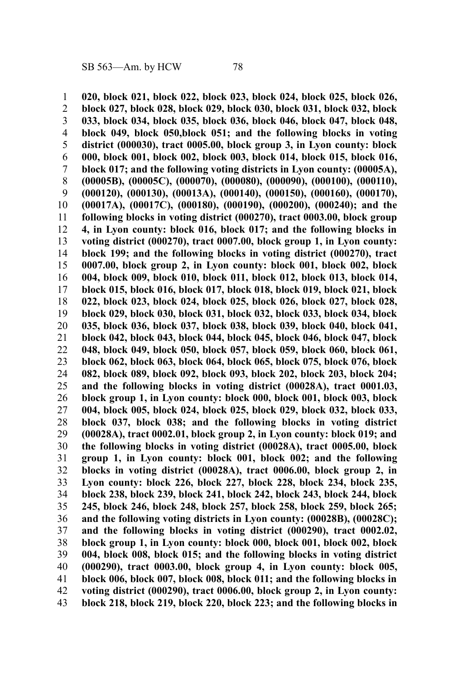**020, block 021, block 022, block 023, block 024, block 025, block 026, block 027, block 028, block 029, block 030, block 031, block 032, block 033, block 034, block 035, block 036, block 046, block 047, block 048, block 049, block 050,block 051; and the following blocks in voting district (000030), tract 0005.00, block group 3, in Lyon county: block 000, block 001, block 002, block 003, block 014, block 015, block 016, block 017; and the following voting districts in Lyon county: (00005A), (00005B), (00005C), (000070), (000080), (000090), (000100), (000110), (000120), (000130), (00013A), (000140), (000150), (000160), (000170), (00017A), (00017C), (000180), (000190), (000200), (000240); and the following blocks in voting district (000270), tract 0003.00, block group 4, in Lyon county: block 016, block 017; and the following blocks in voting district (000270), tract 0007.00, block group 1, in Lyon county: block 199; and the following blocks in voting district (000270), tract 0007.00, block group 2, in Lyon county: block 001, block 002, block 004, block 009, block 010, block 011, block 012, block 013, block 014, block 015, block 016, block 017, block 018, block 019, block 021, block 022, block 023, block 024, block 025, block 026, block 027, block 028, block 029, block 030, block 031, block 032, block 033, block 034, block 035, block 036, block 037, block 038, block 039, block 040, block 041, block 042, block 043, block 044, block 045, block 046, block 047, block 048, block 049, block 050, block 057, block 059, block 060, block 061, block 062, block 063, block 064, block 065, block 075, block 076, block 082, block 089, block 092, block 093, block 202, block 203, block 204; and the following blocks in voting district (00028A), tract 0001.03, block group 1, in Lyon county: block 000, block 001, block 003, block 004, block 005, block 024, block 025, block 029, block 032, block 033, block 037, block 038; and the following blocks in voting district (00028A), tract 0002.01, block group 2, in Lyon county: block 019; and the following blocks in voting district (00028A), tract 0005.00, block group 1, in Lyon county: block 001, block 002; and the following blocks in voting district (00028A), tract 0006.00, block group 2, in Lyon county: block 226, block 227, block 228, block 234, block 235, block 238, block 239, block 241, block 242, block 243, block 244, block 245, block 246, block 248, block 257, block 258, block 259, block 265; and the following voting districts in Lyon county: (00028B), (00028C); and the following blocks in voting district (000290), tract 0002.02, block group 1, in Lyon county: block 000, block 001, block 002, block 004, block 008, block 015; and the following blocks in voting district (000290), tract 0003.00, block group 4, in Lyon county: block 005, block 006, block 007, block 008, block 011; and the following blocks in voting district (000290), tract 0006.00, block group 2, in Lyon county: block 218, block 219, block 220, block 223; and the following blocks in** 1 2 3 4 5 6 7 8 9 10 11 12 13 14 15 16 17 18 19 20 21 22 23 24 25 26 27 28 29 30 31 32 33 34 35 36 37 38 39 40 41 42 43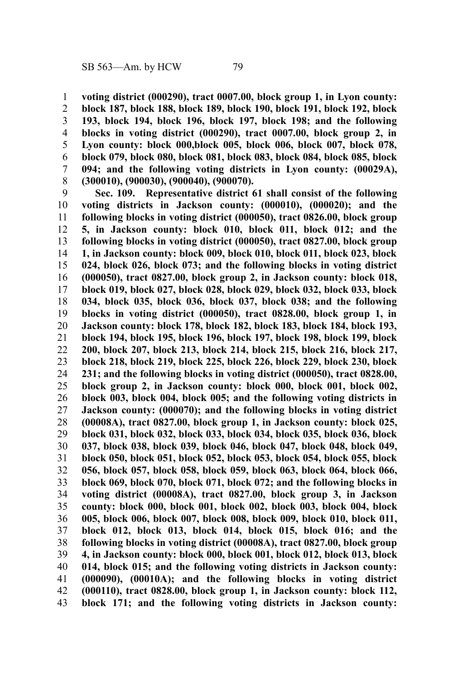**voting district (000290), tract 0007.00, block group 1, in Lyon county: block 187, block 188, block 189, block 190, block 191, block 192, block 193, block 194, block 196, block 197, block 198; and the following blocks in voting district (000290), tract 0007.00, block group 2, in Lyon county: block 000,block 005, block 006, block 007, block 078, block 079, block 080, block 081, block 083, block 084, block 085, block 094; and the following voting districts in Lyon county: (00029A), (300010), (900030), (900040), (900070).** 1 2 3 4 5 6 7 8

**Sec. 109. Representative district 61 shall consist of the following voting districts in Jackson county: (000010), (000020); and the following blocks in voting district (000050), tract 0826.00, block group 5, in Jackson county: block 010, block 011, block 012; and the following blocks in voting district (000050), tract 0827.00, block group 1, in Jackson county: block 009, block 010, block 011, block 023, block 024, block 026, block 073; and the following blocks in voting district (000050), tract 0827.00, block group 2, in Jackson county: block 018, block 019, block 027, block 028, block 029, block 032, block 033, block 034, block 035, block 036, block 037, block 038; and the following blocks in voting district (000050), tract 0828.00, block group 1, in Jackson county: block 178, block 182, block 183, block 184, block 193, block 194, block 195, block 196, block 197, block 198, block 199, block 200, block 207, block 213, block 214, block 215, block 216, block 217, block 218, block 219, block 225, block 226, block 229, block 230, block 231; and the following blocks in voting district (000050), tract 0828.00, block group 2, in Jackson county: block 000, block 001, block 002, block 003, block 004, block 005; and the following voting districts in Jackson county: (000070); and the following blocks in voting district (00008A), tract 0827.00, block group 1, in Jackson county: block 025, block 031, block 032, block 033, block 034, block 035, block 036, block 037, block 038, block 039, block 046, block 047, block 048, block 049, block 050, block 051, block 052, block 053, block 054, block 055, block 056, block 057, block 058, block 059, block 063, block 064, block 066, block 069, block 070, block 071, block 072; and the following blocks in voting district (00008A), tract 0827.00, block group 3, in Jackson county: block 000, block 001, block 002, block 003, block 004, block 005, block 006, block 007, block 008, block 009, block 010, block 011, block 012, block 013, block 014, block 015, block 016; and the following blocks in voting district (00008A), tract 0827.00, block group 4, in Jackson county: block 000, block 001, block 012, block 013, block 014, block 015; and the following voting districts in Jackson county: (000090), (00010A); and the following blocks in voting district (000110), tract 0828.00, block group 1, in Jackson county: block 112, block 171; and the following voting districts in Jackson county:** 9 10 11 12 13 14 15 16 17 18 19 20 21 22 23 24 25 26 27 28 29 30 31 32 33 34 35 36 37 38 39 40 41 42 43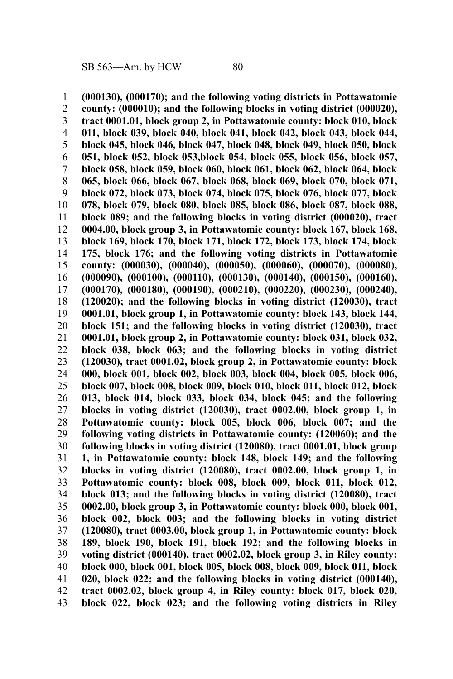**(000130), (000170); and the following voting districts in Pottawatomie county: (000010); and the following blocks in voting district (000020), tract 0001.01, block group 2, in Pottawatomie county: block 010, block 011, block 039, block 040, block 041, block 042, block 043, block 044, block 045, block 046, block 047, block 048, block 049, block 050, block 051, block 052, block 053,block 054, block 055, block 056, block 057, block 058, block 059, block 060, block 061, block 062, block 064, block 065, block 066, block 067, block 068, block 069, block 070, block 071, block 072, block 073, block 074, block 075, block 076, block 077, block 078, block 079, block 080, block 085, block 086, block 087, block 088, block 089; and the following blocks in voting district (000020), tract 0004.00, block group 3, in Pottawatomie county: block 167, block 168, block 169, block 170, block 171, block 172, block 173, block 174, block 175, block 176; and the following voting districts in Pottawatomie county: (000030), (000040), (000050), (000060), (000070), (000080), (000090), (000100), (000110), (000130), (000140), (000150), (000160), (000170), (000180), (000190), (000210), (000220), (000230), (000240), (120020); and the following blocks in voting district (120030), tract 0001.01, block group 1, in Pottawatomie county: block 143, block 144, block 151; and the following blocks in voting district (120030), tract 0001.01, block group 2, in Pottawatomie county: block 031, block 032, block 038, block 063; and the following blocks in voting district (120030), tract 0001.02, block group 2, in Pottawatomie county: block 000, block 001, block 002, block 003, block 004, block 005, block 006, block 007, block 008, block 009, block 010, block 011, block 012, block 013, block 014, block 033, block 034, block 045; and the following blocks in voting district (120030), tract 0002.00, block group 1, in Pottawatomie county: block 005, block 006, block 007; and the following voting districts in Pottawatomie county: (120060); and the following blocks in voting district (120080), tract 0001.01, block group 1, in Pottawatomie county: block 148, block 149; and the following blocks in voting district (120080), tract 0002.00, block group 1, in Pottawatomie county: block 008, block 009, block 011, block 012, block 013; and the following blocks in voting district (120080), tract 0002.00, block group 3, in Pottawatomie county: block 000, block 001, block 002, block 003; and the following blocks in voting district (120080), tract 0003.00, block group 1, in Pottawatomie county: block 189, block 190, block 191, block 192; and the following blocks in voting district (000140), tract 0002.02, block group 3, in Riley county: block 000, block 001, block 005, block 008, block 009, block 011, block 020, block 022; and the following blocks in voting district (000140), tract 0002.02, block group 4, in Riley county: block 017, block 020, block 022, block 023; and the following voting districts in Riley** 1 2 3 4 5 6 7 8 9 10 11 12 13 14 15 16 17 18 19 20 21 22 23 24 25 26 27 28 29 30 31 32 33 34 35 36 37 38 39 40 41 42 43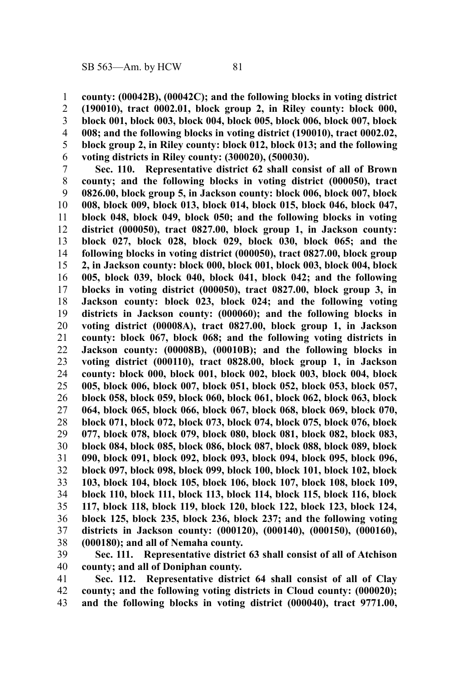**county: (00042B), (00042C); and the following blocks in voting district** 1

**(190010), tract 0002.01, block group 2, in Riley county: block 000, block 001, block 003, block 004, block 005, block 006, block 007, block 008; and the following blocks in voting district (190010), tract 0002.02, block group 2, in Riley county: block 012, block 013; and the following voting districts in Riley county: (300020), (500030).** 2 3 4 5 6

**Sec. 110. Representative district 62 shall consist of all of Brown county; and the following blocks in voting district (000050), tract 0826.00, block group 5, in Jackson county: block 006, block 007, block 008, block 009, block 013, block 014, block 015, block 046, block 047, block 048, block 049, block 050; and the following blocks in voting district (000050), tract 0827.00, block group 1, in Jackson county: block 027, block 028, block 029, block 030, block 065; and the following blocks in voting district (000050), tract 0827.00, block group 2, in Jackson county: block 000, block 001, block 003, block 004, block 005, block 039, block 040, block 041, block 042; and the following blocks in voting district (000050), tract 0827.00, block group 3, in Jackson county: block 023, block 024; and the following voting districts in Jackson county: (000060); and the following blocks in voting district (00008A), tract 0827.00, block group 1, in Jackson county: block 067, block 068; and the following voting districts in Jackson county: (00008B), (00010B); and the following blocks in voting district (000110), tract 0828.00, block group 1, in Jackson county: block 000, block 001, block 002, block 003, block 004, block 005, block 006, block 007, block 051, block 052, block 053, block 057, block 058, block 059, block 060, block 061, block 062, block 063, block 064, block 065, block 066, block 067, block 068, block 069, block 070, block 071, block 072, block 073, block 074, block 075, block 076, block 077, block 078, block 079, block 080, block 081, block 082, block 083, block 084, block 085, block 086, block 087, block 088, block 089, block 090, block 091, block 092, block 093, block 094, block 095, block 096, block 097, block 098, block 099, block 100, block 101, block 102, block 103, block 104, block 105, block 106, block 107, block 108, block 109, block 110, block 111, block 113, block 114, block 115, block 116, block 117, block 118, block 119, block 120, block 122, block 123, block 124, block 125, block 235, block 236, block 237; and the following voting districts in Jackson county: (000120), (000140), (000150), (000160), (000180); and all of Nemaha county.** 7 8 9 10 11 12 13 14 15 16 17 18 19 20 21 22 23 24 25 26 27 28 29 30 31 32 33 34 35 36 37 38

**Sec. 111. Representative district 63 shall consist of all of Atchison county; and all of Doniphan county.** 39 40

**Sec. 112. Representative district 64 shall consist of all of Clay county; and the following voting districts in Cloud county: (000020); and the following blocks in voting district (000040), tract 9771.00,** 41 42 43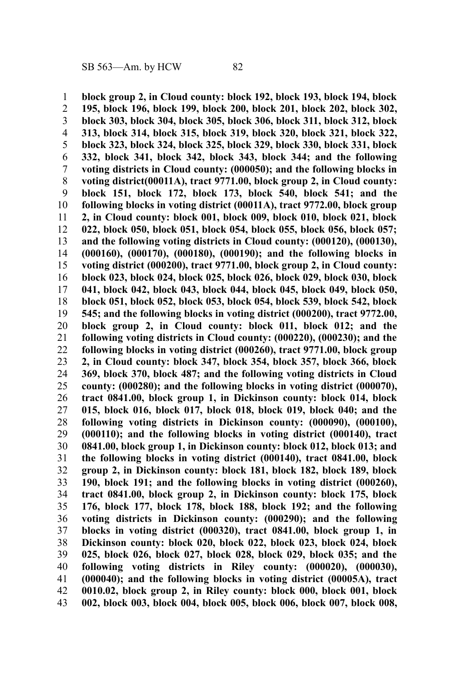**block group 2, in Cloud county: block 192, block 193, block 194, block 195, block 196, block 199, block 200, block 201, block 202, block 302, block 303, block 304, block 305, block 306, block 311, block 312, block 313, block 314, block 315, block 319, block 320, block 321, block 322, block 323, block 324, block 325, block 329, block 330, block 331, block 332, block 341, block 342, block 343, block 344; and the following voting districts in Cloud county: (000050); and the following blocks in voting district(00011A), tract 9771.00, block group 2, in Cloud county: block 151, block 172, block 173, block 540, block 541; and the following blocks in voting district (00011A), tract 9772.00, block group 2, in Cloud county: block 001, block 009, block 010, block 021, block 022, block 050, block 051, block 054, block 055, block 056, block 057; and the following voting districts in Cloud county: (000120), (000130), (000160), (000170), (000180), (000190); and the following blocks in voting district (000200), tract 9771.00, block group 2, in Cloud county: block 023, block 024, block 025, block 026, block 029, block 030, block 041, block 042, block 043, block 044, block 045, block 049, block 050, block 051, block 052, block 053, block 054, block 539, block 542, block 545; and the following blocks in voting district (000200), tract 9772.00, block group 2, in Cloud county: block 011, block 012; and the following voting districts in Cloud county: (000220), (000230); and the following blocks in voting district (000260), tract 9771.00, block group 2, in Cloud county: block 347, block 354, block 357, block 366, block 369, block 370, block 487; and the following voting districts in Cloud county: (000280); and the following blocks in voting district (000070), tract 0841.00, block group 1, in Dickinson county: block 014, block 015, block 016, block 017, block 018, block 019, block 040; and the following voting districts in Dickinson county: (000090), (000100), (000110); and the following blocks in voting district (000140), tract 0841.00, block group 1, in Dickinson county: block 012, block 013; and the following blocks in voting district (000140), tract 0841.00, block group 2, in Dickinson county: block 181, block 182, block 189, block 190, block 191; and the following blocks in voting district (000260), tract 0841.00, block group 2, in Dickinson county: block 175, block 176, block 177, block 178, block 188, block 192; and the following voting districts in Dickinson county: (000290); and the following blocks in voting district (000320), tract 0841.00, block group 1, in Dickinson county: block 020, block 022, block 023, block 024, block 025, block 026, block 027, block 028, block 029, block 035; and the following voting districts in Riley county: (000020), (000030), (000040); and the following blocks in voting district (00005A), tract 0010.02, block group 2, in Riley county: block 000, block 001, block 002, block 003, block 004, block 005, block 006, block 007, block 008,** 1 2 3 4 5 6 7 8 9 10 11 12 13 14 15 16 17 18 19 20 21 22 23 24 25 26 27 28 29 30 31 32 33 34 35 36 37 38 39 40 41 42 43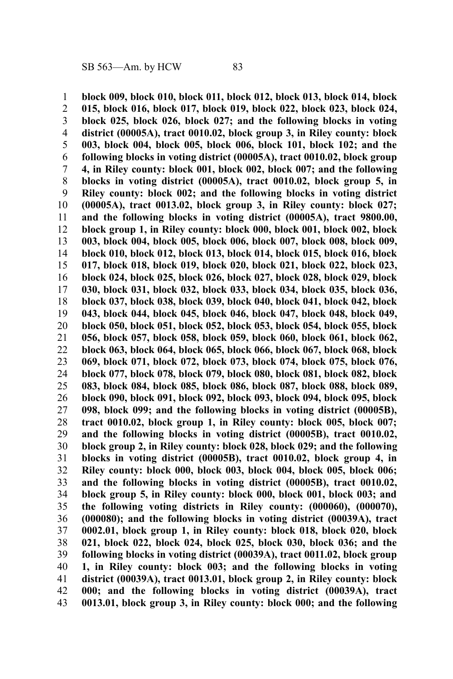**block 009, block 010, block 011, block 012, block 013, block 014, block 015, block 016, block 017, block 019, block 022, block 023, block 024, block 025, block 026, block 027; and the following blocks in voting district (00005A), tract 0010.02, block group 3, in Riley county: block 003, block 004, block 005, block 006, block 101, block 102; and the following blocks in voting district (00005A), tract 0010.02, block group 4, in Riley county: block 001, block 002, block 007; and the following blocks in voting district (00005A), tract 0010.02, block group 5, in Riley county: block 002; and the following blocks in voting district (00005A), tract 0013.02, block group 3, in Riley county: block 027; and the following blocks in voting district (00005A), tract 9800.00, block group 1, in Riley county: block 000, block 001, block 002, block 003, block 004, block 005, block 006, block 007, block 008, block 009, block 010, block 012, block 013, block 014, block 015, block 016, block 017, block 018, block 019, block 020, block 021, block 022, block 023, block 024, block 025, block 026, block 027, block 028, block 029, block 030, block 031, block 032, block 033, block 034, block 035, block 036, block 037, block 038, block 039, block 040, block 041, block 042, block 043, block 044, block 045, block 046, block 047, block 048, block 049, block 050, block 051, block 052, block 053, block 054, block 055, block 056, block 057, block 058, block 059, block 060, block 061, block 062, block 063, block 064, block 065, block 066, block 067, block 068, block 069, block 071, block 072, block 073, block 074, block 075, block 076, block 077, block 078, block 079, block 080, block 081, block 082, block 083, block 084, block 085, block 086, block 087, block 088, block 089, block 090, block 091, block 092, block 093, block 094, block 095, block 098, block 099; and the following blocks in voting district (00005B), tract 0010.02, block group 1, in Riley county: block 005, block 007; and the following blocks in voting district (00005B), tract 0010.02, block group 2, in Riley county: block 028, block 029; and the following blocks in voting district (00005B), tract 0010.02, block group 4, in Riley county: block 000, block 003, block 004, block 005, block 006; and the following blocks in voting district (00005B), tract 0010.02, block group 5, in Riley county: block 000, block 001, block 003; and the following voting districts in Riley county: (000060), (000070), (000080); and the following blocks in voting district (00039A), tract 0002.01, block group 1, in Riley county: block 018, block 020, block 021, block 022, block 024, block 025, block 030, block 036; and the following blocks in voting district (00039A), tract 0011.02, block group 1, in Riley county: block 003; and the following blocks in voting district (00039A), tract 0013.01, block group 2, in Riley county: block 000; and the following blocks in voting district (00039A), tract 0013.01, block group 3, in Riley county: block 000; and the following** 1 2 3 4 5 6 7 8 9 10 11 12 13 14 15 16 17 18 19 20 21 22 23 24 25 26 27 28 29 30 31 32 33 34 35 36 37 38 39 40 41 42 43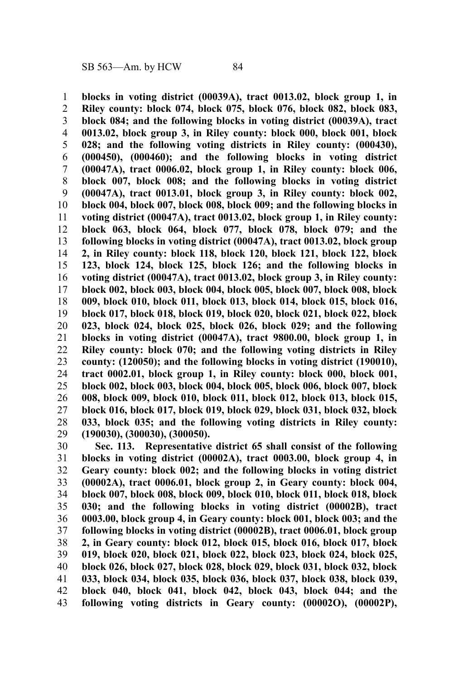**blocks in voting district (00039A), tract 0013.02, block group 1, in Riley county: block 074, block 075, block 076, block 082, block 083, block 084; and the following blocks in voting district (00039A), tract 0013.02, block group 3, in Riley county: block 000, block 001, block 028; and the following voting districts in Riley county: (000430), (000450), (000460); and the following blocks in voting district (00047A), tract 0006.02, block group 1, in Riley county: block 006, block 007, block 008; and the following blocks in voting district (00047A), tract 0013.01, block group 3, in Riley county: block 002, block 004, block 007, block 008, block 009; and the following blocks in voting district (00047A), tract 0013.02, block group 1, in Riley county: block 063, block 064, block 077, block 078, block 079; and the following blocks in voting district (00047A), tract 0013.02, block group 2, in Riley county: block 118, block 120, block 121, block 122, block 123, block 124, block 125, block 126; and the following blocks in voting district (00047A), tract 0013.02, block group 3, in Riley county: block 002, block 003, block 004, block 005, block 007, block 008, block 009, block 010, block 011, block 013, block 014, block 015, block 016, block 017, block 018, block 019, block 020, block 021, block 022, block 023, block 024, block 025, block 026, block 029; and the following blocks in voting district (00047A), tract 9800.00, block group 1, in Riley county: block 070; and the following voting districts in Riley county: (120050); and the following blocks in voting district (190010), tract 0002.01, block group 1, in Riley county: block 000, block 001, block 002, block 003, block 004, block 005, block 006, block 007, block 008, block 009, block 010, block 011, block 012, block 013, block 015, block 016, block 017, block 019, block 029, block 031, block 032, block 033, block 035; and the following voting districts in Riley county: (190030), (300030), (300050).** 1 2 3 4 5 6 7 8 9 10 11 12 13 14 15 16 17 18 19 20 21 22 23 24 25 26 27 28 29

**Sec. 113. Representative district 65 shall consist of the following blocks in voting district (00002A), tract 0003.00, block group 4, in Geary county: block 002; and the following blocks in voting district (00002A), tract 0006.01, block group 2, in Geary county: block 004, block 007, block 008, block 009, block 010, block 011, block 018, block 030; and the following blocks in voting district (00002B), tract 0003.00, block group 4, in Geary county: block 001, block 003; and the following blocks in voting district (00002B), tract 0006.01, block group 2, in Geary county: block 012, block 015, block 016, block 017, block 019, block 020, block 021, block 022, block 023, block 024, block 025, block 026, block 027, block 028, block 029, block 031, block 032, block 033, block 034, block 035, block 036, block 037, block 038, block 039, block 040, block 041, block 042, block 043, block 044; and the following voting districts in Geary county: (00002O), (00002P),** 30 31 32 33 34 35 36 37 38 39 40 41 42 43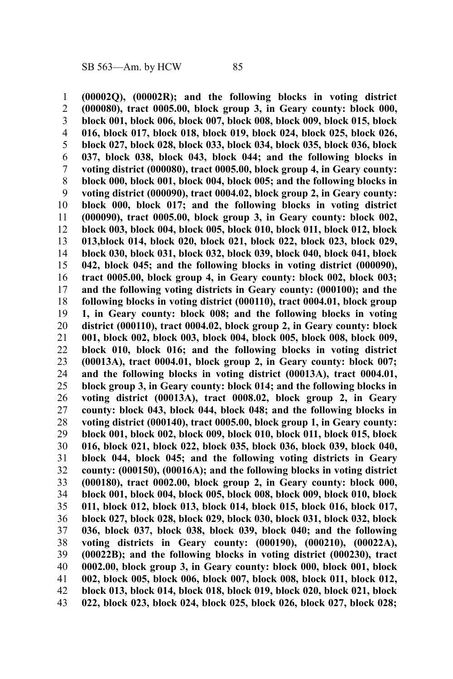**(00002Q), (00002R); and the following blocks in voting district (000080), tract 0005.00, block group 3, in Geary county: block 000, block 001, block 006, block 007, block 008, block 009, block 015, block 016, block 017, block 018, block 019, block 024, block 025, block 026, block 027, block 028, block 033, block 034, block 035, block 036, block 037, block 038, block 043, block 044; and the following blocks in voting district (000080), tract 0005.00, block group 4, in Geary county: block 000, block 001, block 004, block 005; and the following blocks in voting district (000090), tract 0004.02, block group 2, in Geary county: block 000, block 017; and the following blocks in voting district (000090), tract 0005.00, block group 3, in Geary county: block 002, block 003, block 004, block 005, block 010, block 011, block 012, block 013,block 014, block 020, block 021, block 022, block 023, block 029, block 030, block 031, block 032, block 039, block 040, block 041, block 042, block 045; and the following blocks in voting district (000090), tract 0005.00, block group 4, in Geary county: block 002, block 003; and the following voting districts in Geary county: (000100); and the following blocks in voting district (000110), tract 0004.01, block group 1, in Geary county: block 008; and the following blocks in voting district (000110), tract 0004.02, block group 2, in Geary county: block 001, block 002, block 003, block 004, block 005, block 008, block 009, block 010, block 016; and the following blocks in voting district (00013A), tract 0004.01, block group 2, in Geary county: block 007; and the following blocks in voting district (00013A), tract 0004.01, block group 3, in Geary county: block 014; and the following blocks in voting district (00013A), tract 0008.02, block group 2, in Geary county: block 043, block 044, block 048; and the following blocks in voting district (000140), tract 0005.00, block group 1, in Geary county: block 001, block 002, block 009, block 010, block 011, block 015, block 016, block 021, block 022, block 035, block 036, block 039, block 040, block 044, block 045; and the following voting districts in Geary county: (000150), (00016A); and the following blocks in voting district (000180), tract 0002.00, block group 2, in Geary county: block 000, block 001, block 004, block 005, block 008, block 009, block 010, block 011, block 012, block 013, block 014, block 015, block 016, block 017, block 027, block 028, block 029, block 030, block 031, block 032, block 036, block 037, block 038, block 039, block 040; and the following voting districts in Geary county: (000190), (000210), (00022A), (00022B); and the following blocks in voting district (000230), tract 0002.00, block group 3, in Geary county: block 000, block 001, block 002, block 005, block 006, block 007, block 008, block 011, block 012, block 013, block 014, block 018, block 019, block 020, block 021, block 022, block 023, block 024, block 025, block 026, block 027, block 028;** 1 2 3 4 5 6 7 8 9 10 11 12 13 14 15 16 17 18 19 20 21 22 23 24 25 26 27 28 29 30 31 32 33 34 35 36 37 38 39 40 41 42 43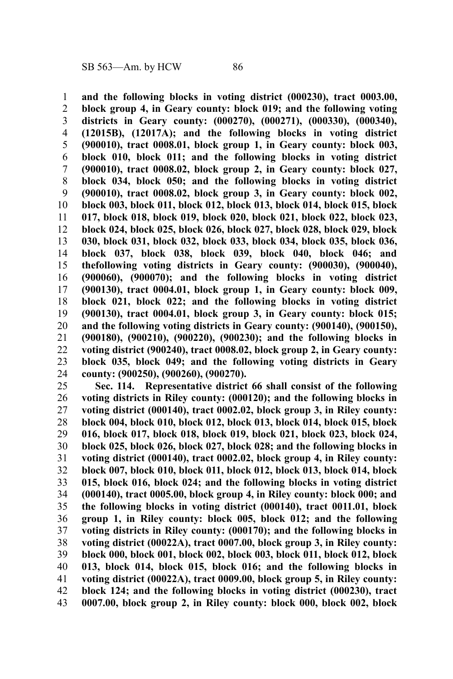**and the following blocks in voting district (000230), tract 0003.00, block group 4, in Geary county: block 019; and the following voting districts in Geary county: (000270), (000271), (000330), (000340), (12015B), (12017A); and the following blocks in voting district (900010), tract 0008.01, block group 1, in Geary county: block 003, block 010, block 011; and the following blocks in voting district (900010), tract 0008.02, block group 2, in Geary county: block 027, block 034, block 050; and the following blocks in voting district (900010), tract 0008.02, block group 3, in Geary county: block 002, block 003, block 011, block 012, block 013, block 014, block 015, block 017, block 018, block 019, block 020, block 021, block 022, block 023, block 024, block 025, block 026, block 027, block 028, block 029, block 030, block 031, block 032, block 033, block 034, block 035, block 036, block 037, block 038, block 039, block 040, block 046; and thefollowing voting districts in Geary county: (900030), (900040), (900060), (900070); and the following blocks in voting district (900130), tract 0004.01, block group 1, in Geary county: block 009, block 021, block 022; and the following blocks in voting district (900130), tract 0004.01, block group 3, in Geary county: block 015; and the following voting districts in Geary county: (900140), (900150), (900180), (900210), (900220), (900230); and the following blocks in voting district (900240), tract 0008.02, block group 2, in Geary county: block 035, block 049; and the following voting districts in Geary county: (900250), (900260), (900270).** 1 2 3 4 5 6 7 8 9 10 11 12 13 14 15 16 17 18 19 20 21 22 23 24

**Sec. 114. Representative district 66 shall consist of the following voting districts in Riley county: (000120); and the following blocks in voting district (000140), tract 0002.02, block group 3, in Riley county: block 004, block 010, block 012, block 013, block 014, block 015, block 016, block 017, block 018, block 019, block 021, block 023, block 024, block 025, block 026, block 027, block 028; and the following blocks in voting district (000140), tract 0002.02, block group 4, in Riley county: block 007, block 010, block 011, block 012, block 013, block 014, block 015, block 016, block 024; and the following blocks in voting district (000140), tract 0005.00, block group 4, in Riley county: block 000; and the following blocks in voting district (000140), tract 0011.01, block group 1, in Riley county: block 005, block 012; and the following voting districts in Riley county: (000170); and the following blocks in voting district (00022A), tract 0007.00, block group 3, in Riley county: block 000, block 001, block 002, block 003, block 011, block 012, block 013, block 014, block 015, block 016; and the following blocks in voting district (00022A), tract 0009.00, block group 5, in Riley county: block 124; and the following blocks in voting district (000230), tract 0007.00, block group 2, in Riley county: block 000, block 002, block** 25 26 27 28 29 30 31 32 33 34 35 36 37 38 39 40 41 42 43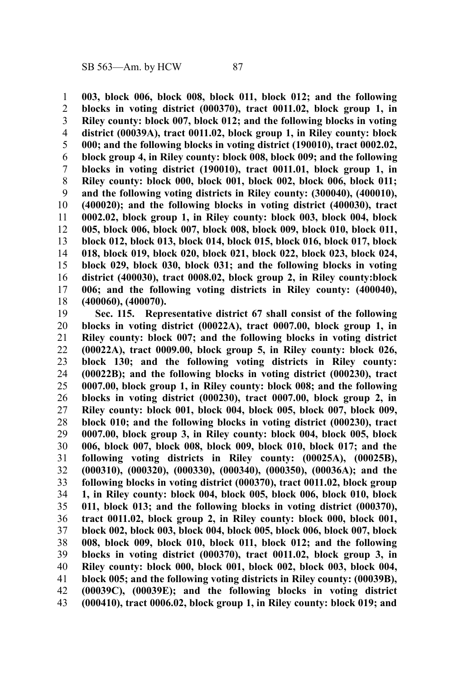**003, block 006, block 008, block 011, block 012; and the following blocks in voting district (000370), tract 0011.02, block group 1, in Riley county: block 007, block 012; and the following blocks in voting district (00039A), tract 0011.02, block group 1, in Riley county: block 000; and the following blocks in voting district (190010), tract 0002.02, block group 4, in Riley county: block 008, block 009; and the following blocks in voting district (190010), tract 0011.01, block group 1, in Riley county: block 000, block 001, block 002, block 006, block 011; and the following voting districts in Riley county: (300040), (400010), (400020); and the following blocks in voting district (400030), tract 0002.02, block group 1, in Riley county: block 003, block 004, block 005, block 006, block 007, block 008, block 009, block 010, block 011, block 012, block 013, block 014, block 015, block 016, block 017, block 018, block 019, block 020, block 021, block 022, block 023, block 024, block 029, block 030, block 031; and the following blocks in voting district (400030), tract 0008.02, block group 2, in Riley county:block 006; and the following voting districts in Riley county: (400040), (400060), (400070).** 1 2 3 4 5 6 7 8 9 10 11 12 13 14 15 16 17 18

**Sec. 115. Representative district 67 shall consist of the following blocks in voting district (00022A), tract 0007.00, block group 1, in Riley county: block 007; and the following blocks in voting district (00022A), tract 0009.00, block group 5, in Riley county: block 026, block 130; and the following voting districts in Riley county: (00022B); and the following blocks in voting district (000230), tract 0007.00, block group 1, in Riley county: block 008; and the following blocks in voting district (000230), tract 0007.00, block group 2, in Riley county: block 001, block 004, block 005, block 007, block 009, block 010; and the following blocks in voting district (000230), tract 0007.00, block group 3, in Riley county: block 004, block 005, block 006, block 007, block 008, block 009, block 010, block 017; and the following voting districts in Riley county: (00025A), (00025B), (000310), (000320), (000330), (000340), (000350), (00036A); and the following blocks in voting district (000370), tract 0011.02, block group 1, in Riley county: block 004, block 005, block 006, block 010, block 011, block 013; and the following blocks in voting district (000370), tract 0011.02, block group 2, in Riley county: block 000, block 001, block 002, block 003, block 004, block 005, block 006, block 007, block 008, block 009, block 010, block 011, block 012; and the following blocks in voting district (000370), tract 0011.02, block group 3, in Riley county: block 000, block 001, block 002, block 003, block 004, block 005; and the following voting districts in Riley county: (00039B), (00039C), (00039E); and the following blocks in voting district (000410), tract 0006.02, block group 1, in Riley county: block 019; and** 19 20 21 22 23 24 25 26 27 28 29 30 31 32 33 34 35 36 37 38 39 40 41 42 43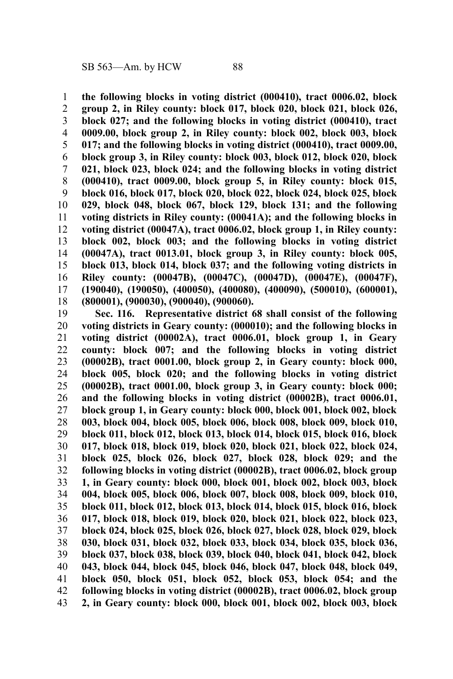**the following blocks in voting district (000410), tract 0006.02, block group 2, in Riley county: block 017, block 020, block 021, block 026, block 027; and the following blocks in voting district (000410), tract 0009.00, block group 2, in Riley county: block 002, block 003, block 017; and the following blocks in voting district (000410), tract 0009.00, block group 3, in Riley county: block 003, block 012, block 020, block 021, block 023, block 024; and the following blocks in voting district (000410), tract 0009.00, block group 5, in Riley county: block 015, block 016, block 017, block 020, block 022, block 024, block 025, block 029, block 048, block 067, block 129, block 131; and the following voting districts in Riley county: (00041A); and the following blocks in voting district (00047A), tract 0006.02, block group 1, in Riley county: block 002, block 003; and the following blocks in voting district (00047A), tract 0013.01, block group 3, in Riley county: block 005, block 013, block 014, block 037; and the following voting districts in Riley county: (00047B), (00047C), (00047D), (00047E), (00047F), (190040), (190050), (400050), (400080), (400090), (500010), (600001), (800001), (900030), (900040), (900060).** 1 2 3 4 5 6 7 8 9 10 11 12 13 14 15 16 17 18

**Sec. 116. Representative district 68 shall consist of the following voting districts in Geary county: (000010); and the following blocks in voting district (00002A), tract 0006.01, block group 1, in Geary county: block 007; and the following blocks in voting district (00002B), tract 0001.00, block group 2, in Geary county: block 000, block 005, block 020; and the following blocks in voting district (00002B), tract 0001.00, block group 3, in Geary county: block 000; and the following blocks in voting district (00002B), tract 0006.01, block group 1, in Geary county: block 000, block 001, block 002, block 003, block 004, block 005, block 006, block 008, block 009, block 010, block 011, block 012, block 013, block 014, block 015, block 016, block 017, block 018, block 019, block 020, block 021, block 022, block 024, block 025, block 026, block 027, block 028, block 029; and the following blocks in voting district (00002B), tract 0006.02, block group 1, in Geary county: block 000, block 001, block 002, block 003, block 004, block 005, block 006, block 007, block 008, block 009, block 010, block 011, block 012, block 013, block 014, block 015, block 016, block 017, block 018, block 019, block 020, block 021, block 022, block 023, block 024, block 025, block 026, block 027, block 028, block 029, block 030, block 031, block 032, block 033, block 034, block 035, block 036, block 037, block 038, block 039, block 040, block 041, block 042, block 043, block 044, block 045, block 046, block 047, block 048, block 049, block 050, block 051, block 052, block 053, block 054; and the following blocks in voting district (00002B), tract 0006.02, block group 2, in Geary county: block 000, block 001, block 002, block 003, block** 19 20 21 22 23 24 25 26 27 28 29 30 31 32 33 34 35 36 37 38 39 40 41 42 43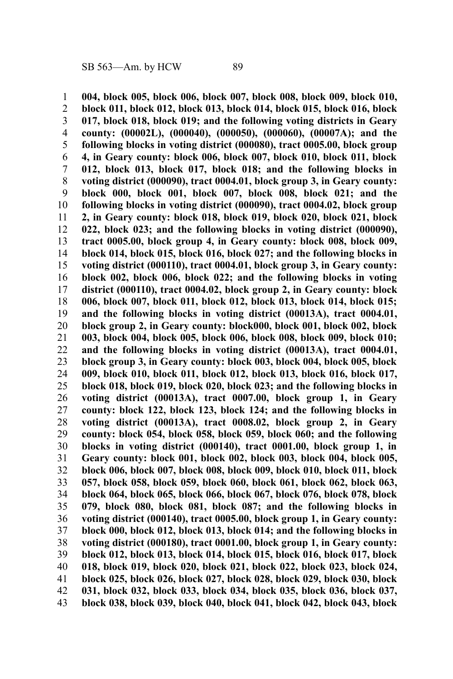**004, block 005, block 006, block 007, block 008, block 009, block 010, block 011, block 012, block 013, block 014, block 015, block 016, block 017, block 018, block 019; and the following voting districts in Geary county: (00002L), (000040), (000050), (000060), (00007A); and the following blocks in voting district (000080), tract 0005.00, block group 4, in Geary county: block 006, block 007, block 010, block 011, block 012, block 013, block 017, block 018; and the following blocks in voting district (000090), tract 0004.01, block group 3, in Geary county: block 000, block 001, block 007, block 008, block 021; and the following blocks in voting district (000090), tract 0004.02, block group 2, in Geary county: block 018, block 019, block 020, block 021, block 022, block 023; and the following blocks in voting district (000090), tract 0005.00, block group 4, in Geary county: block 008, block 009, block 014, block 015, block 016, block 027; and the following blocks in voting district (000110), tract 0004.01, block group 3, in Geary county: block 002, block 006, block 022; and the following blocks in voting district (000110), tract 0004.02, block group 2, in Geary county: block 006, block 007, block 011, block 012, block 013, block 014, block 015; and the following blocks in voting district (00013A), tract 0004.01, block group 2, in Geary county: block000, block 001, block 002, block 003, block 004, block 005, block 006, block 008, block 009, block 010; and the following blocks in voting district (00013A), tract 0004.01, block group 3, in Geary county: block 003, block 004, block 005, block 009, block 010, block 011, block 012, block 013, block 016, block 017, block 018, block 019, block 020, block 023; and the following blocks in voting district (00013A), tract 0007.00, block group 1, in Geary county: block 122, block 123, block 124; and the following blocks in voting district (00013A), tract 0008.02, block group 2, in Geary county: block 054, block 058, block 059, block 060; and the following blocks in voting district (000140), tract 0001.00, block group 1, in Geary county: block 001, block 002, block 003, block 004, block 005, block 006, block 007, block 008, block 009, block 010, block 011, block 057, block 058, block 059, block 060, block 061, block 062, block 063, block 064, block 065, block 066, block 067, block 076, block 078, block 079, block 080, block 081, block 087; and the following blocks in voting district (000140), tract 0005.00, block group 1, in Geary county: block 000, block 012, block 013, block 014; and the following blocks in voting district (000180), tract 0001.00, block group 1, in Geary county: block 012, block 013, block 014, block 015, block 016, block 017, block 018, block 019, block 020, block 021, block 022, block 023, block 024, block 025, block 026, block 027, block 028, block 029, block 030, block 031, block 032, block 033, block 034, block 035, block 036, block 037, block 038, block 039, block 040, block 041, block 042, block 043, block** 1 2 3 4 5 6 7 8 9 10 11 12 13 14 15 16 17 18 19 20 21 22 23 24 25 26 27 28 29 30 31 32 33 34 35 36 37 38 39 40 41 42 43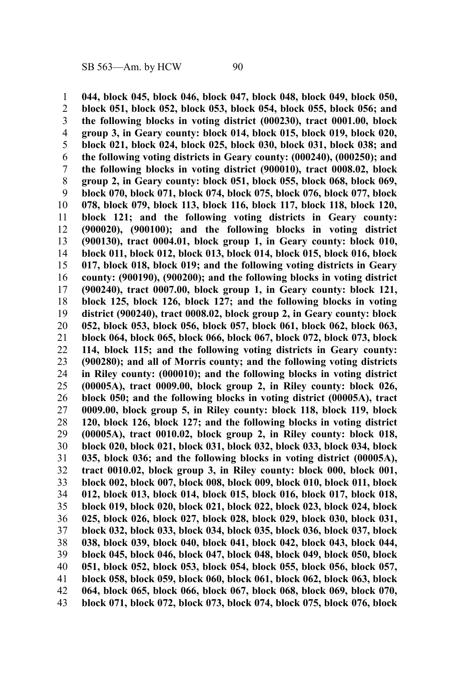**044, block 045, block 046, block 047, block 048, block 049, block 050, block 051, block 052, block 053, block 054, block 055, block 056; and the following blocks in voting district (000230), tract 0001.00, block group 3, in Geary county: block 014, block 015, block 019, block 020, block 021, block 024, block 025, block 030, block 031, block 038; and the following voting districts in Geary county: (000240), (000250); and the following blocks in voting district (900010), tract 0008.02, block group 2, in Geary county: block 051, block 055, block 068, block 069, block 070, block 071, block 074, block 075, block 076, block 077, block 078, block 079, block 113, block 116, block 117, block 118, block 120, block 121; and the following voting districts in Geary county: (900020), (900100); and the following blocks in voting district (900130), tract 0004.01, block group 1, in Geary county: block 010, block 011, block 012, block 013, block 014, block 015, block 016, block 017, block 018, block 019; and the following voting districts in Geary county: (900190), (900200); and the following blocks in voting district (900240), tract 0007.00, block group 1, in Geary county: block 121, block 125, block 126, block 127; and the following blocks in voting district (900240), tract 0008.02, block group 2, in Geary county: block 052, block 053, block 056, block 057, block 061, block 062, block 063, block 064, block 065, block 066, block 067, block 072, block 073, block 114, block 115; and the following voting districts in Geary county: (900280); and all of Morris county; and the following voting districts in Riley county: (000010); and the following blocks in voting district (00005A), tract 0009.00, block group 2, in Riley county: block 026, block 050; and the following blocks in voting district (00005A), tract 0009.00, block group 5, in Riley county: block 118, block 119, block 120, block 126, block 127; and the following blocks in voting district (00005A), tract 0010.02, block group 2, in Riley county: block 018, block 020, block 021, block 031, block 032, block 033, block 034, block 035, block 036; and the following blocks in voting district (00005A), tract 0010.02, block group 3, in Riley county: block 000, block 001, block 002, block 007, block 008, block 009, block 010, block 011, block 012, block 013, block 014, block 015, block 016, block 017, block 018, block 019, block 020, block 021, block 022, block 023, block 024, block 025, block 026, block 027, block 028, block 029, block 030, block 031, block 032, block 033, block 034, block 035, block 036, block 037, block 038, block 039, block 040, block 041, block 042, block 043, block 044, block 045, block 046, block 047, block 048, block 049, block 050, block 051, block 052, block 053, block 054, block 055, block 056, block 057, block 058, block 059, block 060, block 061, block 062, block 063, block 064, block 065, block 066, block 067, block 068, block 069, block 070, block 071, block 072, block 073, block 074, block 075, block 076, block** 1 2 3 4 5 6 7 8 9 10 11 12 13 14 15 16 17 18 19 20 21 22 23 24 25 26 27 28 29 30 31 32 33 34 35 36 37 38 39 40 41 42 43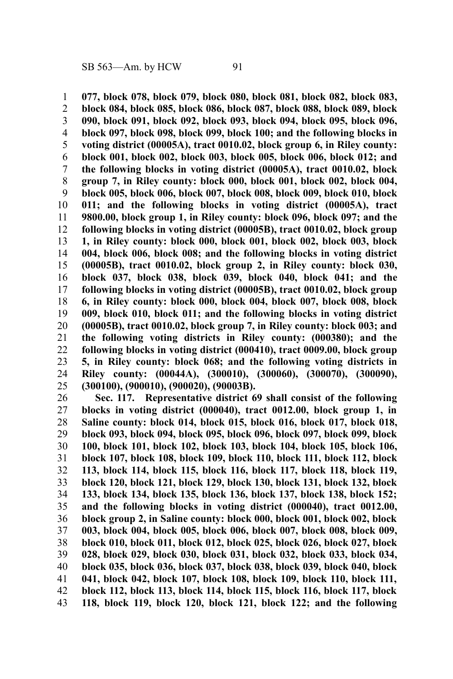**077, block 078, block 079, block 080, block 081, block 082, block 083, block 084, block 085, block 086, block 087, block 088, block 089, block 090, block 091, block 092, block 093, block 094, block 095, block 096, block 097, block 098, block 099, block 100; and the following blocks in voting district (00005A), tract 0010.02, block group 6, in Riley county: block 001, block 002, block 003, block 005, block 006, block 012; and the following blocks in voting district (00005A), tract 0010.02, block group 7, in Riley county: block 000, block 001, block 002, block 004, block 005, block 006, block 007, block 008, block 009, block 010, block 011; and the following blocks in voting district (00005A), tract 9800.00, block group 1, in Riley county: block 096, block 097; and the following blocks in voting district (00005B), tract 0010.02, block group 1, in Riley county: block 000, block 001, block 002, block 003, block 004, block 006, block 008; and the following blocks in voting district (00005B), tract 0010.02, block group 2, in Riley county: block 030, block 037, block 038, block 039, block 040, block 041; and the following blocks in voting district (00005B), tract 0010.02, block group 6, in Riley county: block 000, block 004, block 007, block 008, block 009, block 010, block 011; and the following blocks in voting district (00005B), tract 0010.02, block group 7, in Riley county: block 003; and the following voting districts in Riley county: (000380); and the following blocks in voting district (000410), tract 0009.00, block group 5, in Riley county: block 068; and the following voting districts in Riley county: (00044A), (300010), (300060), (300070), (300090), (300100), (900010), (900020), (90003B).** 1 2 3 4 5 6 7 8 9 10 11 12 13 14 15 16 17 18 19 20 21 22 23 24 25

**Sec. 117. Representative district 69 shall consist of the following blocks in voting district (000040), tract 0012.00, block group 1, in Saline county: block 014, block 015, block 016, block 017, block 018, block 093, block 094, block 095, block 096, block 097, block 099, block 100, block 101, block 102, block 103, block 104, block 105, block 106, block 107, block 108, block 109, block 110, block 111, block 112, block 113, block 114, block 115, block 116, block 117, block 118, block 119, block 120, block 121, block 129, block 130, block 131, block 132, block 133, block 134, block 135, block 136, block 137, block 138, block 152; and the following blocks in voting district (000040), tract 0012.00, block group 2, in Saline county: block 000, block 001, block 002, block 003, block 004, block 005, block 006, block 007, block 008, block 009, block 010, block 011, block 012, block 025, block 026, block 027, block 028, block 029, block 030, block 031, block 032, block 033, block 034, block 035, block 036, block 037, block 038, block 039, block 040, block 041, block 042, block 107, block 108, block 109, block 110, block 111, block 112, block 113, block 114, block 115, block 116, block 117, block 118, block 119, block 120, block 121, block 122; and the following** 26 27 28 29 30 31 32 33 34 35 36 37 38 39 40 41 42 43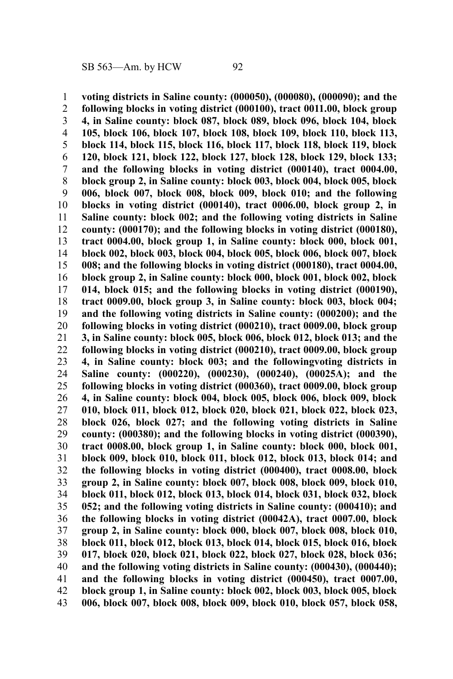**voting districts in Saline county: (000050), (000080), (000090); and the following blocks in voting district (000100), tract 0011.00, block group 4, in Saline county: block 087, block 089, block 096, block 104, block 105, block 106, block 107, block 108, block 109, block 110, block 113, block 114, block 115, block 116, block 117, block 118, block 119, block 120, block 121, block 122, block 127, block 128, block 129, block 133; and the following blocks in voting district (000140), tract 0004.00, block group 2, in Saline county: block 003, block 004, block 005, block 006, block 007, block 008, block 009, block 010; and the following blocks in voting district (000140), tract 0006.00, block group 2, in Saline county: block 002; and the following voting districts in Saline county: (000170); and the following blocks in voting district (000180), tract 0004.00, block group 1, in Saline county: block 000, block 001, block 002, block 003, block 004, block 005, block 006, block 007, block 008; and the following blocks in voting district (000180), tract 0004.00, block group 2, in Saline county: block 000, block 001, block 002, block 014, block 015; and the following blocks in voting district (000190), tract 0009.00, block group 3, in Saline county: block 003, block 004; and the following voting districts in Saline county: (000200); and the following blocks in voting district (000210), tract 0009.00, block group 3, in Saline county: block 005, block 006, block 012, block 013; and the following blocks in voting district (000210), tract 0009.00, block group 4, in Saline county: block 003; and the followingvoting districts in Saline county: (000220), (000230), (000240), (00025A); and the following blocks in voting district (000360), tract 0009.00, block group 4, in Saline county: block 004, block 005, block 006, block 009, block 010, block 011, block 012, block 020, block 021, block 022, block 023, block 026, block 027; and the following voting districts in Saline county: (000380); and the following blocks in voting district (000390), tract 0008.00, block group 1, in Saline county: block 000, block 001, block 009, block 010, block 011, block 012, block 013, block 014; and the following blocks in voting district (000400), tract 0008.00, block group 2, in Saline county: block 007, block 008, block 009, block 010, block 011, block 012, block 013, block 014, block 031, block 032, block 052; and the following voting districts in Saline county: (000410); and the following blocks in voting district (00042A), tract 0007.00, block group 2, in Saline county: block 000, block 007, block 008, block 010, block 011, block 012, block 013, block 014, block 015, block 016, block 017, block 020, block 021, block 022, block 027, block 028, block 036; and the following voting districts in Saline county: (000430), (000440); and the following blocks in voting district (000450), tract 0007.00, block group 1, in Saline county: block 002, block 003, block 005, block 006, block 007, block 008, block 009, block 010, block 057, block 058,** 1 2 3 4 5 6 7 8 9 10 11 12 13 14 15 16 17 18 19 20 21 22 23 24 25 26 27 28 29 30 31 32 33 34 35 36 37 38 39 40 41 42 43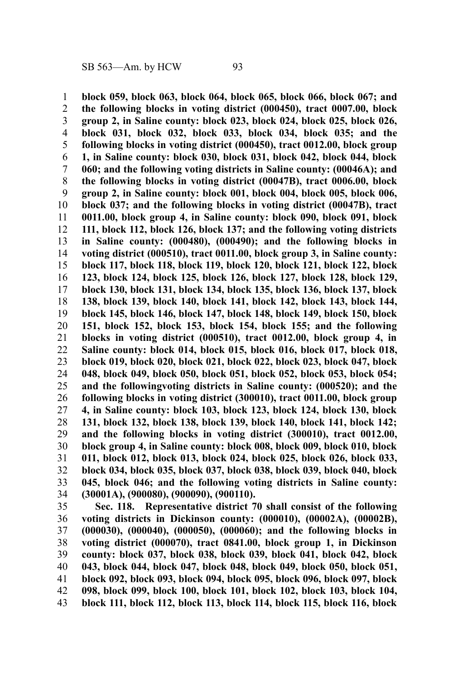**block 059, block 063, block 064, block 065, block 066, block 067; and the following blocks in voting district (000450), tract 0007.00, block group 2, in Saline county: block 023, block 024, block 025, block 026, block 031, block 032, block 033, block 034, block 035; and the following blocks in voting district (000450), tract 0012.00, block group 1, in Saline county: block 030, block 031, block 042, block 044, block 060; and the following voting districts in Saline county: (00046A); and the following blocks in voting district (00047B), tract 0006.00, block group 2, in Saline county: block 001, block 004, block 005, block 006, block 037; and the following blocks in voting district (00047B), tract 0011.00, block group 4, in Saline county: block 090, block 091, block 111, block 112, block 126, block 137; and the following voting districts in Saline county: (000480), (000490); and the following blocks in voting district (000510), tract 0011.00, block group 3, in Saline county: block 117, block 118, block 119, block 120, block 121, block 122, block 123, block 124, block 125, block 126, block 127, block 128, block 129, block 130, block 131, block 134, block 135, block 136, block 137, block 138, block 139, block 140, block 141, block 142, block 143, block 144, block 145, block 146, block 147, block 148, block 149, block 150, block 151, block 152, block 153, block 154, block 155; and the following blocks in voting district (000510), tract 0012.00, block group 4, in Saline county: block 014, block 015, block 016, block 017, block 018, block 019, block 020, block 021, block 022, block 023, block 047, block 048, block 049, block 050, block 051, block 052, block 053, block 054; and the followingvoting districts in Saline county: (000520); and the following blocks in voting district (300010), tract 0011.00, block group 4, in Saline county: block 103, block 123, block 124, block 130, block 131, block 132, block 138, block 139, block 140, block 141, block 142; and the following blocks in voting district (300010), tract 0012.00, block group 4, in Saline county: block 008, block 009, block 010, block 011, block 012, block 013, block 024, block 025, block 026, block 033, block 034, block 035, block 037, block 038, block 039, block 040, block 045, block 046; and the following voting districts in Saline county: (30001A), (900080), (900090), (900110).** 1 2 3 4 5 6 7 8 9 10 11 12 13 14 15 16 17 18 19 20 21 22 23 24 25 26 27 28 29 30 31 32 33 34

**Sec. 118. Representative district 70 shall consist of the following voting districts in Dickinson county: (000010), (00002A), (00002B), (000030), (000040), (000050), (000060); and the following blocks in voting district (000070), tract 0841.00, block group 1, in Dickinson county: block 037, block 038, block 039, block 041, block 042, block 043, block 044, block 047, block 048, block 049, block 050, block 051, block 092, block 093, block 094, block 095, block 096, block 097, block 098, block 099, block 100, block 101, block 102, block 103, block 104, block 111, block 112, block 113, block 114, block 115, block 116, block** 35 36 37 38 39 40 41 42 43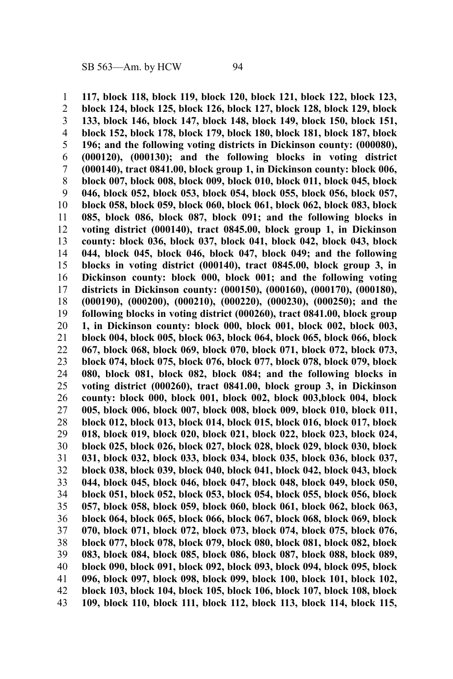**117, block 118, block 119, block 120, block 121, block 122, block 123, block 124, block 125, block 126, block 127, block 128, block 129, block 133, block 146, block 147, block 148, block 149, block 150, block 151, block 152, block 178, block 179, block 180, block 181, block 187, block 196; and the following voting districts in Dickinson county: (000080), (000120), (000130); and the following blocks in voting district (000140), tract 0841.00, block group 1, in Dickinson county: block 006, block 007, block 008, block 009, block 010, block 011, block 045, block 046, block 052, block 053, block 054, block 055, block 056, block 057, block 058, block 059, block 060, block 061, block 062, block 083, block 085, block 086, block 087, block 091; and the following blocks in voting district (000140), tract 0845.00, block group 1, in Dickinson county: block 036, block 037, block 041, block 042, block 043, block 044, block 045, block 046, block 047, block 049; and the following blocks in voting district (000140), tract 0845.00, block group 3, in Dickinson county: block 000, block 001; and the following voting districts in Dickinson county: (000150), (000160), (000170), (000180), (000190), (000200), (000210), (000220), (000230), (000250); and the following blocks in voting district (000260), tract 0841.00, block group 1, in Dickinson county: block 000, block 001, block 002, block 003, block 004, block 005, block 063, block 064, block 065, block 066, block 067, block 068, block 069, block 070, block 071, block 072, block 073, block 074, block 075, block 076, block 077, block 078, block 079, block 080, block 081, block 082, block 084; and the following blocks in voting district (000260), tract 0841.00, block group 3, in Dickinson county: block 000, block 001, block 002, block 003,block 004, block 005, block 006, block 007, block 008, block 009, block 010, block 011, block 012, block 013, block 014, block 015, block 016, block 017, block 018, block 019, block 020, block 021, block 022, block 023, block 024, block 025, block 026, block 027, block 028, block 029, block 030, block 031, block 032, block 033, block 034, block 035, block 036, block 037, block 038, block 039, block 040, block 041, block 042, block 043, block 044, block 045, block 046, block 047, block 048, block 049, block 050, block 051, block 052, block 053, block 054, block 055, block 056, block 057, block 058, block 059, block 060, block 061, block 062, block 063, block 064, block 065, block 066, block 067, block 068, block 069, block 070, block 071, block 072, block 073, block 074, block 075, block 076, block 077, block 078, block 079, block 080, block 081, block 082, block 083, block 084, block 085, block 086, block 087, block 088, block 089, block 090, block 091, block 092, block 093, block 094, block 095, block 096, block 097, block 098, block 099, block 100, block 101, block 102, block 103, block 104, block 105, block 106, block 107, block 108, block 109, block 110, block 111, block 112, block 113, block 114, block 115,** 1 2 3 4 5 6 7 8 9 10 11 12 13 14 15 16 17 18 19 20 21 22 23 24 25 26 27 28 29 30 31 32 33 34 35 36 37 38 39 40 41 42 43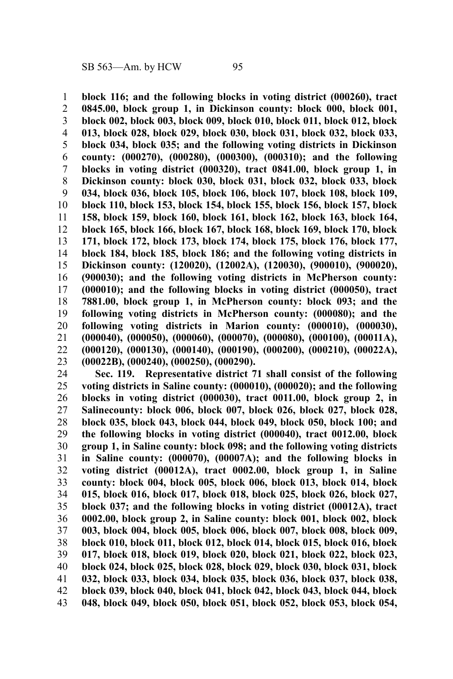**block 116; and the following blocks in voting district (000260), tract 0845.00, block group 1, in Dickinson county: block 000, block 001, block 002, block 003, block 009, block 010, block 011, block 012, block 013, block 028, block 029, block 030, block 031, block 032, block 033, block 034, block 035; and the following voting districts in Dickinson county: (000270), (000280), (000300), (000310); and the following blocks in voting district (000320), tract 0841.00, block group 1, in Dickinson county: block 030, block 031, block 032, block 033, block 034, block 036, block 105, block 106, block 107, block 108, block 109, block 110, block 153, block 154, block 155, block 156, block 157, block 158, block 159, block 160, block 161, block 162, block 163, block 164, block 165, block 166, block 167, block 168, block 169, block 170, block 171, block 172, block 173, block 174, block 175, block 176, block 177, block 184, block 185, block 186; and the following voting districts in Dickinson county: (120020), (12002A), (120030), (900010), (900020), (900030); and the following voting districts in McPherson county: (000010); and the following blocks in voting district (000050), tract 7881.00, block group 1, in McPherson county: block 093; and the following voting districts in McPherson county: (000080); and the following voting districts in Marion county: (000010), (000030), (000040), (000050), (000060), (000070), (000080), (000100), (00011A), (000120), (000130), (000140), (000190), (000200), (000210), (00022A), (00022B), (000240), (000250), (000290).** 1 2 3 4 5 6 7 8 9 10 11 12 13 14 15 16 17 18 19 20 21 22 23

**Sec. 119. Representative district 71 shall consist of the following voting districts in Saline county: (000010), (000020); and the following blocks in voting district (000030), tract 0011.00, block group 2, in Salinecounty: block 006, block 007, block 026, block 027, block 028, block 035, block 043, block 044, block 049, block 050, block 100; and the following blocks in voting district (000040), tract 0012.00, block group 1, in Saline county: block 098; and the following voting districts in Saline county: (000070), (00007A); and the following blocks in voting district (00012A), tract 0002.00, block group 1, in Saline county: block 004, block 005, block 006, block 013, block 014, block 015, block 016, block 017, block 018, block 025, block 026, block 027, block 037; and the following blocks in voting district (00012A), tract 0002.00, block group 2, in Saline county: block 001, block 002, block 003, block 004, block 005, block 006, block 007, block 008, block 009, block 010, block 011, block 012, block 014, block 015, block 016, block 017, block 018, block 019, block 020, block 021, block 022, block 023, block 024, block 025, block 028, block 029, block 030, block 031, block 032, block 033, block 034, block 035, block 036, block 037, block 038, block 039, block 040, block 041, block 042, block 043, block 044, block 048, block 049, block 050, block 051, block 052, block 053, block 054,** 24 25 26 27 28 29 30 31 32 33 34 35 36 37 38 39 40 41 42 43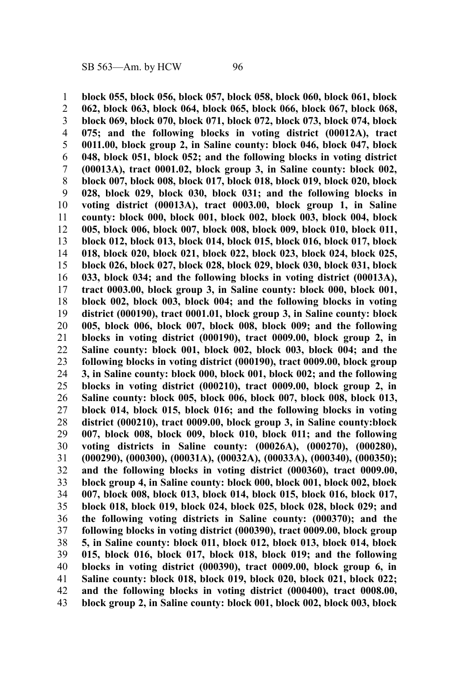**block 055, block 056, block 057, block 058, block 060, block 061, block 062, block 063, block 064, block 065, block 066, block 067, block 068, block 069, block 070, block 071, block 072, block 073, block 074, block 075; and the following blocks in voting district (00012A), tract 0011.00, block group 2, in Saline county: block 046, block 047, block 048, block 051, block 052; and the following blocks in voting district (00013A), tract 0001.02, block group 3, in Saline county: block 002, block 007, block 008, block 017, block 018, block 019, block 020, block 028, block 029, block 030, block 031; and the following blocks in voting district (00013A), tract 0003.00, block group 1, in Saline county: block 000, block 001, block 002, block 003, block 004, block 005, block 006, block 007, block 008, block 009, block 010, block 011, block 012, block 013, block 014, block 015, block 016, block 017, block 018, block 020, block 021, block 022, block 023, block 024, block 025, block 026, block 027, block 028, block 029, block 030, block 031, block 033, block 034; and the following blocks in voting district (00013A), tract 0003.00, block group 3, in Saline county: block 000, block 001, block 002, block 003, block 004; and the following blocks in voting district (000190), tract 0001.01, block group 3, in Saline county: block 005, block 006, block 007, block 008, block 009; and the following blocks in voting district (000190), tract 0009.00, block group 2, in Saline county: block 001, block 002, block 003, block 004; and the following blocks in voting district (000190), tract 0009.00, block group 3, in Saline county: block 000, block 001, block 002; and the following blocks in voting district (000210), tract 0009.00, block group 2, in Saline county: block 005, block 006, block 007, block 008, block 013, block 014, block 015, block 016; and the following blocks in voting district (000210), tract 0009.00, block group 3, in Saline county:block 007, block 008, block 009, block 010, block 011; and the following voting districts in Saline county: (00026A), (000270), (000280), (000290), (000300), (00031A), (00032A), (00033A), (000340), (000350); and the following blocks in voting district (000360), tract 0009.00, block group 4, in Saline county: block 000, block 001, block 002, block 007, block 008, block 013, block 014, block 015, block 016, block 017, block 018, block 019, block 024, block 025, block 028, block 029; and the following voting districts in Saline county: (000370); and the following blocks in voting district (000390), tract 0009.00, block group 5, in Saline county: block 011, block 012, block 013, block 014, block 015, block 016, block 017, block 018, block 019; and the following blocks in voting district (000390), tract 0009.00, block group 6, in Saline county: block 018, block 019, block 020, block 021, block 022; and the following blocks in voting district (000400), tract 0008.00, block group 2, in Saline county: block 001, block 002, block 003, block** 1 2 3 4 5 6 7 8 9 10 11 12 13 14 15 16 17 18 19 20 21 22 23 24 25 26 27 28 29 30 31 32 33 34 35 36 37 38 39 40 41 42 43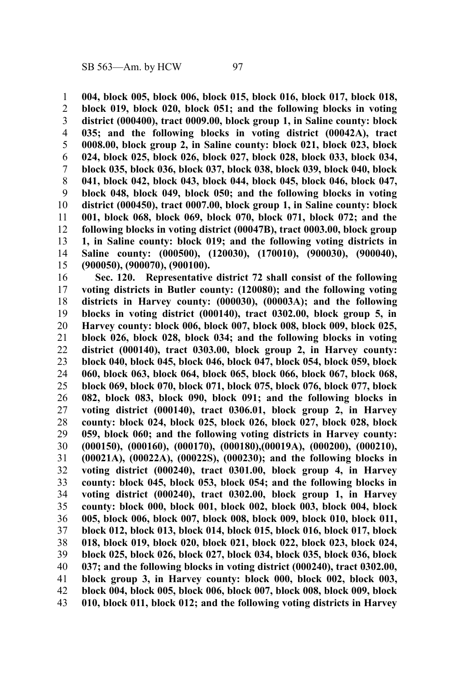**004, block 005, block 006, block 015, block 016, block 017, block 018, block 019, block 020, block 051; and the following blocks in voting district (000400), tract 0009.00, block group 1, in Saline county: block 035; and the following blocks in voting district (00042A), tract 0008.00, block group 2, in Saline county: block 021, block 023, block 024, block 025, block 026, block 027, block 028, block 033, block 034, block 035, block 036, block 037, block 038, block 039, block 040, block 041, block 042, block 043, block 044, block 045, block 046, block 047, block 048, block 049, block 050; and the following blocks in voting district (000450), tract 0007.00, block group 1, in Saline county: block 001, block 068, block 069, block 070, block 071, block 072; and the following blocks in voting district (00047B), tract 0003.00, block group 1, in Saline county: block 019; and the following voting districts in Saline county: (000500), (120030), (170010), (900030), (900040), (900050), (900070), (900100).** 1 2 3 4 5 6 7 8 9 10 11 12 13 14 15

**Sec. 120. Representative district 72 shall consist of the following voting districts in Butler county: (120080); and the following voting districts in Harvey county: (000030), (00003A); and the following blocks in voting district (000140), tract 0302.00, block group 5, in Harvey county: block 006, block 007, block 008, block 009, block 025, block 026, block 028, block 034; and the following blocks in voting district (000140), tract 0303.00, block group 2, in Harvey county: block 040, block 045, block 046, block 047, block 054, block 059, block 060, block 063, block 064, block 065, block 066, block 067, block 068, block 069, block 070, block 071, block 075, block 076, block 077, block 082, block 083, block 090, block 091; and the following blocks in voting district (000140), tract 0306.01, block group 2, in Harvey county: block 024, block 025, block 026, block 027, block 028, block 059, block 060; and the following voting districts in Harvey county: (000150), (000160), (000170), (000180),(00019A), (000200), (000210), (00021A), (00022A), (00022S), (000230); and the following blocks in voting district (000240), tract 0301.00, block group 4, in Harvey county: block 045, block 053, block 054; and the following blocks in voting district (000240), tract 0302.00, block group 1, in Harvey county: block 000, block 001, block 002, block 003, block 004, block 005, block 006, block 007, block 008, block 009, block 010, block 011, block 012, block 013, block 014, block 015, block 016, block 017, block 018, block 019, block 020, block 021, block 022, block 023, block 024, block 025, block 026, block 027, block 034, block 035, block 036, block 037; and the following blocks in voting district (000240), tract 0302.00, block group 3, in Harvey county: block 000, block 002, block 003, block 004, block 005, block 006, block 007, block 008, block 009, block 010, block 011, block 012; and the following voting districts in Harvey** 16 17 18 19 20 21 22 23 24 25 26 27 28 29 30 31 32 33 34 35 36 37 38 39 40 41 42 43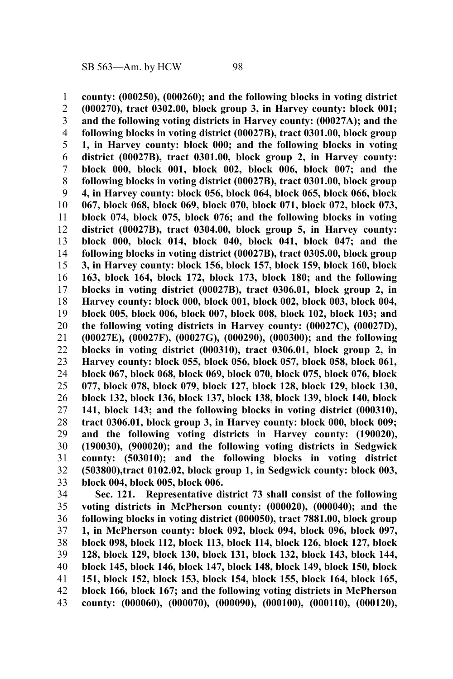**county: (000250), (000260); and the following blocks in voting district (000270), tract 0302.00, block group 3, in Harvey county: block 001; and the following voting districts in Harvey county: (00027A); and the following blocks in voting district (00027B), tract 0301.00, block group 1, in Harvey county: block 000; and the following blocks in voting district (00027B), tract 0301.00, block group 2, in Harvey county: block 000, block 001, block 002, block 006, block 007; and the following blocks in voting district (00027B), tract 0301.00, block group 4, in Harvey county: block 056, block 064, block 065, block 066, block 067, block 068, block 069, block 070, block 071, block 072, block 073, block 074, block 075, block 076; and the following blocks in voting district (00027B), tract 0304.00, block group 5, in Harvey county: block 000, block 014, block 040, block 041, block 047; and the following blocks in voting district (00027B), tract 0305.00, block group 3, in Harvey county: block 156, block 157, block 159, block 160, block 163, block 164, block 172, block 173, block 180; and the following blocks in voting district (00027B), tract 0306.01, block group 2, in Harvey county: block 000, block 001, block 002, block 003, block 004, block 005, block 006, block 007, block 008, block 102, block 103; and the following voting districts in Harvey county: (00027C), (00027D), (00027E), (00027F), (00027G), (000290), (000300); and the following blocks in voting district (000310), tract 0306.01, block group 2, in Harvey county: block 055, block 056, block 057, block 058, block 061, block 067, block 068, block 069, block 070, block 075, block 076, block 077, block 078, block 079, block 127, block 128, block 129, block 130, block 132, block 136, block 137, block 138, block 139, block 140, block 141, block 143; and the following blocks in voting district (000310), tract 0306.01, block group 3, in Harvey county: block 000, block 009; and the following voting districts in Harvey county: (190020), (190030), (900020); and the following voting districts in Sedgwick county: (503010); and the following blocks in voting district (503800),tract 0102.02, block group 1, in Sedgwick county: block 003, block 004, block 005, block 006.** 1 2 3 4 5 6 7 8 9 10 11 12 13 14 15 16 17 18 19 20 21 22 23 24 25 26 27 28 29 30 31 32 33

**Sec. 121. Representative district 73 shall consist of the following voting districts in McPherson county: (000020), (000040); and the following blocks in voting district (000050), tract 7881.00, block group 1, in McPherson county: block 092, block 094, block 096, block 097, block 098, block 112, block 113, block 114, block 126, block 127, block 128, block 129, block 130, block 131, block 132, block 143, block 144, block 145, block 146, block 147, block 148, block 149, block 150, block 151, block 152, block 153, block 154, block 155, block 164, block 165, block 166, block 167; and the following voting districts in McPherson county: (000060), (000070), (000090), (000100), (000110), (000120),** 34 35 36 37 38 39 40 41 42 43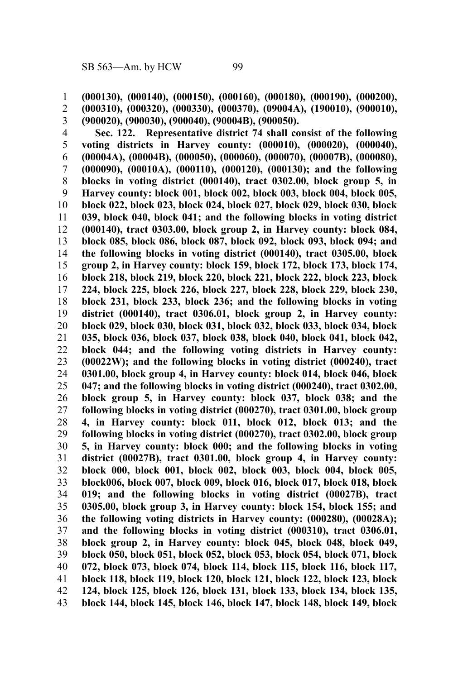**(000130), (000140), (000150), (000160), (000180), (000190), (000200), (000310), (000320), (000330), (000370), (09004A), (190010), (900010),** 1

2

**(900020), (900030), (900040), (90004B), (900050).** 3

**Sec. 122. Representative district 74 shall consist of the following voting districts in Harvey county: (000010), (000020), (000040), (00004A), (00004B), (000050), (000060), (000070), (00007B), (000080), (000090), (00010A), (000110), (000120), (000130); and the following blocks in voting district (000140), tract 0302.00, block group 5, in Harvey county: block 001, block 002, block 003, block 004, block 005, block 022, block 023, block 024, block 027, block 029, block 030, block 039, block 040, block 041; and the following blocks in voting district (000140), tract 0303.00, block group 2, in Harvey county: block 084, block 085, block 086, block 087, block 092, block 093, block 094; and the following blocks in voting district (000140), tract 0305.00, block group 2, in Harvey county: block 159, block 172, block 173, block 174, block 218, block 219, block 220, block 221, block 222, block 223, block 224, block 225, block 226, block 227, block 228, block 229, block 230, block 231, block 233, block 236; and the following blocks in voting district (000140), tract 0306.01, block group 2, in Harvey county: block 029, block 030, block 031, block 032, block 033, block 034, block 035, block 036, block 037, block 038, block 040, block 041, block 042, block 044; and the following voting districts in Harvey county: (00022W); and the following blocks in voting district (000240), tract 0301.00, block group 4, in Harvey county: block 014, block 046, block 047; and the following blocks in voting district (000240), tract 0302.00, block group 5, in Harvey county: block 037, block 038; and the following blocks in voting district (000270), tract 0301.00, block group 4, in Harvey county: block 011, block 012, block 013; and the following blocks in voting district (000270), tract 0302.00, block group 5, in Harvey county: block 000; and the following blocks in voting district (00027B), tract 0301.00, block group 4, in Harvey county: block 000, block 001, block 002, block 003, block 004, block 005, block006, block 007, block 009, block 016, block 017, block 018, block 019; and the following blocks in voting district (00027B), tract 0305.00, block group 3, in Harvey county: block 154, block 155; and the following voting districts in Harvey county: (000280), (00028A); and the following blocks in voting district (000310), tract 0306.01, block group 2, in Harvey county: block 045, block 048, block 049, block 050, block 051, block 052, block 053, block 054, block 071, block 072, block 073, block 074, block 114, block 115, block 116, block 117, block 118, block 119, block 120, block 121, block 122, block 123, block 124, block 125, block 126, block 131, block 133, block 134, block 135, block 144, block 145, block 146, block 147, block 148, block 149, block** 4 5 6 7 8 9 10 11 12 13 14 15 16 17 18 19 20 21 22 23 24 25 26 27 28 29 30 31 32 33 34 35 36 37 38 39 40 41 42 43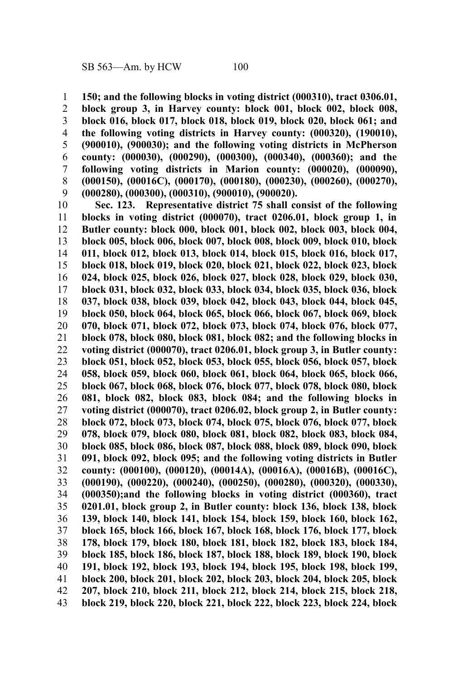**150; and the following blocks in voting district (000310), tract 0306.01, block group 3, in Harvey county: block 001, block 002, block 008, block 016, block 017, block 018, block 019, block 020, block 061; and the following voting districts in Harvey county: (000320), (190010), (900010), (900030); and the following voting districts in McPherson county: (000030), (000290), (000300), (000340), (000360); and the following voting districts in Marion county: (000020), (000090), (000150), (00016C), (000170), (000180), (000230), (000260), (000270), (000280), (000300), (000310), (900010), (900020).** 1 2 3 4 5 6 7 8 9

**Sec. 123. Representative district 75 shall consist of the following blocks in voting district (000070), tract 0206.01, block group 1, in Butler county: block 000, block 001, block 002, block 003, block 004, block 005, block 006, block 007, block 008, block 009, block 010, block 011, block 012, block 013, block 014, block 015, block 016, block 017, block 018, block 019, block 020, block 021, block 022, block 023, block 024, block 025, block 026, block 027, block 028, block 029, block 030, block 031, block 032, block 033, block 034, block 035, block 036, block 037, block 038, block 039, block 042, block 043, block 044, block 045, block 050, block 064, block 065, block 066, block 067, block 069, block 070, block 071, block 072, block 073, block 074, block 076, block 077, block 078, block 080, block 081, block 082; and the following blocks in voting district (000070), tract 0206.01, block group 3, in Butler county: block 051, block 052, block 053, block 055, block 056, block 057, block 058, block 059, block 060, block 061, block 064, block 065, block 066, block 067, block 068, block 076, block 077, block 078, block 080, block 081, block 082, block 083, block 084; and the following blocks in voting district (000070), tract 0206.02, block group 2, in Butler county: block 072, block 073, block 074, block 075, block 076, block 077, block 078, block 079, block 080, block 081, block 082, block 083, block 084, block 085, block 086, block 087, block 088, block 089, block 090, block 091, block 092, block 095; and the following voting districts in Butler county: (000100), (000120), (00014A), (00016A), (00016B), (00016C), (000190), (000220), (000240), (000250), (000280), (000320), (000330), (000350);and the following blocks in voting district (000360), tract 0201.01, block group 2, in Butler county: block 136, block 138, block 139, block 140, block 141, block 154, block 159, block 160, block 162, block 165, block 166, block 167, block 168, block 176, block 177, block 178, block 179, block 180, block 181, block 182, block 183, block 184, block 185, block 186, block 187, block 188, block 189, block 190, block 191, block 192, block 193, block 194, block 195, block 198, block 199, block 200, block 201, block 202, block 203, block 204, block 205, block 207, block 210, block 211, block 212, block 214, block 215, block 218, block 219, block 220, block 221, block 222, block 223, block 224, block** 10 11 12 13 14 15 16 17 18 19 20 21 22 23 24 25 26 27 28 29 30 31 32 33 34 35 36 37 38 39 40 41 42 43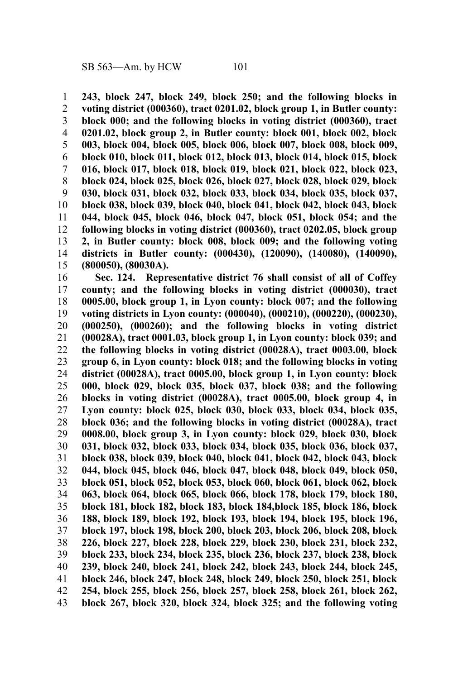**243, block 247, block 249, block 250; and the following blocks in voting district (000360), tract 0201.02, block group 1, in Butler county: block 000; and the following blocks in voting district (000360), tract 0201.02, block group 2, in Butler county: block 001, block 002, block 003, block 004, block 005, block 006, block 007, block 008, block 009, block 010, block 011, block 012, block 013, block 014, block 015, block 016, block 017, block 018, block 019, block 021, block 022, block 023, block 024, block 025, block 026, block 027, block 028, block 029, block 030, block 031, block 032, block 033, block 034, block 035, block 037, block 038, block 039, block 040, block 041, block 042, block 043, block 044, block 045, block 046, block 047, block 051, block 054; and the following blocks in voting district (000360), tract 0202.05, block group 2, in Butler county: block 008, block 009; and the following voting districts in Butler county: (000430), (120090), (140080), (140090), (800050), (80030A).** 1 2 3 4 5 6 7 8 9 10 11 12 13 14 15

**Sec. 124. Representative district 76 shall consist of all of Coffey county; and the following blocks in voting district (000030), tract 0005.00, block group 1, in Lyon county: block 007; and the following voting districts in Lyon county: (000040), (000210), (000220), (000230), (000250), (000260); and the following blocks in voting district (00028A), tract 0001.03, block group 1, in Lyon county: block 039; and the following blocks in voting district (00028A), tract 0003.00, block group 6, in Lyon county: block 018; and the following blocks in voting district (00028A), tract 0005.00, block group 1, in Lyon county: block 000, block 029, block 035, block 037, block 038; and the following blocks in voting district (00028A), tract 0005.00, block group 4, in Lyon county: block 025, block 030, block 033, block 034, block 035, block 036; and the following blocks in voting district (00028A), tract 0008.00, block group 3, in Lyon county: block 029, block 030, block 031, block 032, block 033, block 034, block 035, block 036, block 037, block 038, block 039, block 040, block 041, block 042, block 043, block 044, block 045, block 046, block 047, block 048, block 049, block 050, block 051, block 052, block 053, block 060, block 061, block 062, block 063, block 064, block 065, block 066, block 178, block 179, block 180, block 181, block 182, block 183, block 184,block 185, block 186, block 188, block 189, block 192, block 193, block 194, block 195, block 196, block 197, block 198, block 200, block 203, block 206, block 208, block 226, block 227, block 228, block 229, block 230, block 231, block 232, block 233, block 234, block 235, block 236, block 237, block 238, block 239, block 240, block 241, block 242, block 243, block 244, block 245, block 246, block 247, block 248, block 249, block 250, block 251, block 254, block 255, block 256, block 257, block 258, block 261, block 262, block 267, block 320, block 324, block 325; and the following voting** 16 17 18 19 20 21 22 23 24 25 26 27 28 29 30 31 32 33 34 35 36 37 38 39 40 41 42 43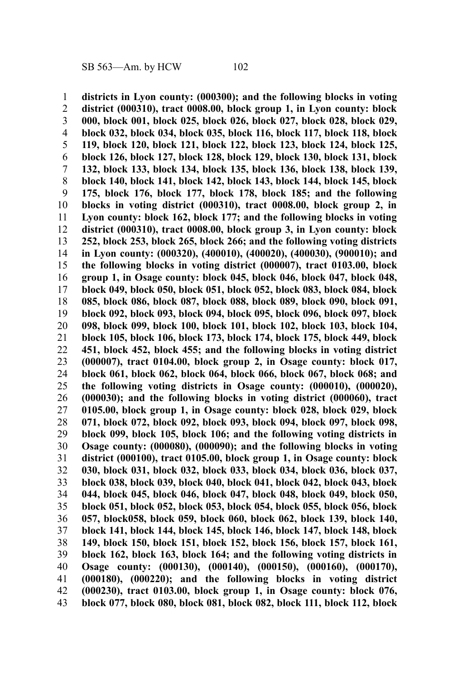**districts in Lyon county: (000300); and the following blocks in voting district (000310), tract 0008.00, block group 1, in Lyon county: block 000, block 001, block 025, block 026, block 027, block 028, block 029, block 032, block 034, block 035, block 116, block 117, block 118, block 119, block 120, block 121, block 122, block 123, block 124, block 125, block 126, block 127, block 128, block 129, block 130, block 131, block 132, block 133, block 134, block 135, block 136, block 138, block 139, block 140, block 141, block 142, block 143, block 144, block 145, block 175, block 176, block 177, block 178, block 185; and the following blocks in voting district (000310), tract 0008.00, block group 2, in Lyon county: block 162, block 177; and the following blocks in voting district (000310), tract 0008.00, block group 3, in Lyon county: block 252, block 253, block 265, block 266; and the following voting districts in Lyon county: (000320), (400010), (400020), (400030), (900010); and the following blocks in voting district (000007), tract 0103.00, block group 1, in Osage county: block 045, block 046, block 047, block 048, block 049, block 050, block 051, block 052, block 083, block 084, block 085, block 086, block 087, block 088, block 089, block 090, block 091, block 092, block 093, block 094, block 095, block 096, block 097, block 098, block 099, block 100, block 101, block 102, block 103, block 104, block 105, block 106, block 173, block 174, block 175, block 449, block 451, block 452, block 455; and the following blocks in voting district (000007), tract 0104.00, block group 2, in Osage county: block 017, block 061, block 062, block 064, block 066, block 067, block 068; and the following voting districts in Osage county: (000010), (000020), (000030); and the following blocks in voting district (000060), tract 0105.00, block group 1, in Osage county: block 028, block 029, block 071, block 072, block 092, block 093, block 094, block 097, block 098, block 099, block 105, block 106; and the following voting districts in Osage county: (000080), (000090); and the following blocks in voting district (000100), tract 0105.00, block group 1, in Osage county: block 030, block 031, block 032, block 033, block 034, block 036, block 037, block 038, block 039, block 040, block 041, block 042, block 043, block 044, block 045, block 046, block 047, block 048, block 049, block 050, block 051, block 052, block 053, block 054, block 055, block 056, block 057, block058, block 059, block 060, block 062, block 139, block 140, block 141, block 144, block 145, block 146, block 147, block 148, block 149, block 150, block 151, block 152, block 156, block 157, block 161, block 162, block 163, block 164; and the following voting districts in Osage county: (000130), (000140), (000150), (000160), (000170), (000180), (000220); and the following blocks in voting district (000230), tract 0103.00, block group 1, in Osage county: block 076, block 077, block 080, block 081, block 082, block 111, block 112, block** 1 2 3 4 5 6 7 8 9 10 11 12 13 14 15 16 17 18 19 20 21 22 23 24 25 26 27 28 29 30 31 32 33 34 35 36 37 38 39 40 41 42 43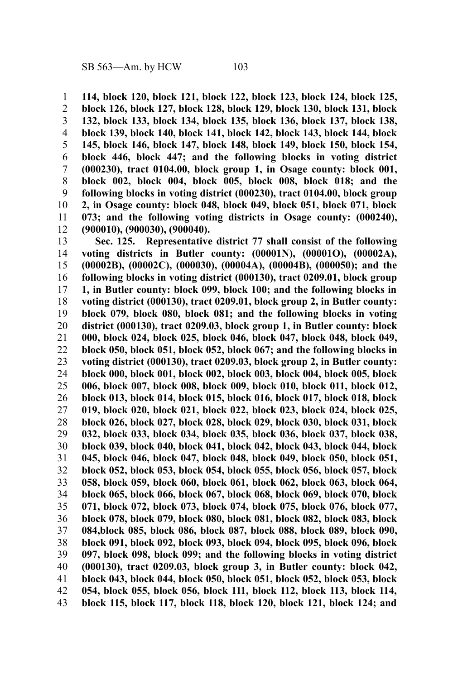**114, block 120, block 121, block 122, block 123, block 124, block 125,** 1

**block 126, block 127, block 128, block 129, block 130, block 131, block 132, block 133, block 134, block 135, block 136, block 137, block 138, block 139, block 140, block 141, block 142, block 143, block 144, block 145, block 146, block 147, block 148, block 149, block 150, block 154, block 446, block 447; and the following blocks in voting district (000230), tract 0104.00, block group 1, in Osage county: block 001, block 002, block 004, block 005, block 008, block 018; and the following blocks in voting district (000230), tract 0104.00, block group 2, in Osage county: block 048, block 049, block 051, block 071, block 073; and the following voting districts in Osage county: (000240), (900010), (900030), (900040).** 2 3 4 5 6 7 8 9 10 11 12

**Sec. 125. Representative district 77 shall consist of the following voting districts in Butler county: (00001N), (00001O), (00002A), (00002B), (00002C), (000030), (00004A), (00004B), (000050); and the following blocks in voting district (000130), tract 0209.01, block group 1, in Butler county: block 099, block 100; and the following blocks in voting district (000130), tract 0209.01, block group 2, in Butler county: block 079, block 080, block 081; and the following blocks in voting district (000130), tract 0209.03, block group 1, in Butler county: block 000, block 024, block 025, block 046, block 047, block 048, block 049, block 050, block 051, block 052, block 067; and the following blocks in voting district (000130), tract 0209.03, block group 2, in Butler county: block 000, block 001, block 002, block 003, block 004, block 005, block 006, block 007, block 008, block 009, block 010, block 011, block 012, block 013, block 014, block 015, block 016, block 017, block 018, block 019, block 020, block 021, block 022, block 023, block 024, block 025, block 026, block 027, block 028, block 029, block 030, block 031, block 032, block 033, block 034, block 035, block 036, block 037, block 038, block 039, block 040, block 041, block 042, block 043, block 044, block 045, block 046, block 047, block 048, block 049, block 050, block 051, block 052, block 053, block 054, block 055, block 056, block 057, block 058, block 059, block 060, block 061, block 062, block 063, block 064, block 065, block 066, block 067, block 068, block 069, block 070, block 071, block 072, block 073, block 074, block 075, block 076, block 077, block 078, block 079, block 080, block 081, block 082, block 083, block 084,block 085, block 086, block 087, block 088, block 089, block 090, block 091, block 092, block 093, block 094, block 095, block 096, block 097, block 098, block 099; and the following blocks in voting district (000130), tract 0209.03, block group 3, in Butler county: block 042, block 043, block 044, block 050, block 051, block 052, block 053, block 054, block 055, block 056, block 111, block 112, block 113, block 114, block 115, block 117, block 118, block 120, block 121, block 124; and** 13 14 15 16 17 18 19 20 21 22 23 24 25 26 27 28 29 30 31 32 33 34 35 36 37 38 39 40 41 42 43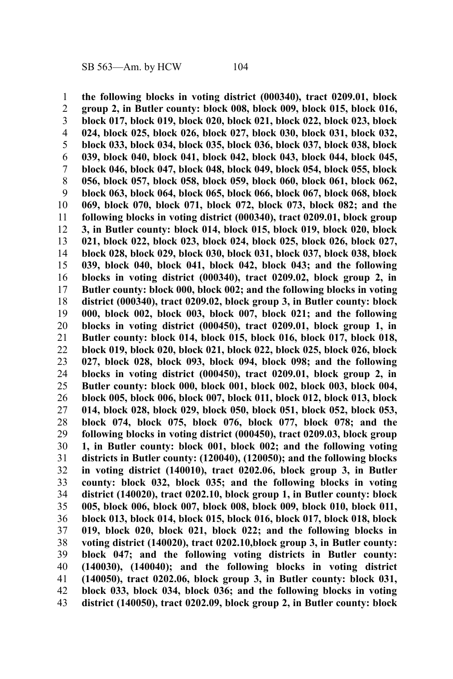**the following blocks in voting district (000340), tract 0209.01, block group 2, in Butler county: block 008, block 009, block 015, block 016, block 017, block 019, block 020, block 021, block 022, block 023, block 024, block 025, block 026, block 027, block 030, block 031, block 032, block 033, block 034, block 035, block 036, block 037, block 038, block 039, block 040, block 041, block 042, block 043, block 044, block 045, block 046, block 047, block 048, block 049, block 054, block 055, block 056, block 057, block 058, block 059, block 060, block 061, block 062, block 063, block 064, block 065, block 066, block 067, block 068, block 069, block 070, block 071, block 072, block 073, block 082; and the following blocks in voting district (000340), tract 0209.01, block group 3, in Butler county: block 014, block 015, block 019, block 020, block 021, block 022, block 023, block 024, block 025, block 026, block 027, block 028, block 029, block 030, block 031, block 037, block 038, block 039, block 040, block 041, block 042, block 043; and the following blocks in voting district (000340), tract 0209.02, block group 2, in Butler county: block 000, block 002; and the following blocks in voting district (000340), tract 0209.02, block group 3, in Butler county: block 000, block 002, block 003, block 007, block 021; and the following blocks in voting district (000450), tract 0209.01, block group 1, in Butler county: block 014, block 015, block 016, block 017, block 018, block 019, block 020, block 021, block 022, block 025, block 026, block 027, block 028, block 093, block 094, block 098; and the following blocks in voting district (000450), tract 0209.01, block group 2, in Butler county: block 000, block 001, block 002, block 003, block 004, block 005, block 006, block 007, block 011, block 012, block 013, block 014, block 028, block 029, block 050, block 051, block 052, block 053, block 074, block 075, block 076, block 077, block 078; and the following blocks in voting district (000450), tract 0209.03, block group 1, in Butler county: block 001, block 002; and the following voting districts in Butler county: (120040), (120050); and the following blocks in voting district (140010), tract 0202.06, block group 3, in Butler county: block 032, block 035; and the following blocks in voting district (140020), tract 0202.10, block group 1, in Butler county: block 005, block 006, block 007, block 008, block 009, block 010, block 011, block 013, block 014, block 015, block 016, block 017, block 018, block 019, block 020, block 021, block 022; and the following blocks in voting district (140020), tract 0202.10,block group 3, in Butler county: block 047; and the following voting districts in Butler county: (140030), (140040); and the following blocks in voting district (140050), tract 0202.06, block group 3, in Butler county: block 031, block 033, block 034, block 036; and the following blocks in voting district (140050), tract 0202.09, block group 2, in Butler county: block** 1 2 3 4 5 6 7 8 9 10 11 12 13 14 15 16 17 18 19 20 21 22 23 24 25 26 27 28 29 30 31 32 33 34 35 36 37 38 39 40 41 42 43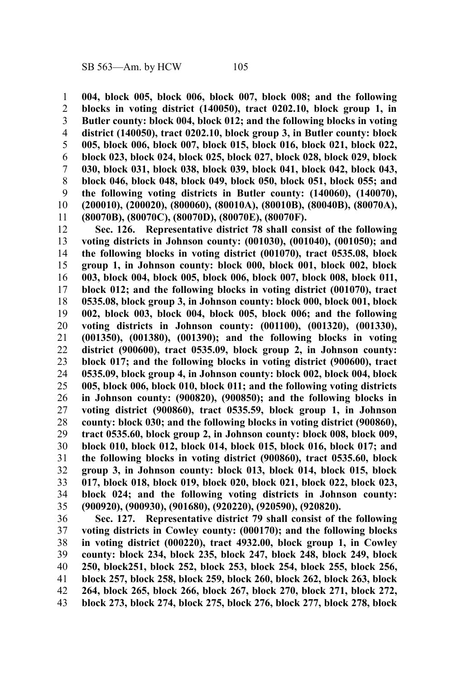**004, block 005, block 006, block 007, block 008; and the following blocks in voting district (140050), tract 0202.10, block group 1, in Butler county: block 004, block 012; and the following blocks in voting district (140050), tract 0202.10, block group 3, in Butler county: block 005, block 006, block 007, block 015, block 016, block 021, block 022, block 023, block 024, block 025, block 027, block 028, block 029, block 030, block 031, block 038, block 039, block 041, block 042, block 043, block 046, block 048, block 049, block 050, block 051, block 055; and the following voting districts in Butler county: (140060), (140070), (200010), (200020), (800060), (80010A), (80010B), (80040B), (80070A), (80070B), (80070C), (80070D), (80070E), (80070F).** 1 2 3 4 5 6 7 8 9 10 11

**Sec. 126. Representative district 78 shall consist of the following voting districts in Johnson county: (001030), (001040), (001050); and the following blocks in voting district (001070), tract 0535.08, block group 1, in Johnson county: block 000, block 001, block 002, block 003, block 004, block 005, block 006, block 007, block 008, block 011, block 012; and the following blocks in voting district (001070), tract 0535.08, block group 3, in Johnson county: block 000, block 001, block 002, block 003, block 004, block 005, block 006; and the following voting districts in Johnson county: (001100), (001320), (001330), (001350), (001380), (001390); and the following blocks in voting district (900600), tract 0535.09, block group 2, in Johnson county: block 017; and the following blocks in voting district (900600), tract 0535.09, block group 4, in Johnson county: block 002, block 004, block 005, block 006, block 010, block 011; and the following voting districts in Johnson county: (900820), (900850); and the following blocks in voting district (900860), tract 0535.59, block group 1, in Johnson county: block 030; and the following blocks in voting district (900860), tract 0535.60, block group 2, in Johnson county: block 008, block 009, block 010, block 012, block 014, block 015, block 016, block 017; and the following blocks in voting district (900860), tract 0535.60, block group 3, in Johnson county: block 013, block 014, block 015, block 017, block 018, block 019, block 020, block 021, block 022, block 023, block 024; and the following voting districts in Johnson county: (900920), (900930), (901680), (920220), (920590), (920820).** 12 13 14 15 16 17 18 19 20 21 22 23 24 25 26 27 28 29 30 31 32 33 34 35

**Sec. 127. Representative district 79 shall consist of the following voting districts in Cowley county: (000170); and the following blocks in voting district (000220), tract 4932.00, block group 1, in Cowley county: block 234, block 235, block 247, block 248, block 249, block 250, block251, block 252, block 253, block 254, block 255, block 256, block 257, block 258, block 259, block 260, block 262, block 263, block 264, block 265, block 266, block 267, block 270, block 271, block 272, block 273, block 274, block 275, block 276, block 277, block 278, block** 36 37 38 39 40 41 42 43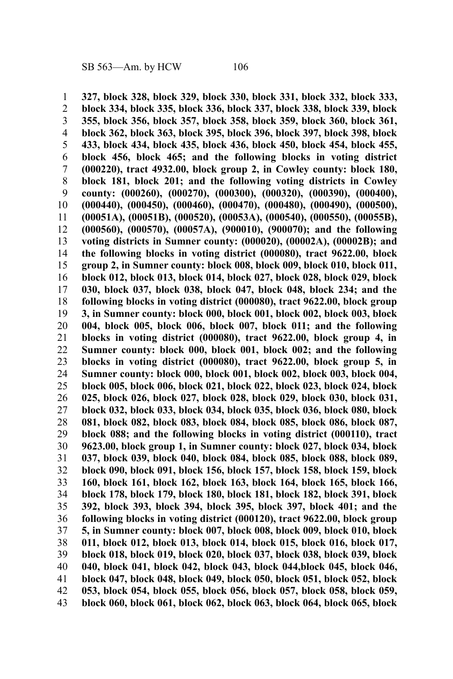**327, block 328, block 329, block 330, block 331, block 332, block 333, block 334, block 335, block 336, block 337, block 338, block 339, block 355, block 356, block 357, block 358, block 359, block 360, block 361, block 362, block 363, block 395, block 396, block 397, block 398, block 433, block 434, block 435, block 436, block 450, block 454, block 455, block 456, block 465; and the following blocks in voting district (000220), tract 4932.00, block group 2, in Cowley county: block 180, block 181, block 201; and the following voting districts in Cowley county: (000260), (000270), (000300), (000320), (000390), (000400), (000440), (000450), (000460), (000470), (000480), (000490), (000500), (00051A), (00051B), (000520), (00053A), (000540), (000550), (00055B), (000560), (000570), (00057A), (900010), (900070); and the following voting districts in Sumner county: (000020), (00002A), (00002B); and the following blocks in voting district (000080), tract 9622.00, block group 2, in Sumner county: block 008, block 009, block 010, block 011, block 012, block 013, block 014, block 027, block 028, block 029, block 030, block 037, block 038, block 047, block 048, block 234; and the following blocks in voting district (000080), tract 9622.00, block group 3, in Sumner county: block 000, block 001, block 002, block 003, block 004, block 005, block 006, block 007, block 011; and the following blocks in voting district (000080), tract 9622.00, block group 4, in Sumner county: block 000, block 001, block 002; and the following blocks in voting district (000080), tract 9622.00, block group 5, in Sumner county: block 000, block 001, block 002, block 003, block 004, block 005, block 006, block 021, block 022, block 023, block 024, block 025, block 026, block 027, block 028, block 029, block 030, block 031, block 032, block 033, block 034, block 035, block 036, block 080, block 081, block 082, block 083, block 084, block 085, block 086, block 087, block 088; and the following blocks in voting district (000110), tract 9623.00, block group 1, in Sumner county: block 027, block 034, block 037, block 039, block 040, block 084, block 085, block 088, block 089, block 090, block 091, block 156, block 157, block 158, block 159, block 160, block 161, block 162, block 163, block 164, block 165, block 166, block 178, block 179, block 180, block 181, block 182, block 391, block 392, block 393, block 394, block 395, block 397, block 401; and the following blocks in voting district (000120), tract 9622.00, block group 5, in Sumner county: block 007, block 008, block 009, block 010, block 011, block 012, block 013, block 014, block 015, block 016, block 017, block 018, block 019, block 020, block 037, block 038, block 039, block 040, block 041, block 042, block 043, block 044,block 045, block 046, block 047, block 048, block 049, block 050, block 051, block 052, block 053, block 054, block 055, block 056, block 057, block 058, block 059, block 060, block 061, block 062, block 063, block 064, block 065, block** 1 2 3 4 5 6 7 8 9 10 11 12 13 14 15 16 17 18 19 20 21 22 23 24 25 26 27 28 29 30 31 32 33 34 35 36 37 38 39 40 41 42 43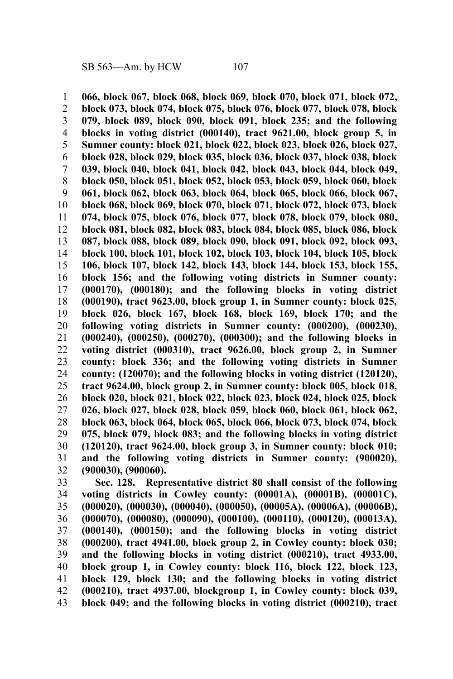**066, block 067, block 068, block 069, block 070, block 071, block 072, block 073, block 074, block 075, block 076, block 077, block 078, block 079, block 089, block 090, block 091, block 235; and the following blocks in voting district (000140), tract 9621.00, block group 5, in Sumner county: block 021, block 022, block 023, block 026, block 027, block 028, block 029, block 035, block 036, block 037, block 038, block 039, block 040, block 041, block 042, block 043, block 044, block 049, block 050, block 051, block 052, block 053, block 059, block 060, block 061, block 062, block 063, block 064, block 065, block 066, block 067, block 068, block 069, block 070, block 071, block 072, block 073, block 074, block 075, block 076, block 077, block 078, block 079, block 080, block 081, block 082, block 083, block 084, block 085, block 086, block 087, block 088, block 089, block 090, block 091, block 092, block 093, block 100, block 101, block 102, block 103, block 104, block 105, block 106, block 107, block 142, block 143, block 144, block 153, block 155, block 156; and the following voting districts in Sumner county: (000170), (000180); and the following blocks in voting district (000190), tract 9623.00, block group 1, in Sumner county: block 025, block 026, block 167, block 168, block 169, block 170; and the following voting districts in Sumner county: (000200), (000230), (000240), (000250), (000270), (000300); and the following blocks in voting district (000310), tract 9626.00, block group 2, in Sumner county: block 336; and the following voting districts in Sumner county: (120070); and the following blocks in voting district (120120), tract 9624.00, block group 2, in Sumner county: block 005, block 018, block 020, block 021, block 022, block 023, block 024, block 025, block 026, block 027, block 028, block 059, block 060, block 061, block 062, block 063, block 064, block 065, block 066, block 073, block 074, block 075, block 079, block 083; and the following blocks in voting district (120120), tract 9624.00, block group 3, in Sumner county: block 010; and the following voting districts in Sumner county: (900020), (900030), (900060).** 1 2 3 4 5 6 7 8 9 10 11 12 13 14 15 16 17 18 19 20 21 22 23 24 25 26 27 28 29 30 31 32

**Sec. 128. Representative district 80 shall consist of the following voting districts in Cowley county: (00001A), (00001B), (00001C), (000020), (000030), (000040), (000050), (00005A), (00006A), (00006B), (000070), (000080), (000090), (000100), (000110), (000120), (00013A), (000140), (000150); and the following blocks in voting district (000200), tract 4941.00, block group 2, in Cowley county: block 030; and the following blocks in voting district (000210), tract 4933.00, block group 1, in Cowley county: block 116, block 122, block 123, block 129, block 130; and the following blocks in voting district (000210), tract 4937.00, blockgroup 1, in Cowley county: block 039, block 049; and the following blocks in voting district (000210), tract** 33 34 35 36 37 38 39 40 41 42 43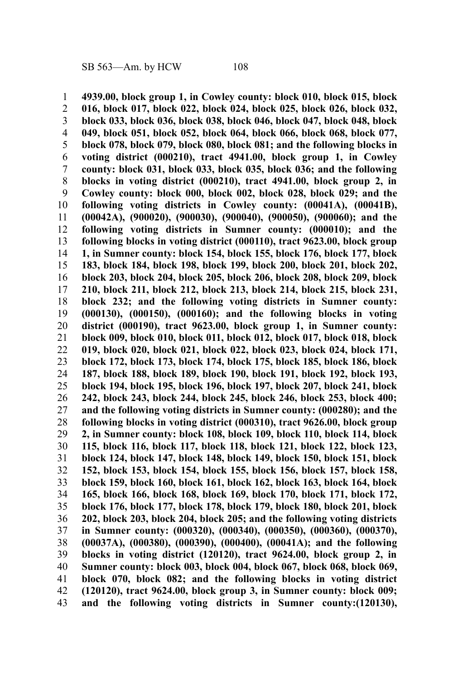**4939.00, block group 1, in Cowley county: block 010, block 015, block 016, block 017, block 022, block 024, block 025, block 026, block 032, block 033, block 036, block 038, block 046, block 047, block 048, block 049, block 051, block 052, block 064, block 066, block 068, block 077, block 078, block 079, block 080, block 081; and the following blocks in voting district (000210), tract 4941.00, block group 1, in Cowley county: block 031, block 033, block 035, block 036; and the following blocks in voting district (000210), tract 4941.00, block group 2, in Cowley county: block 000, block 002, block 028, block 029; and the following voting districts in Cowley county: (00041A), (00041B), (00042A), (900020), (900030), (900040), (900050), (900060); and the following voting districts in Sumner county: (000010); and the following blocks in voting district (000110), tract 9623.00, block group 1, in Sumner county: block 154, block 155, block 176, block 177, block 183, block 184, block 198, block 199, block 200, block 201, block 202, block 203, block 204, block 205, block 206, block 208, block 209, block 210, block 211, block 212, block 213, block 214, block 215, block 231, block 232; and the following voting districts in Sumner county: (000130), (000150), (000160); and the following blocks in voting district (000190), tract 9623.00, block group 1, in Sumner county: block 009, block 010, block 011, block 012, block 017, block 018, block 019, block 020, block 021, block 022, block 023, block 024, block 171, block 172, block 173, block 174, block 175, block 185, block 186, block 187, block 188, block 189, block 190, block 191, block 192, block 193, block 194, block 195, block 196, block 197, block 207, block 241, block 242, block 243, block 244, block 245, block 246, block 253, block 400; and the following voting districts in Sumner county: (000280); and the following blocks in voting district (000310), tract 9626.00, block group 2, in Sumner county: block 108, block 109, block 110, block 114, block 115, block 116, block 117, block 118, block 121, block 122, block 123, block 124, block 147, block 148, block 149, block 150, block 151, block 152, block 153, block 154, block 155, block 156, block 157, block 158, block 159, block 160, block 161, block 162, block 163, block 164, block 165, block 166, block 168, block 169, block 170, block 171, block 172, block 176, block 177, block 178, block 179, block 180, block 201, block 202, block 203, block 204, block 205; and the following voting districts in Sumner county: (000320), (000340), (000350), (000360), (000370), (00037A), (000380), (000390), (000400), (00041A); and the following blocks in voting district (120120), tract 9624.00, block group 2, in Sumner county: block 003, block 004, block 067, block 068, block 069, block 070, block 082; and the following blocks in voting district (120120), tract 9624.00, block group 3, in Sumner county: block 009; and the following voting districts in Sumner county:(120130),** 1 2 3 4 5 6 7 8 9 10 11 12 13 14 15 16 17 18 19 20 21 22 23 24 25 26 27 28 29 30 31 32 33 34 35 36 37 38 39 40 41 42 43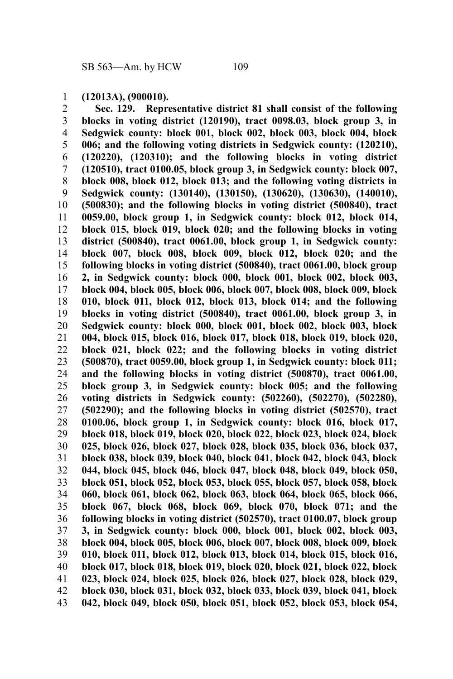**(12013A), (900010).** 1

**Sec. 129. Representative district 81 shall consist of the following blocks in voting district (120190), tract 0098.03, block group 3, in Sedgwick county: block 001, block 002, block 003, block 004, block 006; and the following voting districts in Sedgwick county: (120210), (120220), (120310); and the following blocks in voting district (120510), tract 0100.05, block group 3, in Sedgwick county: block 007, block 008, block 012, block 013; and the following voting districts in Sedgwick county: (130140), (130150), (130620), (130630), (140010), (500830); and the following blocks in voting district (500840), tract 0059.00, block group 1, in Sedgwick county: block 012, block 014, block 015, block 019, block 020; and the following blocks in voting district (500840), tract 0061.00, block group 1, in Sedgwick county: block 007, block 008, block 009, block 012, block 020; and the following blocks in voting district (500840), tract 0061.00, block group 2, in Sedgwick county: block 000, block 001, block 002, block 003, block 004, block 005, block 006, block 007, block 008, block 009, block 010, block 011, block 012, block 013, block 014; and the following blocks in voting district (500840), tract 0061.00, block group 3, in Sedgwick county: block 000, block 001, block 002, block 003, block 004, block 015, block 016, block 017, block 018, block 019, block 020, block 021, block 022; and the following blocks in voting district (500870), tract 0059.00, block group 1, in Sedgwick county: block 011; and the following blocks in voting district (500870), tract 0061.00, block group 3, in Sedgwick county: block 005; and the following voting districts in Sedgwick county: (502260), (502270), (502280), (502290); and the following blocks in voting district (502570), tract 0100.06, block group 1, in Sedgwick county: block 016, block 017, block 018, block 019, block 020, block 022, block 023, block 024, block 025, block 026, block 027, block 028, block 035, block 036, block 037, block 038, block 039, block 040, block 041, block 042, block 043, block 044, block 045, block 046, block 047, block 048, block 049, block 050, block 051, block 052, block 053, block 055, block 057, block 058, block 060, block 061, block 062, block 063, block 064, block 065, block 066, block 067, block 068, block 069, block 070, block 071; and the following blocks in voting district (502570), tract 0100.07, block group 3, in Sedgwick county: block 000, block 001, block 002, block 003, block 004, block 005, block 006, block 007, block 008, block 009, block 010, block 011, block 012, block 013, block 014, block 015, block 016, block 017, block 018, block 019, block 020, block 021, block 022, block 023, block 024, block 025, block 026, block 027, block 028, block 029, block 030, block 031, block 032, block 033, block 039, block 041, block 042, block 049, block 050, block 051, block 052, block 053, block 054,** 2 3 4 5 6 7 8 9 10 11 12 13 14 15 16 17 18 19 20 21 22 23 24 25 26 27 28 29 30 31 32 33 34 35 36 37 38 39 40 41 42 43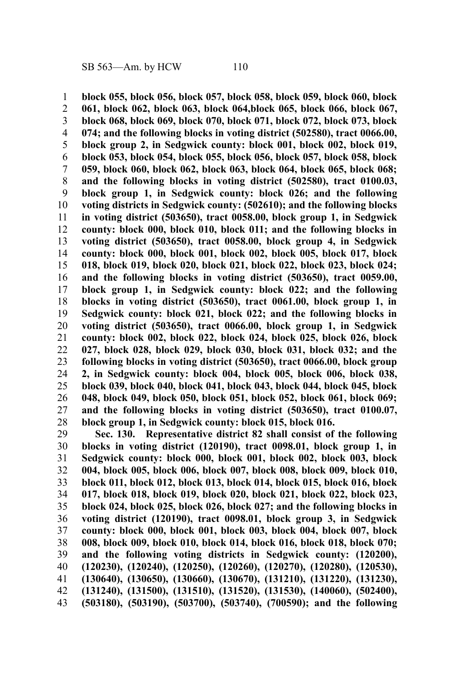**block 055, block 056, block 057, block 058, block 059, block 060, block 061, block 062, block 063, block 064,block 065, block 066, block 067, block 068, block 069, block 070, block 071, block 072, block 073, block 074; and the following blocks in voting district (502580), tract 0066.00, block group 2, in Sedgwick county: block 001, block 002, block 019, block 053, block 054, block 055, block 056, block 057, block 058, block 059, block 060, block 062, block 063, block 064, block 065, block 068; and the following blocks in voting district (502580), tract 0100.03, block group 1, in Sedgwick county: block 026; and the following voting districts in Sedgwick county: (502610); and the following blocks in voting district (503650), tract 0058.00, block group 1, in Sedgwick county: block 000, block 010, block 011; and the following blocks in voting district (503650), tract 0058.00, block group 4, in Sedgwick county: block 000, block 001, block 002, block 005, block 017, block 018, block 019, block 020, block 021, block 022, block 023, block 024; and the following blocks in voting district (503650), tract 0059.00, block group 1, in Sedgwick county: block 022; and the following blocks in voting district (503650), tract 0061.00, block group 1, in Sedgwick county: block 021, block 022; and the following blocks in voting district (503650), tract 0066.00, block group 1, in Sedgwick county: block 002, block 022, block 024, block 025, block 026, block 027, block 028, block 029, block 030, block 031, block 032; and the following blocks in voting district (503650), tract 0066.00, block group 2, in Sedgwick county: block 004, block 005, block 006, block 038, block 039, block 040, block 041, block 043, block 044, block 045, block 048, block 049, block 050, block 051, block 052, block 061, block 069; and the following blocks in voting district (503650), tract 0100.07, block group 1, in Sedgwick county: block 015, block 016.** 1 2 3 4 5 6 7 8 9 10 11 12 13 14 15 16 17 18 19 20 21 22 23 24 25 26 27 28

**Sec. 130. Representative district 82 shall consist of the following blocks in voting district (120190), tract 0098.01, block group 1, in Sedgwick county: block 000, block 001, block 002, block 003, block 004, block 005, block 006, block 007, block 008, block 009, block 010, block 011, block 012, block 013, block 014, block 015, block 016, block 017, block 018, block 019, block 020, block 021, block 022, block 023, block 024, block 025, block 026, block 027; and the following blocks in voting district (120190), tract 0098.01, block group 3, in Sedgwick county: block 000, block 001, block 003, block 004, block 007, block 008, block 009, block 010, block 014, block 016, block 018, block 070; and the following voting districts in Sedgwick county: (120200), (120230), (120240), (120250), (120260), (120270), (120280), (120530), (130640), (130650), (130660), (130670), (131210), (131220), (131230), (131240), (131500), (131510), (131520), (131530), (140060), (502400), (503180), (503190), (503700), (503740), (700590); and the following** 29 30 31 32 33 34 35 36 37 38 39 40 41 42 43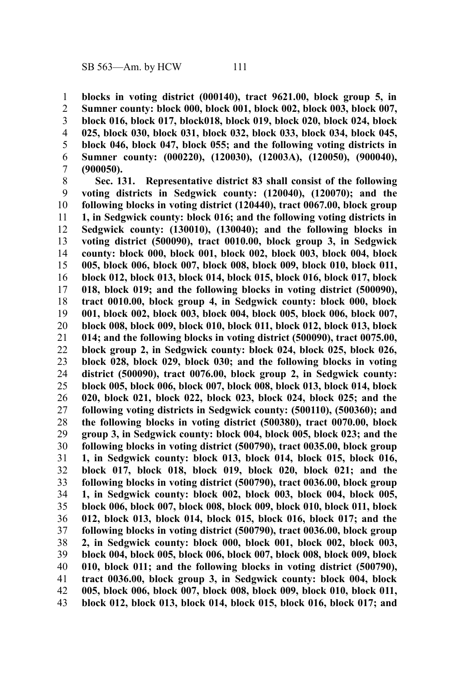**blocks in voting district (000140), tract 9621.00, block group 5, in Sumner county: block 000, block 001, block 002, block 003, block 007, block 016, block 017, block018, block 019, block 020, block 024, block 025, block 030, block 031, block 032, block 033, block 034, block 045, block 046, block 047, block 055; and the following voting districts in Sumner county: (000220), (120030), (12003A), (120050), (900040), (900050).** 1 2 3 4 5 6 7

**Sec. 131. Representative district 83 shall consist of the following voting districts in Sedgwick county: (120040), (120070); and the following blocks in voting district (120440), tract 0067.00, block group 1, in Sedgwick county: block 016; and the following voting districts in Sedgwick county: (130010), (130040); and the following blocks in voting district (500090), tract 0010.00, block group 3, in Sedgwick county: block 000, block 001, block 002, block 003, block 004, block 005, block 006, block 007, block 008, block 009, block 010, block 011, block 012, block 013, block 014, block 015, block 016, block 017, block 018, block 019; and the following blocks in voting district (500090), tract 0010.00, block group 4, in Sedgwick county: block 000, block 001, block 002, block 003, block 004, block 005, block 006, block 007, block 008, block 009, block 010, block 011, block 012, block 013, block 014; and the following blocks in voting district (500090), tract 0075.00, block group 2, in Sedgwick county: block 024, block 025, block 026, block 028, block 029, block 030; and the following blocks in voting district (500090), tract 0076.00, block group 2, in Sedgwick county: block 005, block 006, block 007, block 008, block 013, block 014, block 020, block 021, block 022, block 023, block 024, block 025; and the following voting districts in Sedgwick county: (500110), (500360); and the following blocks in voting district (500380), tract 0070.00, block group 3, in Sedgwick county: block 004, block 005, block 023; and the following blocks in voting district (500790), tract 0035.00, block group 1, in Sedgwick county: block 013, block 014, block 015, block 016, block 017, block 018, block 019, block 020, block 021; and the following blocks in voting district (500790), tract 0036.00, block group 1, in Sedgwick county: block 002, block 003, block 004, block 005, block 006, block 007, block 008, block 009, block 010, block 011, block 012, block 013, block 014, block 015, block 016, block 017; and the following blocks in voting district (500790), tract 0036.00, block group 2, in Sedgwick county: block 000, block 001, block 002, block 003, block 004, block 005, block 006, block 007, block 008, block 009, block 010, block 011; and the following blocks in voting district (500790), tract 0036.00, block group 3, in Sedgwick county: block 004, block 005, block 006, block 007, block 008, block 009, block 010, block 011, block 012, block 013, block 014, block 015, block 016, block 017; and** 8 9 10 11 12 13 14 15 16 17 18 19 20 21 22 23 24 25 26 27 28 29 30 31 32 33 34 35 36 37 38 39 40 41 42 43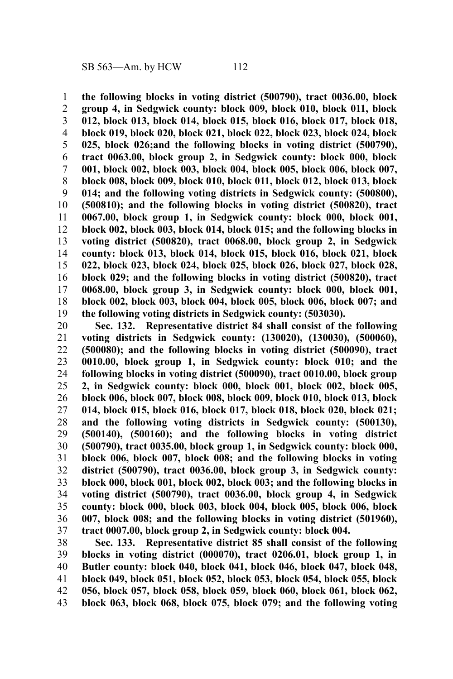**the following blocks in voting district (500790), tract 0036.00, block group 4, in Sedgwick county: block 009, block 010, block 011, block 012, block 013, block 014, block 015, block 016, block 017, block 018, block 019, block 020, block 021, block 022, block 023, block 024, block 025, block 026;and the following blocks in voting district (500790), tract 0063.00, block group 2, in Sedgwick county: block 000, block 001, block 002, block 003, block 004, block 005, block 006, block 007, block 008, block 009, block 010, block 011, block 012, block 013, block 014; and the following voting districts in Sedgwick county: (500800), (500810); and the following blocks in voting district (500820), tract 0067.00, block group 1, in Sedgwick county: block 000, block 001, block 002, block 003, block 014, block 015; and the following blocks in voting district (500820), tract 0068.00, block group 2, in Sedgwick county: block 013, block 014, block 015, block 016, block 021, block 022, block 023, block 024, block 025, block 026, block 027, block 028, block 029; and the following blocks in voting district (500820), tract 0068.00, block group 3, in Sedgwick county: block 000, block 001, block 002, block 003, block 004, block 005, block 006, block 007; and the following voting districts in Sedgwick county: (503030).** 1 2 3 4 5 6 7 8 9 10 11 12 13 14 15 16 17 18 19

**Sec. 132. Representative district 84 shall consist of the following voting districts in Sedgwick county: (130020), (130030), (500060), (500080); and the following blocks in voting district (500090), tract 0010.00, block group 1, in Sedgwick county: block 010; and the following blocks in voting district (500090), tract 0010.00, block group 2, in Sedgwick county: block 000, block 001, block 002, block 005, block 006, block 007, block 008, block 009, block 010, block 013, block 014, block 015, block 016, block 017, block 018, block 020, block 021; and the following voting districts in Sedgwick county: (500130), (500140), (500160); and the following blocks in voting district (500790), tract 0035.00, block group 1, in Sedgwick county: block 000, block 006, block 007, block 008; and the following blocks in voting district (500790), tract 0036.00, block group 3, in Sedgwick county: block 000, block 001, block 002, block 003; and the following blocks in voting district (500790), tract 0036.00, block group 4, in Sedgwick county: block 000, block 003, block 004, block 005, block 006, block 007, block 008; and the following blocks in voting district (501960), tract 0007.00, block group 2, in Sedgwick county: block 004.** 20 21 22 23 24 25 26 27 28 29 30 31 32 33 34 35 36 37

**Sec. 133. Representative district 85 shall consist of the following blocks in voting district (000070), tract 0206.01, block group 1, in Butler county: block 040, block 041, block 046, block 047, block 048, block 049, block 051, block 052, block 053, block 054, block 055, block 056, block 057, block 058, block 059, block 060, block 061, block 062, block 063, block 068, block 075, block 079; and the following voting** 38 39 40 41 42 43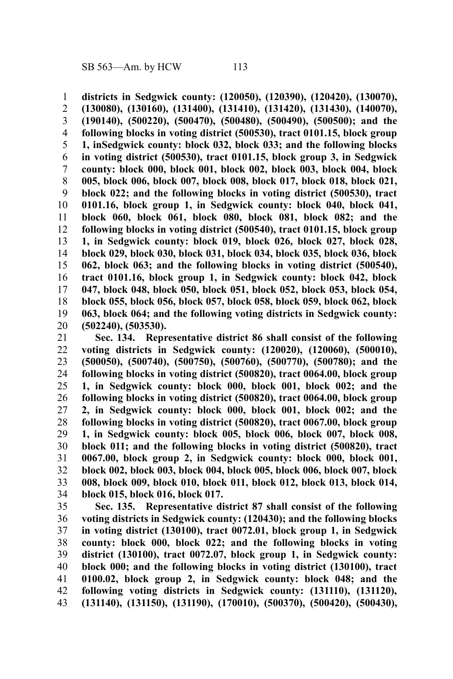**districts in Sedgwick county: (120050), (120390), (120420), (130070), (130080), (130160), (131400), (131410), (131420), (131430), (140070), (190140), (500220), (500470), (500480), (500490), (500500); and the following blocks in voting district (500530), tract 0101.15, block group 1, inSedgwick county: block 032, block 033; and the following blocks in voting district (500530), tract 0101.15, block group 3, in Sedgwick county: block 000, block 001, block 002, block 003, block 004, block 005, block 006, block 007, block 008, block 017, block 018, block 021, block 022; and the following blocks in voting district (500530), tract 0101.16, block group 1, in Sedgwick county: block 040, block 041, block 060, block 061, block 080, block 081, block 082; and the following blocks in voting district (500540), tract 0101.15, block group 1, in Sedgwick county: block 019, block 026, block 027, block 028, block 029, block 030, block 031, block 034, block 035, block 036, block 062, block 063; and the following blocks in voting district (500540), tract 0101.16, block group 1, in Sedgwick county: block 042, block 047, block 048, block 050, block 051, block 052, block 053, block 054, block 055, block 056, block 057, block 058, block 059, block 062, block 063, block 064; and the following voting districts in Sedgwick county: (502240), (503530).** 1 2 3 4 5 6 7 8 9 10 11 12 13 14 15 16 17 18 19 20

**Sec. 134. Representative district 86 shall consist of the following voting districts in Sedgwick county: (120020), (120060), (500010), (500050), (500740), (500750), (500760), (500770), (500780); and the following blocks in voting district (500820), tract 0064.00, block group 1, in Sedgwick county: block 000, block 001, block 002; and the following blocks in voting district (500820), tract 0064.00, block group 2, in Sedgwick county: block 000, block 001, block 002; and the following blocks in voting district (500820), tract 0067.00, block group 1, in Sedgwick county: block 005, block 006, block 007, block 008, block 011; and the following blocks in voting district (500820), tract 0067.00, block group 2, in Sedgwick county: block 000, block 001, block 002, block 003, block 004, block 005, block 006, block 007, block 008, block 009, block 010, block 011, block 012, block 013, block 014, block 015, block 016, block 017.** 21 22 23 24 25 26 27 28 29 30 31 32 33 34

**Sec. 135. Representative district 87 shall consist of the following voting districts in Sedgwick county: (120430); and the following blocks in voting district (130100), tract 0072.01, block group 1, in Sedgwick county: block 000, block 022; and the following blocks in voting district (130100), tract 0072.07, block group 1, in Sedgwick county: block 000; and the following blocks in voting district (130100), tract 0100.02, block group 2, in Sedgwick county: block 048; and the following voting districts in Sedgwick county: (131110), (131120), (131140), (131150), (131190), (170010), (500370), (500420), (500430),** 35 36 37 38 39 40 41 42 43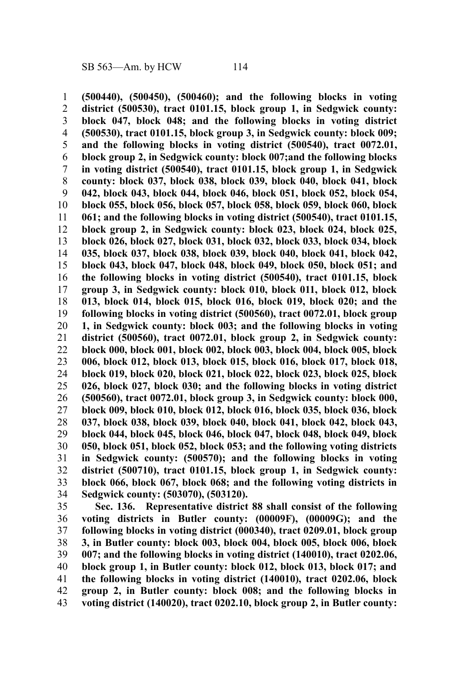**(500440), (500450), (500460); and the following blocks in voting district (500530), tract 0101.15, block group 1, in Sedgwick county: block 047, block 048; and the following blocks in voting district (500530), tract 0101.15, block group 3, in Sedgwick county: block 009; and the following blocks in voting district (500540), tract 0072.01, block group 2, in Sedgwick county: block 007;and the following blocks in voting district (500540), tract 0101.15, block group 1, in Sedgwick county: block 037, block 038, block 039, block 040, block 041, block 042, block 043, block 044, block 046, block 051, block 052, block 054, block 055, block 056, block 057, block 058, block 059, block 060, block 061; and the following blocks in voting district (500540), tract 0101.15, block group 2, in Sedgwick county: block 023, block 024, block 025, block 026, block 027, block 031, block 032, block 033, block 034, block 035, block 037, block 038, block 039, block 040, block 041, block 042, block 043, block 047, block 048, block 049, block 050, block 051; and the following blocks in voting district (500540), tract 0101.15, block group 3, in Sedgwick county: block 010, block 011, block 012, block 013, block 014, block 015, block 016, block 019, block 020; and the following blocks in voting district (500560), tract 0072.01, block group 1, in Sedgwick county: block 003; and the following blocks in voting district (500560), tract 0072.01, block group 2, in Sedgwick county: block 000, block 001, block 002, block 003, block 004, block 005, block 006, block 012, block 013, block 015, block 016, block 017, block 018, block 019, block 020, block 021, block 022, block 023, block 025, block 026, block 027, block 030; and the following blocks in voting district (500560), tract 0072.01, block group 3, in Sedgwick county: block 000, block 009, block 010, block 012, block 016, block 035, block 036, block 037, block 038, block 039, block 040, block 041, block 042, block 043, block 044, block 045, block 046, block 047, block 048, block 049, block 050, block 051, block 052, block 053; and the following voting districts in Sedgwick county: (500570); and the following blocks in voting district (500710), tract 0101.15, block group 1, in Sedgwick county: block 066, block 067, block 068; and the following voting districts in Sedgwick county: (503070), (503120).** 1 2 3 4 5 6 7 8 9 10 11 12 13 14 15 16 17 18 19 20 21 22 23 24 25 26 27 28 29 30 31 32 33 34

**Sec. 136. Representative district 88 shall consist of the following voting districts in Butler county: (00009F), (00009G); and the following blocks in voting district (000340), tract 0209.01, block group 3, in Butler county: block 003, block 004, block 005, block 006, block 007; and the following blocks in voting district (140010), tract 0202.06, block group 1, in Butler county: block 012, block 013, block 017; and the following blocks in voting district (140010), tract 0202.06, block group 2, in Butler county: block 008; and the following blocks in voting district (140020), tract 0202.10, block group 2, in Butler county:** 35 36 37 38 39 40 41 42 43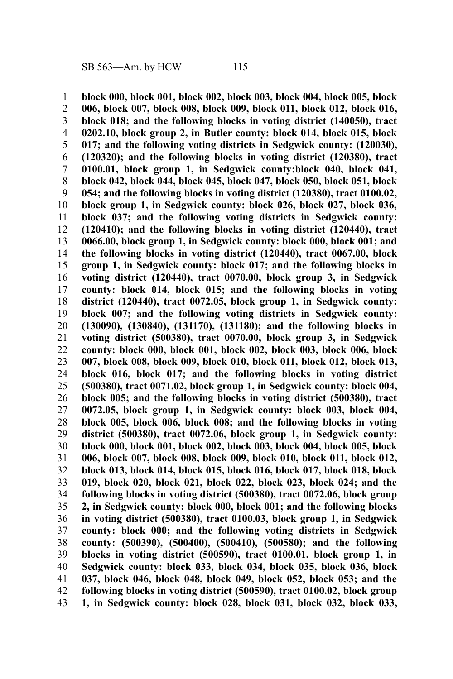**block 000, block 001, block 002, block 003, block 004, block 005, block 006, block 007, block 008, block 009, block 011, block 012, block 016, block 018; and the following blocks in voting district (140050), tract 0202.10, block group 2, in Butler county: block 014, block 015, block 017; and the following voting districts in Sedgwick county: (120030), (120320); and the following blocks in voting district (120380), tract 0100.01, block group 1, in Sedgwick county:block 040, block 041, block 042, block 044, block 045, block 047, block 050, block 051, block 054; and the following blocks in voting district (120380), tract 0100.02, block group 1, in Sedgwick county: block 026, block 027, block 036, block 037; and the following voting districts in Sedgwick county: (120410); and the following blocks in voting district (120440), tract 0066.00, block group 1, in Sedgwick county: block 000, block 001; and the following blocks in voting district (120440), tract 0067.00, block group 1, in Sedgwick county: block 017; and the following blocks in voting district (120440), tract 0070.00, block group 3, in Sedgwick county: block 014, block 015; and the following blocks in voting district (120440), tract 0072.05, block group 1, in Sedgwick county: block 007; and the following voting districts in Sedgwick county: (130090), (130840), (131170), (131180); and the following blocks in voting district (500380), tract 0070.00, block group 3, in Sedgwick county: block 000, block 001, block 002, block 003, block 006, block 007, block 008, block 009, block 010, block 011, block 012, block 013, block 016, block 017; and the following blocks in voting district (500380), tract 0071.02, block group 1, in Sedgwick county: block 004, block 005; and the following blocks in voting district (500380), tract 0072.05, block group 1, in Sedgwick county: block 003, block 004, block 005, block 006, block 008; and the following blocks in voting district (500380), tract 0072.06, block group 1, in Sedgwick county: block 000, block 001, block 002, block 003, block 004, block 005, block 006, block 007, block 008, block 009, block 010, block 011, block 012, block 013, block 014, block 015, block 016, block 017, block 018, block 019, block 020, block 021, block 022, block 023, block 024; and the following blocks in voting district (500380), tract 0072.06, block group 2, in Sedgwick county: block 000, block 001; and the following blocks in voting district (500380), tract 0100.03, block group 1, in Sedgwick county: block 000; and the following voting districts in Sedgwick county: (500390), (500400), (500410), (500580); and the following blocks in voting district (500590), tract 0100.01, block group 1, in Sedgwick county: block 033, block 034, block 035, block 036, block 037, block 046, block 048, block 049, block 052, block 053; and the following blocks in voting district (500590), tract 0100.02, block group 1, in Sedgwick county: block 028, block 031, block 032, block 033,** 1 2 3 4 5 6 7 8 9 10 11 12 13 14 15 16 17 18 19 20 21 22 23 24 25 26 27 28 29 30 31 32 33 34 35 36 37 38 39 40 41 42 43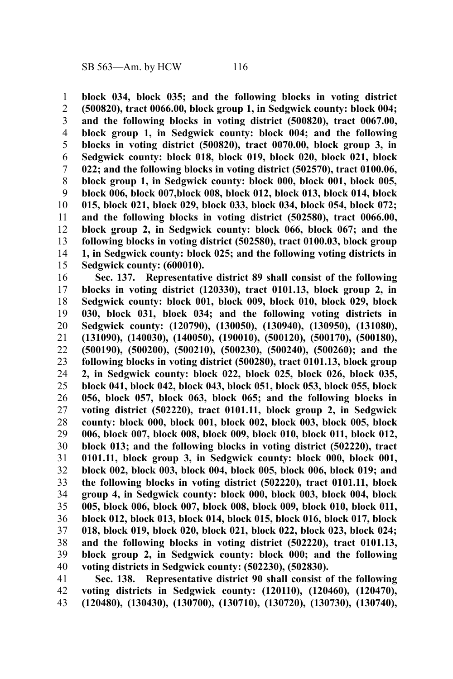**block 034, block 035; and the following blocks in voting district (500820), tract 0066.00, block group 1, in Sedgwick county: block 004; and the following blocks in voting district (500820), tract 0067.00, block group 1, in Sedgwick county: block 004; and the following blocks in voting district (500820), tract 0070.00, block group 3, in Sedgwick county: block 018, block 019, block 020, block 021, block 022; and the following blocks in voting district (502570), tract 0100.06, block group 1, in Sedgwick county: block 000, block 001, block 005, block 006, block 007,block 008, block 012, block 013, block 014, block 015, block 021, block 029, block 033, block 034, block 054, block 072; and the following blocks in voting district (502580), tract 0066.00, block group 2, in Sedgwick county: block 066, block 067; and the following blocks in voting district (502580), tract 0100.03, block group 1, in Sedgwick county: block 025; and the following voting districts in Sedgwick county: (600010).** 1 2 3 4 5 6 7 8 9 10 11 12 13 14 15

**Sec. 137. Representative district 89 shall consist of the following blocks in voting district (120330), tract 0101.13, block group 2, in Sedgwick county: block 001, block 009, block 010, block 029, block 030, block 031, block 034; and the following voting districts in Sedgwick county: (120790), (130050), (130940), (130950), (131080), (131090), (140030), (140050), (190010), (500120), (500170), (500180), (500190), (500200), (500210), (500230), (500240), (500260); and the following blocks in voting district (500280), tract 0101.13, block group 2, in Sedgwick county: block 022, block 025, block 026, block 035, block 041, block 042, block 043, block 051, block 053, block 055, block 056, block 057, block 063, block 065; and the following blocks in voting district (502220), tract 0101.11, block group 2, in Sedgwick county: block 000, block 001, block 002, block 003, block 005, block 006, block 007, block 008, block 009, block 010, block 011, block 012, block 013; and the following blocks in voting district (502220), tract 0101.11, block group 3, in Sedgwick county: block 000, block 001, block 002, block 003, block 004, block 005, block 006, block 019; and the following blocks in voting district (502220), tract 0101.11, block group 4, in Sedgwick county: block 000, block 003, block 004, block 005, block 006, block 007, block 008, block 009, block 010, block 011, block 012, block 013, block 014, block 015, block 016, block 017, block 018, block 019, block 020, block 021, block 022, block 023, block 024; and the following blocks in voting district (502220), tract 0101.13, block group 2, in Sedgwick county: block 000; and the following voting districts in Sedgwick county: (502230), (502830).** 16 17 18 19 20 21 22 23 24 25 26 27 28 29 30 31 32 33 34 35 36 37 38 39 40

**Sec. 138. Representative district 90 shall consist of the following voting districts in Sedgwick county: (120110), (120460), (120470), (120480), (130430), (130700), (130710), (130720), (130730), (130740),** 41 42 43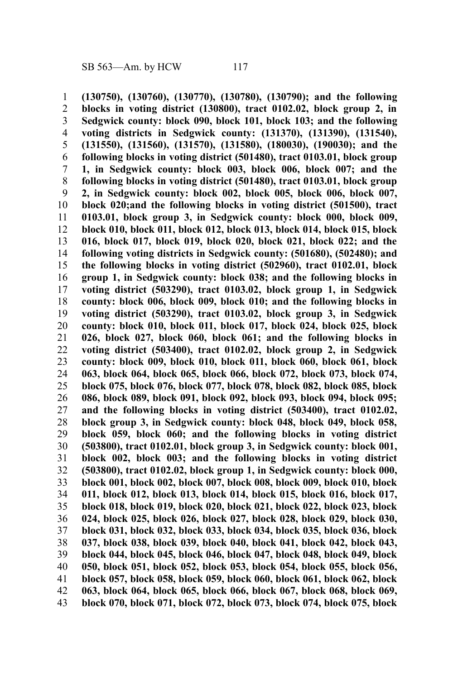**(130750), (130760), (130770), (130780), (130790); and the following blocks in voting district (130800), tract 0102.02, block group 2, in Sedgwick county: block 090, block 101, block 103; and the following voting districts in Sedgwick county: (131370), (131390), (131540), (131550), (131560), (131570), (131580), (180030), (190030); and the following blocks in voting district (501480), tract 0103.01, block group 1, in Sedgwick county: block 003, block 006, block 007; and the following blocks in voting district (501480), tract 0103.01, block group 2, in Sedgwick county: block 002, block 005, block 006, block 007, block 020;and the following blocks in voting district (501500), tract 0103.01, block group 3, in Sedgwick county: block 000, block 009, block 010, block 011, block 012, block 013, block 014, block 015, block 016, block 017, block 019, block 020, block 021, block 022; and the following voting districts in Sedgwick county: (501680), (502480); and the following blocks in voting district (502960), tract 0102.01, block group 1, in Sedgwick county: block 038; and the following blocks in voting district (503290), tract 0103.02, block group 1, in Sedgwick county: block 006, block 009, block 010; and the following blocks in voting district (503290), tract 0103.02, block group 3, in Sedgwick county: block 010, block 011, block 017, block 024, block 025, block 026, block 027, block 060, block 061; and the following blocks in voting district (503400), tract 0102.02, block group 2, in Sedgwick county: block 009, block 010, block 011, block 060, block 061, block 063, block 064, block 065, block 066, block 072, block 073, block 074, block 075, block 076, block 077, block 078, block 082, block 085, block 086, block 089, block 091, block 092, block 093, block 094, block 095; and the following blocks in voting district (503400), tract 0102.02, block group 3, in Sedgwick county: block 048, block 049, block 058, block 059, block 060; and the following blocks in voting district (503800), tract 0102.01, block group 3, in Sedgwick county: block 001, block 002, block 003; and the following blocks in voting district (503800), tract 0102.02, block group 1, in Sedgwick county: block 000, block 001, block 002, block 007, block 008, block 009, block 010, block 011, block 012, block 013, block 014, block 015, block 016, block 017, block 018, block 019, block 020, block 021, block 022, block 023, block 024, block 025, block 026, block 027, block 028, block 029, block 030, block 031, block 032, block 033, block 034, block 035, block 036, block 037, block 038, block 039, block 040, block 041, block 042, block 043, block 044, block 045, block 046, block 047, block 048, block 049, block 050, block 051, block 052, block 053, block 054, block 055, block 056, block 057, block 058, block 059, block 060, block 061, block 062, block 063, block 064, block 065, block 066, block 067, block 068, block 069, block 070, block 071, block 072, block 073, block 074, block 075, block** 1 2 3 4 5 6 7 8 9 10 11 12 13 14 15 16 17 18 19 20 21 22 23 24 25 26 27 28 29 30 31 32 33 34 35 36 37 38 39 40 41 42 43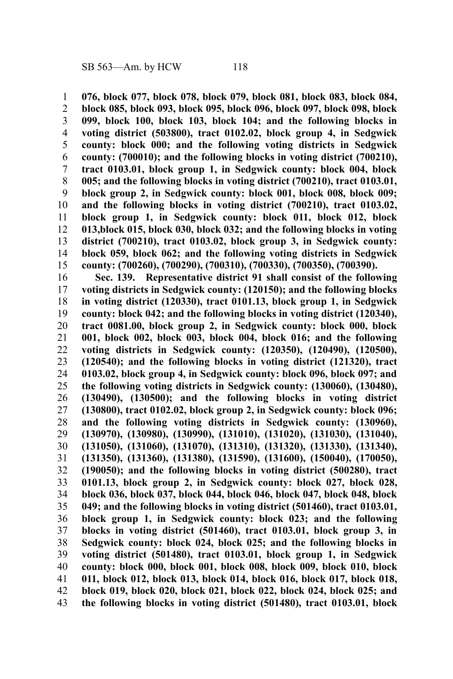**076, block 077, block 078, block 079, block 081, block 083, block 084, block 085, block 093, block 095, block 096, block 097, block 098, block 099, block 100, block 103, block 104; and the following blocks in voting district (503800), tract 0102.02, block group 4, in Sedgwick county: block 000; and the following voting districts in Sedgwick county: (700010); and the following blocks in voting district (700210), tract 0103.01, block group 1, in Sedgwick county: block 004, block 005; and the following blocks in voting district (700210), tract 0103.01, block group 2, in Sedgwick county: block 001, block 008, block 009; and the following blocks in voting district (700210), tract 0103.02, block group 1, in Sedgwick county: block 011, block 012, block 013,block 015, block 030, block 032; and the following blocks in voting district (700210), tract 0103.02, block group 3, in Sedgwick county: block 059, block 062; and the following voting districts in Sedgwick county: (700260), (700290), (700310), (700330), (700350), (700390).** 1 2 3 4 5 6 7 8 9 10 11 12 13 14 15

**Sec. 139. Representative district 91 shall consist of the following voting districts in Sedgwick county: (120150); and the following blocks in voting district (120330), tract 0101.13, block group 1, in Sedgwick county: block 042; and the following blocks in voting district (120340), tract 0081.00, block group 2, in Sedgwick county: block 000, block 001, block 002, block 003, block 004, block 016; and the following voting districts in Sedgwick county: (120350), (120490), (120500), (120540); and the following blocks in voting district (121320), tract 0103.02, block group 4, in Sedgwick county: block 096, block 097; and the following voting districts in Sedgwick county: (130060), (130480), (130490), (130500); and the following blocks in voting district (130800), tract 0102.02, block group 2, in Sedgwick county: block 096; and the following voting districts in Sedgwick county: (130960), (130970), (130980), (130990), (131010), (131020), (131030), (131040), (131050), (131060), (131070), (131310), (131320), (131330), (131340), (131350), (131360), (131380), (131590), (131600), (150040), (170050), (190050); and the following blocks in voting district (500280), tract 0101.13, block group 2, in Sedgwick county: block 027, block 028, block 036, block 037, block 044, block 046, block 047, block 048, block 049; and the following blocks in voting district (501460), tract 0103.01, block group 1, in Sedgwick county: block 023; and the following blocks in voting district (501460), tract 0103.01, block group 3, in Sedgwick county: block 024, block 025; and the following blocks in voting district (501480), tract 0103.01, block group 1, in Sedgwick county: block 000, block 001, block 008, block 009, block 010, block 011, block 012, block 013, block 014, block 016, block 017, block 018, block 019, block 020, block 021, block 022, block 024, block 025; and the following blocks in voting district (501480), tract 0103.01, block** 16 17 18 19 20 21 22 23 24 25 26 27 28 29 30 31 32 33 34 35 36 37 38 39 40 41 42 43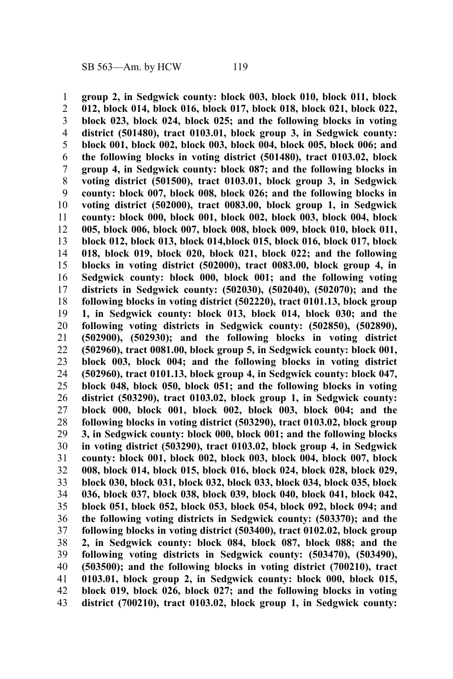**group 2, in Sedgwick county: block 003, block 010, block 011, block 012, block 014, block 016, block 017, block 018, block 021, block 022, block 023, block 024, block 025; and the following blocks in voting district (501480), tract 0103.01, block group 3, in Sedgwick county: block 001, block 002, block 003, block 004, block 005, block 006; and the following blocks in voting district (501480), tract 0103.02, block group 4, in Sedgwick county: block 087; and the following blocks in voting district (501500), tract 0103.01, block group 3, in Sedgwick county: block 007, block 008, block 026; and the following blocks in voting district (502000), tract 0083.00, block group 1, in Sedgwick county: block 000, block 001, block 002, block 003, block 004, block 005, block 006, block 007, block 008, block 009, block 010, block 011, block 012, block 013, block 014,block 015, block 016, block 017, block 018, block 019, block 020, block 021, block 022; and the following blocks in voting district (502000), tract 0083.00, block group 4, in Sedgwick county: block 000, block 001; and the following voting districts in Sedgwick county: (502030), (502040), (502070); and the following blocks in voting district (502220), tract 0101.13, block group 1, in Sedgwick county: block 013, block 014, block 030; and the following voting districts in Sedgwick county: (502850), (502890), (502900), (502930); and the following blocks in voting district (502960), tract 0081.00, block group 5, in Sedgwick county: block 001, block 003, block 004; and the following blocks in voting district (502960), tract 0101.13, block group 4, in Sedgwick county: block 047, block 048, block 050, block 051; and the following blocks in voting district (503290), tract 0103.02, block group 1, in Sedgwick county: block 000, block 001, block 002, block 003, block 004; and the following blocks in voting district (503290), tract 0103.02, block group 3, in Sedgwick county: block 000, block 001; and the following blocks in voting district (503290), tract 0103.02, block group 4, in Sedgwick county: block 001, block 002, block 003, block 004, block 007, block 008, block 014, block 015, block 016, block 024, block 028, block 029, block 030, block 031, block 032, block 033, block 034, block 035, block 036, block 037, block 038, block 039, block 040, block 041, block 042, block 051, block 052, block 053, block 054, block 092, block 094; and the following voting districts in Sedgwick county: (503370); and the following blocks in voting district (503400), tract 0102.02, block group 2, in Sedgwick county: block 084, block 087, block 088; and the following voting districts in Sedgwick county: (503470), (503490), (503500); and the following blocks in voting district (700210), tract 0103.01, block group 2, in Sedgwick county: block 000, block 015, block 019, block 026, block 027; and the following blocks in voting district (700210), tract 0103.02, block group 1, in Sedgwick county:** 1 2 3 4 5 6 7 8 9 10 11 12 13 14 15 16 17 18 19 20 21 22 23 24 25 26 27 28 29 30 31 32 33 34 35 36 37 38 39 40 41 42 43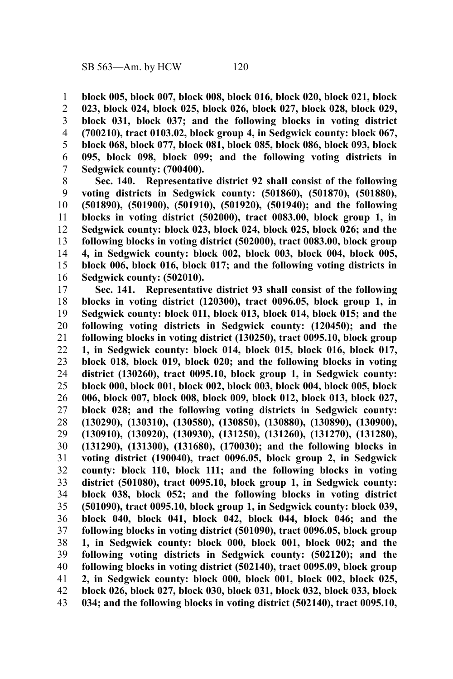**block 005, block 007, block 008, block 016, block 020, block 021, block 023, block 024, block 025, block 026, block 027, block 028, block 029, block 031, block 037; and the following blocks in voting district (700210), tract 0103.02, block group 4, in Sedgwick county: block 067, block 068, block 077, block 081, block 085, block 086, block 093, block 095, block 098, block 099; and the following voting districts in Sedgwick county: (700400).** 1 2 3 4 5 6 7

**Sec. 140. Representative district 92 shall consist of the following voting districts in Sedgwick county: (501860), (501870), (501880), (501890), (501900), (501910), (501920), (501940); and the following blocks in voting district (502000), tract 0083.00, block group 1, in Sedgwick county: block 023, block 024, block 025, block 026; and the following blocks in voting district (502000), tract 0083.00, block group 4, in Sedgwick county: block 002, block 003, block 004, block 005, block 006, block 016, block 017; and the following voting districts in Sedgwick county: (502010).** 8 9 10 11 12 13 14 15 16

**Sec. 141. Representative district 93 shall consist of the following blocks in voting district (120300), tract 0096.05, block group 1, in Sedgwick county: block 011, block 013, block 014, block 015; and the following voting districts in Sedgwick county: (120450); and the following blocks in voting district (130250), tract 0095.10, block group 1, in Sedgwick county: block 014, block 015, block 016, block 017, block 018, block 019, block 020; and the following blocks in voting district (130260), tract 0095.10, block group 1, in Sedgwick county: block 000, block 001, block 002, block 003, block 004, block 005, block 006, block 007, block 008, block 009, block 012, block 013, block 027, block 028; and the following voting districts in Sedgwick county: (130290), (130310), (130580), (130850), (130880), (130890), (130900), (130910), (130920), (130930), (131250), (131260), (131270), (131280), (131290), (131300), (131680), (170030); and the following blocks in voting district (190040), tract 0096.05, block group 2, in Sedgwick county: block 110, block 111; and the following blocks in voting district (501080), tract 0095.10, block group 1, in Sedgwick county: block 038, block 052; and the following blocks in voting district (501090), tract 0095.10, block group 1, in Sedgwick county: block 039, block 040, block 041, block 042, block 044, block 046; and the following blocks in voting district (501090), tract 0096.05, block group 1, in Sedgwick county: block 000, block 001, block 002; and the following voting districts in Sedgwick county: (502120); and the following blocks in voting district (502140), tract 0095.09, block group 2, in Sedgwick county: block 000, block 001, block 002, block 025, block 026, block 027, block 030, block 031, block 032, block 033, block 034; and the following blocks in voting district (502140), tract 0095.10,** 17 18 19 20 21 22 23 24 25 26 27 28 29 30 31 32 33 34 35 36 37 38 39 40 41 42 43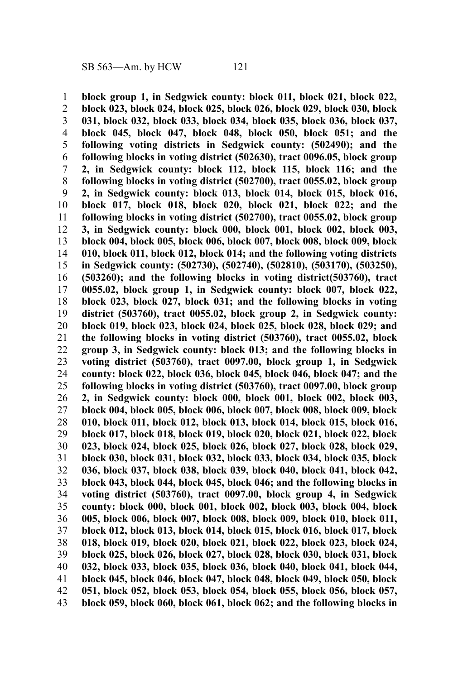**block group 1, in Sedgwick county: block 011, block 021, block 022, block 023, block 024, block 025, block 026, block 029, block 030, block 031, block 032, block 033, block 034, block 035, block 036, block 037, block 045, block 047, block 048, block 050, block 051; and the following voting districts in Sedgwick county: (502490); and the following blocks in voting district (502630), tract 0096.05, block group 2, in Sedgwick county: block 112, block 115, block 116; and the following blocks in voting district (502700), tract 0055.02, block group 2, in Sedgwick county: block 013, block 014, block 015, block 016, block 017, block 018, block 020, block 021, block 022; and the following blocks in voting district (502700), tract 0055.02, block group 3, in Sedgwick county: block 000, block 001, block 002, block 003, block 004, block 005, block 006, block 007, block 008, block 009, block 010, block 011, block 012, block 014; and the following voting districts in Sedgwick county: (502730), (502740), (502810), (503170), (503250), (503260); and the following blocks in voting district(503760), tract 0055.02, block group 1, in Sedgwick county: block 007, block 022, block 023, block 027, block 031; and the following blocks in voting district (503760), tract 0055.02, block group 2, in Sedgwick county: block 019, block 023, block 024, block 025, block 028, block 029; and the following blocks in voting district (503760), tract 0055.02, block group 3, in Sedgwick county: block 013; and the following blocks in voting district (503760), tract 0097.00, block group 1, in Sedgwick county: block 022, block 036, block 045, block 046, block 047; and the following blocks in voting district (503760), tract 0097.00, block group 2, in Sedgwick county: block 000, block 001, block 002, block 003, block 004, block 005, block 006, block 007, block 008, block 009, block 010, block 011, block 012, block 013, block 014, block 015, block 016, block 017, block 018, block 019, block 020, block 021, block 022, block 023, block 024, block 025, block 026, block 027, block 028, block 029, block 030, block 031, block 032, block 033, block 034, block 035, block 036, block 037, block 038, block 039, block 040, block 041, block 042, block 043, block 044, block 045, block 046; and the following blocks in voting district (503760), tract 0097.00, block group 4, in Sedgwick county: block 000, block 001, block 002, block 003, block 004, block 005, block 006, block 007, block 008, block 009, block 010, block 011, block 012, block 013, block 014, block 015, block 016, block 017, block 018, block 019, block 020, block 021, block 022, block 023, block 024, block 025, block 026, block 027, block 028, block 030, block 031, block 032, block 033, block 035, block 036, block 040, block 041, block 044, block 045, block 046, block 047, block 048, block 049, block 050, block 051, block 052, block 053, block 054, block 055, block 056, block 057, block 059, block 060, block 061, block 062; and the following blocks in** 1 2 3 4 5 6 7 8 9 10 11 12 13 14 15 16 17 18 19 20 21 22 23 24 25 26 27 28 29 30 31 32 33 34 35 36 37 38 39 40 41 42 43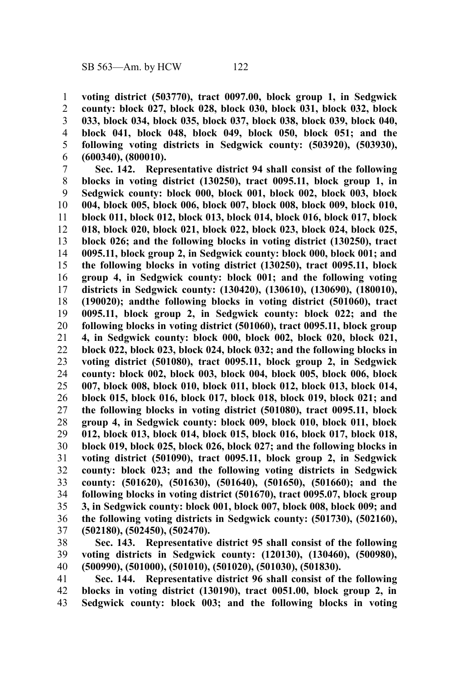**voting district (503770), tract 0097.00, block group 1, in Sedgwick county: block 027, block 028, block 030, block 031, block 032, block 033, block 034, block 035, block 037, block 038, block 039, block 040, block 041, block 048, block 049, block 050, block 051; and the following voting districts in Sedgwick county: (503920), (503930), (600340), (800010).** 1 2 3 4 5 6

**Sec. 142. Representative district 94 shall consist of the following blocks in voting district (130250), tract 0095.11, block group 1, in Sedgwick county: block 000, block 001, block 002, block 003, block 004, block 005, block 006, block 007, block 008, block 009, block 010, block 011, block 012, block 013, block 014, block 016, block 017, block 018, block 020, block 021, block 022, block 023, block 024, block 025, block 026; and the following blocks in voting district (130250), tract 0095.11, block group 2, in Sedgwick county: block 000, block 001; and the following blocks in voting district (130250), tract 0095.11, block group 4, in Sedgwick county: block 001; and the following voting districts in Sedgwick county: (130420), (130610), (130690), (180010), (190020); andthe following blocks in voting district (501060), tract 0095.11, block group 2, in Sedgwick county: block 022; and the following blocks in voting district (501060), tract 0095.11, block group 4, in Sedgwick county: block 000, block 002, block 020, block 021, block 022, block 023, block 024, block 032; and the following blocks in voting district (501080), tract 0095.11, block group 2, in Sedgwick county: block 002, block 003, block 004, block 005, block 006, block 007, block 008, block 010, block 011, block 012, block 013, block 014, block 015, block 016, block 017, block 018, block 019, block 021; and the following blocks in voting district (501080), tract 0095.11, block group 4, in Sedgwick county: block 009, block 010, block 011, block 012, block 013, block 014, block 015, block 016, block 017, block 018, block 019, block 025, block 026, block 027; and the following blocks in voting district (501090), tract 0095.11, block group 2, in Sedgwick county: block 023; and the following voting districts in Sedgwick county: (501620), (501630), (501640), (501650), (501660); and the following blocks in voting district (501670), tract 0095.07, block group 3, in Sedgwick county: block 001, block 007, block 008, block 009; and the following voting districts in Sedgwick county: (501730), (502160), (502180), (502450), (502470).** 7 8 9 10 11 12 13 14 15 16 17 18 19 20 21 22 23 24 25 26 27 28 29 30 31 32 33 34 35 36 37

**Sec. 143. Representative district 95 shall consist of the following voting districts in Sedgwick county: (120130), (130460), (500980), (500990), (501000), (501010), (501020), (501030), (501830).** 38 39 40

**Sec. 144. Representative district 96 shall consist of the following blocks in voting district (130190), tract 0051.00, block group 2, in Sedgwick county: block 003; and the following blocks in voting** 41 42 43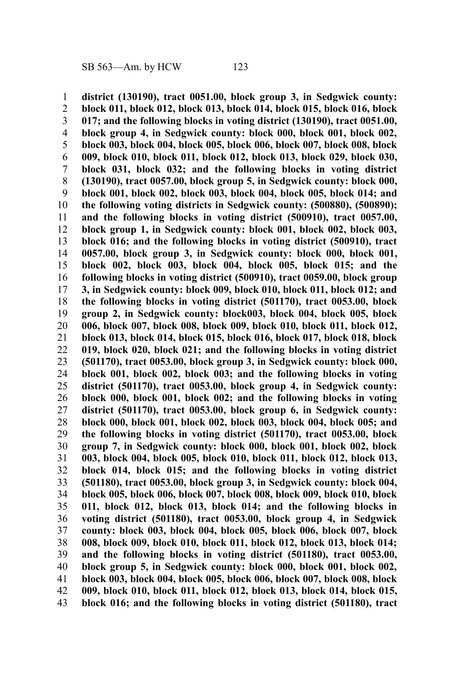**district (130190), tract 0051.00, block group 3, in Sedgwick county: block 011, block 012, block 013, block 014, block 015, block 016, block 017; and the following blocks in voting district (130190), tract 0051.00, block group 4, in Sedgwick county: block 000, block 001, block 002, block 003, block 004, block 005, block 006, block 007, block 008, block 009, block 010, block 011, block 012, block 013, block 029, block 030, block 031, block 032; and the following blocks in voting district (130190), tract 0057.00, block group 5, in Sedgwick county: block 000, block 001, block 002, block 003, block 004, block 005, block 014; and the following voting districts in Sedgwick county: (500880), (500890); and the following blocks in voting district (500910), tract 0057.00, block group 1, in Sedgwick county: block 001, block 002, block 003, block 016; and the following blocks in voting district (500910), tract 0057.00, block group 3, in Sedgwick county: block 000, block 001, block 002, block 003, block 004, block 005, block 015; and the following blocks in voting district (500910), tract 0059.00, block group 3, in Sedgwick county: block 009, block 010, block 011, block 012; and the following blocks in voting district (501170), tract 0053.00, block group 2, in Sedgwick county: block003, block 004, block 005, block 006, block 007, block 008, block 009, block 010, block 011, block 012, block 013, block 014, block 015, block 016, block 017, block 018, block 019, block 020, block 021; and the following blocks in voting district (501170), tract 0053.00, block group 3, in Sedgwick county: block 000, block 001, block 002, block 003; and the following blocks in voting district (501170), tract 0053.00, block group 4, in Sedgwick county: block 000, block 001, block 002; and the following blocks in voting district (501170), tract 0053.00, block group 6, in Sedgwick county: block 000, block 001, block 002, block 003, block 004, block 005; and the following blocks in voting district (501170), tract 0053.00, block group 7, in Sedgwick county: block 000, block 001, block 002, block 003, block 004, block 005, block 010, block 011, block 012, block 013, block 014, block 015; and the following blocks in voting district (501180), tract 0053.00, block group 3, in Sedgwick county: block 004, block 005, block 006, block 007, block 008, block 009, block 010, block 011, block 012, block 013, block 014; and the following blocks in voting district (501180), tract 0053.00, block group 4, in Sedgwick county: block 003, block 004, block 005, block 006, block 007, block 008, block 009, block 010, block 011, block 012, block 013, block 014; and the following blocks in voting district (501180), tract 0053.00, block group 5, in Sedgwick county: block 000, block 001, block 002, block 003, block 004, block 005, block 006, block 007, block 008, block 009, block 010, block 011, block 012, block 013, block 014, block 015, block 016; and the following blocks in voting district (501180), tract** 1 2 3 4 5 6 7 8 9 10 11 12 13 14 15 16 17 18 19 20 21 22 23 24 25 26 27 28 29 30 31 32 33 34 35 36 37 38 39 40 41 42 43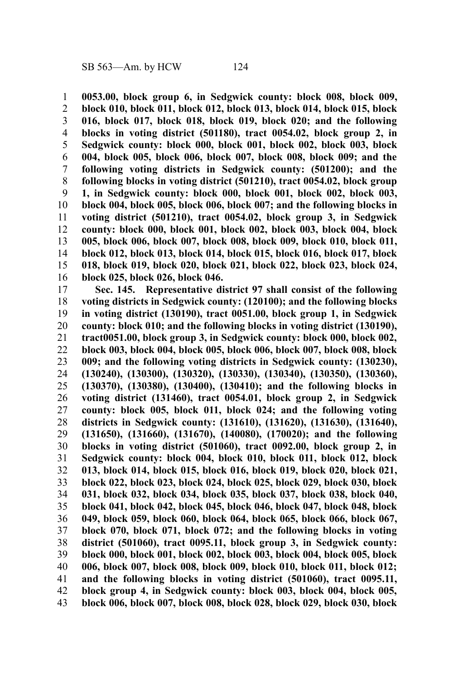**0053.00, block group 6, in Sedgwick county: block 008, block 009, block 010, block 011, block 012, block 013, block 014, block 015, block 016, block 017, block 018, block 019, block 020; and the following blocks in voting district (501180), tract 0054.02, block group 2, in Sedgwick county: block 000, block 001, block 002, block 003, block 004, block 005, block 006, block 007, block 008, block 009; and the following voting districts in Sedgwick county: (501200); and the following blocks in voting district (501210), tract 0054.02, block group 1, in Sedgwick county: block 000, block 001, block 002, block 003, block 004, block 005, block 006, block 007; and the following blocks in voting district (501210), tract 0054.02, block group 3, in Sedgwick county: block 000, block 001, block 002, block 003, block 004, block 005, block 006, block 007, block 008, block 009, block 010, block 011, block 012, block 013, block 014, block 015, block 016, block 017, block 018, block 019, block 020, block 021, block 022, block 023, block 024, block 025, block 026, block 046.** 1 2 3 4 5 6 7 8 9 10 11 12 13 14 15 16

**Sec. 145. Representative district 97 shall consist of the following voting districts in Sedgwick county: (120100); and the following blocks in voting district (130190), tract 0051.00, block group 1, in Sedgwick county: block 010; and the following blocks in voting district (130190), tract0051.00, block group 3, in Sedgwick county: block 000, block 002, block 003, block 004, block 005, block 006, block 007, block 008, block 009; and the following voting districts in Sedgwick county: (130230), (130240), (130300), (130320), (130330), (130340), (130350), (130360), (130370), (130380), (130400), (130410); and the following blocks in voting district (131460), tract 0054.01, block group 2, in Sedgwick county: block 005, block 011, block 024; and the following voting districts in Sedgwick county: (131610), (131620), (131630), (131640), (131650), (131660), (131670), (140080), (170020); and the following blocks in voting district (501060), tract 0092.00, block group 2, in Sedgwick county: block 004, block 010, block 011, block 012, block 013, block 014, block 015, block 016, block 019, block 020, block 021, block 022, block 023, block 024, block 025, block 029, block 030, block 031, block 032, block 034, block 035, block 037, block 038, block 040, block 041, block 042, block 045, block 046, block 047, block 048, block 049, block 059, block 060, block 064, block 065, block 066, block 067, block 070, block 071, block 072; and the following blocks in voting district (501060), tract 0095.11, block group 3, in Sedgwick county: block 000, block 001, block 002, block 003, block 004, block 005, block 006, block 007, block 008, block 009, block 010, block 011, block 012; and the following blocks in voting district (501060), tract 0095.11, block group 4, in Sedgwick county: block 003, block 004, block 005, block 006, block 007, block 008, block 028, block 029, block 030, block** 17 18 19 20 21 22 23 24 25 26 27 28 29 30 31 32 33 34 35 36 37 38 39 40 41 42 43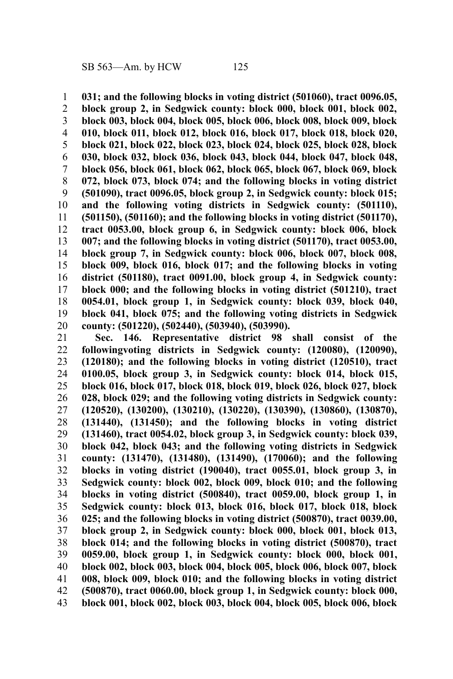**031; and the following blocks in voting district (501060), tract 0096.05,** 1

**block group 2, in Sedgwick county: block 000, block 001, block 002, block 003, block 004, block 005, block 006, block 008, block 009, block 010, block 011, block 012, block 016, block 017, block 018, block 020, block 021, block 022, block 023, block 024, block 025, block 028, block 030, block 032, block 036, block 043, block 044, block 047, block 048, block 056, block 061, block 062, block 065, block 067, block 069, block 072, block 073, block 074; and the following blocks in voting district (501090), tract 0096.05, block group 2, in Sedgwick county: block 015; and the following voting districts in Sedgwick county: (501110), (501150), (501160); and the following blocks in voting district (501170), tract 0053.00, block group 6, in Sedgwick county: block 006, block 007; and the following blocks in voting district (501170), tract 0053.00, block group 7, in Sedgwick county: block 006, block 007, block 008, block 009, block 016, block 017; and the following blocks in voting district (501180), tract 0091.00, block group 4, in Sedgwick county: block 000; and the following blocks in voting district (501210), tract 0054.01, block group 1, in Sedgwick county: block 039, block 040, block 041, block 075; and the following voting districts in Sedgwick county: (501220), (502440), (503940), (503990).** 2 3 4 5 6 7 8 9 10 11 12 13 14 15 16 17 18 19 20

**Sec. 146. Representative district 98 shall consist of the followingvoting districts in Sedgwick county: (120080), (120090), (120180); and the following blocks in voting district (120510), tract 0100.05, block group 3, in Sedgwick county: block 014, block 015, block 016, block 017, block 018, block 019, block 026, block 027, block 028, block 029; and the following voting districts in Sedgwick county: (120520), (130200), (130210), (130220), (130390), (130860), (130870), (131440), (131450); and the following blocks in voting district (131460), tract 0054.02, block group 3, in Sedgwick county: block 039, block 042, block 043; and the following voting districts in Sedgwick county: (131470), (131480), (131490), (170060); and the following blocks in voting district (190040), tract 0055.01, block group 3, in Sedgwick county: block 002, block 009, block 010; and the following blocks in voting district (500840), tract 0059.00, block group 1, in Sedgwick county: block 013, block 016, block 017, block 018, block 025; and the following blocks in voting district (500870), tract 0039.00, block group 2, in Sedgwick county: block 000, block 001, block 013, block 014; and the following blocks in voting district (500870), tract 0059.00, block group 1, in Sedgwick county: block 000, block 001, block 002, block 003, block 004, block 005, block 006, block 007, block 008, block 009, block 010; and the following blocks in voting district (500870), tract 0060.00, block group 1, in Sedgwick county: block 000, block 001, block 002, block 003, block 004, block 005, block 006, block** 21 22 23 24 25 26 27 28 29 30 31 32 33 34 35 36 37 38 39 40 41 42 43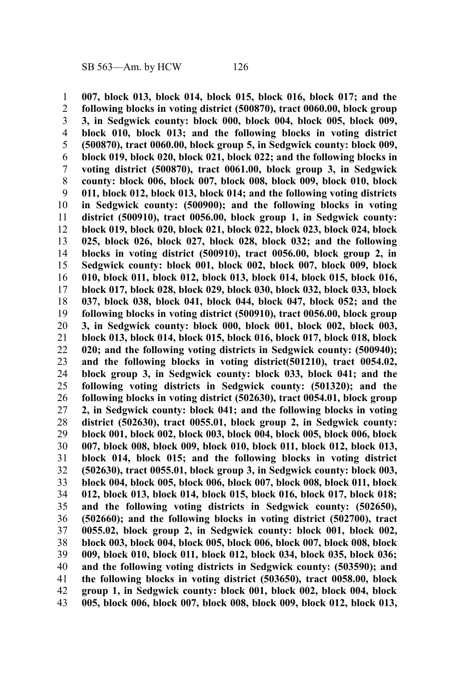**007, block 013, block 014, block 015, block 016, block 017; and the following blocks in voting district (500870), tract 0060.00, block group 3, in Sedgwick county: block 000, block 004, block 005, block 009, block 010, block 013; and the following blocks in voting district (500870), tract 0060.00, block group 5, in Sedgwick county: block 009, block 019, block 020, block 021, block 022; and the following blocks in voting district (500870), tract 0061.00, block group 3, in Sedgwick county: block 006, block 007, block 008, block 009, block 010, block 011, block 012, block 013, block 014; and the following voting districts in Sedgwick county: (500900); and the following blocks in voting district (500910), tract 0056.00, block group 1, in Sedgwick county: block 019, block 020, block 021, block 022, block 023, block 024, block 025, block 026, block 027, block 028, block 032; and the following blocks in voting district (500910), tract 0056.00, block group 2, in Sedgwick county: block 001, block 002, block 007, block 009, block 010, block 011, block 012, block 013, block 014, block 015, block 016, block 017, block 028, block 029, block 030, block 032, block 033, block 037, block 038, block 041, block 044, block 047, block 052; and the following blocks in voting district (500910), tract 0056.00, block group 3, in Sedgwick county: block 000, block 001, block 002, block 003, block 013, block 014, block 015, block 016, block 017, block 018, block 020; and the following voting districts in Sedgwick county: (500940); and the following blocks in voting district(501210), tract 0054.02, block group 3, in Sedgwick county: block 033, block 041; and the following voting districts in Sedgwick county: (501320); and the following blocks in voting district (502630), tract 0054.01, block group 2, in Sedgwick county: block 041; and the following blocks in voting district (502630), tract 0055.01, block group 2, in Sedgwick county: block 001, block 002, block 003, block 004, block 005, block 006, block 007, block 008, block 009, block 010, block 011, block 012, block 013, block 014, block 015; and the following blocks in voting district (502630), tract 0055.01, block group 3, in Sedgwick county: block 003, block 004, block 005, block 006, block 007, block 008, block 011, block 012, block 013, block 014, block 015, block 016, block 017, block 018; and the following voting districts in Sedgwick county: (502650), (502660); and the following blocks in voting district (502700), tract 0055.02, block group 2, in Sedgwick county: block 001, block 002, block 003, block 004, block 005, block 006, block 007, block 008, block 009, block 010, block 011, block 012, block 034, block 035, block 036; and the following voting districts in Sedgwick county: (503590); and the following blocks in voting district (503650), tract 0058.00, block group 1, in Sedgwick county: block 001, block 002, block 004, block 005, block 006, block 007, block 008, block 009, block 012, block 013,** 1 2 3 4 5 6 7 8 9 10 11 12 13 14 15 16 17 18 19 20 21 22 23 24 25 26 27 28 29 30 31 32 33 34 35 36 37 38 39 40 41 42 43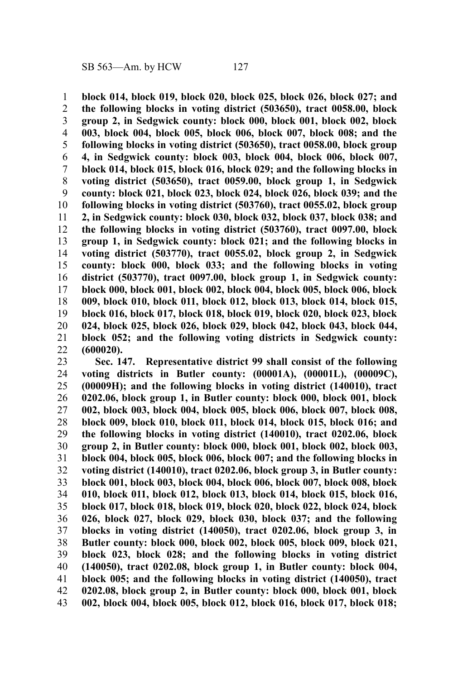**block 014, block 019, block 020, block 025, block 026, block 027; and the following blocks in voting district (503650), tract 0058.00, block group 2, in Sedgwick county: block 000, block 001, block 002, block 003, block 004, block 005, block 006, block 007, block 008; and the following blocks in voting district (503650), tract 0058.00, block group 4, in Sedgwick county: block 003, block 004, block 006, block 007, block 014, block 015, block 016, block 029; and the following blocks in voting district (503650), tract 0059.00, block group 1, in Sedgwick county: block 021, block 023, block 024, block 026, block 039; and the following blocks in voting district (503760), tract 0055.02, block group 2, in Sedgwick county: block 030, block 032, block 037, block 038; and the following blocks in voting district (503760), tract 0097.00, block group 1, in Sedgwick county: block 021; and the following blocks in voting district (503770), tract 0055.02, block group 2, in Sedgwick county: block 000, block 033; and the following blocks in voting district (503770), tract 0097.00, block group 1, in Sedgwick county: block 000, block 001, block 002, block 004, block 005, block 006, block 009, block 010, block 011, block 012, block 013, block 014, block 015, block 016, block 017, block 018, block 019, block 020, block 023, block 024, block 025, block 026, block 029, block 042, block 043, block 044, block 052; and the following voting districts in Sedgwick county: (600020).** 1 2 3 4 5 6 7 8 9 10 11 12 13 14 15 16 17 18 19 20 21 22

**Sec. 147. Representative district 99 shall consist of the following voting districts in Butler county: (00001A), (00001L), (00009C), (00009H); and the following blocks in voting district (140010), tract 0202.06, block group 1, in Butler county: block 000, block 001, block 002, block 003, block 004, block 005, block 006, block 007, block 008, block 009, block 010, block 011, block 014, block 015, block 016; and the following blocks in voting district (140010), tract 0202.06, block group 2, in Butler county: block 000, block 001, block 002, block 003, block 004, block 005, block 006, block 007; and the following blocks in voting district (140010), tract 0202.06, block group 3, in Butler county: block 001, block 003, block 004, block 006, block 007, block 008, block 010, block 011, block 012, block 013, block 014, block 015, block 016, block 017, block 018, block 019, block 020, block 022, block 024, block 026, block 027, block 029, block 030, block 037; and the following blocks in voting district (140050), tract 0202.06, block group 3, in Butler county: block 000, block 002, block 005, block 009, block 021, block 023, block 028; and the following blocks in voting district (140050), tract 0202.08, block group 1, in Butler county: block 004, block 005; and the following blocks in voting district (140050), tract 0202.08, block group 2, in Butler county: block 000, block 001, block 002, block 004, block 005, block 012, block 016, block 017, block 018;** 23 24 25 26 27 28 29 30 31 32 33 34 35 36 37 38 39 40 41 42 43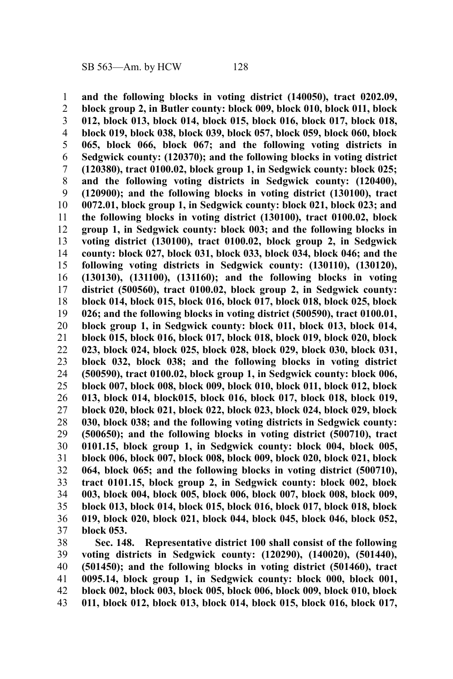**and the following blocks in voting district (140050), tract 0202.09, block group 2, in Butler county: block 009, block 010, block 011, block 012, block 013, block 014, block 015, block 016, block 017, block 018, block 019, block 038, block 039, block 057, block 059, block 060, block 065, block 066, block 067; and the following voting districts in Sedgwick county: (120370); and the following blocks in voting district (120380), tract 0100.02, block group 1, in Sedgwick county: block 025; and the following voting districts in Sedgwick county: (120400), (120900); and the following blocks in voting district (130100), tract 0072.01, block group 1, in Sedgwick county: block 021, block 023; and the following blocks in voting district (130100), tract 0100.02, block group 1, in Sedgwick county: block 003; and the following blocks in voting district (130100), tract 0100.02, block group 2, in Sedgwick county: block 027, block 031, block 033, block 034, block 046; and the following voting districts in Sedgwick county: (130110), (130120), (130130), (131100), (131160); and the following blocks in voting district (500560), tract 0100.02, block group 2, in Sedgwick county: block 014, block 015, block 016, block 017, block 018, block 025, block 026; and the following blocks in voting district (500590), tract 0100.01, block group 1, in Sedgwick county: block 011, block 013, block 014, block 015, block 016, block 017, block 018, block 019, block 020, block 023, block 024, block 025, block 028, block 029, block 030, block 031, block 032, block 038; and the following blocks in voting district (500590), tract 0100.02, block group 1, in Sedgwick county: block 006, block 007, block 008, block 009, block 010, block 011, block 012, block 013, block 014, block015, block 016, block 017, block 018, block 019, block 020, block 021, block 022, block 023, block 024, block 029, block 030, block 038; and the following voting districts in Sedgwick county: (500650); and the following blocks in voting district (500710), tract 0101.15, block group 1, in Sedgwick county: block 004, block 005, block 006, block 007, block 008, block 009, block 020, block 021, block 064, block 065; and the following blocks in voting district (500710), tract 0101.15, block group 2, in Sedgwick county: block 002, block 003, block 004, block 005, block 006, block 007, block 008, block 009, block 013, block 014, block 015, block 016, block 017, block 018, block 019, block 020, block 021, block 044, block 045, block 046, block 052, block 053.** 1 2 3 4 5 6 7 8 9 10 11 12 13 14 15 16 17 18 19 20 21 22 23 24 25 26 27 28 29 30 31 32 33 34 35 36 37

**Sec. 148. Representative district 100 shall consist of the following voting districts in Sedgwick county: (120290), (140020), (501440), (501450); and the following blocks in voting district (501460), tract 0095.14, block group 1, in Sedgwick county: block 000, block 001, block 002, block 003, block 005, block 006, block 009, block 010, block 011, block 012, block 013, block 014, block 015, block 016, block 017,** 38 39 40 41 42 43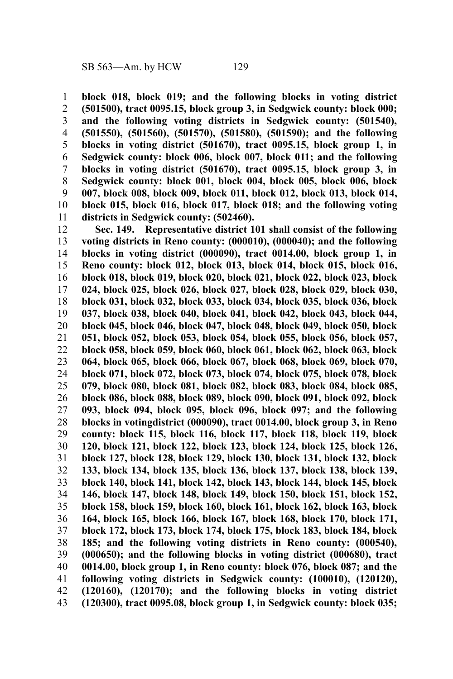**block 018, block 019; and the following blocks in voting district (501500), tract 0095.15, block group 3, in Sedgwick county: block 000; and the following voting districts in Sedgwick county: (501540), (501550), (501560), (501570), (501580), (501590); and the following blocks in voting district (501670), tract 0095.15, block group 1, in Sedgwick county: block 006, block 007, block 011; and the following blocks in voting district (501670), tract 0095.15, block group 3, in Sedgwick county: block 001, block 004, block 005, block 006, block 007, block 008, block 009, block 011, block 012, block 013, block 014, block 015, block 016, block 017, block 018; and the following voting districts in Sedgwick county: (502460).** 1 2 3 4 5 6 7 8 9 10 11

**Sec. 149. Representative district 101 shall consist of the following voting districts in Reno county: (000010), (000040); and the following blocks in voting district (000090), tract 0014.00, block group 1, in Reno county: block 012, block 013, block 014, block 015, block 016, block 018, block 019, block 020, block 021, block 022, block 023, block 024, block 025, block 026, block 027, block 028, block 029, block 030, block 031, block 032, block 033, block 034, block 035, block 036, block 037, block 038, block 040, block 041, block 042, block 043, block 044, block 045, block 046, block 047, block 048, block 049, block 050, block 051, block 052, block 053, block 054, block 055, block 056, block 057, block 058, block 059, block 060, block 061, block 062, block 063, block 064, block 065, block 066, block 067, block 068, block 069, block 070, block 071, block 072, block 073, block 074, block 075, block 078, block 079, block 080, block 081, block 082, block 083, block 084, block 085, block 086, block 088, block 089, block 090, block 091, block 092, block 093, block 094, block 095, block 096, block 097; and the following blocks in votingdistrict (000090), tract 0014.00, block group 3, in Reno county: block 115, block 116, block 117, block 118, block 119, block 120, block 121, block 122, block 123, block 124, block 125, block 126, block 127, block 128, block 129, block 130, block 131, block 132, block 133, block 134, block 135, block 136, block 137, block 138, block 139, block 140, block 141, block 142, block 143, block 144, block 145, block 146, block 147, block 148, block 149, block 150, block 151, block 152, block 158, block 159, block 160, block 161, block 162, block 163, block 164, block 165, block 166, block 167, block 168, block 170, block 171, block 172, block 173, block 174, block 175, block 183, block 184, block 185; and the following voting districts in Reno county: (000540), (000650); and the following blocks in voting district (000680), tract 0014.00, block group 1, in Reno county: block 076, block 087; and the following voting districts in Sedgwick county: (100010), (120120), (120160), (120170); and the following blocks in voting district (120300), tract 0095.08, block group 1, in Sedgwick county: block 035;** 12 13 14 15 16 17 18 19 20 21 22 23 24 25 26 27 28 29 30 31 32 33 34 35 36 37 38 39 40 41 42 43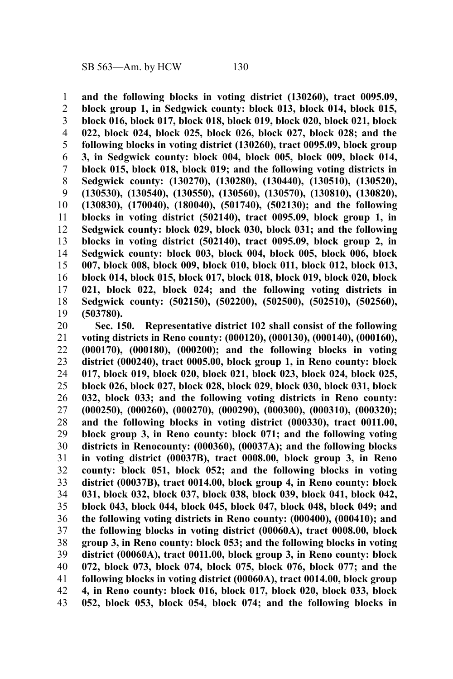**and the following blocks in voting district (130260), tract 0095.09, block group 1, in Sedgwick county: block 013, block 014, block 015, block 016, block 017, block 018, block 019, block 020, block 021, block 022, block 024, block 025, block 026, block 027, block 028; and the following blocks in voting district (130260), tract 0095.09, block group 3, in Sedgwick county: block 004, block 005, block 009, block 014, block 015, block 018, block 019; and the following voting districts in Sedgwick county: (130270), (130280), (130440), (130510), (130520), (130530), (130540), (130550), (130560), (130570), (130810), (130820), (130830), (170040), (180040), (501740), (502130); and the following blocks in voting district (502140), tract 0095.09, block group 1, in Sedgwick county: block 029, block 030, block 031; and the following blocks in voting district (502140), tract 0095.09, block group 2, in Sedgwick county: block 003, block 004, block 005, block 006, block 007, block 008, block 009, block 010, block 011, block 012, block 013, block 014, block 015, block 017, block 018, block 019, block 020, block 021, block 022, block 024; and the following voting districts in Sedgwick county: (502150), (502200), (502500), (502510), (502560), (503780).** 1 2 3 4 5 6 7 8 9 10 11 12 13 14 15 16 17 18 19

**Sec. 150. Representative district 102 shall consist of the following voting districts in Reno county: (000120), (000130), (000140), (000160), (000170), (000180), (000200); and the following blocks in voting district (000240), tract 0005.00, block group 1, in Reno county: block 017, block 019, block 020, block 021, block 023, block 024, block 025, block 026, block 027, block 028, block 029, block 030, block 031, block 032, block 033; and the following voting districts in Reno county: (000250), (000260), (000270), (000290), (000300), (000310), (000320); and the following blocks in voting district (000330), tract 0011.00, block group 3, in Reno county: block 071; and the following voting districts in Renocounty: (000360), (00037A); and the following blocks in voting district (00037B), tract 0008.00, block group 3, in Reno county: block 051, block 052; and the following blocks in voting district (00037B), tract 0014.00, block group 4, in Reno county: block 031, block 032, block 037, block 038, block 039, block 041, block 042, block 043, block 044, block 045, block 047, block 048, block 049; and the following voting districts in Reno county: (000400), (000410); and the following blocks in voting district (00060A), tract 0008.00, block group 3, in Reno county: block 053; and the following blocks in voting district (00060A), tract 0011.00, block group 3, in Reno county: block 072, block 073, block 074, block 075, block 076, block 077; and the following blocks in voting district (00060A), tract 0014.00, block group 4, in Reno county: block 016, block 017, block 020, block 033, block 052, block 053, block 054, block 074; and the following blocks in** 20 21 22 23 24 25 26 27 28 29 30 31 32 33 34 35 36 37 38 39 40 41 42 43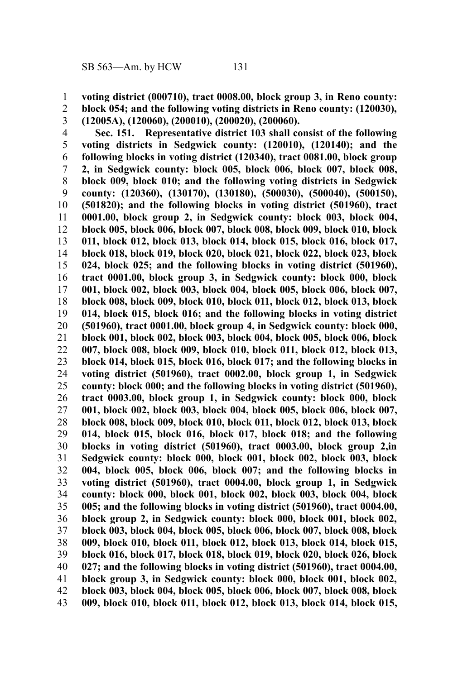**block 054; and the following voting districts in Reno county: (120030),**

- **voting district (000710), tract 0008.00, block group 3, in Reno county:** 1
- 2

**(12005A), (120060), (200010), (200020), (200060).** 3

**Sec. 151. Representative district 103 shall consist of the following voting districts in Sedgwick county: (120010), (120140); and the following blocks in voting district (120340), tract 0081.00, block group 2, in Sedgwick county: block 005, block 006, block 007, block 008, block 009, block 010; and the following voting districts in Sedgwick county: (120360), (130170), (130180), (500030), (500040), (500150), (501820); and the following blocks in voting district (501960), tract 0001.00, block group 2, in Sedgwick county: block 003, block 004, block 005, block 006, block 007, block 008, block 009, block 010, block 011, block 012, block 013, block 014, block 015, block 016, block 017, block 018, block 019, block 020, block 021, block 022, block 023, block 024, block 025; and the following blocks in voting district (501960), tract 0001.00, block group 3, in Sedgwick county: block 000, block 001, block 002, block 003, block 004, block 005, block 006, block 007, block 008, block 009, block 010, block 011, block 012, block 013, block 014, block 015, block 016; and the following blocks in voting district (501960), tract 0001.00, block group 4, in Sedgwick county: block 000, block 001, block 002, block 003, block 004, block 005, block 006, block 007, block 008, block 009, block 010, block 011, block 012, block 013, block 014, block 015, block 016, block 017; and the following blocks in voting district (501960), tract 0002.00, block group 1, in Sedgwick county: block 000; and the following blocks in voting district (501960), tract 0003.00, block group 1, in Sedgwick county: block 000, block 001, block 002, block 003, block 004, block 005, block 006, block 007, block 008, block 009, block 010, block 011, block 012, block 013, block 014, block 015, block 016, block 017, block 018; and the following blocks in voting district (501960), tract 0003.00, block group 2,in Sedgwick county: block 000, block 001, block 002, block 003, block 004, block 005, block 006, block 007; and the following blocks in voting district (501960), tract 0004.00, block group 1, in Sedgwick county: block 000, block 001, block 002, block 003, block 004, block 005; and the following blocks in voting district (501960), tract 0004.00, block group 2, in Sedgwick county: block 000, block 001, block 002, block 003, block 004, block 005, block 006, block 007, block 008, block 009, block 010, block 011, block 012, block 013, block 014, block 015, block 016, block 017, block 018, block 019, block 020, block 026, block 027; and the following blocks in voting district (501960), tract 0004.00, block group 3, in Sedgwick county: block 000, block 001, block 002, block 003, block 004, block 005, block 006, block 007, block 008, block 009, block 010, block 011, block 012, block 013, block 014, block 015,** 4 5 6 7 8 9 10 11 12 13 14 15 16 17 18 19 20 21 22 23 24 25 26 27 28 29 30 31 32 33 34 35 36 37 38 39 40 41 42 43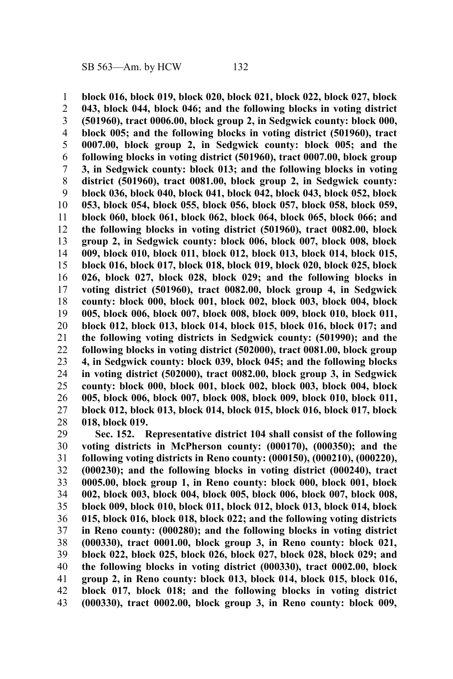**block 016, block 019, block 020, block 021, block 022, block 027, block 043, block 044, block 046; and the following blocks in voting district (501960), tract 0006.00, block group 2, in Sedgwick county: block 000, block 005; and the following blocks in voting district (501960), tract 0007.00, block group 2, in Sedgwick county: block 005; and the following blocks in voting district (501960), tract 0007.00, block group 3, in Sedgwick county: block 013; and the following blocks in voting district (501960), tract 0081.00, block group 2, in Sedgwick county: block 036, block 040, block 041, block 042, block 043, block 052, block 053, block 054, block 055, block 056, block 057, block 058, block 059, block 060, block 061, block 062, block 064, block 065, block 066; and the following blocks in voting district (501960), tract 0082.00, block group 2, in Sedgwick county: block 006, block 007, block 008, block 009, block 010, block 011, block 012, block 013, block 014, block 015, block 016, block 017, block 018, block 019, block 020, block 025, block 026, block 027, block 028, block 029; and the following blocks in voting district (501960), tract 0082.00, block group 4, in Sedgwick county: block 000, block 001, block 002, block 003, block 004, block 005, block 006, block 007, block 008, block 009, block 010, block 011, block 012, block 013, block 014, block 015, block 016, block 017; and the following voting districts in Sedgwick county: (501990); and the following blocks in voting district (502000), tract 0081.00, block group 4, in Sedgwick county: block 039, block 045; and the following blocks in voting district (502000), tract 0082.00, block group 3, in Sedgwick county: block 000, block 001, block 002, block 003, block 004, block 005, block 006, block 007, block 008, block 009, block 010, block 011, block 012, block 013, block 014, block 015, block 016, block 017, block 018, block 019.** 1 2 3 4 5 6 7 8 9 10 11 12 13 14 15 16 17 18 19 20 21 22 23 24 25 26 27 28

**Sec. 152. Representative district 104 shall consist of the following voting districts in McPherson county: (000170), (000350); and the following voting districts in Reno county: (000150), (000210), (000220), (000230); and the following blocks in voting district (000240), tract 0005.00, block group 1, in Reno county: block 000, block 001, block 002, block 003, block 004, block 005, block 006, block 007, block 008, block 009, block 010, block 011, block 012, block 013, block 014, block 015, block 016, block 018, block 022; and the following voting districts in Reno county: (000280); and the following blocks in voting district (000330), tract 0001.00, block group 3, in Reno county: block 021, block 022, block 025, block 026, block 027, block 028, block 029; and the following blocks in voting district (000330), tract 0002.00, block group 2, in Reno county: block 013, block 014, block 015, block 016, block 017, block 018; and the following blocks in voting district (000330), tract 0002.00, block group 3, in Reno county: block 009,** 29 30 31 32 33 34 35 36 37 38 39 40 41 42 43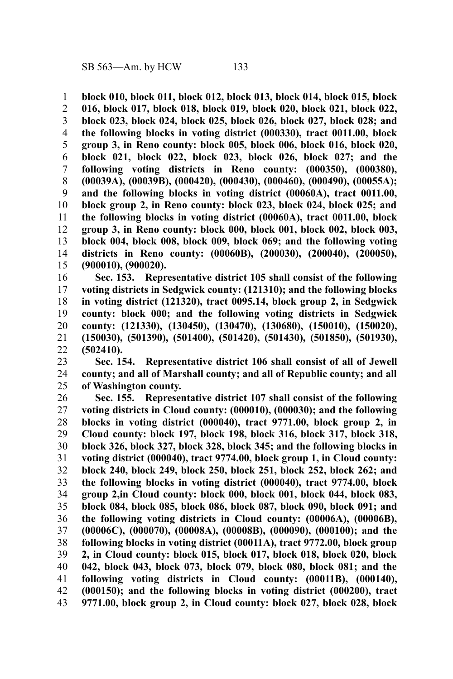**block 010, block 011, block 012, block 013, block 014, block 015, block** 1

**016, block 017, block 018, block 019, block 020, block 021, block 022, block 023, block 024, block 025, block 026, block 027, block 028; and the following blocks in voting district (000330), tract 0011.00, block group 3, in Reno county: block 005, block 006, block 016, block 020, block 021, block 022, block 023, block 026, block 027; and the following voting districts in Reno county: (000350), (000380), (00039A), (00039B), (000420), (000430), (000460), (000490), (00055A); and the following blocks in voting district (00060A), tract 0011.00, block group 2, in Reno county: block 023, block 024, block 025; and the following blocks in voting district (00060A), tract 0011.00, block group 3, in Reno county: block 000, block 001, block 002, block 003, block 004, block 008, block 009, block 069; and the following voting districts in Reno county: (00060B), (200030), (200040), (200050), (900010), (900020).** 2 3 4 5 6 7 8 9 10 11 12 13 14 15

**Sec. 153. Representative district 105 shall consist of the following voting districts in Sedgwick county: (121310); and the following blocks in voting district (121320), tract 0095.14, block group 2, in Sedgwick county: block 000; and the following voting districts in Sedgwick county: (121330), (130450), (130470), (130680), (150010), (150020), (150030), (501390), (501400), (501420), (501430), (501850), (501930), (502410).** 16 17 18 19 20 21 22

**Sec. 154. Representative district 106 shall consist of all of Jewell county; and all of Marshall county; and all of Republic county; and all of Washington county.** 23 24 25

**Sec. 155. Representative district 107 shall consist of the following voting districts in Cloud county: (000010), (000030); and the following blocks in voting district (000040), tract 9771.00, block group 2, in Cloud county: block 197, block 198, block 316, block 317, block 318, block 326, block 327, block 328, block 345; and the following blocks in voting district (000040), tract 9774.00, block group 1, in Cloud county: block 240, block 249, block 250, block 251, block 252, block 262; and the following blocks in voting district (000040), tract 9774.00, block group 2,in Cloud county: block 000, block 001, block 044, block 083, block 084, block 085, block 086, block 087, block 090, block 091; and the following voting districts in Cloud county: (00006A), (00006B), (00006C), (000070), (00008A), (00008B), (000090), (000100); and the following blocks in voting district (00011A), tract 9772.00, block group 2, in Cloud county: block 015, block 017, block 018, block 020, block 042, block 043, block 073, block 079, block 080, block 081; and the following voting districts in Cloud county: (00011B), (000140), (000150); and the following blocks in voting district (000200), tract 9771.00, block group 2, in Cloud county: block 027, block 028, block** 26 27 28 29 30 31 32 33 34 35 36 37 38 39 40 41 42 43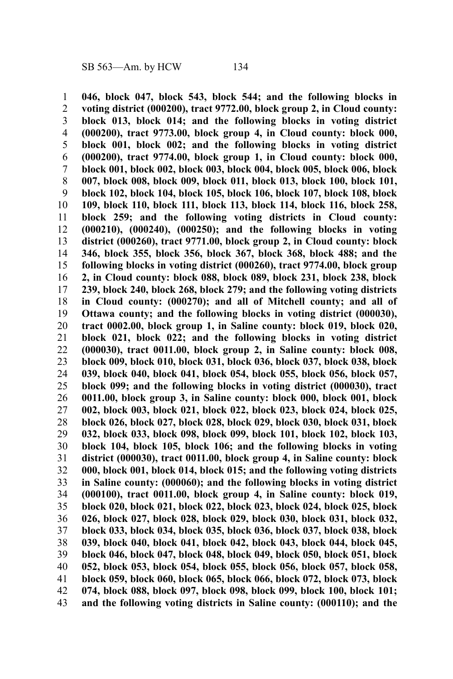**046, block 047, block 543, block 544; and the following blocks in voting district (000200), tract 9772.00, block group 2, in Cloud county: block 013, block 014; and the following blocks in voting district (000200), tract 9773.00, block group 4, in Cloud county: block 000, block 001, block 002; and the following blocks in voting district (000200), tract 9774.00, block group 1, in Cloud county: block 000, block 001, block 002, block 003, block 004, block 005, block 006, block 007, block 008, block 009, block 011, block 013, block 100, block 101, block 102, block 104, block 105, block 106, block 107, block 108, block 109, block 110, block 111, block 113, block 114, block 116, block 258, block 259; and the following voting districts in Cloud county: (000210), (000240), (000250); and the following blocks in voting district (000260), tract 9771.00, block group 2, in Cloud county: block 346, block 355, block 356, block 367, block 368, block 488; and the following blocks in voting district (000260), tract 9774.00, block group 2, in Cloud county: block 088, block 089, block 231, block 238, block 239, block 240, block 268, block 279; and the following voting districts in Cloud county: (000270); and all of Mitchell county; and all of Ottawa county; and the following blocks in voting district (000030), tract 0002.00, block group 1, in Saline county: block 019, block 020, block 021, block 022; and the following blocks in voting district (000030), tract 0011.00, block group 2, in Saline county: block 008, block 009, block 010, block 031, block 036, block 037, block 038, block 039, block 040, block 041, block 054, block 055, block 056, block 057, block 099; and the following blocks in voting district (000030), tract 0011.00, block group 3, in Saline county: block 000, block 001, block 002, block 003, block 021, block 022, block 023, block 024, block 025, block 026, block 027, block 028, block 029, block 030, block 031, block 032, block 033, block 098, block 099, block 101, block 102, block 103, block 104, block 105, block 106; and the following blocks in voting district (000030), tract 0011.00, block group 4, in Saline county: block 000, block 001, block 014, block 015; and the following voting districts in Saline county: (000060); and the following blocks in voting district (000100), tract 0011.00, block group 4, in Saline county: block 019, block 020, block 021, block 022, block 023, block 024, block 025, block 026, block 027, block 028, block 029, block 030, block 031, block 032, block 033, block 034, block 035, block 036, block 037, block 038, block 039, block 040, block 041, block 042, block 043, block 044, block 045, block 046, block 047, block 048, block 049, block 050, block 051, block 052, block 053, block 054, block 055, block 056, block 057, block 058, block 059, block 060, block 065, block 066, block 072, block 073, block 074, block 088, block 097, block 098, block 099, block 100, block 101; and the following voting districts in Saline county: (000110); and the** 1 2 3 4 5 6 7 8 9 10 11 12 13 14 15 16 17 18 19 20 21 22 23 24 25 26 27 28 29 30 31 32 33 34 35 36 37 38 39 40 41 42 43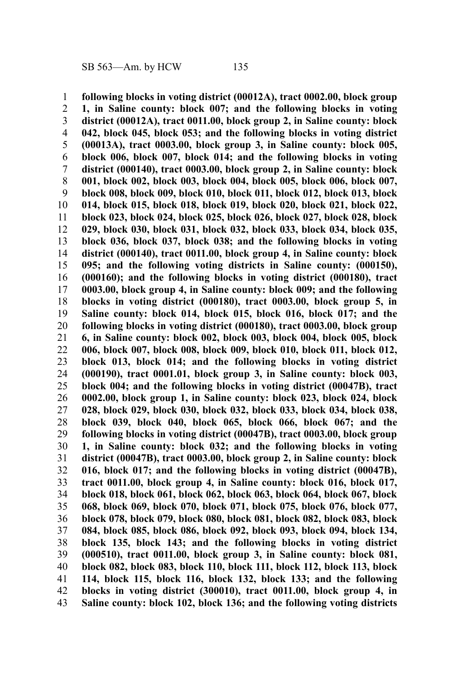**following blocks in voting district (00012A), tract 0002.00, block group 1, in Saline county: block 007; and the following blocks in voting district (00012A), tract 0011.00, block group 2, in Saline county: block 042, block 045, block 053; and the following blocks in voting district (00013A), tract 0003.00, block group 3, in Saline county: block 005, block 006, block 007, block 014; and the following blocks in voting district (000140), tract 0003.00, block group 2, in Saline county: block 001, block 002, block 003, block 004, block 005, block 006, block 007, block 008, block 009, block 010, block 011, block 012, block 013, block 014, block 015, block 018, block 019, block 020, block 021, block 022, block 023, block 024, block 025, block 026, block 027, block 028, block 029, block 030, block 031, block 032, block 033, block 034, block 035, block 036, block 037, block 038; and the following blocks in voting district (000140), tract 0011.00, block group 4, in Saline county: block 095; and the following voting districts in Saline county: (000150), (000160); and the following blocks in voting district (000180), tract 0003.00, block group 4, in Saline county: block 009; and the following blocks in voting district (000180), tract 0003.00, block group 5, in Saline county: block 014, block 015, block 016, block 017; and the following blocks in voting district (000180), tract 0003.00, block group 6, in Saline county: block 002, block 003, block 004, block 005, block 006, block 007, block 008, block 009, block 010, block 011, block 012, block 013, block 014; and the following blocks in voting district (000190), tract 0001.01, block group 3, in Saline county: block 003, block 004; and the following blocks in voting district (00047B), tract 0002.00, block group 1, in Saline county: block 023, block 024, block 028, block 029, block 030, block 032, block 033, block 034, block 038, block 039, block 040, block 065, block 066, block 067; and the following blocks in voting district (00047B), tract 0003.00, block group 1, in Saline county: block 032; and the following blocks in voting district (00047B), tract 0003.00, block group 2, in Saline county: block 016, block 017; and the following blocks in voting district (00047B), tract 0011.00, block group 4, in Saline county: block 016, block 017, block 018, block 061, block 062, block 063, block 064, block 067, block 068, block 069, block 070, block 071, block 075, block 076, block 077, block 078, block 079, block 080, block 081, block 082, block 083, block 084, block 085, block 086, block 092, block 093, block 094, block 134, block 135, block 143; and the following blocks in voting district (000510), tract 0011.00, block group 3, in Saline county: block 081, block 082, block 083, block 110, block 111, block 112, block 113, block 114, block 115, block 116, block 132, block 133; and the following blocks in voting district (300010), tract 0011.00, block group 4, in Saline county: block 102, block 136; and the following voting districts** 1 2 3 4 5 6 7 8 9 10 11 12 13 14 15 16 17 18 19 20 21 22 23 24 25 26 27 28 29 30 31 32 33 34 35 36 37 38 39 40 41 42 43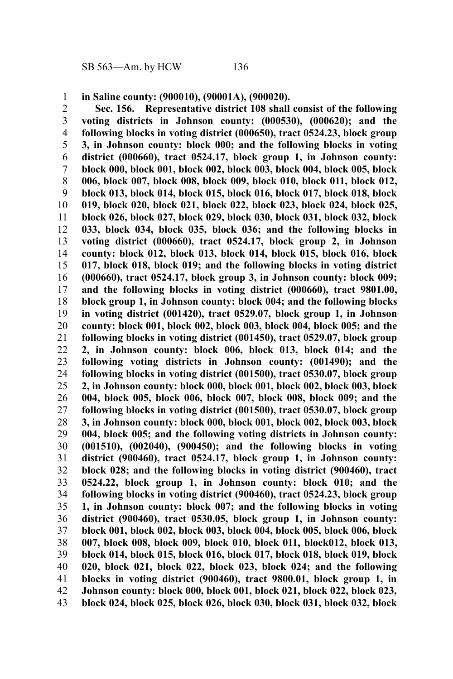**in Saline county: (900010), (90001A), (900020).** 1

**Sec. 156. Representative district 108 shall consist of the following voting districts in Johnson county: (000530), (000620); and the following blocks in voting district (000650), tract 0524.23, block group 3, in Johnson county: block 000; and the following blocks in voting district (000660), tract 0524.17, block group 1, in Johnson county: block 000, block 001, block 002, block 003, block 004, block 005, block 006, block 007, block 008, block 009, block 010, block 011, block 012, block 013, block 014, block 015, block 016, block 017, block 018, block 019, block 020, block 021, block 022, block 023, block 024, block 025, block 026, block 027, block 029, block 030, block 031, block 032, block 033, block 034, block 035, block 036; and the following blocks in voting district (000660), tract 0524.17, block group 2, in Johnson county: block 012, block 013, block 014, block 015, block 016, block 017, block 018, block 019; and the following blocks in voting district (000660), tract 0524.17, block group 3, in Johnson county: block 009; and the following blocks in voting district (000660), tract 9801.00, block group 1, in Johnson county: block 004; and the following blocks in voting district (001420), tract 0529.07, block group 1, in Johnson county: block 001, block 002, block 003, block 004, block 005; and the following blocks in voting district (001450), tract 0529.07, block group 2, in Johnson county: block 006, block 013, block 014; and the following voting districts in Johnson county: (001490); and the following blocks in voting district (001500), tract 0530.07, block group 2, in Johnson county: block 000, block 001, block 002, block 003, block 004, block 005, block 006, block 007, block 008, block 009; and the following blocks in voting district (001500), tract 0530.07, block group 3, in Johnson county: block 000, block 001, block 002, block 003, block 004, block 005; and the following voting districts in Johnson county: (001510), (002040), (900450); and the following blocks in voting district (900460), tract 0524.17, block group 1, in Johnson county: block 028; and the following blocks in voting district (900460), tract 0524.22, block group 1, in Johnson county: block 010; and the following blocks in voting district (900460), tract 0524.23, block group 1, in Johnson county: block 007; and the following blocks in voting district (900460), tract 0530.05, block group 1, in Johnson county: block 001, block 002, block 003, block 004, block 005, block 006, block 007, block 008, block 009, block 010, block 011, block012, block 013, block 014, block 015, block 016, block 017, block 018, block 019, block 020, block 021, block 022, block 023, block 024; and the following blocks in voting district (900460), tract 9800.01, block group 1, in Johnson county: block 000, block 001, block 021, block 022, block 023, block 024, block 025, block 026, block 030, block 031, block 032, block** 2 3 4 5 6 7 8 9 10 11 12 13 14 15 16 17 18 19 20 21 22 23 24 25 26 27 28 29 30 31 32 33 34 35 36 37 38 39 40 41 42 43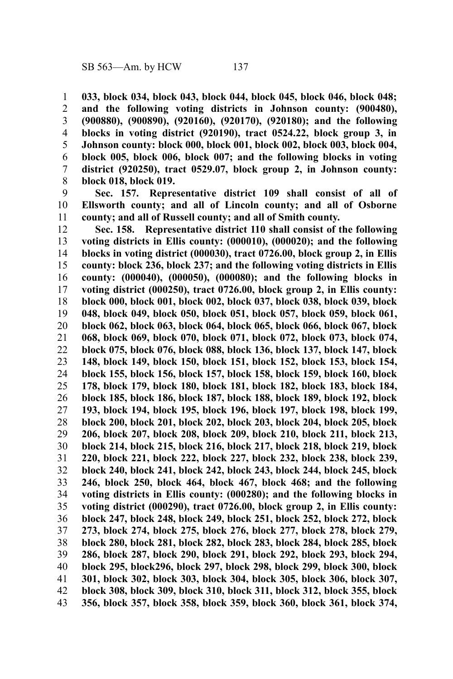**033, block 034, block 043, block 044, block 045, block 046, block 048; and the following voting districts in Johnson county: (900480), (900880), (900890), (920160), (920170), (920180); and the following blocks in voting district (920190), tract 0524.22, block group 3, in Johnson county: block 000, block 001, block 002, block 003, block 004, block 005, block 006, block 007; and the following blocks in voting district (920250), tract 0529.07, block group 2, in Johnson county: block 018, block 019.** 1 2 3 4 5 6 7 8

**Sec. 157. Representative district 109 shall consist of all of Ellsworth county; and all of Lincoln county; and all of Osborne county; and all of Russell county; and all of Smith county.** 9 10 11

**Sec. 158. Representative district 110 shall consist of the following voting districts in Ellis county: (000010), (000020); and the following blocks in voting district (000030), tract 0726.00, block group 2, in Ellis county: block 236, block 237; and the following voting districts in Ellis county: (000040), (000050), (000080); and the following blocks in voting district (000250), tract 0726.00, block group 2, in Ellis county: block 000, block 001, block 002, block 037, block 038, block 039, block 048, block 049, block 050, block 051, block 057, block 059, block 061, block 062, block 063, block 064, block 065, block 066, block 067, block 068, block 069, block 070, block 071, block 072, block 073, block 074, block 075, block 076, block 088, block 136, block 137, block 147, block 148, block 149, block 150, block 151, block 152, block 153, block 154, block 155, block 156, block 157, block 158, block 159, block 160, block 178, block 179, block 180, block 181, block 182, block 183, block 184, block 185, block 186, block 187, block 188, block 189, block 192, block 193, block 194, block 195, block 196, block 197, block 198, block 199, block 200, block 201, block 202, block 203, block 204, block 205, block 206, block 207, block 208, block 209, block 210, block 211, block 213, block 214, block 215, block 216, block 217, block 218, block 219, block 220, block 221, block 222, block 227, block 232, block 238, block 239, block 240, block 241, block 242, block 243, block 244, block 245, block 246, block 250, block 464, block 467, block 468; and the following voting districts in Ellis county: (000280); and the following blocks in voting district (000290), tract 0726.00, block group 2, in Ellis county: block 247, block 248, block 249, block 251, block 252, block 272, block 273, block 274, block 275, block 276, block 277, block 278, block 279, block 280, block 281, block 282, block 283, block 284, block 285, block 286, block 287, block 290, block 291, block 292, block 293, block 294, block 295, block296, block 297, block 298, block 299, block 300, block 301, block 302, block 303, block 304, block 305, block 306, block 307, block 308, block 309, block 310, block 311, block 312, block 355, block 356, block 357, block 358, block 359, block 360, block 361, block 374,** 12 13 14 15 16 17 18 19 20 21 22 23 24 25 26 27 28 29 30 31 32 33 34 35 36 37 38 39 40 41 42 43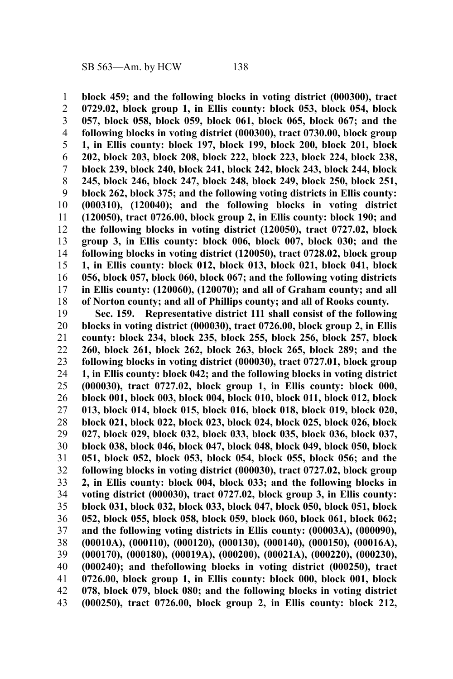**block 459; and the following blocks in voting district (000300), tract 0729.02, block group 1, in Ellis county: block 053, block 054, block 057, block 058, block 059, block 061, block 065, block 067; and the following blocks in voting district (000300), tract 0730.00, block group 1, in Ellis county: block 197, block 199, block 200, block 201, block 202, block 203, block 208, block 222, block 223, block 224, block 238, block 239, block 240, block 241, block 242, block 243, block 244, block 245, block 246, block 247, block 248, block 249, block 250, block 251, block 262, block 375; and the following voting districts in Ellis county: (000310), (120040); and the following blocks in voting district (120050), tract 0726.00, block group 2, in Ellis county: block 190; and the following blocks in voting district (120050), tract 0727.02, block group 3, in Ellis county: block 006, block 007, block 030; and the following blocks in voting district (120050), tract 0728.02, block group 1, in Ellis county: block 012, block 013, block 021, block 041, block 056, block 057, block 060, block 067; and the following voting districts in Ellis county: (120060), (120070); and all of Graham county; and all of Norton county; and all of Phillips county; and all of Rooks county.** 1 2 3 4 5 6 7 8 9 10 11 12 13 14 15 16 17 18

**Sec. 159. Representative district 111 shall consist of the following blocks in voting district (000030), tract 0726.00, block group 2, in Ellis county: block 234, block 235, block 255, block 256, block 257, block 260, block 261, block 262, block 263, block 265, block 289; and the following blocks in voting district (000030), tract 0727.01, block group 1, in Ellis county: block 042; and the following blocks in voting district (000030), tract 0727.02, block group 1, in Ellis county: block 000, block 001, block 003, block 004, block 010, block 011, block 012, block 013, block 014, block 015, block 016, block 018, block 019, block 020, block 021, block 022, block 023, block 024, block 025, block 026, block 027, block 029, block 032, block 033, block 035, block 036, block 037, block 038, block 046, block 047, block 048, block 049, block 050, block 051, block 052, block 053, block 054, block 055, block 056; and the following blocks in voting district (000030), tract 0727.02, block group 2, in Ellis county: block 004, block 033; and the following blocks in voting district (000030), tract 0727.02, block group 3, in Ellis county: block 031, block 032, block 033, block 047, block 050, block 051, block 052, block 055, block 058, block 059, block 060, block 061, block 062; and the following voting districts in Ellis county: (00003A), (000090), (00010A), (000110), (000120), (000130), (000140), (000150), (00016A), (000170), (000180), (00019A), (000200), (00021A), (000220), (000230), (000240); and thefollowing blocks in voting district (000250), tract 0726.00, block group 1, in Ellis county: block 000, block 001, block 078, block 079, block 080; and the following blocks in voting district (000250), tract 0726.00, block group 2, in Ellis county: block 212,** 19 20 21 22 23 24 25 26 27 28 29 30 31 32 33 34 35 36 37 38 39 40 41 42 43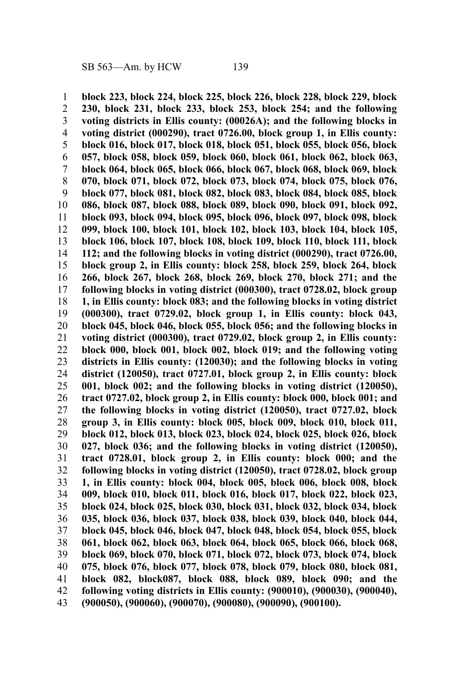**block 223, block 224, block 225, block 226, block 228, block 229, block 230, block 231, block 233, block 253, block 254; and the following voting districts in Ellis county: (00026A); and the following blocks in voting district (000290), tract 0726.00, block group 1, in Ellis county: block 016, block 017, block 018, block 051, block 055, block 056, block 057, block 058, block 059, block 060, block 061, block 062, block 063, block 064, block 065, block 066, block 067, block 068, block 069, block 070, block 071, block 072, block 073, block 074, block 075, block 076, block 077, block 081, block 082, block 083, block 084, block 085, block 086, block 087, block 088, block 089, block 090, block 091, block 092, block 093, block 094, block 095, block 096, block 097, block 098, block 099, block 100, block 101, block 102, block 103, block 104, block 105, block 106, block 107, block 108, block 109, block 110, block 111, block 112; and the following blocks in voting district (000290), tract 0726.00, block group 2, in Ellis county: block 258, block 259, block 264, block 266, block 267, block 268, block 269, block 270, block 271; and the following blocks in voting district (000300), tract 0728.02, block group 1, in Ellis county: block 083; and the following blocks in voting district (000300), tract 0729.02, block group 1, in Ellis county: block 043, block 045, block 046, block 055, block 056; and the following blocks in voting district (000300), tract 0729.02, block group 2, in Ellis county: block 000, block 001, block 002, block 019; and the following voting districts in Ellis county: (120030); and the following blocks in voting district (120050), tract 0727.01, block group 2, in Ellis county: block 001, block 002; and the following blocks in voting district (120050), tract 0727.02, block group 2, in Ellis county: block 000, block 001; and the following blocks in voting district (120050), tract 0727.02, block group 3, in Ellis county: block 005, block 009, block 010, block 011, block 012, block 013, block 023, block 024, block 025, block 026, block 027, block 036; and the following blocks in voting district (120050), tract 0728.01, block group 2, in Ellis county: block 000; and the following blocks in voting district (120050), tract 0728.02, block group 1, in Ellis county: block 004, block 005, block 006, block 008, block 009, block 010, block 011, block 016, block 017, block 022, block 023, block 024, block 025, block 030, block 031, block 032, block 034, block 035, block 036, block 037, block 038, block 039, block 040, block 044, block 045, block 046, block 047, block 048, block 054, block 055, block 061, block 062, block 063, block 064, block 065, block 066, block 068, block 069, block 070, block 071, block 072, block 073, block 074, block 075, block 076, block 077, block 078, block 079, block 080, block 081, block 082, block087, block 088, block 089, block 090; and the following voting districts in Ellis county: (900010), (900030), (900040), (900050), (900060), (900070), (900080), (900090), (900100).** 1 2 3 4 5 6 7 8 9 10 11 12 13 14 15 16 17 18 19 20 21 22 23 24 25 26 27 28 29 30 31 32 33 34 35 36 37 38 39 40 41 42 43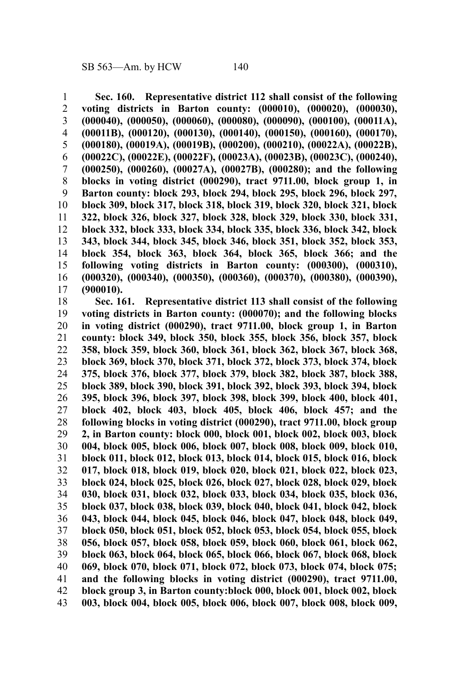**Sec. 160. Representative district 112 shall consist of the following voting districts in Barton county: (000010), (000020), (000030), (000040), (000050), (000060), (000080), (000090), (000100), (00011A), (00011B), (000120), (000130), (000140), (000150), (000160), (000170), (000180), (00019A), (00019B), (000200), (000210), (00022A), (00022B), (00022C), (00022E), (00022F), (00023A), (00023B), (00023C), (000240), (000250), (000260), (00027A), (00027B), (000280); and the following blocks in voting district (000290), tract 9711.00, block group 1, in Barton county: block 293, block 294, block 295, block 296, block 297, block 309, block 317, block 318, block 319, block 320, block 321, block 322, block 326, block 327, block 328, block 329, block 330, block 331, block 332, block 333, block 334, block 335, block 336, block 342, block 343, block 344, block 345, block 346, block 351, block 352, block 353, block 354, block 363, block 364, block 365, block 366; and the following voting districts in Barton county: (000300), (000310), (000320), (000340), (000350), (000360), (000370), (000380), (000390), (900010).** 1 2 3 4 5 6 7 8 9 10 11 12 13 14 15 16 17

**Sec. 161. Representative district 113 shall consist of the following voting districts in Barton county: (000070); and the following blocks in voting district (000290), tract 9711.00, block group 1, in Barton county: block 349, block 350, block 355, block 356, block 357, block 358, block 359, block 360, block 361, block 362, block 367, block 368, block 369, block 370, block 371, block 372, block 373, block 374, block 375, block 376, block 377, block 379, block 382, block 387, block 388, block 389, block 390, block 391, block 392, block 393, block 394, block 395, block 396, block 397, block 398, block 399, block 400, block 401, block 402, block 403, block 405, block 406, block 457; and the following blocks in voting district (000290), tract 9711.00, block group 2, in Barton county: block 000, block 001, block 002, block 003, block 004, block 005, block 006, block 007, block 008, block 009, block 010, block 011, block 012, block 013, block 014, block 015, block 016, block 017, block 018, block 019, block 020, block 021, block 022, block 023, block 024, block 025, block 026, block 027, block 028, block 029, block 030, block 031, block 032, block 033, block 034, block 035, block 036, block 037, block 038, block 039, block 040, block 041, block 042, block 043, block 044, block 045, block 046, block 047, block 048, block 049, block 050, block 051, block 052, block 053, block 054, block 055, block 056, block 057, block 058, block 059, block 060, block 061, block 062, block 063, block 064, block 065, block 066, block 067, block 068, block 069, block 070, block 071, block 072, block 073, block 074, block 075; and the following blocks in voting district (000290), tract 9711.00, block group 3, in Barton county:block 000, block 001, block 002, block 003, block 004, block 005, block 006, block 007, block 008, block 009,** 18 19 20 21 22 23 24 25 26 27 28 29 30 31 32 33 34 35 36 37 38 39 40 41 42 43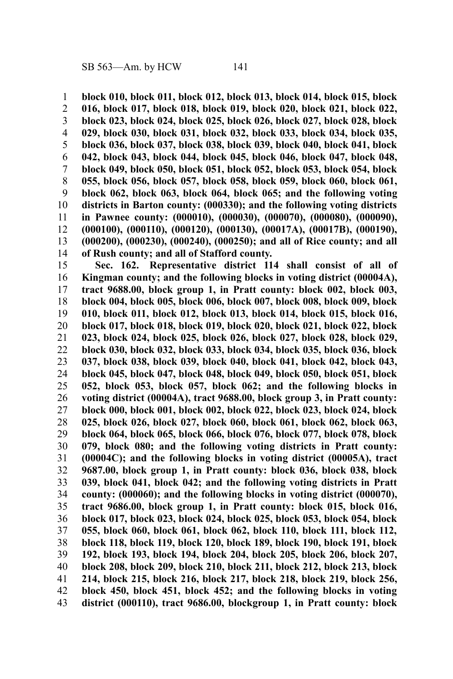**block 010, block 011, block 012, block 013, block 014, block 015, block 016, block 017, block 018, block 019, block 020, block 021, block 022, block 023, block 024, block 025, block 026, block 027, block 028, block 029, block 030, block 031, block 032, block 033, block 034, block 035, block 036, block 037, block 038, block 039, block 040, block 041, block 042, block 043, block 044, block 045, block 046, block 047, block 048, block 049, block 050, block 051, block 052, block 053, block 054, block 055, block 056, block 057, block 058, block 059, block 060, block 061, block 062, block 063, block 064, block 065; and the following voting districts in Barton county: (000330); and the following voting districts in Pawnee county: (000010), (000030), (000070), (000080), (000090), (000100), (000110), (000120), (000130), (00017A), (00017B), (000190), (000200), (000230), (000240), (000250); and all of Rice county; and all of Rush county; and all of Stafford county.** 1 2 3 4 5 6 7 8 9 10 11 12 13 14

**Sec. 162. Representative district 114 shall consist of all of Kingman county; and the following blocks in voting district (00004A), tract 9688.00, block group 1, in Pratt county: block 002, block 003, block 004, block 005, block 006, block 007, block 008, block 009, block 010, block 011, block 012, block 013, block 014, block 015, block 016, block 017, block 018, block 019, block 020, block 021, block 022, block 023, block 024, block 025, block 026, block 027, block 028, block 029, block 030, block 032, block 033, block 034, block 035, block 036, block 037, block 038, block 039, block 040, block 041, block 042, block 043, block 045, block 047, block 048, block 049, block 050, block 051, block 052, block 053, block 057, block 062; and the following blocks in voting district (00004A), tract 9688.00, block group 3, in Pratt county: block 000, block 001, block 002, block 022, block 023, block 024, block 025, block 026, block 027, block 060, block 061, block 062, block 063, block 064, block 065, block 066, block 076, block 077, block 078, block 079, block 080; and the following voting districts in Pratt county: (00004C); and the following blocks in voting district (00005A), tract 9687.00, block group 1, in Pratt county: block 036, block 038, block 039, block 041, block 042; and the following voting districts in Pratt county: (000060); and the following blocks in voting district (000070), tract 9686.00, block group 1, in Pratt county: block 015, block 016, block 017, block 023, block 024, block 025, block 053, block 054, block 055, block 060, block 061, block 062, block 110, block 111, block 112, block 118, block 119, block 120, block 189, block 190, block 191, block 192, block 193, block 194, block 204, block 205, block 206, block 207, block 208, block 209, block 210, block 211, block 212, block 213, block 214, block 215, block 216, block 217, block 218, block 219, block 256, block 450, block 451, block 452; and the following blocks in voting district (000110), tract 9686.00, blockgroup 1, in Pratt county: block** 15 16 17 18 19 20 21 22 23 24 25 26 27 28 29 30 31 32 33 34 35 36 37 38 39 40 41 42 43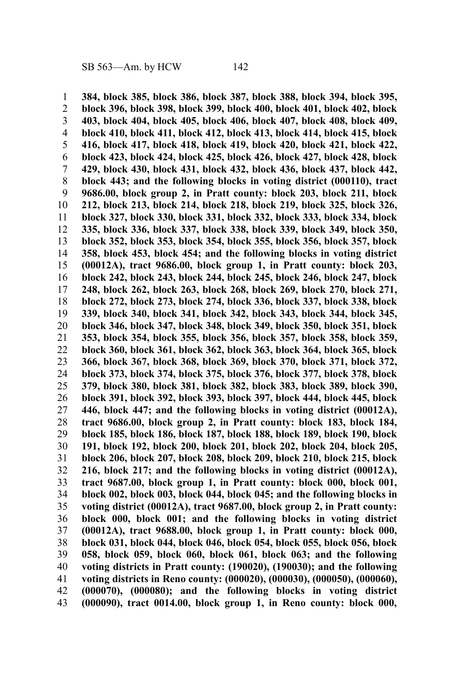**384, block 385, block 386, block 387, block 388, block 394, block 395, block 396, block 398, block 399, block 400, block 401, block 402, block 403, block 404, block 405, block 406, block 407, block 408, block 409, block 410, block 411, block 412, block 413, block 414, block 415, block 416, block 417, block 418, block 419, block 420, block 421, block 422, block 423, block 424, block 425, block 426, block 427, block 428, block 429, block 430, block 431, block 432, block 436, block 437, block 442, block 443; and the following blocks in voting district (000110), tract 9686.00, block group 2, in Pratt county: block 203, block 211, block 212, block 213, block 214, block 218, block 219, block 325, block 326, block 327, block 330, block 331, block 332, block 333, block 334, block 335, block 336, block 337, block 338, block 339, block 349, block 350, block 352, block 353, block 354, block 355, block 356, block 357, block 358, block 453, block 454; and the following blocks in voting district (00012A), tract 9686.00, block group 1, in Pratt county: block 203, block 242, block 243, block 244, block 245, block 246, block 247, block 248, block 262, block 263, block 268, block 269, block 270, block 271, block 272, block 273, block 274, block 336, block 337, block 338, block 339, block 340, block 341, block 342, block 343, block 344, block 345, block 346, block 347, block 348, block 349, block 350, block 351, block 353, block 354, block 355, block 356, block 357, block 358, block 359, block 360, block 361, block 362, block 363, block 364, block 365, block 366, block 367, block 368, block 369, block 370, block 371, block 372, block 373, block 374, block 375, block 376, block 377, block 378, block 379, block 380, block 381, block 382, block 383, block 389, block 390, block 391, block 392, block 393, block 397, block 444, block 445, block 446, block 447; and the following blocks in voting district (00012A), tract 9686.00, block group 2, in Pratt county: block 183, block 184, block 185, block 186, block 187, block 188, block 189, block 190, block 191, block 192, block 200, block 201, block 202, block 204, block 205, block 206, block 207, block 208, block 209, block 210, block 215, block 216, block 217; and the following blocks in voting district (00012A), tract 9687.00, block group 1, in Pratt county: block 000, block 001, block 002, block 003, block 044, block 045; and the following blocks in voting district (00012A), tract 9687.00, block group 2, in Pratt county: block 000, block 001; and the following blocks in voting district (00012A), tract 9688.00, block group 1, in Pratt county: block 000, block 031, block 044, block 046, block 054, block 055, block 056, block 058, block 059, block 060, block 061, block 063; and the following voting districts in Pratt county: (190020), (190030); and the following voting districts in Reno county: (000020), (000030), (000050), (000060), (000070), (000080); and the following blocks in voting district (000090), tract 0014.00, block group 1, in Reno county: block 000,** 1 2 3 4 5 6 7 8 9 10 11 12 13 14 15 16 17 18 19 20 21 22 23 24 25 26 27 28 29 30 31 32 33 34 35 36 37 38 39 40 41 42 43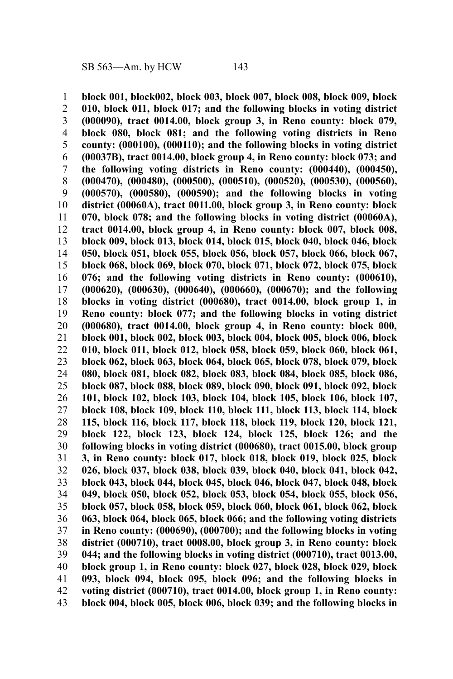**block 001, block002, block 003, block 007, block 008, block 009, block 010, block 011, block 017; and the following blocks in voting district (000090), tract 0014.00, block group 3, in Reno county: block 079, block 080, block 081; and the following voting districts in Reno county: (000100), (000110); and the following blocks in voting district (00037B), tract 0014.00, block group 4, in Reno county: block 073; and the following voting districts in Reno county: (000440), (000450), (000470), (000480), (000500), (000510), (000520), (000530), (000560), (000570), (000580), (000590); and the following blocks in voting district (00060A), tract 0011.00, block group 3, in Reno county: block 070, block 078; and the following blocks in voting district (00060A), tract 0014.00, block group 4, in Reno county: block 007, block 008, block 009, block 013, block 014, block 015, block 040, block 046, block 050, block 051, block 055, block 056, block 057, block 066, block 067, block 068, block 069, block 070, block 071, block 072, block 075, block 076; and the following voting districts in Reno county: (000610), (000620), (000630), (000640), (000660), (000670); and the following blocks in voting district (000680), tract 0014.00, block group 1, in Reno county: block 077; and the following blocks in voting district (000680), tract 0014.00, block group 4, in Reno county: block 000, block 001, block 002, block 003, block 004, block 005, block 006, block 010, block 011, block 012, block 058, block 059, block 060, block 061, block 062, block 063, block 064, block 065, block 078, block 079, block 080, block 081, block 082, block 083, block 084, block 085, block 086, block 087, block 088, block 089, block 090, block 091, block 092, block 101, block 102, block 103, block 104, block 105, block 106, block 107, block 108, block 109, block 110, block 111, block 113, block 114, block 115, block 116, block 117, block 118, block 119, block 120, block 121, block 122, block 123, block 124, block 125, block 126; and the following blocks in voting district (000680), tract 0015.00, block group 3, in Reno county: block 017, block 018, block 019, block 025, block 026, block 037, block 038, block 039, block 040, block 041, block 042, block 043, block 044, block 045, block 046, block 047, block 048, block 049, block 050, block 052, block 053, block 054, block 055, block 056, block 057, block 058, block 059, block 060, block 061, block 062, block 063, block 064, block 065, block 066; and the following voting districts in Reno county: (000690), (000700); and the following blocks in voting district (000710), tract 0008.00, block group 3, in Reno county: block 044; and the following blocks in voting district (000710), tract 0013.00, block group 1, in Reno county: block 027, block 028, block 029, block 093, block 094, block 095, block 096; and the following blocks in voting district (000710), tract 0014.00, block group 1, in Reno county: block 004, block 005, block 006, block 039; and the following blocks in** 1 2 3 4 5 6 7 8 9 10 11 12 13 14 15 16 17 18 19 20 21 22 23 24 25 26 27 28 29 30 31 32 33 34 35 36 37 38 39 40 41 42 43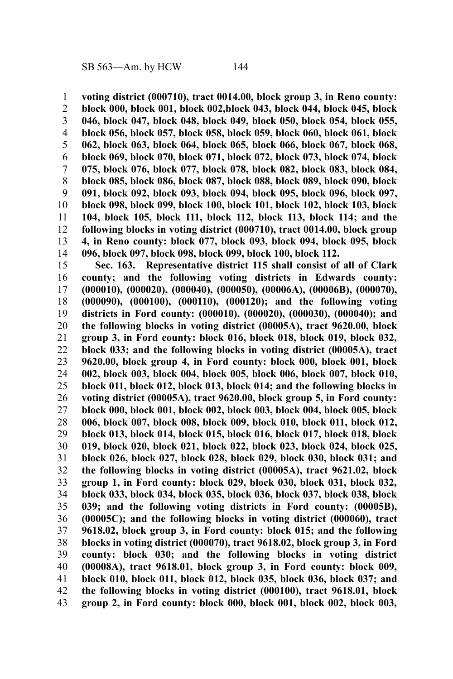**voting district (000710), tract 0014.00, block group 3, in Reno county:** 1

**block 000, block 001, block 002,block 043, block 044, block 045, block 046, block 047, block 048, block 049, block 050, block 054, block 055, block 056, block 057, block 058, block 059, block 060, block 061, block 062, block 063, block 064, block 065, block 066, block 067, block 068, block 069, block 070, block 071, block 072, block 073, block 074, block 075, block 076, block 077, block 078, block 082, block 083, block 084, block 085, block 086, block 087, block 088, block 089, block 090, block 091, block 092, block 093, block 094, block 095, block 096, block 097, block 098, block 099, block 100, block 101, block 102, block 103, block 104, block 105, block 111, block 112, block 113, block 114; and the following blocks in voting district (000710), tract 0014.00, block group 4, in Reno county: block 077, block 093, block 094, block 095, block 096, block 097, block 098, block 099, block 100, block 112.** 2 3 4 5 6 7 8 9 10 11 12 13 14

**Sec. 163. Representative district 115 shall consist of all of Clark county; and the following voting districts in Edwards county: (000010), (000020), (000040), (000050), (00006A), (00006B), (000070), (000090), (000100), (000110), (000120); and the following voting districts in Ford county: (000010), (000020), (000030), (000040); and the following blocks in voting district (00005A), tract 9620.00, block group 3, in Ford county: block 016, block 018, block 019, block 032, block 033; and the following blocks in voting district (00005A), tract 9620.00, block group 4, in Ford county: block 000, block 001, block 002, block 003, block 004, block 005, block 006, block 007, block 010, block 011, block 012, block 013, block 014; and the following blocks in voting district (00005A), tract 9620.00, block group 5, in Ford county: block 000, block 001, block 002, block 003, block 004, block 005, block 006, block 007, block 008, block 009, block 010, block 011, block 012, block 013, block 014, block 015, block 016, block 017, block 018, block 019, block 020, block 021, block 022, block 023, block 024, block 025, block 026, block 027, block 028, block 029, block 030, block 031; and the following blocks in voting district (00005A), tract 9621.02, block group 1, in Ford county: block 029, block 030, block 031, block 032, block 033, block 034, block 035, block 036, block 037, block 038, block 039; and the following voting districts in Ford county: (00005B), (00005C); and the following blocks in voting district (000060), tract 9618.02, block group 3, in Ford county: block 015; and the following blocks in voting district (000070), tract 9618.02, block group 3, in Ford county: block 030; and the following blocks in voting district (00008A), tract 9618.01, block group 3, in Ford county: block 009, block 010, block 011, block 012, block 035, block 036, block 037; and the following blocks in voting district (000100), tract 9618.01, block group 2, in Ford county: block 000, block 001, block 002, block 003,** 15 16 17 18 19 20 21 22 23 24 25 26 27 28 29 30 31 32 33 34 35 36 37 38 39 40 41 42 43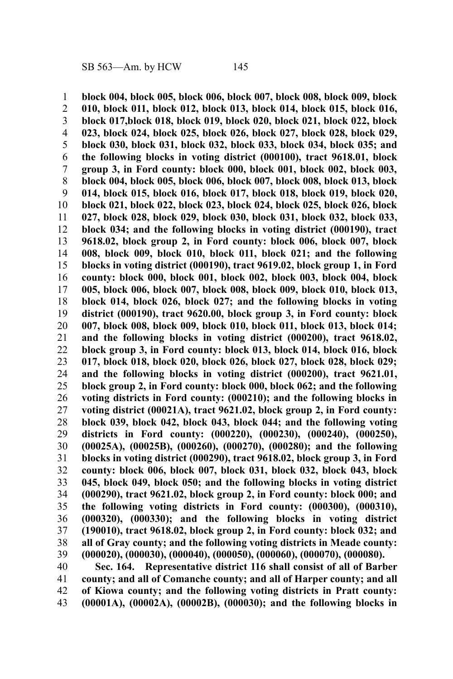**block 004, block 005, block 006, block 007, block 008, block 009, block 010, block 011, block 012, block 013, block 014, block 015, block 016, block 017,block 018, block 019, block 020, block 021, block 022, block 023, block 024, block 025, block 026, block 027, block 028, block 029, block 030, block 031, block 032, block 033, block 034, block 035; and the following blocks in voting district (000100), tract 9618.01, block group 3, in Ford county: block 000, block 001, block 002, block 003, block 004, block 005, block 006, block 007, block 008, block 013, block 014, block 015, block 016, block 017, block 018, block 019, block 020, block 021, block 022, block 023, block 024, block 025, block 026, block 027, block 028, block 029, block 030, block 031, block 032, block 033, block 034; and the following blocks in voting district (000190), tract 9618.02, block group 2, in Ford county: block 006, block 007, block 008, block 009, block 010, block 011, block 021; and the following blocks in voting district (000190), tract 9619.02, block group 1, in Ford county: block 000, block 001, block 002, block 003, block 004, block 005, block 006, block 007, block 008, block 009, block 010, block 013, block 014, block 026, block 027; and the following blocks in voting district (000190), tract 9620.00, block group 3, in Ford county: block 007, block 008, block 009, block 010, block 011, block 013, block 014; and the following blocks in voting district (000200), tract 9618.02, block group 3, in Ford county: block 013, block 014, block 016, block 017, block 018, block 020, block 026, block 027, block 028, block 029; and the following blocks in voting district (000200), tract 9621.01, block group 2, in Ford county: block 000, block 062; and the following voting districts in Ford county: (000210); and the following blocks in voting district (00021A), tract 9621.02, block group 2, in Ford county: block 039, block 042, block 043, block 044; and the following voting districts in Ford county: (000220), (000230), (000240), (000250), (00025A), (00025B), (000260), (000270), (000280); and the following blocks in voting district (000290), tract 9618.02, block group 3, in Ford county: block 006, block 007, block 031, block 032, block 043, block 045, block 049, block 050; and the following blocks in voting district (000290), tract 9621.02, block group 2, in Ford county: block 000; and the following voting districts in Ford county: (000300), (000310), (000320), (000330); and the following blocks in voting district (190010), tract 9618.02, block group 2, in Ford county: block 032; and all of Gray county; and the following voting districts in Meade county: (000020), (000030), (000040), (000050), (000060), (000070), (000080). Sec. 164. Representative district 116 shall consist of all of Barber** 1 2 3 4 5 6 7 8 9 10 11 12 13 14 15 16 17 18 19 20 21 22 23 24 25 26 27 28 29 30 31 32 33 34 35 36 37 38 39 40

**county; and all of Comanche county; and all of Harper county; and all of Kiowa county; and the following voting districts in Pratt county: (00001A), (00002A), (00002B), (000030); and the following blocks in** 41 42 43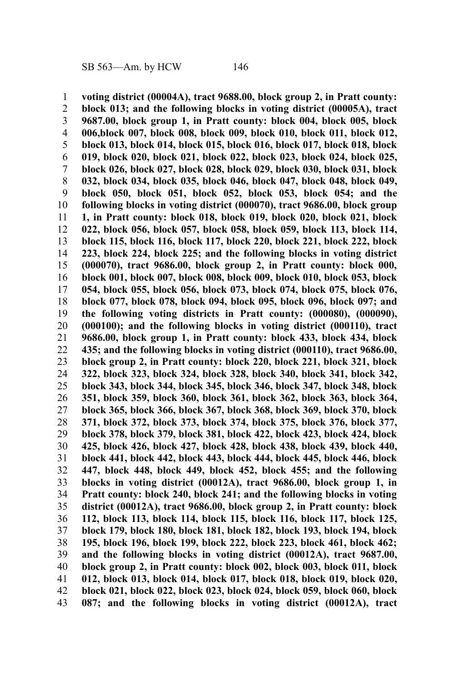**voting district (00004A), tract 9688.00, block group 2, in Pratt county: block 013; and the following blocks in voting district (00005A), tract 9687.00, block group 1, in Pratt county: block 004, block 005, block 006,block 007, block 008, block 009, block 010, block 011, block 012, block 013, block 014, block 015, block 016, block 017, block 018, block 019, block 020, block 021, block 022, block 023, block 024, block 025, block 026, block 027, block 028, block 029, block 030, block 031, block 032, block 034, block 035, block 046, block 047, block 048, block 049, block 050, block 051, block 052, block 053, block 054; and the following blocks in voting district (000070), tract 9686.00, block group 1, in Pratt county: block 018, block 019, block 020, block 021, block 022, block 056, block 057, block 058, block 059, block 113, block 114, block 115, block 116, block 117, block 220, block 221, block 222, block 223, block 224, block 225; and the following blocks in voting district (000070), tract 9686.00, block group 2, in Pratt county: block 000, block 001, block 007, block 008, block 009, block 010, block 053, block 054, block 055, block 056, block 073, block 074, block 075, block 076, block 077, block 078, block 094, block 095, block 096, block 097; and the following voting districts in Pratt county: (000080), (000090), (000100); and the following blocks in voting district (000110), tract 9686.00, block group 1, in Pratt county: block 433, block 434, block 435; and the following blocks in voting district (000110), tract 9686.00, block group 2, in Pratt county: block 220, block 221, block 321, block 322, block 323, block 324, block 328, block 340, block 341, block 342, block 343, block 344, block 345, block 346, block 347, block 348, block 351, block 359, block 360, block 361, block 362, block 363, block 364, block 365, block 366, block 367, block 368, block 369, block 370, block 371, block 372, block 373, block 374, block 375, block 376, block 377, block 378, block 379, block 381, block 422, block 423, block 424, block 425, block 426, block 427, block 428, block 438, block 439, block 440, block 441, block 442, block 443, block 444, block 445, block 446, block 447, block 448, block 449, block 452, block 455; and the following blocks in voting district (00012A), tract 9686.00, block group 1, in Pratt county: block 240, block 241; and the following blocks in voting district (00012A), tract 9686.00, block group 2, in Pratt county: block 112, block 113, block 114, block 115, block 116, block 117, block 125, block 179, block 180, block 181, block 182, block 193, block 194, block 195, block 196, block 199, block 222, block 223, block 461, block 462; and the following blocks in voting district (00012A), tract 9687.00, block group 2, in Pratt county: block 002, block 003, block 011, block 012, block 013, block 014, block 017, block 018, block 019, block 020, block 021, block 022, block 023, block 024, block 059, block 060, block 087; and the following blocks in voting district (00012A), tract** 1 2 3 4 5 6 7 8 9 10 11 12 13 14 15 16 17 18 19 20 21 22 23 24 25 26 27 28 29 30 31 32 33 34 35 36 37 38 39 40 41 42 43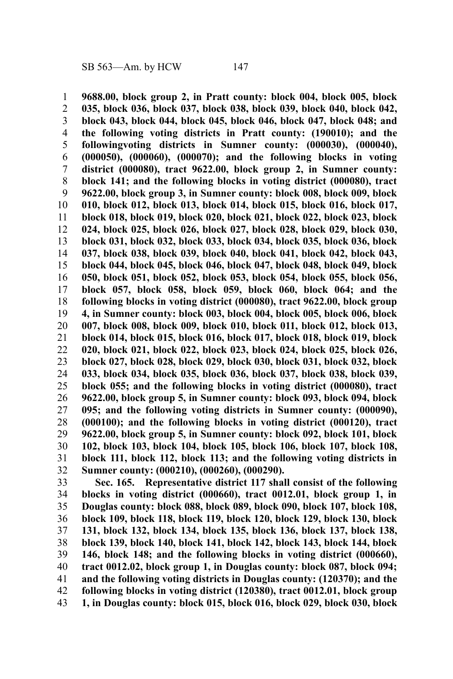**9688.00, block group 2, in Pratt county: block 004, block 005, block 035, block 036, block 037, block 038, block 039, block 040, block 042, block 043, block 044, block 045, block 046, block 047, block 048; and the following voting districts in Pratt county: (190010); and the followingvoting districts in Sumner county: (000030), (000040), (000050), (000060), (000070); and the following blocks in voting district (000080), tract 9622.00, block group 2, in Sumner county: block 141; and the following blocks in voting district (000080), tract 9622.00, block group 3, in Sumner county: block 008, block 009, block 010, block 012, block 013, block 014, block 015, block 016, block 017, block 018, block 019, block 020, block 021, block 022, block 023, block 024, block 025, block 026, block 027, block 028, block 029, block 030, block 031, block 032, block 033, block 034, block 035, block 036, block 037, block 038, block 039, block 040, block 041, block 042, block 043, block 044, block 045, block 046, block 047, block 048, block 049, block 050, block 051, block 052, block 053, block 054, block 055, block 056, block 057, block 058, block 059, block 060, block 064; and the following blocks in voting district (000080), tract 9622.00, block group 4, in Sumner county: block 003, block 004, block 005, block 006, block 007, block 008, block 009, block 010, block 011, block 012, block 013, block 014, block 015, block 016, block 017, block 018, block 019, block 020, block 021, block 022, block 023, block 024, block 025, block 026, block 027, block 028, block 029, block 030, block 031, block 032, block 033, block 034, block 035, block 036, block 037, block 038, block 039, block 055; and the following blocks in voting district (000080), tract 9622.00, block group 5, in Sumner county: block 093, block 094, block 095; and the following voting districts in Sumner county: (000090), (000100); and the following blocks in voting district (000120), tract 9622.00, block group 5, in Sumner county: block 092, block 101, block 102, block 103, block 104, block 105, block 106, block 107, block 108, block 111, block 112, block 113; and the following voting districts in Sumner county: (000210), (000260), (000290).** 1 2 3 4 5 6 7 8 9 10 11 12 13 14 15 16 17 18 19 20 21 22 23 24 25 26 27 28 29 30 31 32

**Sec. 165. Representative district 117 shall consist of the following blocks in voting district (000660), tract 0012.01, block group 1, in Douglas county: block 088, block 089, block 090, block 107, block 108, block 109, block 118, block 119, block 120, block 129, block 130, block 131, block 132, block 134, block 135, block 136, block 137, block 138, block 139, block 140, block 141, block 142, block 143, block 144, block 146, block 148; and the following blocks in voting district (000660), tract 0012.02, block group 1, in Douglas county: block 087, block 094; and the following voting districts in Douglas county: (120370); and the following blocks in voting district (120380), tract 0012.01, block group 1, in Douglas county: block 015, block 016, block 029, block 030, block** 33 34 35 36 37 38 39 40 41 42 43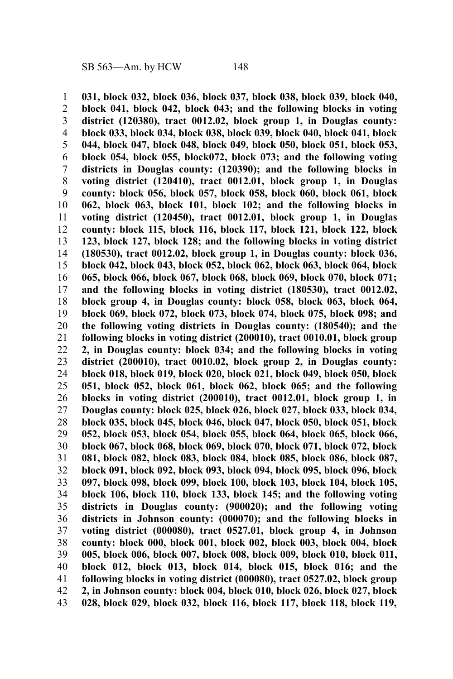**031, block 032, block 036, block 037, block 038, block 039, block 040, block 041, block 042, block 043; and the following blocks in voting district (120380), tract 0012.02, block group 1, in Douglas county: block 033, block 034, block 038, block 039, block 040, block 041, block 044, block 047, block 048, block 049, block 050, block 051, block 053, block 054, block 055, block072, block 073; and the following voting districts in Douglas county: (120390); and the following blocks in voting district (120410), tract 0012.01, block group 1, in Douglas county: block 056, block 057, block 058, block 060, block 061, block 062, block 063, block 101, block 102; and the following blocks in voting district (120450), tract 0012.01, block group 1, in Douglas county: block 115, block 116, block 117, block 121, block 122, block 123, block 127, block 128; and the following blocks in voting district (180530), tract 0012.02, block group 1, in Douglas county: block 036, block 042, block 043, block 052, block 062, block 063, block 064, block 065, block 066, block 067, block 068, block 069, block 070, block 071; and the following blocks in voting district (180530), tract 0012.02, block group 4, in Douglas county: block 058, block 063, block 064, block 069, block 072, block 073, block 074, block 075, block 098; and the following voting districts in Douglas county: (180540); and the following blocks in voting district (200010), tract 0010.01, block group 2, in Douglas county: block 034; and the following blocks in voting district (200010), tract 0010.02, block group 2, in Douglas county: block 018, block 019, block 020, block 021, block 049, block 050, block 051, block 052, block 061, block 062, block 065; and the following blocks in voting district (200010), tract 0012.01, block group 1, in Douglas county: block 025, block 026, block 027, block 033, block 034, block 035, block 045, block 046, block 047, block 050, block 051, block 052, block 053, block 054, block 055, block 064, block 065, block 066, block 067, block 068, block 069, block 070, block 071, block 072, block 081, block 082, block 083, block 084, block 085, block 086, block 087, block 091, block 092, block 093, block 094, block 095, block 096, block 097, block 098, block 099, block 100, block 103, block 104, block 105, block 106, block 110, block 133, block 145; and the following voting districts in Douglas county: (900020); and the following voting districts in Johnson county: (000070); and the following blocks in voting district (000080), tract 0527.01, block group 4, in Johnson county: block 000, block 001, block 002, block 003, block 004, block 005, block 006, block 007, block 008, block 009, block 010, block 011, block 012, block 013, block 014, block 015, block 016; and the following blocks in voting district (000080), tract 0527.02, block group 2, in Johnson county: block 004, block 010, block 026, block 027, block 028, block 029, block 032, block 116, block 117, block 118, block 119,** 1 2 3 4 5 6 7 8 9 10 11 12 13 14 15 16 17 18 19 20 21 22 23 24 25 26 27 28 29 30 31 32 33 34 35 36 37 38 39 40 41 42 43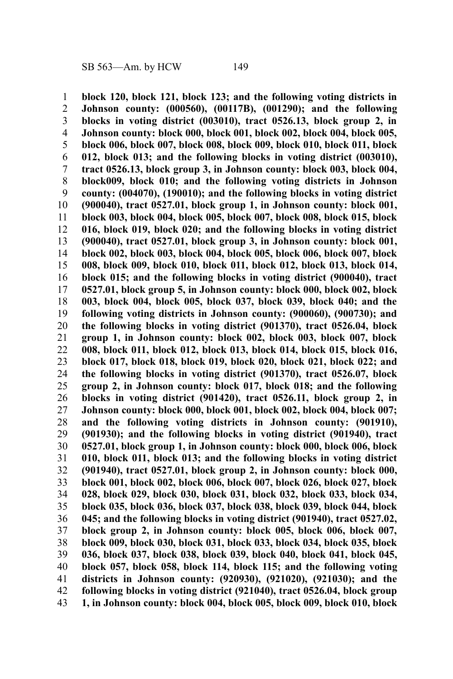**block 120, block 121, block 123; and the following voting districts in Johnson county: (000560), (00117B), (001290); and the following blocks in voting district (003010), tract 0526.13, block group 2, in Johnson county: block 000, block 001, block 002, block 004, block 005, block 006, block 007, block 008, block 009, block 010, block 011, block 012, block 013; and the following blocks in voting district (003010), tract 0526.13, block group 3, in Johnson county: block 003, block 004, block009, block 010; and the following voting districts in Johnson county: (004070), (190010); and the following blocks in voting district (900040), tract 0527.01, block group 1, in Johnson county: block 001, block 003, block 004, block 005, block 007, block 008, block 015, block 016, block 019, block 020; and the following blocks in voting district (900040), tract 0527.01, block group 3, in Johnson county: block 001, block 002, block 003, block 004, block 005, block 006, block 007, block 008, block 009, block 010, block 011, block 012, block 013, block 014, block 015; and the following blocks in voting district (900040), tract 0527.01, block group 5, in Johnson county: block 000, block 002, block 003, block 004, block 005, block 037, block 039, block 040; and the following voting districts in Johnson county: (900060), (900730); and the following blocks in voting district (901370), tract 0526.04, block group 1, in Johnson county: block 002, block 003, block 007, block 008, block 011, block 012, block 013, block 014, block 015, block 016, block 017, block 018, block 019, block 020, block 021, block 022; and the following blocks in voting district (901370), tract 0526.07, block group 2, in Johnson county: block 017, block 018; and the following blocks in voting district (901420), tract 0526.11, block group 2, in Johnson county: block 000, block 001, block 002, block 004, block 007; and the following voting districts in Johnson county: (901910), (901930); and the following blocks in voting district (901940), tract 0527.01, block group 1, in Johnson county: block 000, block 006, block 010, block 011, block 013; and the following blocks in voting district (901940), tract 0527.01, block group 2, in Johnson county: block 000, block 001, block 002, block 006, block 007, block 026, block 027, block 028, block 029, block 030, block 031, block 032, block 033, block 034, block 035, block 036, block 037, block 038, block 039, block 044, block 045; and the following blocks in voting district (901940), tract 0527.02, block group 2, in Johnson county: block 005, block 006, block 007, block 009, block 030, block 031, block 033, block 034, block 035, block 036, block 037, block 038, block 039, block 040, block 041, block 045, block 057, block 058, block 114, block 115; and the following voting districts in Johnson county: (920930), (921020), (921030); and the following blocks in voting district (921040), tract 0526.04, block group 1, in Johnson county: block 004, block 005, block 009, block 010, block** 1 2 3 4 5 6 7 8 9 10 11 12 13 14 15 16 17 18 19 20 21 22 23 24 25 26 27 28 29 30 31 32 33 34 35 36 37 38 39 40 41 42 43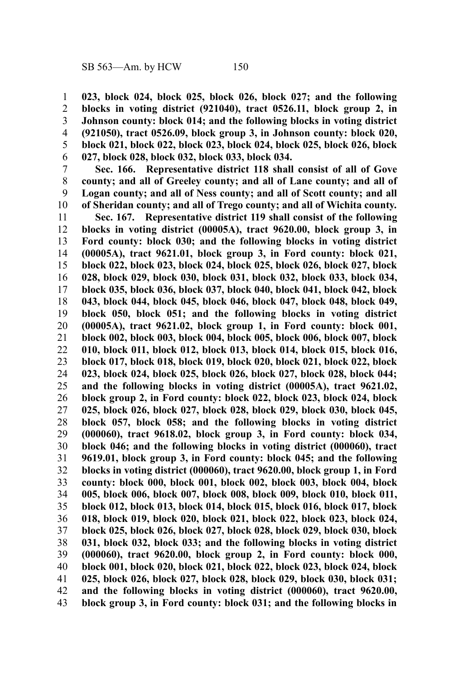**023, block 024, block 025, block 026, block 027; and the following blocks in voting district (921040), tract 0526.11, block group 2, in Johnson county: block 014; and the following blocks in voting district (921050), tract 0526.09, block group 3, in Johnson county: block 020, block 021, block 022, block 023, block 024, block 025, block 026, block 027, block 028, block 032, block 033, block 034.** 1 2 3 4 5 6

**Sec. 166. Representative district 118 shall consist of all of Gove county; and all of Greeley county; and all of Lane county; and all of Logan county; and all of Ness county; and all of Scott county; and all of Sheridan county; and all of Trego county; and all of Wichita county.** 7 8 9 10

**Sec. 167. Representative district 119 shall consist of the following blocks in voting district (00005A), tract 9620.00, block group 3, in Ford county: block 030; and the following blocks in voting district (00005A), tract 9621.01, block group 3, in Ford county: block 021, block 022, block 023, block 024, block 025, block 026, block 027, block 028, block 029, block 030, block 031, block 032, block 033, block 034, block 035, block 036, block 037, block 040, block 041, block 042, block 043, block 044, block 045, block 046, block 047, block 048, block 049, block 050, block 051; and the following blocks in voting district (00005A), tract 9621.02, block group 1, in Ford county: block 001, block 002, block 003, block 004, block 005, block 006, block 007, block 010, block 011, block 012, block 013, block 014, block 015, block 016, block 017, block 018, block 019, block 020, block 021, block 022, block 023, block 024, block 025, block 026, block 027, block 028, block 044; and the following blocks in voting district (00005A), tract 9621.02, block group 2, in Ford county: block 022, block 023, block 024, block 025, block 026, block 027, block 028, block 029, block 030, block 045, block 057, block 058; and the following blocks in voting district (000060), tract 9618.02, block group 3, in Ford county: block 034, block 046; and the following blocks in voting district (000060), tract 9619.01, block group 3, in Ford county: block 045; and the following blocks in voting district (000060), tract 9620.00, block group 1, in Ford county: block 000, block 001, block 002, block 003, block 004, block 005, block 006, block 007, block 008, block 009, block 010, block 011, block 012, block 013, block 014, block 015, block 016, block 017, block 018, block 019, block 020, block 021, block 022, block 023, block 024, block 025, block 026, block 027, block 028, block 029, block 030, block 031, block 032, block 033; and the following blocks in voting district (000060), tract 9620.00, block group 2, in Ford county: block 000, block 001, block 020, block 021, block 022, block 023, block 024, block 025, block 026, block 027, block 028, block 029, block 030, block 031; and the following blocks in voting district (000060), tract 9620.00, block group 3, in Ford county: block 031; and the following blocks in** 11 12 13 14 15 16 17 18 19 20 21 22 23 24 25 26 27 28 29 30 31 32 33 34 35 36 37 38 39 40 41 42 43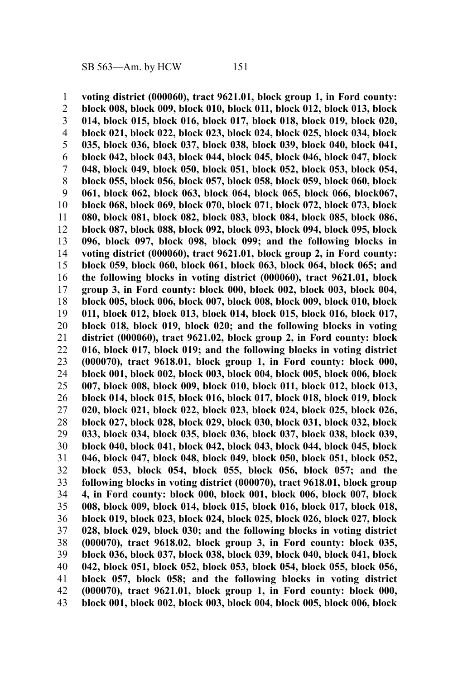**voting district (000060), tract 9621.01, block group 1, in Ford county: block 008, block 009, block 010, block 011, block 012, block 013, block 014, block 015, block 016, block 017, block 018, block 019, block 020, block 021, block 022, block 023, block 024, block 025, block 034, block 035, block 036, block 037, block 038, block 039, block 040, block 041, block 042, block 043, block 044, block 045, block 046, block 047, block 048, block 049, block 050, block 051, block 052, block 053, block 054, block 055, block 056, block 057, block 058, block 059, block 060, block 061, block 062, block 063, block 064, block 065, block 066, block067, block 068, block 069, block 070, block 071, block 072, block 073, block 080, block 081, block 082, block 083, block 084, block 085, block 086, block 087, block 088, block 092, block 093, block 094, block 095, block 096, block 097, block 098, block 099; and the following blocks in voting district (000060), tract 9621.01, block group 2, in Ford county: block 059, block 060, block 061, block 063, block 064, block 065; and the following blocks in voting district (000060), tract 9621.01, block group 3, in Ford county: block 000, block 002, block 003, block 004, block 005, block 006, block 007, block 008, block 009, block 010, block 011, block 012, block 013, block 014, block 015, block 016, block 017, block 018, block 019, block 020; and the following blocks in voting district (000060), tract 9621.02, block group 2, in Ford county: block 016, block 017, block 019; and the following blocks in voting district (000070), tract 9618.01, block group 1, in Ford county: block 000, block 001, block 002, block 003, block 004, block 005, block 006, block 007, block 008, block 009, block 010, block 011, block 012, block 013, block 014, block 015, block 016, block 017, block 018, block 019, block 020, block 021, block 022, block 023, block 024, block 025, block 026, block 027, block 028, block 029, block 030, block 031, block 032, block 033, block 034, block 035, block 036, block 037, block 038, block 039, block 040, block 041, block 042, block 043, block 044, block 045, block 046, block 047, block 048, block 049, block 050, block 051, block 052, block 053, block 054, block 055, block 056, block 057; and the following blocks in voting district (000070), tract 9618.01, block group 4, in Ford county: block 000, block 001, block 006, block 007, block 008, block 009, block 014, block 015, block 016, block 017, block 018, block 019, block 023, block 024, block 025, block 026, block 027, block 028, block 029, block 030; and the following blocks in voting district (000070), tract 9618.02, block group 3, in Ford county: block 035, block 036, block 037, block 038, block 039, block 040, block 041, block 042, block 051, block 052, block 053, block 054, block 055, block 056, block 057, block 058; and the following blocks in voting district (000070), tract 9621.01, block group 1, in Ford county: block 000, block 001, block 002, block 003, block 004, block 005, block 006, block** 1 2 3 4 5 6 7 8 9 10 11 12 13 14 15 16 17 18 19 20 21 22 23 24 25 26 27 28 29 30 31 32 33 34 35 36 37 38 39 40 41 42 43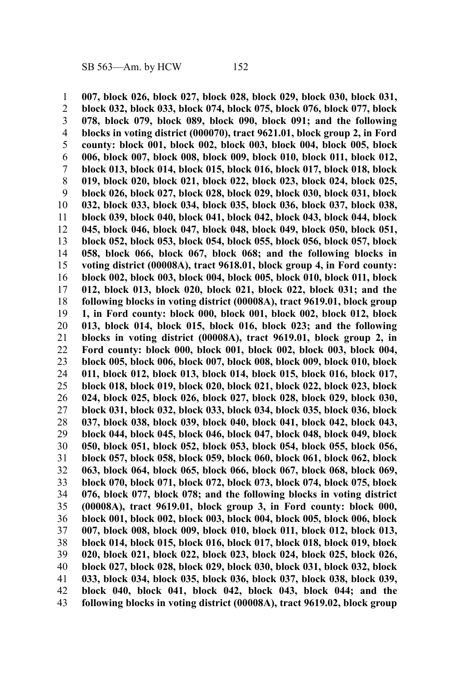**007, block 026, block 027, block 028, block 029, block 030, block 031, block 032, block 033, block 074, block 075, block 076, block 077, block 078, block 079, block 089, block 090, block 091; and the following blocks in voting district (000070), tract 9621.01, block group 2, in Ford county: block 001, block 002, block 003, block 004, block 005, block 006, block 007, block 008, block 009, block 010, block 011, block 012, block 013, block 014, block 015, block 016, block 017, block 018, block 019, block 020, block 021, block 022, block 023, block 024, block 025, block 026, block 027, block 028, block 029, block 030, block 031, block 032, block 033, block 034, block 035, block 036, block 037, block 038, block 039, block 040, block 041, block 042, block 043, block 044, block 045, block 046, block 047, block 048, block 049, block 050, block 051, block 052, block 053, block 054, block 055, block 056, block 057, block 058, block 066, block 067, block 068; and the following blocks in voting district (00008A), tract 9618.01, block group 4, in Ford county: block 002, block 003, block 004, block 005, block 010, block 011, block 012, block 013, block 020, block 021, block 022, block 031; and the following blocks in voting district (00008A), tract 9619.01, block group 1, in Ford county: block 000, block 001, block 002, block 012, block 013, block 014, block 015, block 016, block 023; and the following blocks in voting district (00008A), tract 9619.01, block group 2, in Ford county: block 000, block 001, block 002, block 003, block 004, block 005, block 006, block 007, block 008, block 009, block 010, block 011, block 012, block 013, block 014, block 015, block 016, block 017, block 018, block 019, block 020, block 021, block 022, block 023, block 024, block 025, block 026, block 027, block 028, block 029, block 030, block 031, block 032, block 033, block 034, block 035, block 036, block 037, block 038, block 039, block 040, block 041, block 042, block 043, block 044, block 045, block 046, block 047, block 048, block 049, block 050, block 051, block 052, block 053, block 054, block 055, block 056, block 057, block 058, block 059, block 060, block 061, block 062, block 063, block 064, block 065, block 066, block 067, block 068, block 069, block 070, block 071, block 072, block 073, block 074, block 075, block 076, block 077, block 078; and the following blocks in voting district (00008A), tract 9619.01, block group 3, in Ford county: block 000, block 001, block 002, block 003, block 004, block 005, block 006, block 007, block 008, block 009, block 010, block 011, block 012, block 013, block 014, block 015, block 016, block 017, block 018, block 019, block 020, block 021, block 022, block 023, block 024, block 025, block 026, block 027, block 028, block 029, block 030, block 031, block 032, block 033, block 034, block 035, block 036, block 037, block 038, block 039, block 040, block 041, block 042, block 043, block 044; and the following blocks in voting district (00008A), tract 9619.02, block group** 1 2 3 4 5 6 7 8 9 10 11 12 13 14 15 16 17 18 19 20 21 22 23 24 25 26 27 28 29 30 31 32 33 34 35 36 37 38 39 40 41 42 43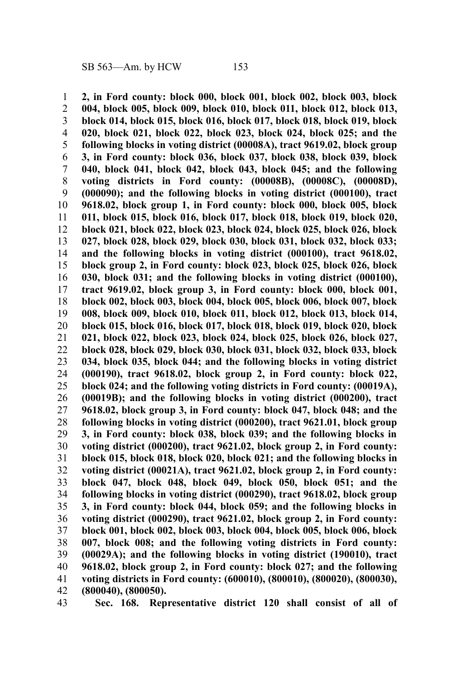**2, in Ford county: block 000, block 001, block 002, block 003, block 004, block 005, block 009, block 010, block 011, block 012, block 013, block 014, block 015, block 016, block 017, block 018, block 019, block 020, block 021, block 022, block 023, block 024, block 025; and the following blocks in voting district (00008A), tract 9619.02, block group 3, in Ford county: block 036, block 037, block 038, block 039, block 040, block 041, block 042, block 043, block 045; and the following voting districts in Ford county: (00008B), (00008C), (00008D), (000090); and the following blocks in voting district (000100), tract 9618.02, block group 1, in Ford county: block 000, block 005, block 011, block 015, block 016, block 017, block 018, block 019, block 020, block 021, block 022, block 023, block 024, block 025, block 026, block 027, block 028, block 029, block 030, block 031, block 032, block 033; and the following blocks in voting district (000100), tract 9618.02, block group 2, in Ford county: block 023, block 025, block 026, block 030, block 031; and the following blocks in voting district (000100), tract 9619.02, block group 3, in Ford county: block 000, block 001, block 002, block 003, block 004, block 005, block 006, block 007, block 008, block 009, block 010, block 011, block 012, block 013, block 014, block 015, block 016, block 017, block 018, block 019, block 020, block 021, block 022, block 023, block 024, block 025, block 026, block 027, block 028, block 029, block 030, block 031, block 032, block 033, block 034, block 035, block 044; and the following blocks in voting district (000190), tract 9618.02, block group 2, in Ford county: block 022, block 024; and the following voting districts in Ford county: (00019A), (00019B); and the following blocks in voting district (000200), tract 9618.02, block group 3, in Ford county: block 047, block 048; and the following blocks in voting district (000200), tract 9621.01, block group 3, in Ford county: block 038, block 039; and the following blocks in voting district (000200), tract 9621.02, block group 2, in Ford county: block 015, block 018, block 020, block 021; and the following blocks in voting district (00021A), tract 9621.02, block group 2, in Ford county: block 047, block 048, block 049, block 050, block 051; and the following blocks in voting district (000290), tract 9618.02, block group 3, in Ford county: block 044, block 059; and the following blocks in voting district (000290), tract 9621.02, block group 2, in Ford county: block 001, block 002, block 003, block 004, block 005, block 006, block 007, block 008; and the following voting districts in Ford county: (00029A); and the following blocks in voting district (190010), tract 9618.02, block group 2, in Ford county: block 027; and the following voting districts in Ford county: (600010), (800010), (800020), (800030), (800040), (800050).** 1 2 3 4 5 6 7 8 9 10 11 12 13 14 15 16 17 18 19 20 21 22 23 24 25 26 27 28 29 30 31 32 33 34 35 36 37 38 39 40 41 42

**Sec. 168. Representative district 120 shall consist of all of** 43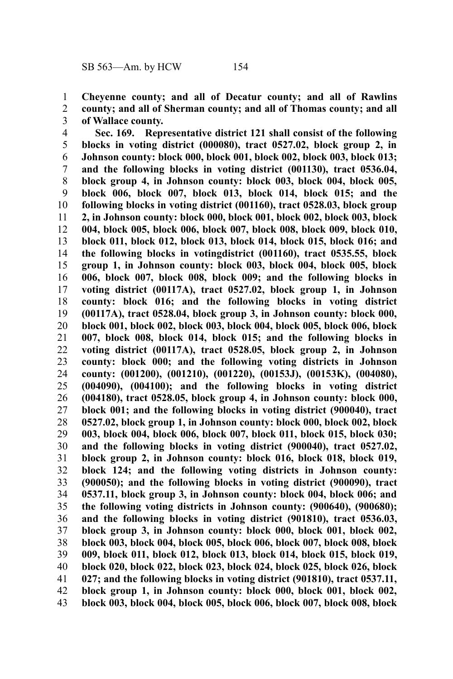**Cheyenne county; and all of Decatur county; and all of Rawlins county; and all of Sherman county; and all of Thomas county; and all of Wallace county.** 1 2 3

**Sec. 169. Representative district 121 shall consist of the following blocks in voting district (000080), tract 0527.02, block group 2, in Johnson county: block 000, block 001, block 002, block 003, block 013; and the following blocks in voting district (001130), tract 0536.04, block group 4, in Johnson county: block 003, block 004, block 005, block 006, block 007, block 013, block 014, block 015; and the following blocks in voting district (001160), tract 0528.03, block group 2, in Johnson county: block 000, block 001, block 002, block 003, block 004, block 005, block 006, block 007, block 008, block 009, block 010, block 011, block 012, block 013, block 014, block 015, block 016; and the following blocks in votingdistrict (001160), tract 0535.55, block group 1, in Johnson county: block 003, block 004, block 005, block 006, block 007, block 008, block 009; and the following blocks in voting district (00117A), tract 0527.02, block group 1, in Johnson county: block 016; and the following blocks in voting district (00117A), tract 0528.04, block group 3, in Johnson county: block 000, block 001, block 002, block 003, block 004, block 005, block 006, block 007, block 008, block 014, block 015; and the following blocks in voting district (00117A), tract 0528.05, block group 2, in Johnson county: block 000; and the following voting districts in Johnson county: (001200), (001210), (001220), (00153J), (00153K), (004080), (004090), (004100); and the following blocks in voting district (004180), tract 0528.05, block group 4, in Johnson county: block 000, block 001; and the following blocks in voting district (900040), tract 0527.02, block group 1, in Johnson county: block 000, block 002, block 003, block 004, block 006, block 007, block 011, block 015, block 030; and the following blocks in voting district (900040), tract 0527.02, block group 2, in Johnson county: block 016, block 018, block 019, block 124; and the following voting districts in Johnson county: (900050); and the following blocks in voting district (900090), tract 0537.11, block group 3, in Johnson county: block 004, block 006; and the following voting districts in Johnson county: (900640), (900680); and the following blocks in voting district (901810), tract 0536.03, block group 3, in Johnson county: block 000, block 001, block 002, block 003, block 004, block 005, block 006, block 007, block 008, block 009, block 011, block 012, block 013, block 014, block 015, block 019, block 020, block 022, block 023, block 024, block 025, block 026, block 027; and the following blocks in voting district (901810), tract 0537.11, block group 1, in Johnson county: block 000, block 001, block 002, block 003, block 004, block 005, block 006, block 007, block 008, block** 4 5 6 7 8 9 10 11 12 13 14 15 16 17 18 19 20 21 22 23 24 25 26 27 28 29 30 31 32 33 34 35 36 37 38 39 40 41 42 43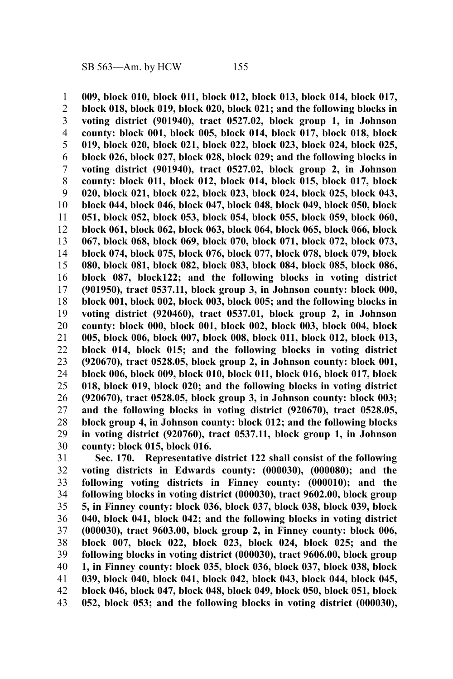**009, block 010, block 011, block 012, block 013, block 014, block 017, block 018, block 019, block 020, block 021; and the following blocks in voting district (901940), tract 0527.02, block group 1, in Johnson county: block 001, block 005, block 014, block 017, block 018, block 019, block 020, block 021, block 022, block 023, block 024, block 025, block 026, block 027, block 028, block 029; and the following blocks in voting district (901940), tract 0527.02, block group 2, in Johnson county: block 011, block 012, block 014, block 015, block 017, block 020, block 021, block 022, block 023, block 024, block 025, block 043, block 044, block 046, block 047, block 048, block 049, block 050, block 051, block 052, block 053, block 054, block 055, block 059, block 060, block 061, block 062, block 063, block 064, block 065, block 066, block 067, block 068, block 069, block 070, block 071, block 072, block 073, block 074, block 075, block 076, block 077, block 078, block 079, block 080, block 081, block 082, block 083, block 084, block 085, block 086, block 087, block122; and the following blocks in voting district (901950), tract 0537.11, block group 3, in Johnson county: block 000, block 001, block 002, block 003, block 005; and the following blocks in voting district (920460), tract 0537.01, block group 2, in Johnson county: block 000, block 001, block 002, block 003, block 004, block 005, block 006, block 007, block 008, block 011, block 012, block 013, block 014, block 015; and the following blocks in voting district (920670), tract 0528.05, block group 2, in Johnson county: block 001, block 006, block 009, block 010, block 011, block 016, block 017, block 018, block 019, block 020; and the following blocks in voting district (920670), tract 0528.05, block group 3, in Johnson county: block 003; and the following blocks in voting district (920670), tract 0528.05, block group 4, in Johnson county: block 012; and the following blocks in voting district (920760), tract 0537.11, block group 1, in Johnson county: block 015, block 016.** 1 2 3 4 5 6 7 8 9 10 11 12 13 14 15 16 17 18 19 20 21 22 23 24 25 26 27 28 29 30

**Sec. 170. Representative district 122 shall consist of the following voting districts in Edwards county: (000030), (000080); and the following voting districts in Finney county: (000010); and the following blocks in voting district (000030), tract 9602.00, block group 5, in Finney county: block 036, block 037, block 038, block 039, block 040, block 041, block 042; and the following blocks in voting district (000030), tract 9603.00, block group 2, in Finney county: block 006, block 007, block 022, block 023, block 024, block 025; and the following blocks in voting district (000030), tract 9606.00, block group 1, in Finney county: block 035, block 036, block 037, block 038, block 039, block 040, block 041, block 042, block 043, block 044, block 045, block 046, block 047, block 048, block 049, block 050, block 051, block 052, block 053; and the following blocks in voting district (000030),** 31 32 33 34 35 36 37 38 39 40 41 42 43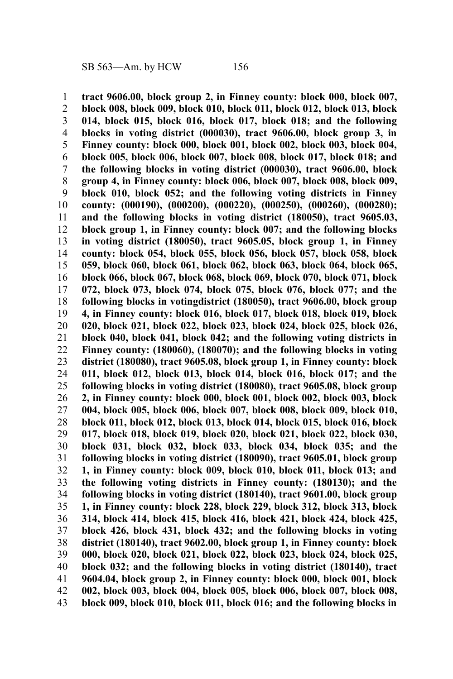**tract 9606.00, block group 2, in Finney county: block 000, block 007, block 008, block 009, block 010, block 011, block 012, block 013, block 014, block 015, block 016, block 017, block 018; and the following blocks in voting district (000030), tract 9606.00, block group 3, in Finney county: block 000, block 001, block 002, block 003, block 004, block 005, block 006, block 007, block 008, block 017, block 018; and the following blocks in voting district (000030), tract 9606.00, block group 4, in Finney county: block 006, block 007, block 008, block 009, block 010, block 052; and the following voting districts in Finney county: (000190), (000200), (000220), (000250), (000260), (000280); and the following blocks in voting district (180050), tract 9605.03, block group 1, in Finney county: block 007; and the following blocks in voting district (180050), tract 9605.05, block group 1, in Finney county: block 054, block 055, block 056, block 057, block 058, block 059, block 060, block 061, block 062, block 063, block 064, block 065, block 066, block 067, block 068, block 069, block 070, block 071, block 072, block 073, block 074, block 075, block 076, block 077; and the following blocks in votingdistrict (180050), tract 9606.00, block group 4, in Finney county: block 016, block 017, block 018, block 019, block 020, block 021, block 022, block 023, block 024, block 025, block 026, block 040, block 041, block 042; and the following voting districts in Finney county: (180060), (180070); and the following blocks in voting district (180080), tract 9605.08, block group 1, in Finney county: block 011, block 012, block 013, block 014, block 016, block 017; and the following blocks in voting district (180080), tract 9605.08, block group 2, in Finney county: block 000, block 001, block 002, block 003, block 004, block 005, block 006, block 007, block 008, block 009, block 010, block 011, block 012, block 013, block 014, block 015, block 016, block 017, block 018, block 019, block 020, block 021, block 022, block 030, block 031, block 032, block 033, block 034, block 035; and the following blocks in voting district (180090), tract 9605.01, block group 1, in Finney county: block 009, block 010, block 011, block 013; and the following voting districts in Finney county: (180130); and the following blocks in voting district (180140), tract 9601.00, block group 1, in Finney county: block 228, block 229, block 312, block 313, block 314, block 414, block 415, block 416, block 421, block 424, block 425, block 426, block 431, block 432; and the following blocks in voting district (180140), tract 9602.00, block group 1, in Finney county: block 000, block 020, block 021, block 022, block 023, block 024, block 025, block 032; and the following blocks in voting district (180140), tract 9604.04, block group 2, in Finney county: block 000, block 001, block 002, block 003, block 004, block 005, block 006, block 007, block 008, block 009, block 010, block 011, block 016; and the following blocks in** 1 2 3 4 5 6 7 8 9 10 11 12 13 14 15 16 17 18 19 20 21 22 23 24 25 26 27 28 29 30 31 32 33 34 35 36 37 38 39 40 41 42 43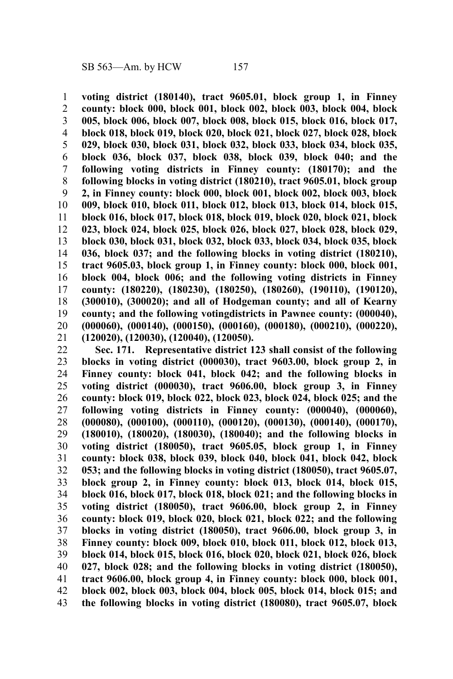**voting district (180140), tract 9605.01, block group 1, in Finney county: block 000, block 001, block 002, block 003, block 004, block 005, block 006, block 007, block 008, block 015, block 016, block 017, block 018, block 019, block 020, block 021, block 027, block 028, block 029, block 030, block 031, block 032, block 033, block 034, block 035, block 036, block 037, block 038, block 039, block 040; and the following voting districts in Finney county: (180170); and the following blocks in voting district (180210), tract 9605.01, block group 2, in Finney county: block 000, block 001, block 002, block 003, block 009, block 010, block 011, block 012, block 013, block 014, block 015, block 016, block 017, block 018, block 019, block 020, block 021, block 023, block 024, block 025, block 026, block 027, block 028, block 029, block 030, block 031, block 032, block 033, block 034, block 035, block 036, block 037; and the following blocks in voting district (180210), tract 9605.03, block group 1, in Finney county: block 000, block 001, block 004, block 006; and the following voting districts in Finney county: (180220), (180230), (180250), (180260), (190110), (190120), (300010), (300020); and all of Hodgeman county; and all of Kearny county; and the following votingdistricts in Pawnee county: (000040), (000060), (000140), (000150), (000160), (000180), (000210), (000220), (120020), (120030), (120040), (120050).** 1 2 3 4 5 6 7 8 9 10 11 12 13 14 15 16 17 18 19 20 21

**Sec. 171. Representative district 123 shall consist of the following blocks in voting district (000030), tract 9603.00, block group 2, in Finney county: block 041, block 042; and the following blocks in voting district (000030), tract 9606.00, block group 3, in Finney county: block 019, block 022, block 023, block 024, block 025; and the following voting districts in Finney county: (000040), (000060), (000080), (000100), (000110), (000120), (000130), (000140), (000170), (180010), (180020), (180030), (180040); and the following blocks in voting district (180050), tract 9605.05, block group 1, in Finney county: block 038, block 039, block 040, block 041, block 042, block 053; and the following blocks in voting district (180050), tract 9605.07, block group 2, in Finney county: block 013, block 014, block 015, block 016, block 017, block 018, block 021; and the following blocks in voting district (180050), tract 9606.00, block group 2, in Finney county: block 019, block 020, block 021, block 022; and the following blocks in voting district (180050), tract 9606.00, block group 3, in Finney county: block 009, block 010, block 011, block 012, block 013, block 014, block 015, block 016, block 020, block 021, block 026, block 027, block 028; and the following blocks in voting district (180050), tract 9606.00, block group 4, in Finney county: block 000, block 001, block 002, block 003, block 004, block 005, block 014, block 015; and the following blocks in voting district (180080), tract 9605.07, block** 22 23 24 25 26 27 28 29 30 31 32 33 34 35 36 37 38 39 40 41 42 43